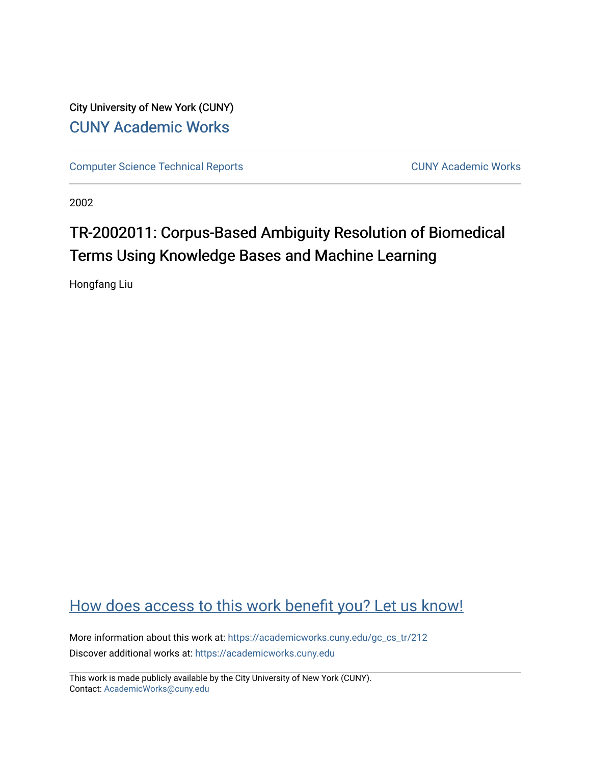City University of New York (CUNY) [CUNY Academic Works](https://academicworks.cuny.edu/) 

[Computer Science Technical Reports](https://academicworks.cuny.edu/gc_cs_tr) **CUNY Academic Works** CUNY Academic Works

2002

# TR-2002011: Corpus-Based Ambiguity Resolution of Biomedical Terms Using Knowledge Bases and Machine Learning

Hongfang Liu

# [How does access to this work benefit you? Let us know!](http://ols.cuny.edu/academicworks/?ref=https://academicworks.cuny.edu/gc_cs_tr/212)

More information about this work at: [https://academicworks.cuny.edu/gc\\_cs\\_tr/212](https://academicworks.cuny.edu/gc_cs_tr/212)  Discover additional works at: [https://academicworks.cuny.edu](https://academicworks.cuny.edu/?)

This work is made publicly available by the City University of New York (CUNY). Contact: [AcademicWorks@cuny.edu](mailto:AcademicWorks@cuny.edu)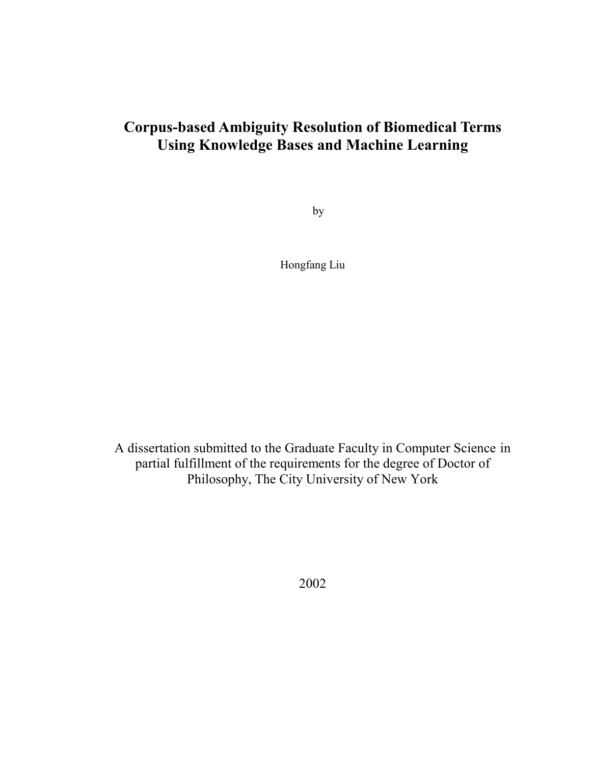## **Corpus-based Ambiguity Resolution of Biomedical Terms Using Knowledge Bases and Machine Learning**

by

Hongfang Liu

A dissertation submitted to the Graduate Faculty in Computer Science in partial fulfillment of the requirements for the degree of Doctor of Philosophy, The City University of New York

2002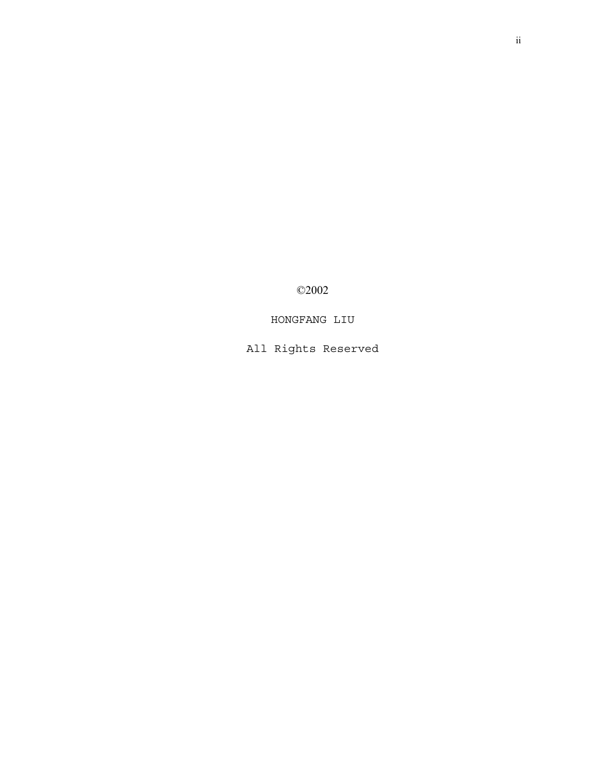©2002

HONGFANG LIU

All Rights Reserved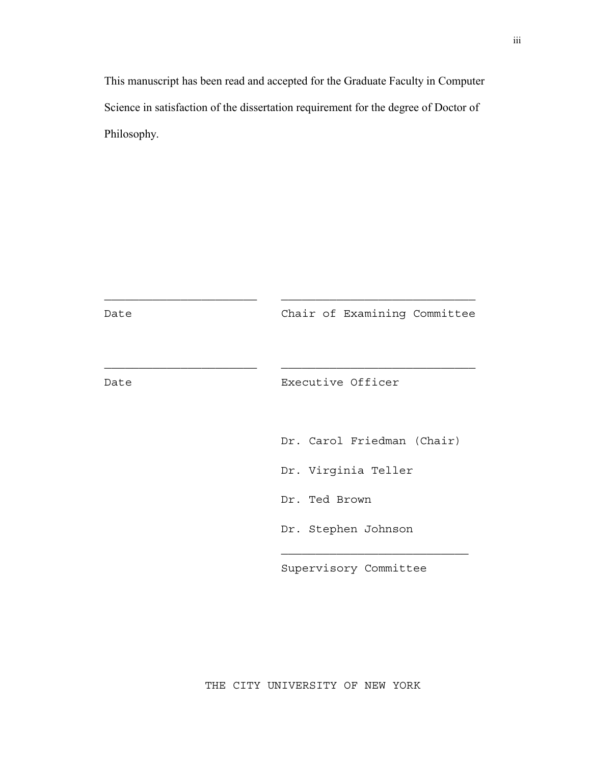This manuscript has been read and accepted for the Graduate Faculty in Computer Science in satisfaction of the dissertation requirement for the degree of Doctor of Philosophy.

| Date | Chair of Examining Committee                                       |
|------|--------------------------------------------------------------------|
| Date | Executive Officer                                                  |
|      | Dr. Carol Friedman (Chair)<br>Dr. Virginia Teller<br>Dr. Ted Brown |
|      | Dr. Stephen Johnson                                                |
|      | Supervisory Committee                                              |

THE CITY UNIVERSITY OF NEW YORK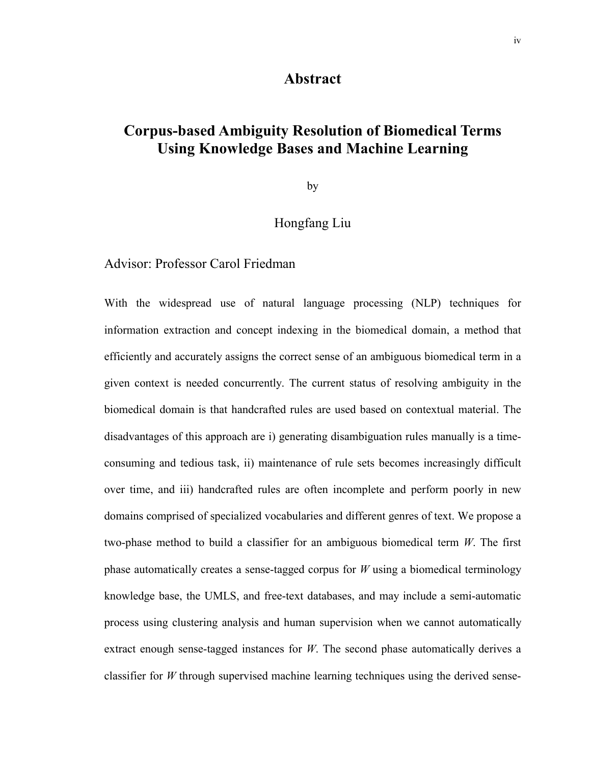## **Abstract**

## <span id="page-4-0"></span>**Corpus-based Ambiguity Resolution of Biomedical Terms Using Knowledge Bases and Machine Learning**

by

## Hongfang Liu

## Advisor: Professor Carol Friedman

With the widespread use of natural language processing (NLP) techniques for information extraction and concept indexing in the biomedical domain, a method that efficiently and accurately assigns the correct sense of an ambiguous biomedical term in a given context is needed concurrently. The current status of resolving ambiguity in the biomedical domain is that handcrafted rules are used based on contextual material. The disadvantages of this approach are i) generating disambiguation rules manually is a timeconsuming and tedious task, ii) maintenance of rule sets becomes increasingly difficult over time, and iii) handcrafted rules are often incomplete and perform poorly in new domains comprised of specialized vocabularies and different genres of text. We propose a two-phase method to build a classifier for an ambiguous biomedical term *W*. The first phase automatically creates a sense-tagged corpus for *W* using a biomedical terminology knowledge base, the UMLS, and free-text databases, and may include a semi-automatic process using clustering analysis and human supervision when we cannot automatically extract enough sense-tagged instances for *W*. The second phase automatically derives a classifier for *W* through supervised machine learning techniques using the derived sense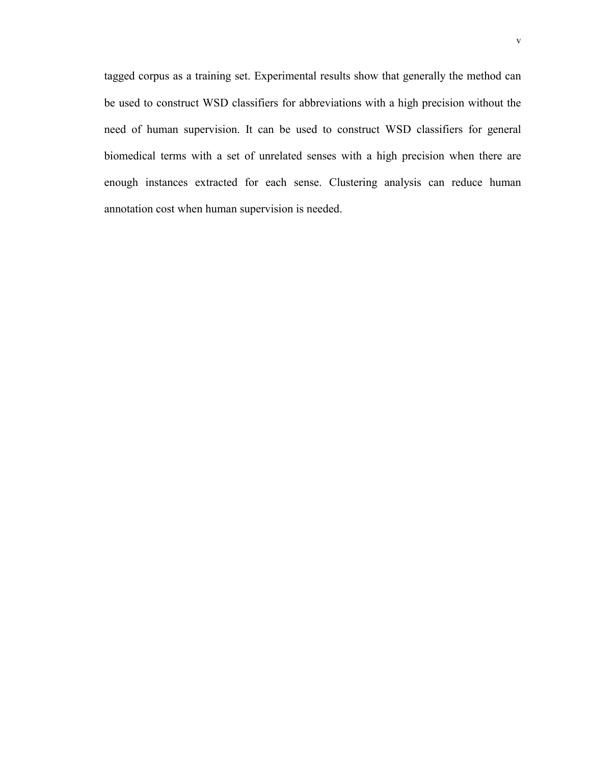tagged corpus as a training set. Experimental results show that generally the method can be used to construct WSD classifiers for abbreviations with a high precision without the need of human supervision. It can be used to construct WSD classifiers for general biomedical terms with a set of unrelated senses with a high precision when there are enough instances extracted for each sense. Clustering analysis can reduce human annotation cost when human supervision is needed.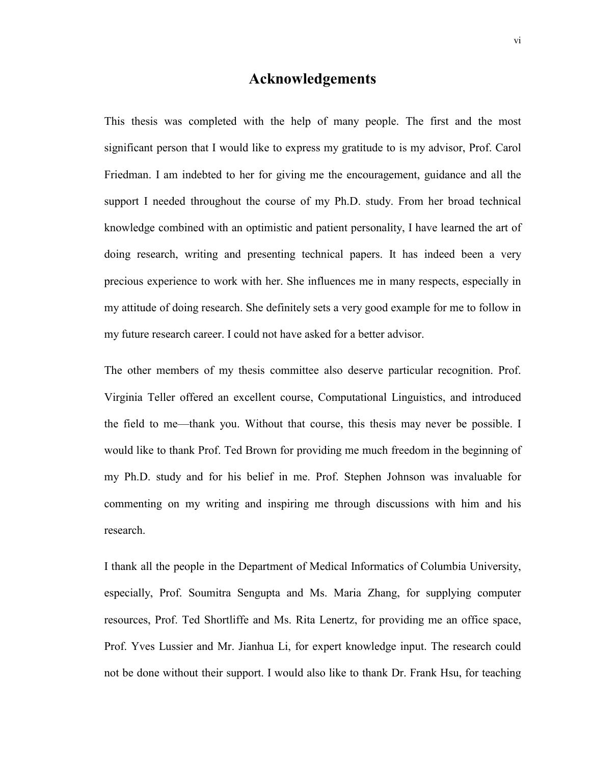## **Acknowledgements**

<span id="page-6-0"></span>This thesis was completed with the help of many people. The first and the most significant person that I would like to express my gratitude to is my advisor, Prof. Carol Friedman. I am indebted to her for giving me the encouragement, guidance and all the support I needed throughout the course of my Ph.D. study. From her broad technical knowledge combined with an optimistic and patient personality, I have learned the art of doing research, writing and presenting technical papers. It has indeed been a very precious experience to work with her. She influences me in many respects, especially in my attitude of doing research. She definitely sets a very good example for me to follow in my future research career. I could not have asked for a better advisor.

The other members of my thesis committee also deserve particular recognition. Prof. Virginia Teller offered an excellent course, Computational Linguistics, and introduced the field to me—thank you. Without that course, this thesis may never be possible. I would like to thank Prof. Ted Brown for providing me much freedom in the beginning of my Ph.D. study and for his belief in me. Prof. Stephen Johnson was invaluable for commenting on my writing and inspiring me through discussions with him and his research.

I thank all the people in the Department of Medical Informatics of Columbia University, especially, Prof. Soumitra Sengupta and Ms. Maria Zhang, for supplying computer resources, Prof. Ted Shortliffe and Ms. Rita Lenertz, for providing me an office space, Prof. Yves Lussier and Mr. Jianhua Li, for expert knowledge input. The research could not be done without their support. I would also like to thank Dr. Frank Hsu, for teaching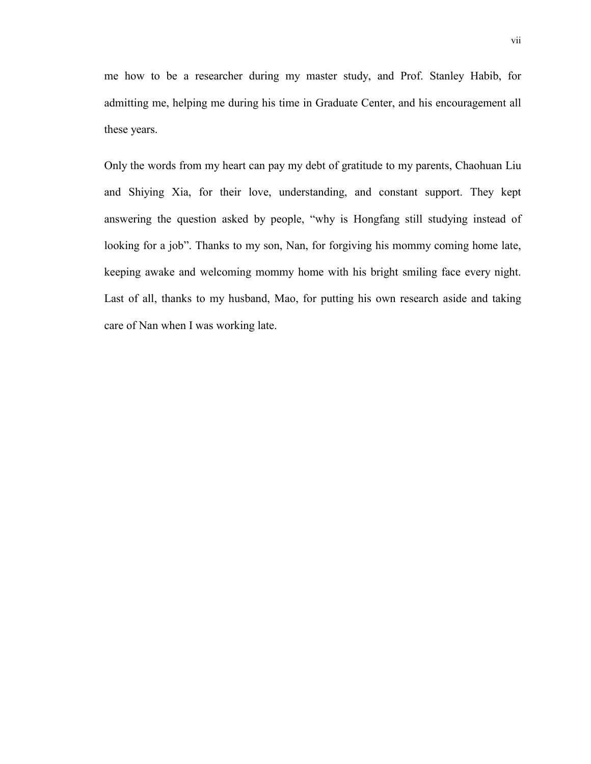me how to be a researcher during my master study, and Prof. Stanley Habib, for admitting me, helping me during his time in Graduate Center, and his encouragement all these years.

Only the words from my heart can pay my debt of gratitude to my parents, Chaohuan Liu and Shiying Xia, for their love, understanding, and constant support. They kept answering the question asked by people, "why is Hongfang still studying instead of looking for a job". Thanks to my son, Nan, for forgiving his mommy coming home late, keeping awake and welcoming mommy home with his bright smiling face every night. Last of all, thanks to my husband, Mao, for putting his own research aside and taking care of Nan when I was working late.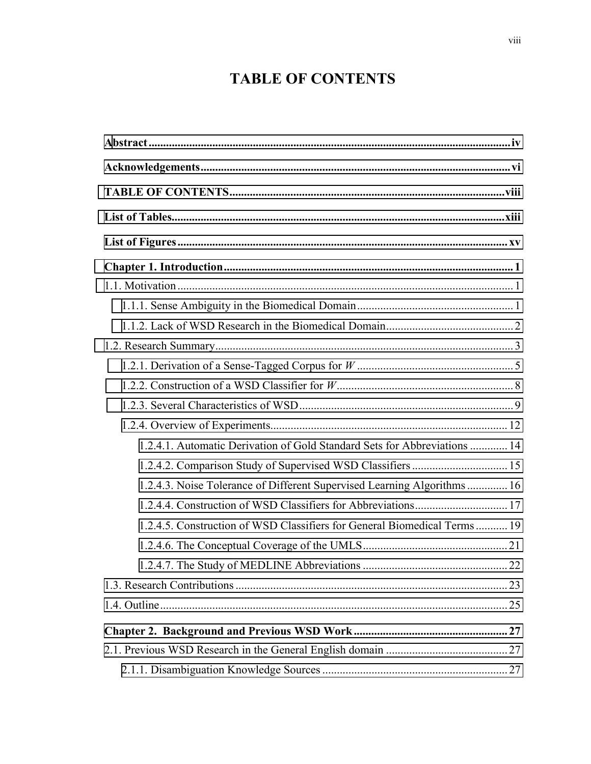# **TABLE OF CONTENTS**

| 1.2.4.1. Automatic Derivation of Gold Standard Sets for Abbreviations  14 |  |
|---------------------------------------------------------------------------|--|
| 1.2.4.2. Comparison Study of Supervised WSD Classifiers  15               |  |
| 1.2.4.3. Noise Tolerance of Different Supervised Learning Algorithms  16  |  |
|                                                                           |  |
| 1.2.4.5. Construction of WSD Classifiers for General Biomedical Terms 19  |  |
|                                                                           |  |
|                                                                           |  |
|                                                                           |  |
|                                                                           |  |
|                                                                           |  |
|                                                                           |  |
|                                                                           |  |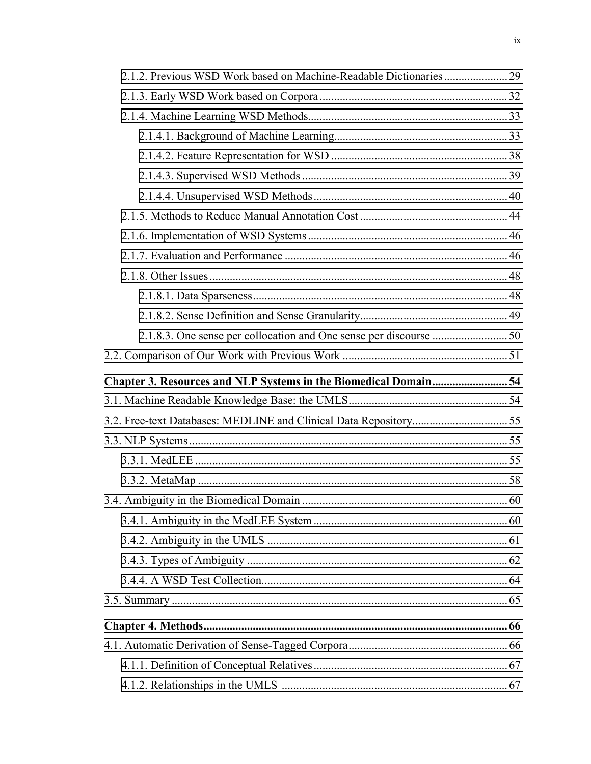| Chapter 3. Resources and NLP Systems in the Biomedical Domain 54 |  |
|------------------------------------------------------------------|--|
|                                                                  |  |
|                                                                  |  |
|                                                                  |  |
|                                                                  |  |
|                                                                  |  |
|                                                                  |  |
|                                                                  |  |
|                                                                  |  |
|                                                                  |  |
|                                                                  |  |
|                                                                  |  |
|                                                                  |  |
|                                                                  |  |
|                                                                  |  |
|                                                                  |  |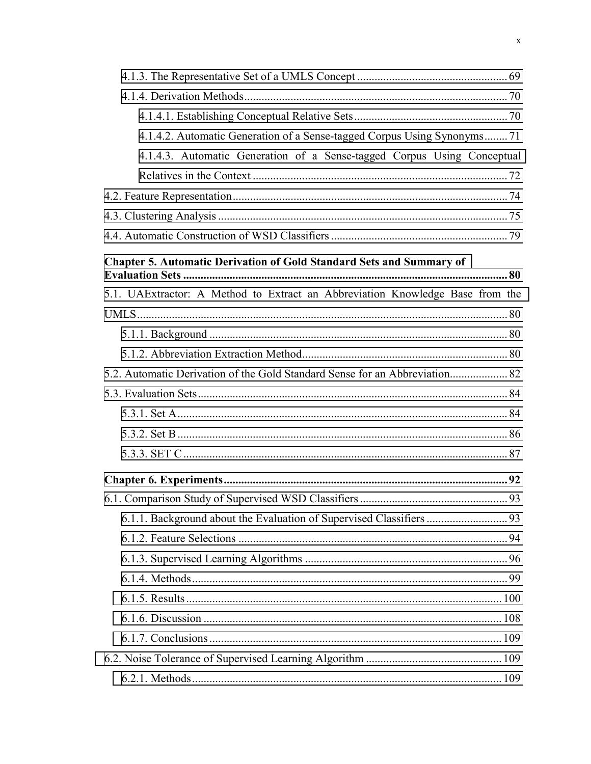| 4.1.4.2. Automatic Generation of a Sense-tagged Corpus Using Synonyms71       |
|-------------------------------------------------------------------------------|
| 4.1.4.3. Automatic Generation of a Sense-tagged Corpus Using Conceptual       |
|                                                                               |
|                                                                               |
|                                                                               |
|                                                                               |
| <b>Chapter 5. Automatic Derivation of Gold Standard Sets and Summary of</b>   |
| 5.1. UAExtractor: A Method to Extract an Abbreviation Knowledge Base from the |
|                                                                               |
|                                                                               |
|                                                                               |
|                                                                               |
|                                                                               |
|                                                                               |
|                                                                               |
|                                                                               |
|                                                                               |
|                                                                               |
|                                                                               |
|                                                                               |
|                                                                               |
|                                                                               |
|                                                                               |
|                                                                               |
|                                                                               |
|                                                                               |
|                                                                               |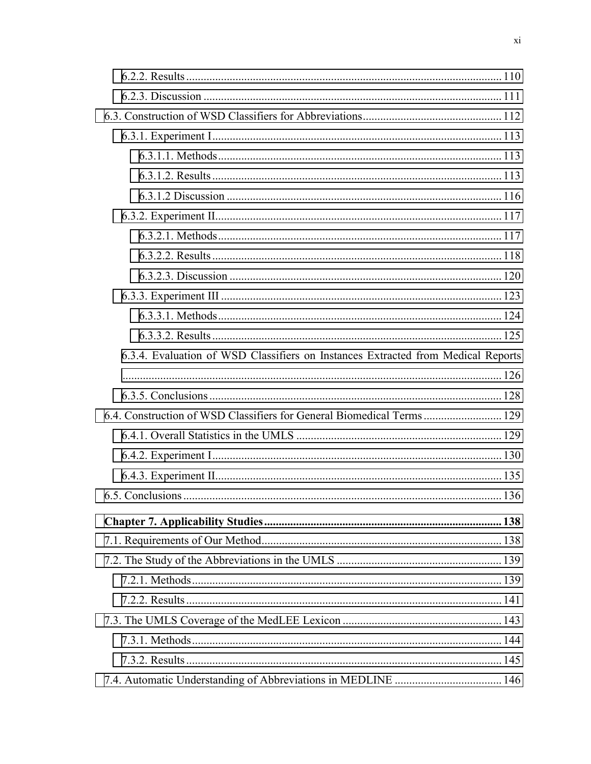| 6.3.4. Evaluation of WSD Classifiers on Instances Extracted from Medical Reports |  |
|----------------------------------------------------------------------------------|--|
|                                                                                  |  |
|                                                                                  |  |
| 6.4. Construction of WSD Classifiers for General Biomedical Terms 129            |  |
|                                                                                  |  |
|                                                                                  |  |
|                                                                                  |  |
|                                                                                  |  |
|                                                                                  |  |
|                                                                                  |  |
|                                                                                  |  |
|                                                                                  |  |
|                                                                                  |  |
|                                                                                  |  |
|                                                                                  |  |
|                                                                                  |  |
|                                                                                  |  |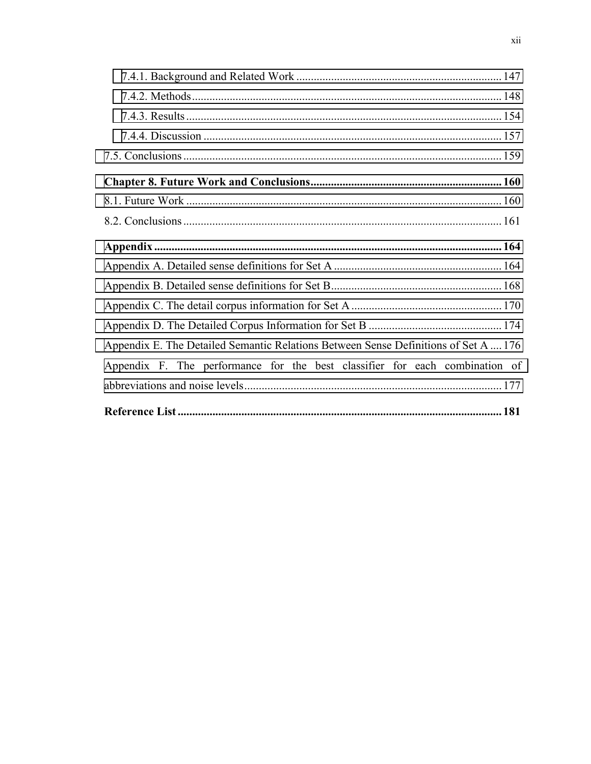| Appendix E. The Detailed Semantic Relations Between Sense Definitions of Set A  176 |  |
|-------------------------------------------------------------------------------------|--|
| Appendix F. The performance for the best classifier for each combination of         |  |
|                                                                                     |  |
|                                                                                     |  |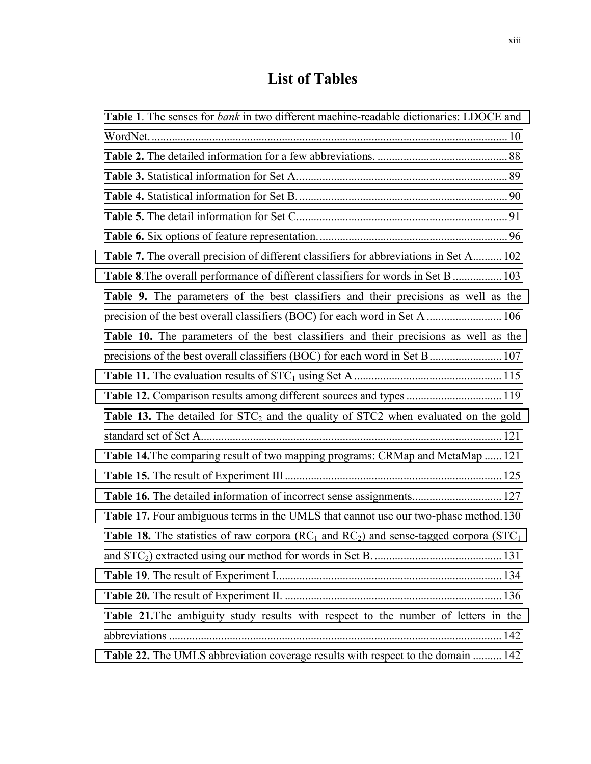# **List of Tables**

<span id="page-13-0"></span>

| Table 1. The senses for <i>bank</i> in two different machine-readable dictionaries: LDOCE and        |
|------------------------------------------------------------------------------------------------------|
|                                                                                                      |
|                                                                                                      |
|                                                                                                      |
|                                                                                                      |
|                                                                                                      |
|                                                                                                      |
| <b>Table 7.</b> The overall precision of different classifiers for abbreviations in Set A 102        |
| Table 8. The overall performance of different classifiers for words in Set B  103                    |
| Table 9. The parameters of the best classifiers and their precisions as well as the                  |
|                                                                                                      |
| Table 10. The parameters of the best classifiers and their precisions as well as the                 |
| precisions of the best overall classifiers (BOC) for each word in Set B 107                          |
|                                                                                                      |
| Table 12. Comparison results among different sources and types  119                                  |
| <b>Table 13.</b> The detailed for $STC_2$ and the quality of $STC_2$ when evaluated on the gold      |
|                                                                                                      |
| Table 14. The comparing result of two mapping programs: CRMap and MetaMap  121                       |
|                                                                                                      |
| Table 16. The detailed information of incorrect sense assignments 127                                |
| Table 17. Four ambiguous terms in the UMLS that cannot use our two-phase method.130                  |
| <b>Table 18.</b> The statistics of raw corpora ( $RC1$ and $RC2$ ) and sense-tagged corpora ( $STC1$ |
|                                                                                                      |
|                                                                                                      |
|                                                                                                      |
| Table 21. The ambiguity study results with respect to the number of letters in the                   |
|                                                                                                      |
| Table 22. The UMLS abbreviation coverage results with respect to the domain  142                     |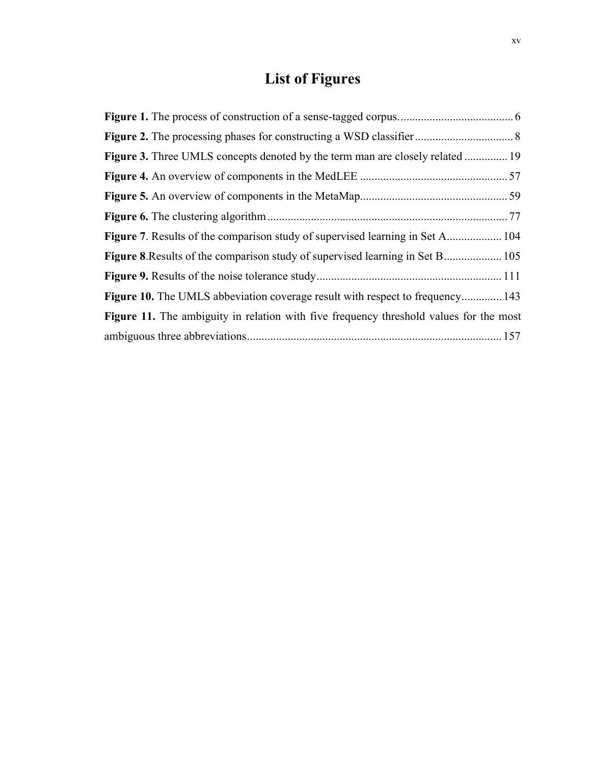# **List of Figures**

<span id="page-15-0"></span>

| <b>Figure 7.</b> Results of the comparison study of supervised learning in Set A 104          |  |
|-----------------------------------------------------------------------------------------------|--|
|                                                                                               |  |
|                                                                                               |  |
| Figure 10. The UMLS abbeviation coverage result with respect to frequency 143                 |  |
| <b>Figure 11.</b> The ambiguity in relation with five frequency threshold values for the most |  |
|                                                                                               |  |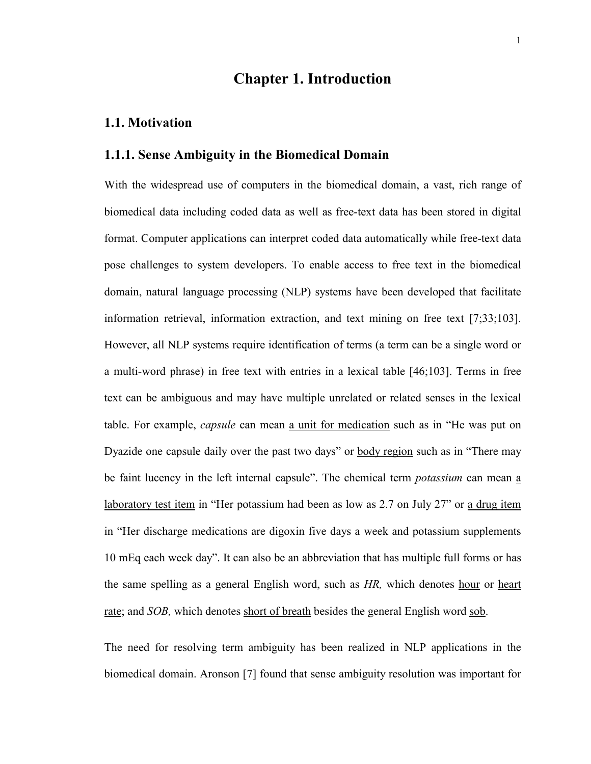## **Chapter 1. Introduction**

### <span id="page-16-0"></span>**1.1. Motivation**

## **1.1.1. Sense Ambiguity in the Biomedical Domain**

With the widespread use of computers in the biomedical domain, a vast, rich range of biomedical data including coded data as well as free-text data has been stored in digital format. Computer applications can interpret coded data automatically while free-text data pose challenges to system developers. To enable access to free text in the biomedical domain, natural language processing (NLP) systems have been developed that facilitate information retrieval, information extraction, and text mining on free text [7;33;103]. However, all NLP systems require identification of terms (a term can be a single word or a multi-word phrase) in free text with entries in a lexical table [46;103]. Terms in free text can be ambiguous and may have multiple unrelated or related senses in the lexical table. For example, *capsule* can mean a unit for medication such as in "He was put on Dyazide one capsule daily over the past two days" or body region such as in "There may be faint lucency in the left internal capsule". The chemical term *potassium* can mean a laboratory test item in "Her potassium had been as low as 2.7 on July 27" or a drug item in "Her discharge medications are digoxin five days a week and potassium supplements 10 mEq each week day". It can also be an abbreviation that has multiple full forms or has the same spelling as a general English word, such as *HR,* which denotes hour or heart rate; and *SOB,* which denotes short of breath besides the general English word sob.

The need for resolving term ambiguity has been realized in NLP applications in the biomedical domain. Aronson [7] found that sense ambiguity resolution was important for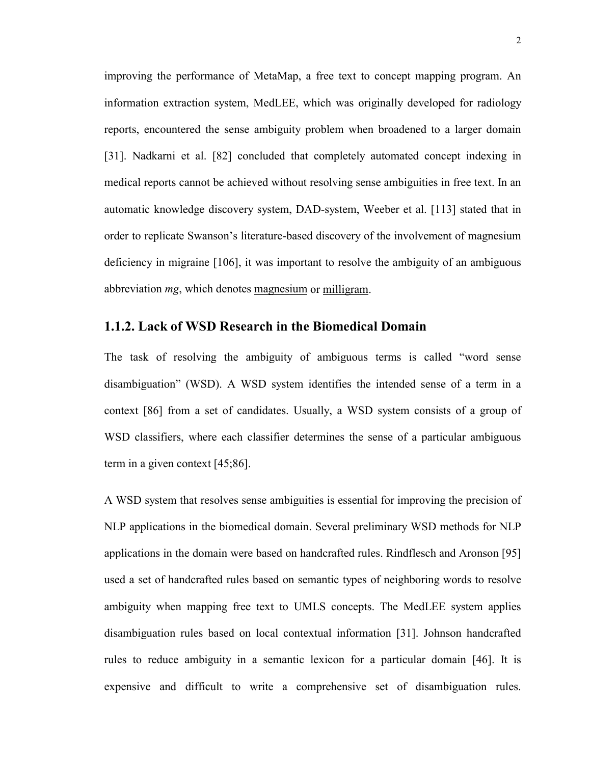<span id="page-17-0"></span>improving the performance of MetaMap, a free text to concept mapping program. An information extraction system, MedLEE, which was originally developed for radiology reports, encountered the sense ambiguity problem when broadened to a larger domain [31]. Nadkarni et al. [82] concluded that completely automated concept indexing in medical reports cannot be achieved without resolving sense ambiguities in free text. In an automatic knowledge discovery system, DAD-system, Weeber et al. [113] stated that in order to replicate Swanson's literature-based discovery of the involvement of magnesium deficiency in migraine [106], it was important to resolve the ambiguity of an ambiguous abbreviation *mg*, which denotes magnesium or milligram.

#### **1.1.2. Lack of WSD Research in the Biomedical Domain**

The task of resolving the ambiguity of ambiguous terms is called "word sense disambiguation" (WSD). A WSD system identifies the intended sense of a term in a context [86] from a set of candidates. Usually, a WSD system consists of a group of WSD classifiers, where each classifier determines the sense of a particular ambiguous term in a given context [45;86].

A WSD system that resolves sense ambiguities is essential for improving the precision of NLP applications in the biomedical domain. Several preliminary WSD methods for NLP applications in the domain were based on handcrafted rules. Rindflesch and Aronson [95] used a set of handcrafted rules based on semantic types of neighboring words to resolve ambiguity when mapping free text to UMLS concepts. The MedLEE system applies disambiguation rules based on local contextual information [31]. Johnson handcrafted rules to reduce ambiguity in a semantic lexicon for a particular domain [46]. It is expensive and difficult to write a comprehensive set of disambiguation rules.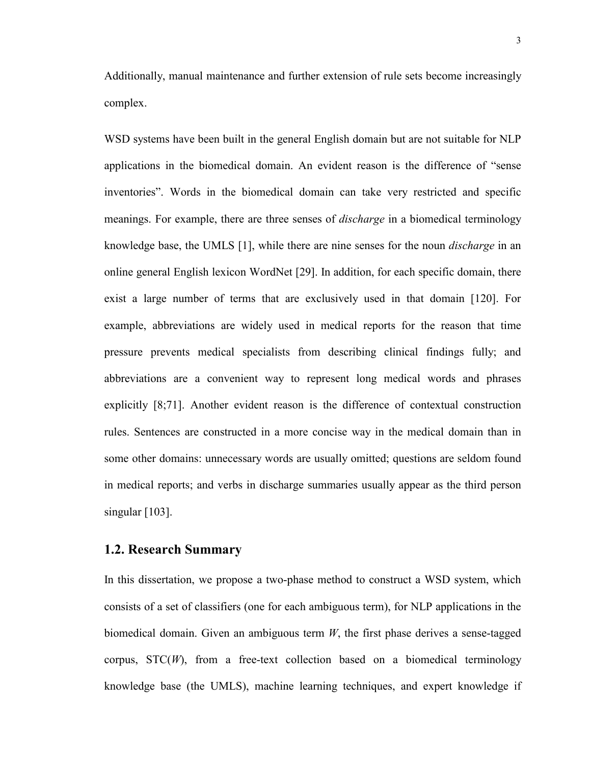<span id="page-18-0"></span>Additionally, manual maintenance and further extension of rule sets become increasingly complex.

WSD systems have been built in the general English domain but are not suitable for NLP applications in the biomedical domain. An evident reason is the difference of "sense inventories". Words in the biomedical domain can take very restricted and specific meanings. For example, there are three senses of *discharge* in a biomedical terminology knowledge base, the UMLS [1], while there are nine senses for the noun *discharge* in an online general English lexicon WordNet [29]. In addition, for each specific domain, there exist a large number of terms that are exclusively used in that domain [120]. For example, abbreviations are widely used in medical reports for the reason that time pressure prevents medical specialists from describing clinical findings fully; and abbreviations are a convenient way to represent long medical words and phrases explicitly [8;71]. Another evident reason is the difference of contextual construction rules. Sentences are constructed in a more concise way in the medical domain than in some other domains: unnecessary words are usually omitted; questions are seldom found in medical reports; and verbs in discharge summaries usually appear as the third person singular [103].

#### **1.2. Research Summary**

In this dissertation, we propose a two-phase method to construct a WSD system, which consists of a set of classifiers (one for each ambiguous term), for NLP applications in the biomedical domain. Given an ambiguous term *W*, the first phase derives a sense-tagged corpus,  $STC(W)$ , from a free-text collection based on a biomedical terminology knowledge base (the UMLS), machine learning techniques, and expert knowledge if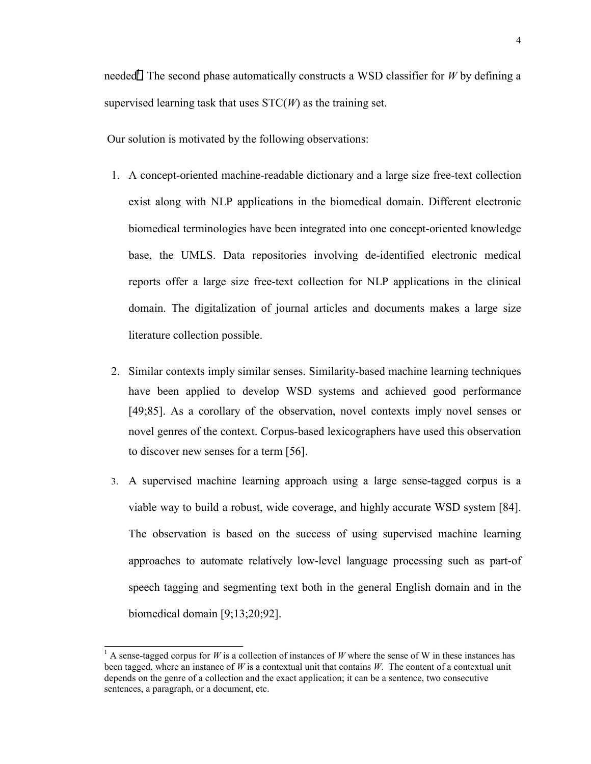needed<sup>1</sup>. The second phase automatically constructs a WSD classifier for *W* by defining a supervised learning task that uses STC(*W*) as the training set.

Our solution is motivated by the following observations:

- 1. A concept-oriented machine-readable dictionary and a large size free-text collection exist along with NLP applications in the biomedical domain. Different electronic biomedical terminologies have been integrated into one concept-oriented knowledge base, the UMLS. Data repositories involving de-identified electronic medical reports offer a large size free-text collection for NLP applications in the clinical domain. The digitalization of journal articles and documents makes a large size literature collection possible.
- 2. Similar contexts imply similar senses. Similarity-based machine learning techniques have been applied to develop WSD systems and achieved good performance [49;85]. As a corollary of the observation, novel contexts imply novel senses or novel genres of the context. Corpus-based lexicographers have used this observation to discover new senses for a term [56].
- 3. A supervised machine learning approach using a large sense-tagged corpus is a viable way to build a robust, wide coverage, and highly accurate WSD system [84]. The observation is based on the success of using supervised machine learning approaches to automate relatively low-level language processing such as part-of speech tagging and segmenting text both in the general English domain and in the biomedical domain [9;13;20;92].

l

<sup>&</sup>lt;sup>1</sup> A sense-tagged corpus for *W* is a collection of instances of *W* where the sense of W in these instances has been tagged, where an instance of  $W$  is a contextual unit that contains  $W$ . The content of a contextual unit depends on the genre of a collection and the exact application; it can be a sentence, two consecutive sentences, a paragraph, or a document, etc.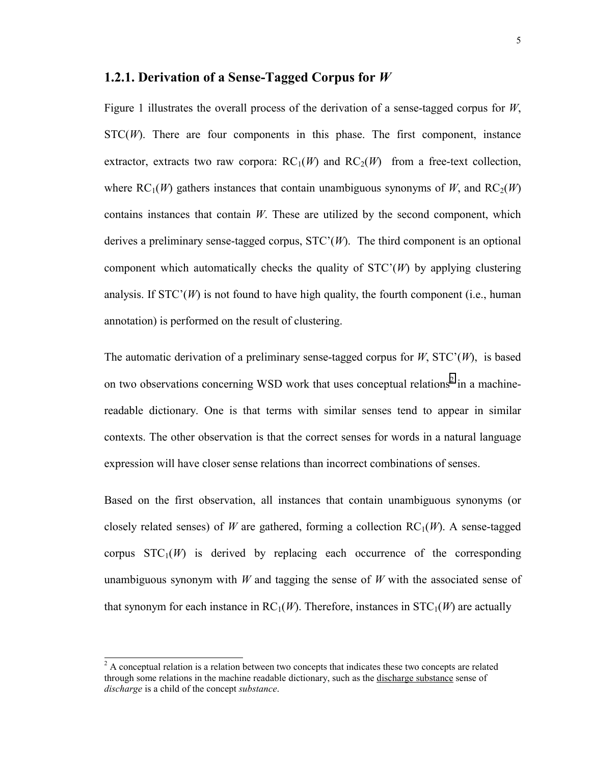#### <span id="page-20-0"></span>**1.2.1. Derivation of a Sense-Tagged Corpus for** *W*

Figure 1 illustrates the overall process of the derivation of a sense-tagged corpus for *W*,  $STC(W)$ . There are four components in this phase. The first component, instance extractor, extracts two raw corpora:  $RC_1(W)$  and  $RC_2(W)$  from a free-text collection, where  $RC_1(W)$  gathers instances that contain unambiguous synonyms of W, and  $RC_2(W)$ contains instances that contain *W*. These are utilized by the second component, which derives a preliminary sense-tagged corpus, STC'(*W*). The third component is an optional component which automatically checks the quality of STC'(*W*) by applying clustering analysis. If  $STC'(W)$  is not found to have high quality, the fourth component (i.e., human annotation) is performed on the result of clustering.

The automatic derivation of a preliminary sense-tagged corpus for *W*, STC'(*W*), is based on two observations concerning WSD work that uses conceptual relations<sup>2</sup> in a machinereadable dictionary. One is that terms with similar senses tend to appear in similar contexts. The other observation is that the correct senses for words in a natural language expression will have closer sense relations than incorrect combinations of senses.

Based on the first observation, all instances that contain unambiguous synonyms (or closely related senses) of *W* are gathered, forming a collection  $RC_1(W)$ . A sense-tagged corpus  $STC_1(W)$  is derived by replacing each occurrence of the corresponding unambiguous synonym with *W* and tagging the sense of *W* with the associated sense of that synonym for each instance in  $RC_1(W)$ . Therefore, instances in  $STC_1(W)$  are actually

 $\overline{a}$ 

 $2^2$  A conceptual relation is a relation between two concepts that indicates these two concepts are related through some relations in the machine readable dictionary, such as the discharge substance sense of *discharge* is a child of the concept *substance*.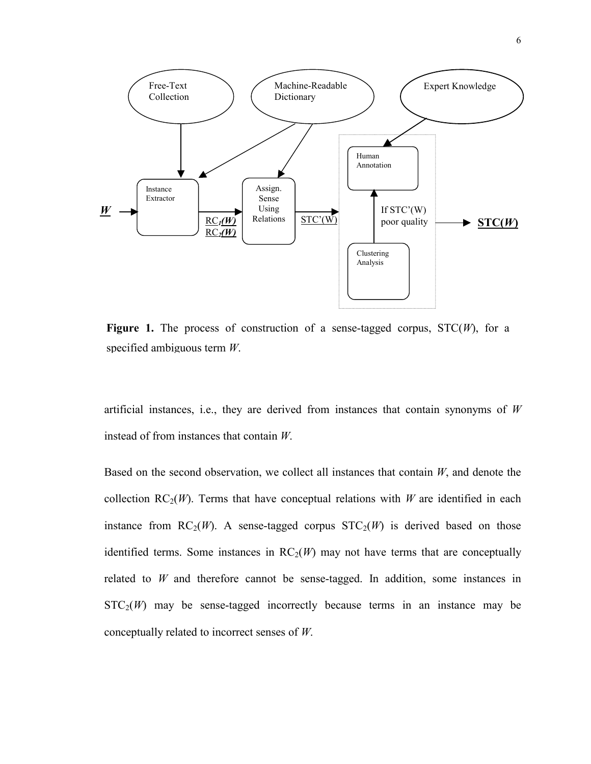

**Figure 1.** The process of construction of a sense-tagged corpus, STC(*W*), for a specified ambiguous term *W*.

artificial instances, i.e., they are derived from instances that contain synonyms of *W* instead of from instances that contain *W*.

Based on the second observation, we collect all instances that contain *W*, and denote the collection  $RC_2(W)$ . Terms that have conceptual relations with *W* are identified in each instance from  $RC_2(W)$ . A sense-tagged corpus  $STC_2(W)$  is derived based on those identified terms. Some instances in  $RC<sub>2</sub>(W)$  may not have terms that are conceptually related to *W* and therefore cannot be sense-tagged. In addition, some instances in  $STC<sub>2</sub>(W)$  may be sense-tagged incorrectly because terms in an instance may be conceptually related to incorrect senses of *W*.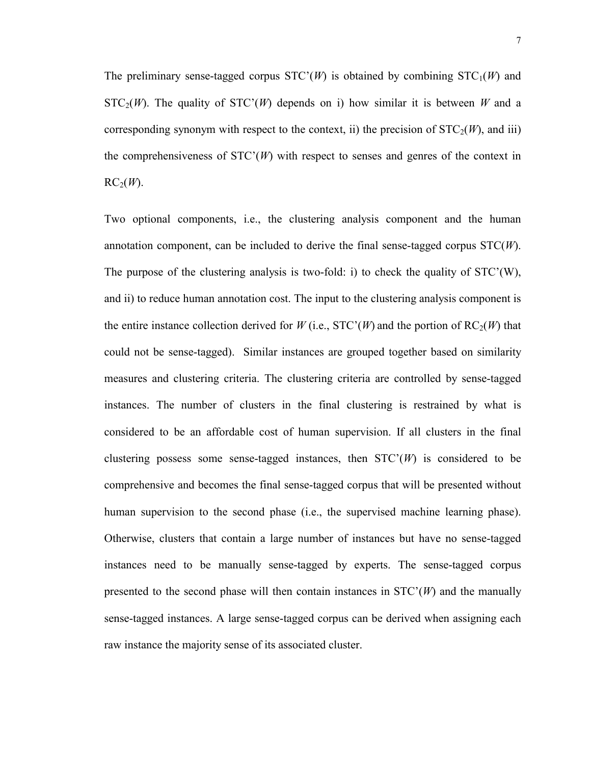7

The preliminary sense-tagged corpus  $STC(W)$  is obtained by combining  $STC_1(W)$  and  $STC_2(W)$ . The quality of  $STC'(W)$  depends on i) how similar it is between *W* and a corresponding synonym with respect to the context, ii) the precision of  $STC<sub>2</sub>(W)$ , and iii) the comprehensiveness of  $STC(W)$  with respect to senses and genres of the context in  $RC<sub>2</sub>(W)$ .

Two optional components, i.e., the clustering analysis component and the human annotation component, can be included to derive the final sense-tagged corpus STC(*W*). The purpose of the clustering analysis is two-fold: i) to check the quality of STC'(W), and ii) to reduce human annotation cost. The input to the clustering analysis component is the entire instance collection derived for *W* (i.e., STC'(*W*) and the portion of RC<sub>2</sub>(*W*) that could not be sense-tagged). Similar instances are grouped together based on similarity measures and clustering criteria. The clustering criteria are controlled by sense-tagged instances. The number of clusters in the final clustering is restrained by what is considered to be an affordable cost of human supervision. If all clusters in the final clustering possess some sense-tagged instances, then  $STC(W)$  is considered to be comprehensive and becomes the final sense-tagged corpus that will be presented without human supervision to the second phase (i.e., the supervised machine learning phase). Otherwise, clusters that contain a large number of instances but have no sense-tagged instances need to be manually sense-tagged by experts. The sense-tagged corpus presented to the second phase will then contain instances in  $STC'(W)$  and the manually sense-tagged instances. A large sense-tagged corpus can be derived when assigning each raw instance the majority sense of its associated cluster.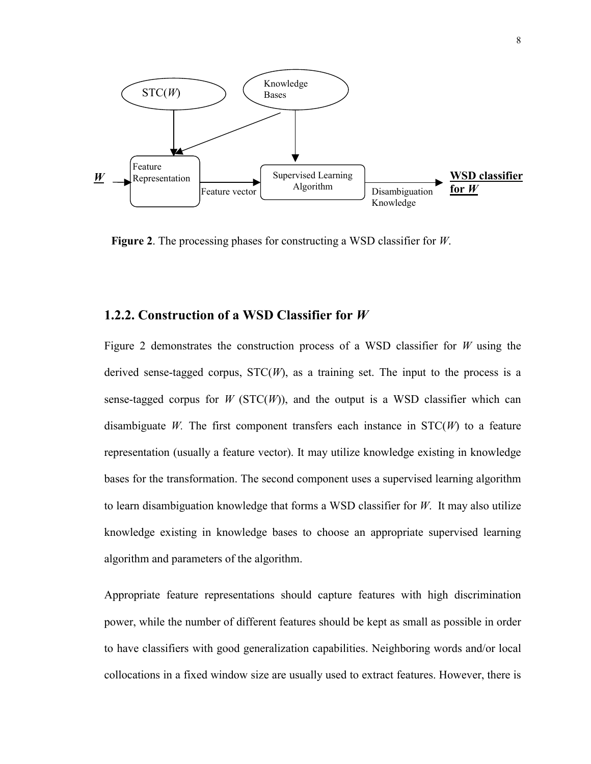<span id="page-23-0"></span>

**Figure 2**. The processing phases for constructing a WSD classifier for *W*.

## **1.2.2. Construction of a WSD Classifier for** *W*

Figure 2 demonstrates the construction process of a WSD classifier for *W* using the derived sense-tagged corpus,  $STC(W)$ , as a training set. The input to the process is a sense-tagged corpus for *W* ( $STC(W)$ ), and the output is a WSD classifier which can disambiguate *W*. The first component transfers each instance in  $STC(W)$  to a feature representation (usually a feature vector). It may utilize knowledge existing in knowledge bases for the transformation. The second component uses a supervised learning algorithm to learn disambiguation knowledge that forms a WSD classifier for *W*. It may also utilize knowledge existing in knowledge bases to choose an appropriate supervised learning algorithm and parameters of the algorithm.

Appropriate feature representations should capture features with high discrimination power, while the number of different features should be kept as small as possible in order to have classifiers with good generalization capabilities. Neighboring words and/or local collocations in a fixed window size are usually used to extract features. However, there is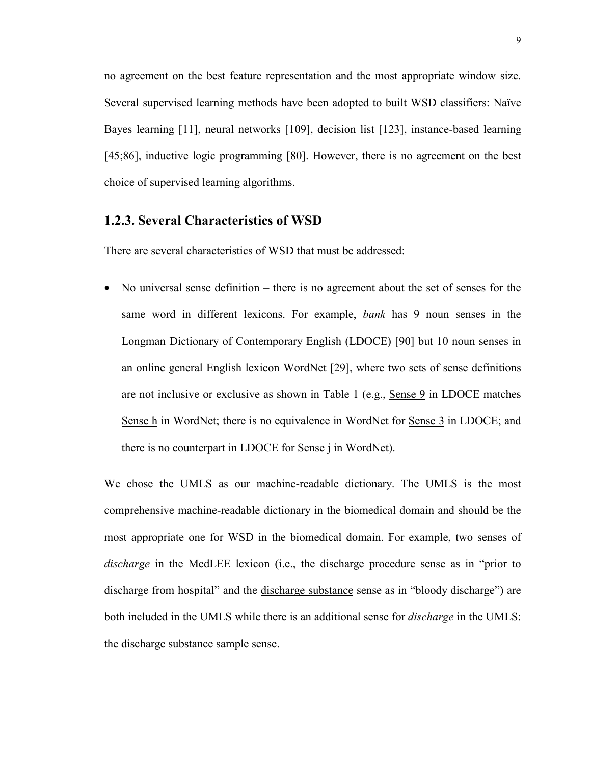<span id="page-24-0"></span>no agreement on the best feature representation and the most appropriate window size. Several supervised learning methods have been adopted to built WSD classifiers: Naïve Bayes learning [11], neural networks [109], decision list [123], instance-based learning [45;86], inductive logic programming [80]. However, there is no agreement on the best choice of supervised learning algorithms.

#### **1.2.3. Several Characteristics of WSD**

There are several characteristics of WSD that must be addressed:

• No universal sense definition – there is no agreement about the set of senses for the same word in different lexicons. For example, *bank* has 9 noun senses in the Longman Dictionary of Contemporary English (LDOCE) [90] but 10 noun senses in an online general English lexicon WordNet [29], where two sets of sense definitions are not inclusive or exclusive as shown in Table 1 (e.g., Sense 9 in LDOCE matches Sense h in WordNet; there is no equivalence in WordNet for Sense 3 in LDOCE; and there is no counterpart in LDOCE for Sense j in WordNet).

We chose the UMLS as our machine-readable dictionary. The UMLS is the most comprehensive machine-readable dictionary in the biomedical domain and should be the most appropriate one for WSD in the biomedical domain. For example, two senses of *discharge* in the MedLEE lexicon (i.e., the discharge procedure sense as in "prior to discharge from hospital" and the discharge substance sense as in "bloody discharge") are both included in the UMLS while there is an additional sense for *discharge* in the UMLS: the discharge substance sample sense.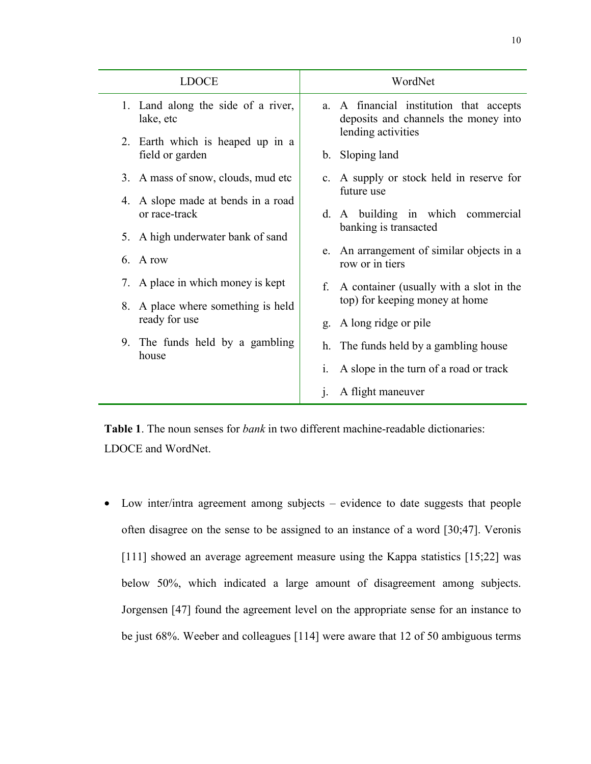<span id="page-25-0"></span>

| <b>LDOCE</b>                                        | WordNet                                                                            |
|-----------------------------------------------------|------------------------------------------------------------------------------------|
| 1. Land along the side of a river,<br>lake, etc     | A financial institution that accepts<br>a.<br>deposits and channels the money into |
| 2. Earth which is heaped up in a<br>field or garden | lending activities<br>b. Sloping land                                              |
| 3. A mass of snow, clouds, mud etc                  | c. A supply or stock held in reserve for                                           |
| 4. A slope made at bends in a road<br>or race-track | future use<br>d. A building in which commercial                                    |
| A high underwater bank of sand<br>5.                | banking is transacted                                                              |
| 6<br>A row                                          | e. An arrangement of similar objects in a<br>row or in tiers                       |
| A place in which money is kept<br>7.                | A container (usually with a slot in the<br>f.                                      |
| 8. A place where something is held                  | top) for keeping money at home                                                     |
| ready for use                                       | A long ridge or pile<br>g.                                                         |
| 9. The funds held by a gambling<br>house            | h. The funds held by a gambling house                                              |
|                                                     | A slope in the turn of a road or track<br>$\mathbf{1}$ .                           |
|                                                     | A flight maneuver<br>$\mathbf{1}$ .                                                |

**Table 1**. The noun senses for *bank* in two different machine-readable dictionaries: LDOCE and WordNet.

• Low inter/intra agreement among subjects – evidence to date suggests that people often disagree on the sense to be assigned to an instance of a word [30;47]. Veronis [111] showed an average agreement measure using the Kappa statistics [15;22] was below 50%, which indicated a large amount of disagreement among subjects. Jorgensen [47] found the agreement level on the appropriate sense for an instance to be just 68%. Weeber and colleagues [114] were aware that 12 of 50 ambiguous terms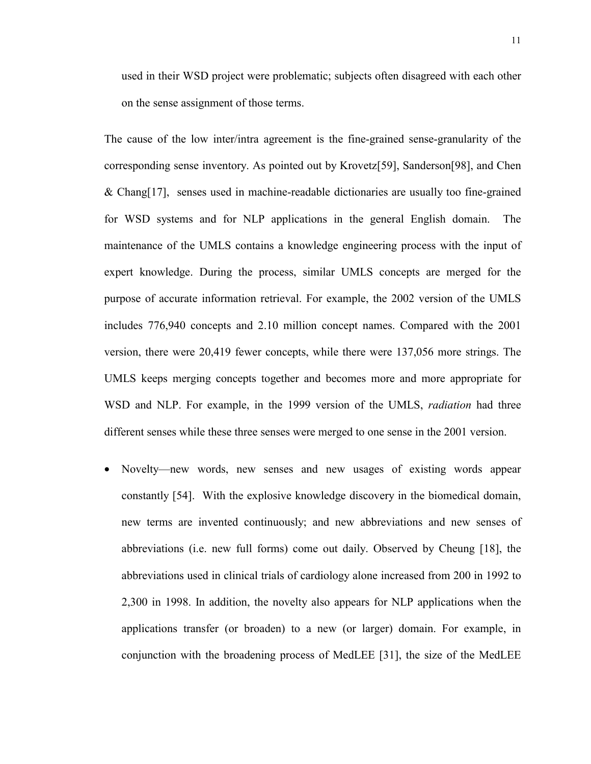used in their WSD project were problematic; subjects often disagreed with each other on the sense assignment of those terms.

The cause of the low inter/intra agreement is the fine-grained sense-granularity of the corresponding sense inventory. As pointed out by Krovetz[59], Sanderson[98], and Chen & Chang[17], senses used in machine-readable dictionaries are usually too fine-grained for WSD systems and for NLP applications in the general English domain. The maintenance of the UMLS contains a knowledge engineering process with the input of expert knowledge. During the process, similar UMLS concepts are merged for the purpose of accurate information retrieval. For example, the 2002 version of the UMLS includes 776,940 concepts and 2.10 million concept names. Compared with the 2001 version, there were 20,419 fewer concepts, while there were 137,056 more strings. The UMLS keeps merging concepts together and becomes more and more appropriate for WSD and NLP. For example, in the 1999 version of the UMLS, *radiation* had three different senses while these three senses were merged to one sense in the 2001 version.

• Novelty—new words, new senses and new usages of existing words appear constantly [54]. With the explosive knowledge discovery in the biomedical domain, new terms are invented continuously; and new abbreviations and new senses of abbreviations (i.e. new full forms) come out daily. Observed by Cheung [18], the abbreviations used in clinical trials of cardiology alone increased from 200 in 1992 to 2,300 in 1998. In addition, the novelty also appears for NLP applications when the applications transfer (or broaden) to a new (or larger) domain. For example, in conjunction with the broadening process of MedLEE [31], the size of the MedLEE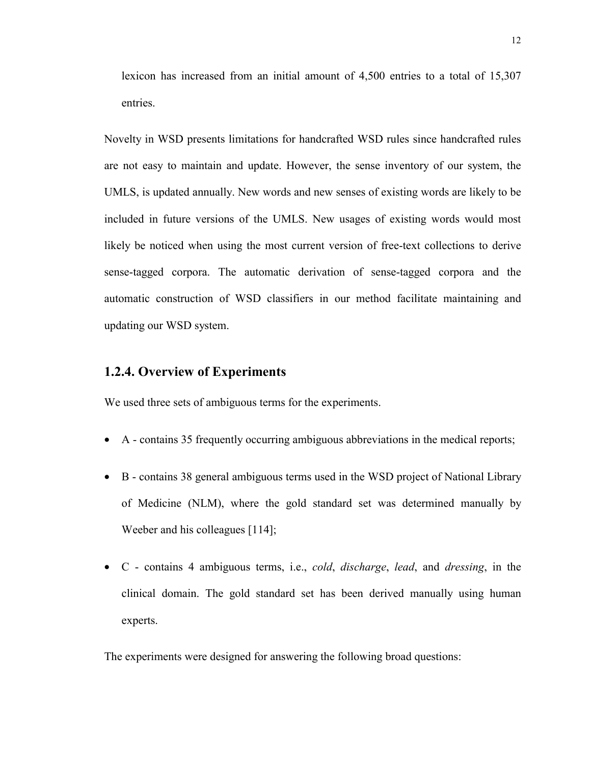<span id="page-27-0"></span>lexicon has increased from an initial amount of 4,500 entries to a total of 15,307 entries.

Novelty in WSD presents limitations for handcrafted WSD rules since handcrafted rules are not easy to maintain and update. However, the sense inventory of our system, the UMLS, is updated annually. New words and new senses of existing words are likely to be included in future versions of the UMLS. New usages of existing words would most likely be noticed when using the most current version of free-text collections to derive sense-tagged corpora. The automatic derivation of sense-tagged corpora and the automatic construction of WSD classifiers in our method facilitate maintaining and updating our WSD system.

## **1.2.4. Overview of Experiments**

We used three sets of ambiguous terms for the experiments.

- A contains 35 frequently occurring ambiguous abbreviations in the medical reports;
- B contains 38 general ambiguous terms used in the WSD project of National Library of Medicine (NLM), where the gold standard set was determined manually by Weeber and his colleagues [114];
- C contains 4 ambiguous terms, i.e., *cold*, *discharge*, *lead*, and *dressing*, in the clinical domain. The gold standard set has been derived manually using human experts.

The experiments were designed for answering the following broad questions: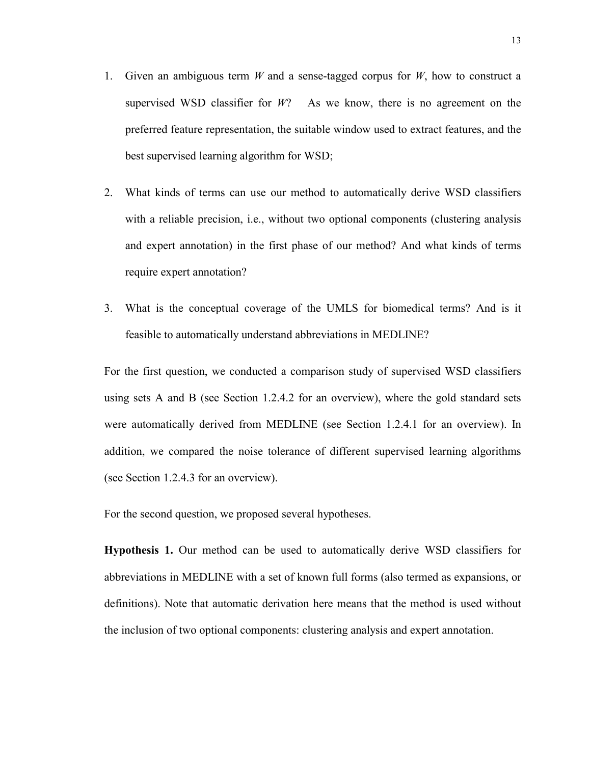- 1. Given an ambiguous term *W* and a sense-tagged corpus for *W*, how to construct a supervised WSD classifier for *W*? As we know, there is no agreement on the preferred feature representation, the suitable window used to extract features, and the best supervised learning algorithm for WSD;
- 2. What kinds of terms can use our method to automatically derive WSD classifiers with a reliable precision, i.e., without two optional components (clustering analysis and expert annotation) in the first phase of our method? And what kinds of terms require expert annotation?
- 3. What is the conceptual coverage of the UMLS for biomedical terms? And is it feasible to automatically understand abbreviations in MEDLINE?

For the first question, we conducted a comparison study of supervised WSD classifiers using sets A and B (see Section 1.2.4.2 for an overview), where the gold standard sets were automatically derived from MEDLINE (see Section 1.2.4.1 for an overview). In addition, we compared the noise tolerance of different supervised learning algorithms (see Section 1.2.4.3 for an overview).

For the second question, we proposed several hypotheses.

**Hypothesis 1.** Our method can be used to automatically derive WSD classifiers for abbreviations in MEDLINE with a set of known full forms (also termed as expansions, or definitions). Note that automatic derivation here means that the method is used without the inclusion of two optional components: clustering analysis and expert annotation.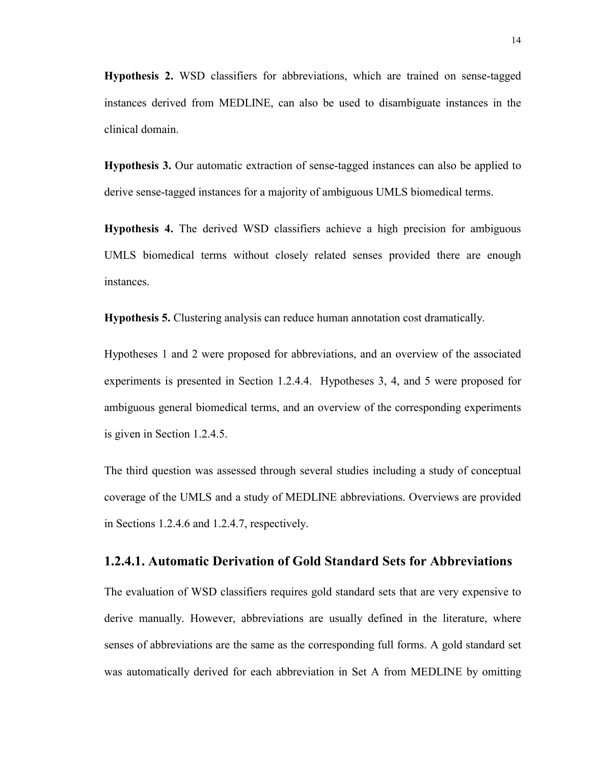<span id="page-29-0"></span>**Hypothesis 2.** WSD classifiers for abbreviations, which are trained on sense-tagged instances derived from MEDLINE, can also be used to disambiguate instances in the clinical domain.

**Hypothesis 3.** Our automatic extraction of sense-tagged instances can also be applied to derive sense-tagged instances for a majority of ambiguous UMLS biomedical terms.

**Hypothesis 4.** The derived WSD classifiers achieve a high precision for ambiguous UMLS biomedical terms without closely related senses provided there are enough instances.

**Hypothesis 5.** Clustering analysis can reduce human annotation cost dramatically.

Hypotheses 1 and 2 were proposed for abbreviations, and an overview of the associated experiments is presented in Section 1.2.4.4. Hypotheses 3, 4, and 5 were proposed for ambiguous general biomedical terms, and an overview of the corresponding experiments is given in Section 1.2.4.5.

The third question was assessed through several studies including a study of conceptual coverage of the UMLS and a study of MEDLINE abbreviations. Overviews are provided in Sections 1.2.4.6 and 1.2.4.7, respectively.

#### **1.2.4.1. Automatic Derivation of Gold Standard Sets for Abbreviations**

The evaluation of WSD classifiers requires gold standard sets that are very expensive to derive manually. However, abbreviations are usually defined in the literature, where senses of abbreviations are the same as the corresponding full forms. A gold standard set was automatically derived for each abbreviation in Set A from MEDLINE by omitting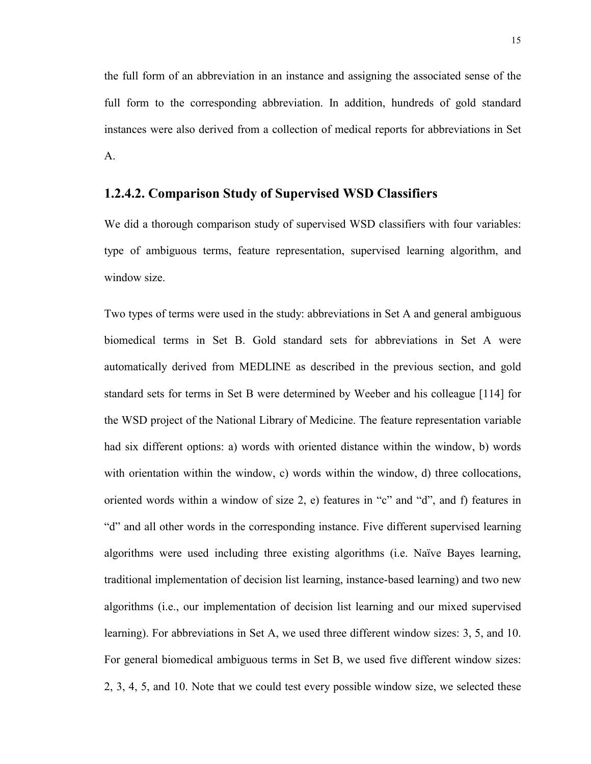<span id="page-30-0"></span>the full form of an abbreviation in an instance and assigning the associated sense of the full form to the corresponding abbreviation. In addition, hundreds of gold standard instances were also derived from a collection of medical reports for abbreviations in Set A.

#### **1.2.4.2. Comparison Study of Supervised WSD Classifiers**

We did a thorough comparison study of supervised WSD classifiers with four variables: type of ambiguous terms, feature representation, supervised learning algorithm, and window size.

Two types of terms were used in the study: abbreviations in Set A and general ambiguous biomedical terms in Set B. Gold standard sets for abbreviations in Set A were automatically derived from MEDLINE as described in the previous section, and gold standard sets for terms in Set B were determined by Weeber and his colleague [114] for the WSD project of the National Library of Medicine. The feature representation variable had six different options: a) words with oriented distance within the window, b) words with orientation within the window, c) words within the window, d) three collocations, oriented words within a window of size 2, e) features in "c" and "d", and f) features in "d" and all other words in the corresponding instance. Five different supervised learning algorithms were used including three existing algorithms (i.e. Naïve Bayes learning, traditional implementation of decision list learning, instance-based learning) and two new algorithms (i.e., our implementation of decision list learning and our mixed supervised learning). For abbreviations in Set A, we used three different window sizes: 3, 5, and 10. For general biomedical ambiguous terms in Set B, we used five different window sizes: 2, 3, 4, 5, and 10. Note that we could test every possible window size, we selected these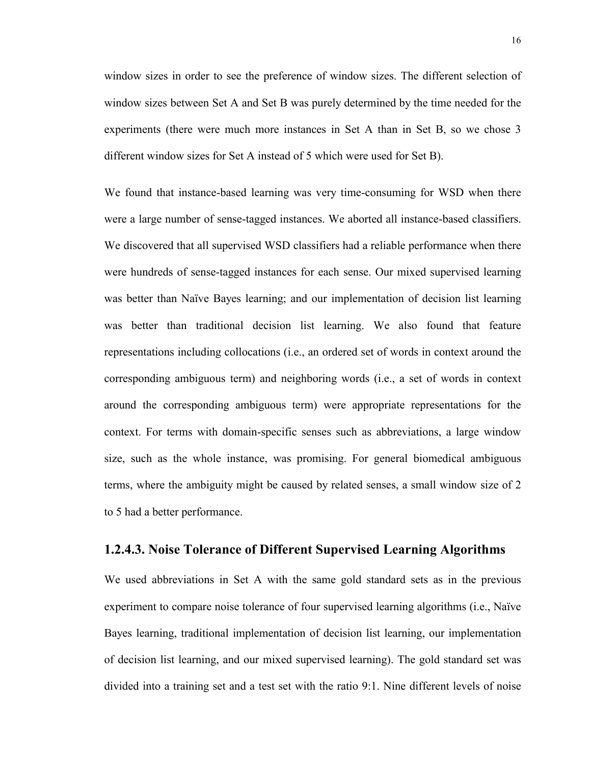<span id="page-31-0"></span>window sizes in order to see the preference of window sizes. The different selection of window sizes between Set A and Set B was purely determined by the time needed for the experiments (there were much more instances in Set A than in Set B, so we chose 3 different window sizes for Set A instead of 5 which were used for Set B).

We found that instance-based learning was very time-consuming for WSD when there were a large number of sense-tagged instances. We aborted all instance-based classifiers. We discovered that all supervised WSD classifiers had a reliable performance when there were hundreds of sense-tagged instances for each sense. Our mixed supervised learning was better than Naïve Bayes learning; and our implementation of decision list learning was better than traditional decision list learning. We also found that feature representations including collocations (i.e., an ordered set of words in context around the corresponding ambiguous term) and neighboring words (i.e., a set of words in context around the corresponding ambiguous term) were appropriate representations for the context. For terms with domain-specific senses such as abbreviations, a large window size, such as the whole instance, was promising. For general biomedical ambiguous terms, where the ambiguity might be caused by related senses, a small window size of 2 to 5 had a better performance.

#### **1.2.4.3. Noise Tolerance of Different Supervised Learning Algorithms**

We used abbreviations in Set A with the same gold standard sets as in the previous experiment to compare noise tolerance of four supervised learning algorithms (i.e., Naïve Bayes learning, traditional implementation of decision list learning, our implementation of decision list learning, and our mixed supervised learning). The gold standard set was divided into a training set and a test set with the ratio 9:1. Nine different levels of noise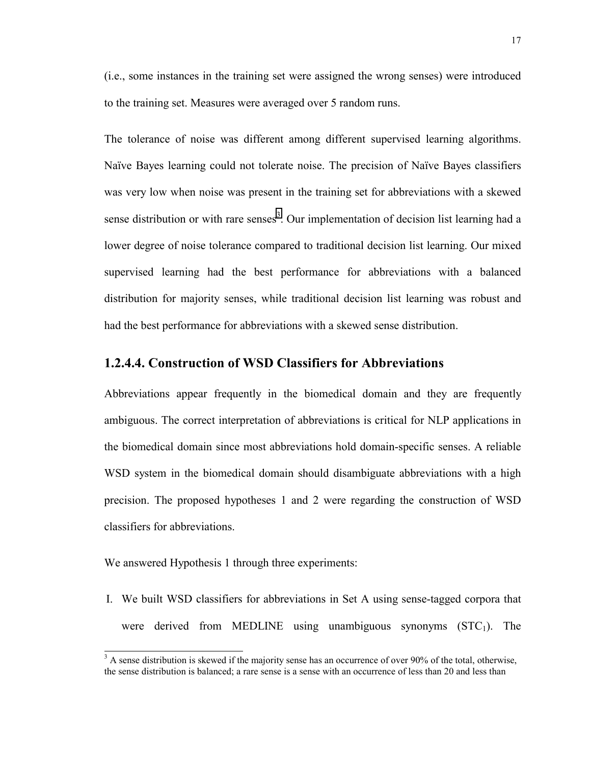<span id="page-32-0"></span>(i.e., some instances in the training set were assigned the wrong senses) were introduced to the training set. Measures were averaged over 5 random runs.

The tolerance of noise was different among different supervised learning algorithms. Naïve Bayes learning could not tolerate noise. The precision of Naïve Bayes classifiers was very low when noise was present in the training set for abbreviations with a skewed sense distribution or with rare senses<sup>3</sup>. Our implementation of decision list learning had a lower degree of noise tolerance compared to traditional decision list learning. Our mixed supervised learning had the best performance for abbreviations with a balanced distribution for majority senses, while traditional decision list learning was robust and had the best performance for abbreviations with a skewed sense distribution.

## **1.2.4.4. Construction of WSD Classifiers for Abbreviations**

Abbreviations appear frequently in the biomedical domain and they are frequently ambiguous. The correct interpretation of abbreviations is critical for NLP applications in the biomedical domain since most abbreviations hold domain-specific senses. A reliable WSD system in the biomedical domain should disambiguate abbreviations with a high precision. The proposed hypotheses 1 and 2 were regarding the construction of WSD classifiers for abbreviations.

We answered Hypothesis 1 through three experiments:

 $\overline{a}$ 

I. We built WSD classifiers for abbreviations in Set A using sense-tagged corpora that were derived from MEDLINE using unambiguous synonyms  $(STC<sub>1</sub>)$ . The

 $3 \text{ A}$  sense distribution is skewed if the majority sense has an occurrence of over 90% of the total, otherwise, the sense distribution is balanced; a rare sense is a sense with an occurrence of less than 20 and less than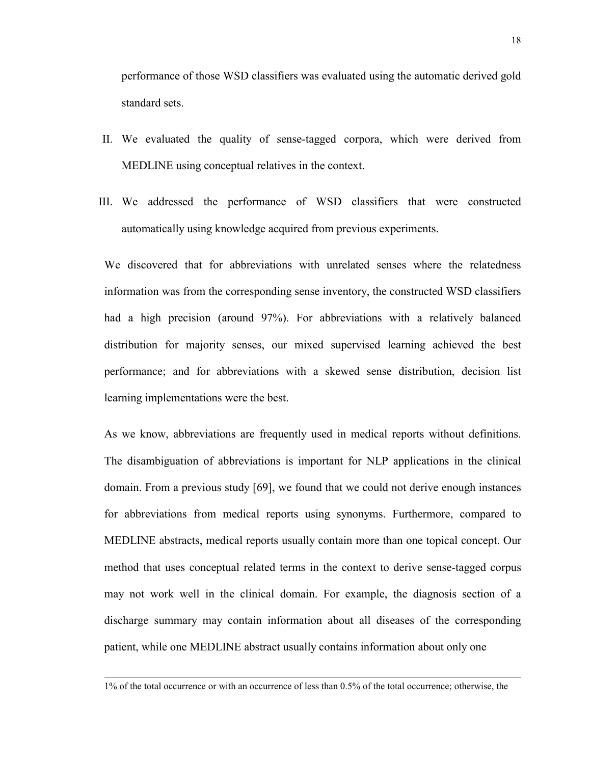performance of those WSD classifiers was evaluated using the automatic derived gold standard sets.

- II. We evaluated the quality of sense-tagged corpora, which were derived from MEDLINE using conceptual relatives in the context.
- III. We addressed the performance of WSD classifiers that were constructed automatically using knowledge acquired from previous experiments.

We discovered that for abbreviations with unrelated senses where the relatedness information was from the corresponding sense inventory, the constructed WSD classifiers had a high precision (around 97%). For abbreviations with a relatively balanced distribution for majority senses, our mixed supervised learning achieved the best performance; and for abbreviations with a skewed sense distribution, decision list learning implementations were the best.

As we know, abbreviations are frequently used in medical reports without definitions. The disambiguation of abbreviations is important for NLP applications in the clinical domain. From a previous study [69], we found that we could not derive enough instances for abbreviations from medical reports using synonyms. Furthermore, compared to MEDLINE abstracts, medical reports usually contain more than one topical concept. Our method that uses conceptual related terms in the context to derive sense-tagged corpus may not work well in the clinical domain. For example, the diagnosis section of a discharge summary may contain information about all diseases of the corresponding patient, while one MEDLINE abstract usually contains information about only one

 $\overline{a}$ 

<sup>1%</sup> of the total occurrence or with an occurrence of less than 0.5% of the total occurrence; otherwise, the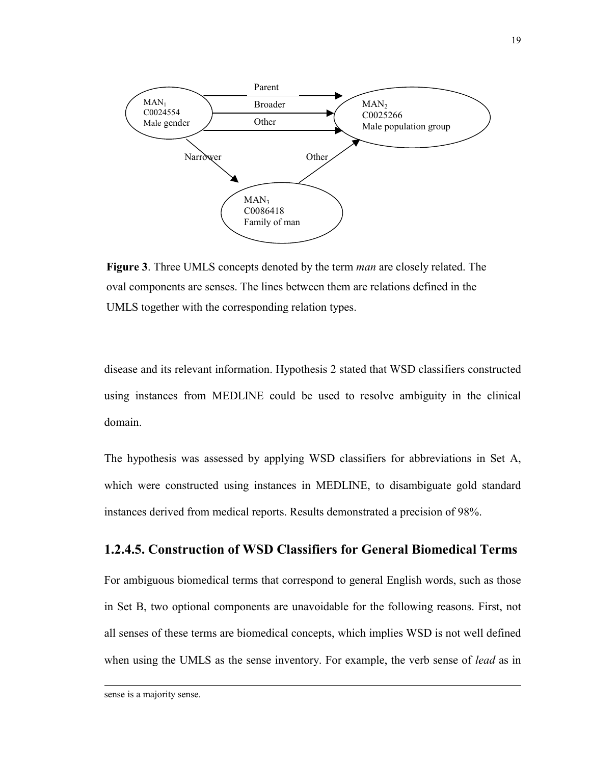<span id="page-34-0"></span>

**Figure 3**. Three UMLS concepts denoted by the term *man* are closely related. The oval components are senses. The lines between them are relations defined in the UMLS together with the corresponding relation types.

disease and its relevant information. Hypothesis 2 stated that WSD classifiers constructed using instances from MEDLINE could be used to resolve ambiguity in the clinical domain.

The hypothesis was assessed by applying WSD classifiers for abbreviations in Set A, which were constructed using instances in MEDLINE, to disambiguate gold standard instances derived from medical reports. Results demonstrated a precision of 98%.

## **1.2.4.5. Construction of WSD Classifiers for General Biomedical Terms**

For ambiguous biomedical terms that correspond to general English words, such as those in Set B, two optional components are unavoidable for the following reasons. First, not all senses of these terms are biomedical concepts, which implies WSD is not well defined when using the UMLS as the sense inventory. For example, the verb sense of *lead* as in

 $\overline{a}$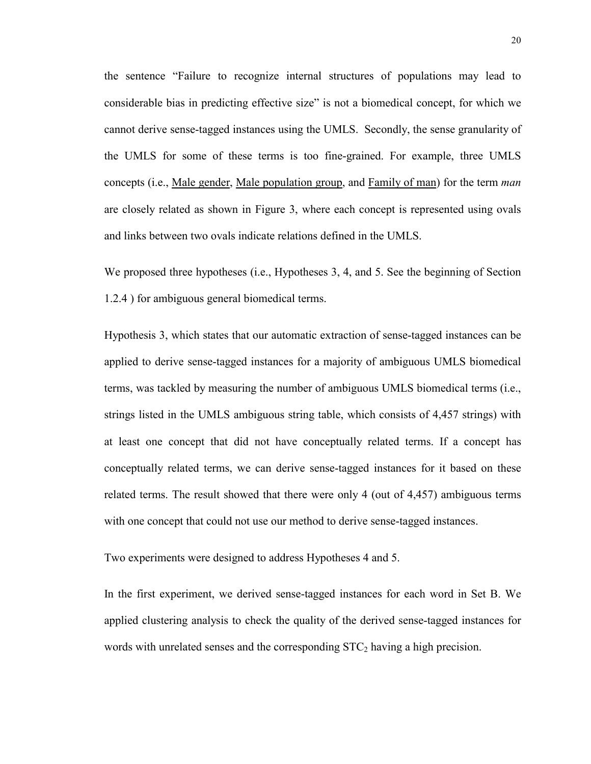the sentence "Failure to recognize internal structures of populations may lead to considerable bias in predicting effective size" is not a biomedical concept, for which we cannot derive sense-tagged instances using the UMLS. Secondly, the sense granularity of the UMLS for some of these terms is too fine-grained. For example, three UMLS concepts (i.e., Male gender, Male population group, and Family of man) for the term *man* are closely related as shown in Figure 3, where each concept is represented using ovals and links between two ovals indicate relations defined in the UMLS.

We proposed three hypotheses (i.e., Hypotheses 3, 4, and 5. See the beginning of Section 1.2.4 ) for ambiguous general biomedical terms.

Hypothesis 3, which states that our automatic extraction of sense-tagged instances can be applied to derive sense-tagged instances for a majority of ambiguous UMLS biomedical terms, was tackled by measuring the number of ambiguous UMLS biomedical terms (i.e., strings listed in the UMLS ambiguous string table, which consists of 4,457 strings) with at least one concept that did not have conceptually related terms. If a concept has conceptually related terms, we can derive sense-tagged instances for it based on these related terms. The result showed that there were only 4 (out of 4,457) ambiguous terms with one concept that could not use our method to derive sense-tagged instances.

Two experiments were designed to address Hypotheses 4 and 5.

In the first experiment, we derived sense-tagged instances for each word in Set B. We applied clustering analysis to check the quality of the derived sense-tagged instances for words with unrelated senses and the corresponding  $STC<sub>2</sub>$  having a high precision.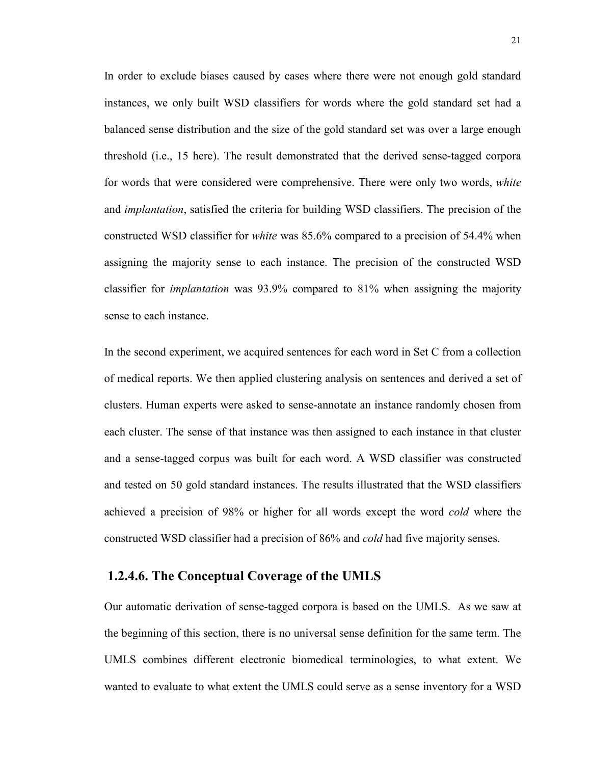In order to exclude biases caused by cases where there were not enough gold standard instances, we only built WSD classifiers for words where the gold standard set had a balanced sense distribution and the size of the gold standard set was over a large enough threshold (i.e., 15 here). The result demonstrated that the derived sense-tagged corpora for words that were considered were comprehensive. There were only two words, *white* and *implantation*, satisfied the criteria for building WSD classifiers. The precision of the constructed WSD classifier for *white* was 85.6% compared to a precision of 54.4% when assigning the majority sense to each instance. The precision of the constructed WSD classifier for *implantation* was 93.9% compared to 81% when assigning the majority sense to each instance.

In the second experiment, we acquired sentences for each word in Set C from a collection of medical reports. We then applied clustering analysis on sentences and derived a set of clusters. Human experts were asked to sense-annotate an instance randomly chosen from each cluster. The sense of that instance was then assigned to each instance in that cluster and a sense-tagged corpus was built for each word. A WSD classifier was constructed and tested on 50 gold standard instances. The results illustrated that the WSD classifiers achieved a precision of 98% or higher for all words except the word *cold* where the constructed WSD classifier had a precision of 86% and *cold* had five majority senses.

# **1.2.4.6. The Conceptual Coverage of the UMLS**

Our automatic derivation of sense-tagged corpora is based on the UMLS. As we saw at the beginning of this section, there is no universal sense definition for the same term. The UMLS combines different electronic biomedical terminologies, to what extent. We wanted to evaluate to what extent the UMLS could serve as a sense inventory for a WSD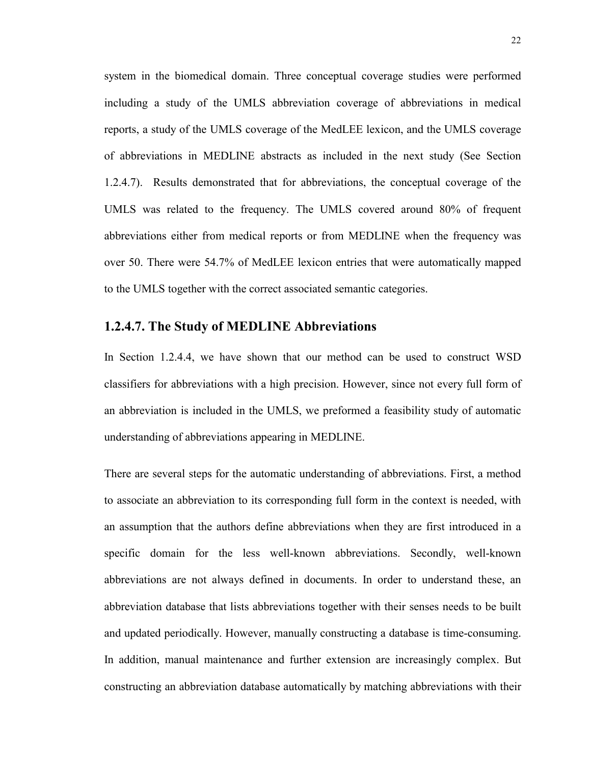system in the biomedical domain. Three conceptual coverage studies were performed including a study of the UMLS abbreviation coverage of abbreviations in medical reports, a study of the UMLS coverage of the MedLEE lexicon, and the UMLS coverage of abbreviations in MEDLINE abstracts as included in the next study (See Section 1.2.4.7). Results demonstrated that for abbreviations, the conceptual coverage of the UMLS was related to the frequency. The UMLS covered around 80% of frequent abbreviations either from medical reports or from MEDLINE when the frequency was over 50. There were 54.7% of MedLEE lexicon entries that were automatically mapped to the UMLS together with the correct associated semantic categories.

## **1.2.4.7. The Study of MEDLINE Abbreviations**

In Section 1.2.4.4, we have shown that our method can be used to construct WSD classifiers for abbreviations with a high precision. However, since not every full form of an abbreviation is included in the UMLS, we preformed a feasibility study of automatic understanding of abbreviations appearing in MEDLINE.

There are several steps for the automatic understanding of abbreviations. First, a method to associate an abbreviation to its corresponding full form in the context is needed, with an assumption that the authors define abbreviations when they are first introduced in a specific domain for the less well-known abbreviations. Secondly, well-known abbreviations are not always defined in documents. In order to understand these, an abbreviation database that lists abbreviations together with their senses needs to be built and updated periodically. However, manually constructing a database is time-consuming. In addition, manual maintenance and further extension are increasingly complex. But constructing an abbreviation database automatically by matching abbreviations with their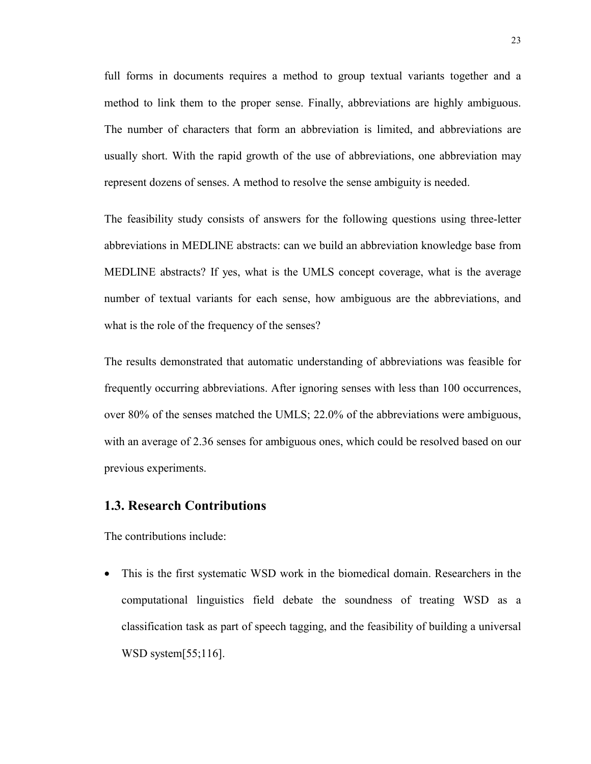full forms in documents requires a method to group textual variants together and a method to link them to the proper sense. Finally, abbreviations are highly ambiguous. The number of characters that form an abbreviation is limited, and abbreviations are usually short. With the rapid growth of the use of abbreviations, one abbreviation may represent dozens of senses. A method to resolve the sense ambiguity is needed.

The feasibility study consists of answers for the following questions using three-letter abbreviations in MEDLINE abstracts: can we build an abbreviation knowledge base from MEDLINE abstracts? If yes, what is the UMLS concept coverage, what is the average number of textual variants for each sense, how ambiguous are the abbreviations, and what is the role of the frequency of the senses?

The results demonstrated that automatic understanding of abbreviations was feasible for frequently occurring abbreviations. After ignoring senses with less than 100 occurrences, over 80% of the senses matched the UMLS; 22.0% of the abbreviations were ambiguous, with an average of 2.36 senses for ambiguous ones, which could be resolved based on our previous experiments.

## **1.3. Research Contributions**

The contributions include:

• This is the first systematic WSD work in the biomedical domain. Researchers in the computational linguistics field debate the soundness of treating WSD as a classification task as part of speech tagging, and the feasibility of building a universal WSD system[55;116].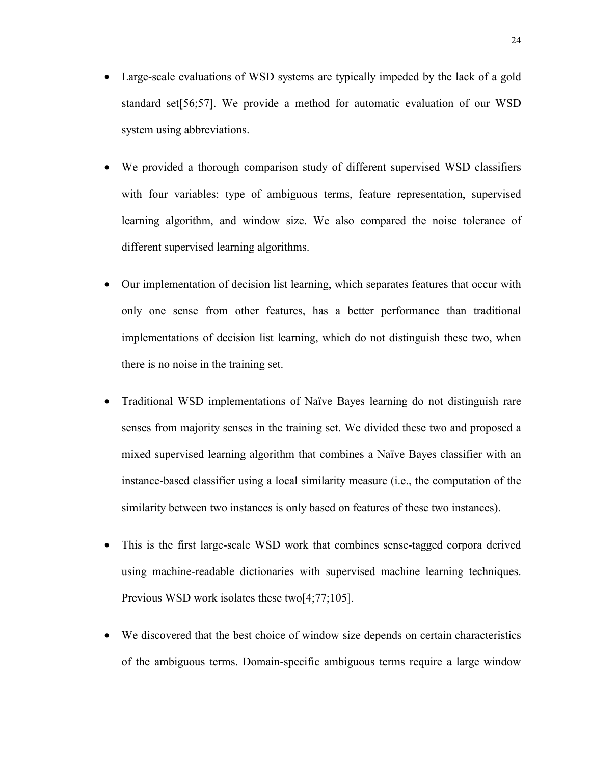- Large-scale evaluations of WSD systems are typically impeded by the lack of a gold standard set[56;57]. We provide a method for automatic evaluation of our WSD system using abbreviations.
- We provided a thorough comparison study of different supervised WSD classifiers with four variables: type of ambiguous terms, feature representation, supervised learning algorithm, and window size. We also compared the noise tolerance of different supervised learning algorithms.
- Our implementation of decision list learning, which separates features that occur with only one sense from other features, has a better performance than traditional implementations of decision list learning, which do not distinguish these two, when there is no noise in the training set.
- Traditional WSD implementations of Naïve Bayes learning do not distinguish rare senses from majority senses in the training set. We divided these two and proposed a mixed supervised learning algorithm that combines a Naïve Bayes classifier with an instance-based classifier using a local similarity measure (i.e., the computation of the similarity between two instances is only based on features of these two instances).
- This is the first large-scale WSD work that combines sense-tagged corpora derived using machine-readable dictionaries with supervised machine learning techniques. Previous WSD work isolates these two[4;77;105].
- We discovered that the best choice of window size depends on certain characteristics of the ambiguous terms. Domain-specific ambiguous terms require a large window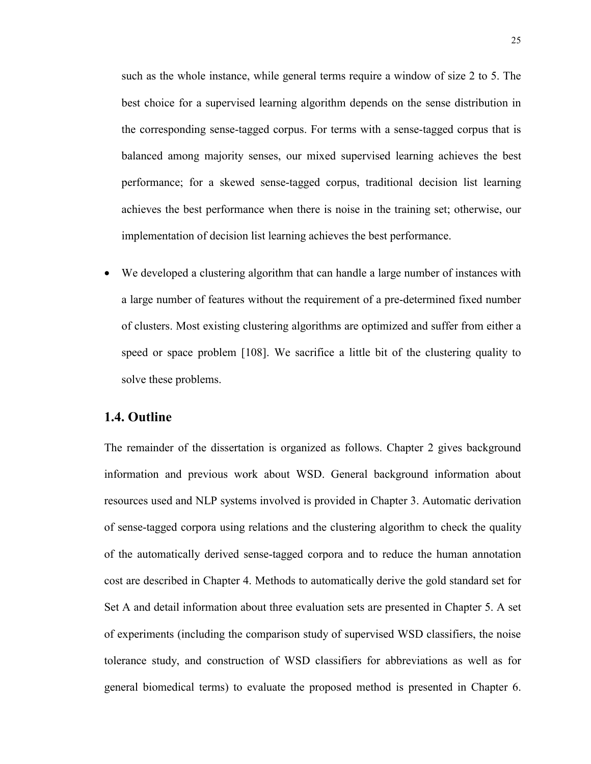such as the whole instance, while general terms require a window of size 2 to 5. The best choice for a supervised learning algorithm depends on the sense distribution in the corresponding sense-tagged corpus. For terms with a sense-tagged corpus that is balanced among majority senses, our mixed supervised learning achieves the best performance; for a skewed sense-tagged corpus, traditional decision list learning achieves the best performance when there is noise in the training set; otherwise, our implementation of decision list learning achieves the best performance.

We developed a clustering algorithm that can handle a large number of instances with a large number of features without the requirement of a pre-determined fixed number of clusters. Most existing clustering algorithms are optimized and suffer from either a speed or space problem [108]. We sacrifice a little bit of the clustering quality to solve these problems.

## **1.4. Outline**

The remainder of the dissertation is organized as follows. Chapter 2 gives background information and previous work about WSD. General background information about resources used and NLP systems involved is provided in Chapter 3. Automatic derivation of sense-tagged corpora using relations and the clustering algorithm to check the quality of the automatically derived sense-tagged corpora and to reduce the human annotation cost are described in Chapter 4. Methods to automatically derive the gold standard set for Set A and detail information about three evaluation sets are presented in Chapter 5. A set of experiments (including the comparison study of supervised WSD classifiers, the noise tolerance study, and construction of WSD classifiers for abbreviations as well as for general biomedical terms) to evaluate the proposed method is presented in Chapter 6.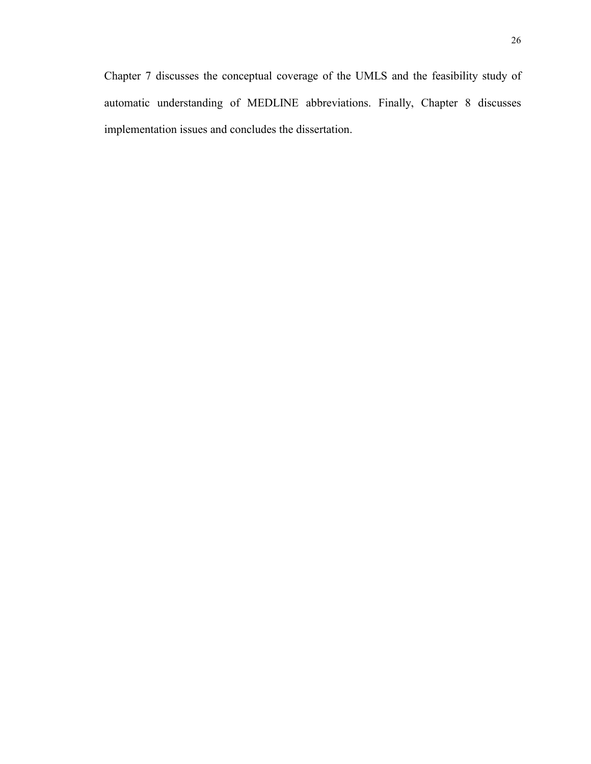Chapter 7 discusses the conceptual coverage of the UMLS and the feasibility study of automatic understanding of MEDLINE abbreviations. Finally, Chapter 8 discusses implementation issues and concludes the dissertation.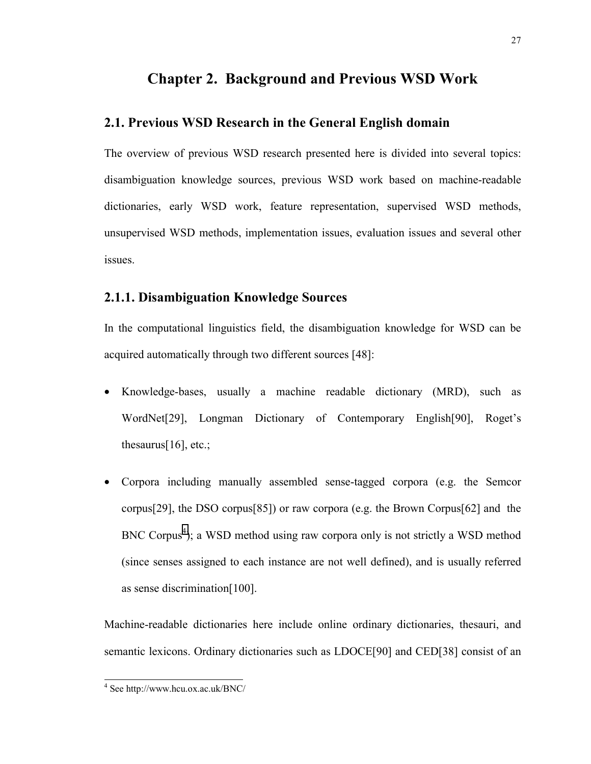# **Chapter 2. Background and Previous WSD Work**

# **2.1. Previous WSD Research in the General English domain**

The overview of previous WSD research presented here is divided into several topics: disambiguation knowledge sources, previous WSD work based on machine-readable dictionaries, early WSD work, feature representation, supervised WSD methods, unsupervised WSD methods, implementation issues, evaluation issues and several other issues.

# **2.1.1. Disambiguation Knowledge Sources**

In the computational linguistics field, the disambiguation knowledge for WSD can be acquired automatically through two different sources [48]:

- Knowledge-bases, usually a machine readable dictionary (MRD), such as WordNet[29], Longman Dictionary of Contemporary English[90], Roget's thesaurus[16], etc.;
- Corpora including manually assembled sense-tagged corpora (e.g. the Semcor corpus[29], the DSO corpus[85]) or raw corpora (e.g. the Brown Corpus[62] and the BNC Corpus<sup>4</sup>); a WSD method using raw corpora only is not strictly a WSD method (since senses assigned to each instance are not well defined), and is usually referred as sense discrimination[100].

Machine-readable dictionaries here include online ordinary dictionaries, thesauri, and semantic lexicons. Ordinary dictionaries such as LDOCE[90] and CED[38] consist of an

 4 See http://www.hcu.ox.ac.uk/BNC/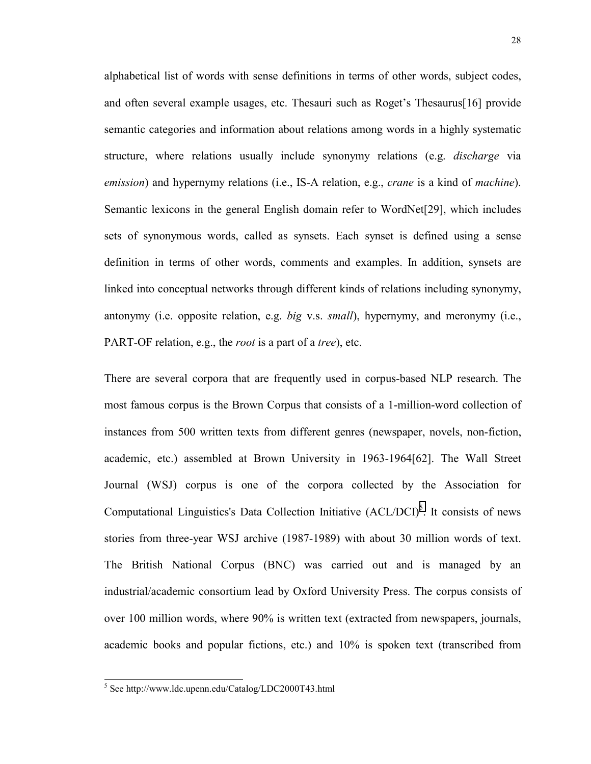alphabetical list of words with sense definitions in terms of other words, subject codes, and often several example usages, etc. Thesauri such as Roget's Thesaurus[16] provide semantic categories and information about relations among words in a highly systematic structure, where relations usually include synonymy relations (e.g. *discharge* via *emission*) and hypernymy relations (i.e., IS-A relation, e.g., *crane* is a kind of *machine*). Semantic lexicons in the general English domain refer to WordNet[29], which includes sets of synonymous words, called as synsets. Each synset is defined using a sense definition in terms of other words, comments and examples. In addition, synsets are linked into conceptual networks through different kinds of relations including synonymy, antonymy (i.e. opposite relation, e.g. *big* v.s. *small*), hypernymy, and meronymy (i.e., PART-OF relation, e.g., the *root* is a part of a *tree*), etc.

There are several corpora that are frequently used in corpus-based NLP research. The most famous corpus is the Brown Corpus that consists of a 1-million-word collection of instances from 500 written texts from different genres (newspaper, novels, non-fiction, academic, etc.) assembled at Brown University in 1963-1964[62]. The Wall Street Journal (WSJ) corpus is one of the corpora collected by the Association for Computational Linguistics's Data Collection Initiative  $(ACL/DCI)^5$ . It consists of news stories from three-year WSJ archive (1987-1989) with about 30 million words of text. The British National Corpus (BNC) was carried out and is managed by an industrial/academic consortium lead by Oxford University Press. The corpus consists of over 100 million words, where 90% is written text (extracted from newspapers, journals, academic books and popular fictions, etc.) and 10% is spoken text (transcribed from

l

<sup>5</sup> See http://www.ldc.upenn.edu/Catalog/LDC2000T43.html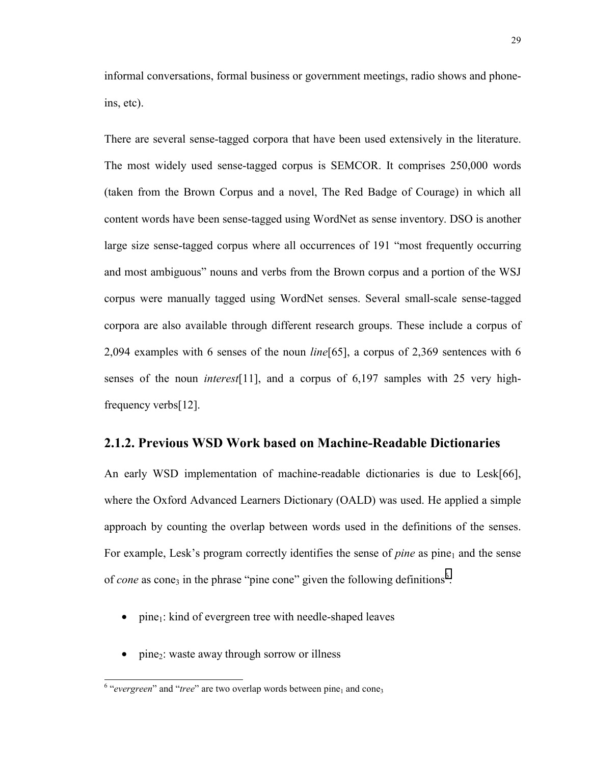informal conversations, formal business or government meetings, radio shows and phoneins, etc).

There are several sense-tagged corpora that have been used extensively in the literature. The most widely used sense-tagged corpus is SEMCOR. It comprises 250,000 words (taken from the Brown Corpus and a novel, The Red Badge of Courage) in which all content words have been sense-tagged using WordNet as sense inventory. DSO is another large size sense-tagged corpus where all occurrences of 191 "most frequently occurring and most ambiguous" nouns and verbs from the Brown corpus and a portion of the WSJ corpus were manually tagged using WordNet senses. Several small-scale sense-tagged corpora are also available through different research groups. These include a corpus of 2,094 examples with 6 senses of the noun *line*[65], a corpus of 2,369 sentences with 6 senses of the noun *interest*[11], and a corpus of 6,197 samples with 25 very highfrequency verbs[12].

## **2.1.2. Previous WSD Work based on Machine-Readable Dictionaries**

An early WSD implementation of machine-readable dictionaries is due to Lesk[66], where the Oxford Advanced Learners Dictionary (OALD) was used. He applied a simple approach by counting the overlap between words used in the definitions of the senses. For example, Lesk's program correctly identifies the sense of *pine* as pine<sub>1</sub> and the sense of *cone* as cone<sub>3</sub> in the phrase "pine cone" given the following definitions<sup>6</sup>:

- pine<sub>1</sub>: kind of evergreen tree with needle-shaped leaves
- pine<sub>2</sub>: waste away through sorrow or illness

l

<sup>&</sup>lt;sup>6</sup> "evergreen" and "tree" are two overlap words between pine<sub>1</sub> and cone<sub>3</sub>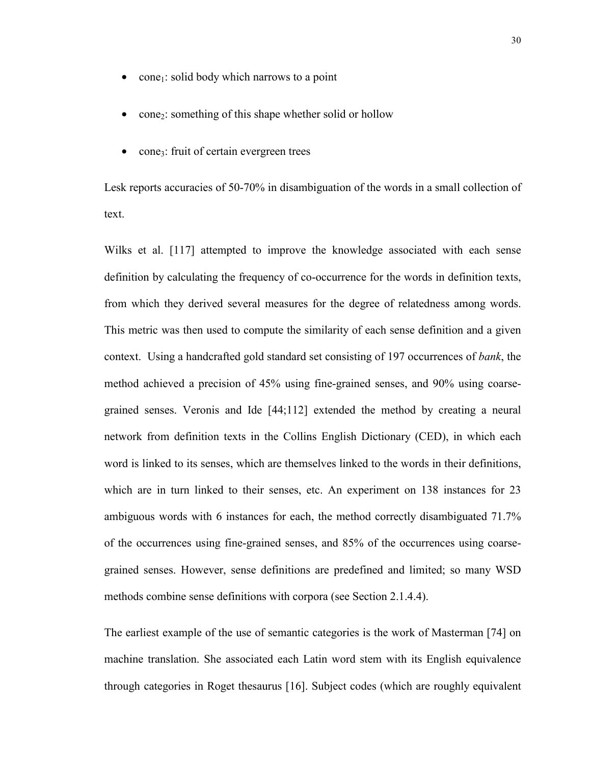- cone<sub>1</sub>: solid body which narrows to a point
- cone<sub>2</sub>: something of this shape whether solid or hollow
- cone3: fruit of certain evergreen trees

Lesk reports accuracies of 50-70% in disambiguation of the words in a small collection of text.

Wilks et al. [117] attempted to improve the knowledge associated with each sense definition by calculating the frequency of co-occurrence for the words in definition texts, from which they derived several measures for the degree of relatedness among words. This metric was then used to compute the similarity of each sense definition and a given context. Using a handcrafted gold standard set consisting of 197 occurrences of *bank*, the method achieved a precision of 45% using fine-grained senses, and 90% using coarsegrained senses. Veronis and Ide [44;112] extended the method by creating a neural network from definition texts in the Collins English Dictionary (CED), in which each word is linked to its senses, which are themselves linked to the words in their definitions, which are in turn linked to their senses, etc. An experiment on 138 instances for 23 ambiguous words with 6 instances for each, the method correctly disambiguated 71.7% of the occurrences using fine-grained senses, and 85% of the occurrences using coarsegrained senses. However, sense definitions are predefined and limited; so many WSD methods combine sense definitions with corpora (see Section 2.1.4.4).

The earliest example of the use of semantic categories is the work of Masterman [74] on machine translation. She associated each Latin word stem with its English equivalence through categories in Roget thesaurus [16]. Subject codes (which are roughly equivalent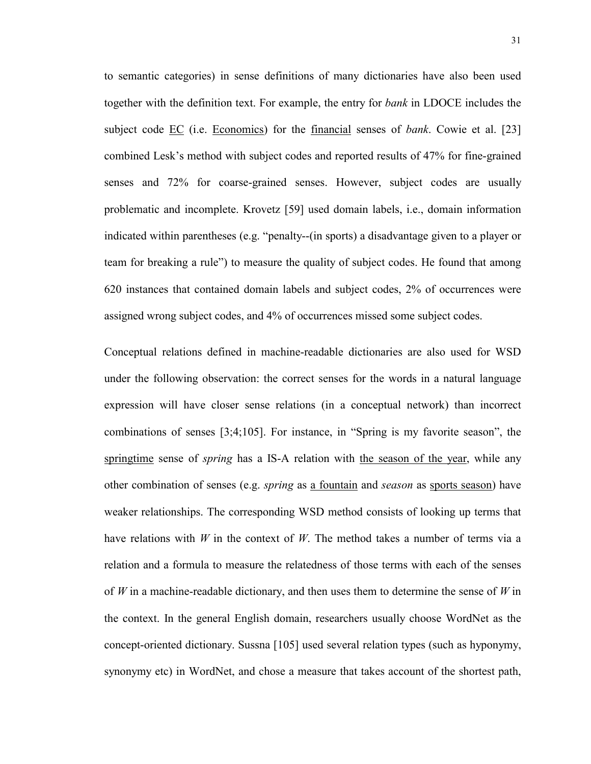to semantic categories) in sense definitions of many dictionaries have also been used together with the definition text. For example, the entry for *bank* in LDOCE includes the subject code EC (i.e. Economics) for the financial senses of *bank*. Cowie et al. [23] combined Lesk's method with subject codes and reported results of 47% for fine-grained senses and 72% for coarse-grained senses. However, subject codes are usually problematic and incomplete. Krovetz [59] used domain labels, i.e., domain information indicated within parentheses (e.g. "penalty--(in sports) a disadvantage given to a player or team for breaking a rule") to measure the quality of subject codes. He found that among 620 instances that contained domain labels and subject codes, 2% of occurrences were assigned wrong subject codes, and 4% of occurrences missed some subject codes.

Conceptual relations defined in machine-readable dictionaries are also used for WSD under the following observation: the correct senses for the words in a natural language expression will have closer sense relations (in a conceptual network) than incorrect combinations of senses [3;4;105]. For instance, in "Spring is my favorite season", the springtime sense of *spring* has a IS-A relation with the season of the year, while any other combination of senses (e.g. *spring* as a fountain and *season* as sports season) have weaker relationships. The corresponding WSD method consists of looking up terms that have relations with *W* in the context of *W*. The method takes a number of terms via a relation and a formula to measure the relatedness of those terms with each of the senses of *W* in a machine-readable dictionary, and then uses them to determine the sense of *W* in the context. In the general English domain, researchers usually choose WordNet as the concept-oriented dictionary. Sussna [105] used several relation types (such as hyponymy, synonymy etc) in WordNet, and chose a measure that takes account of the shortest path,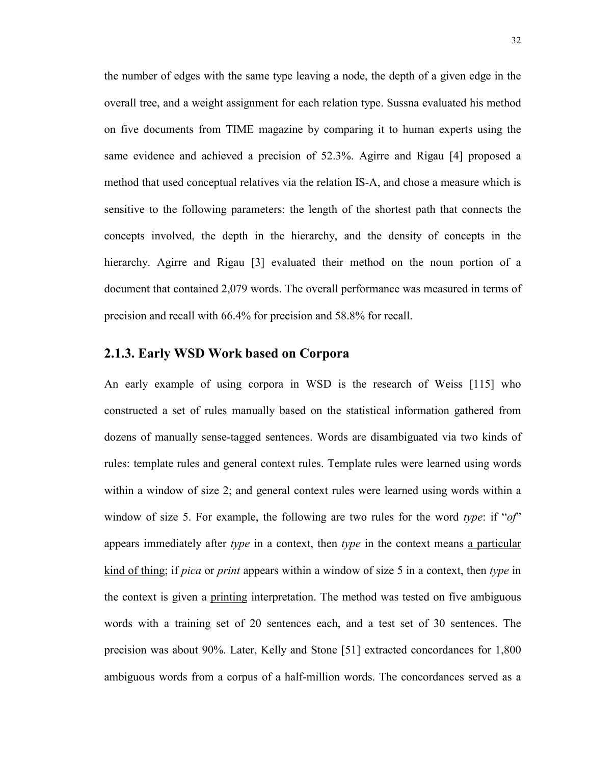the number of edges with the same type leaving a node, the depth of a given edge in the overall tree, and a weight assignment for each relation type. Sussna evaluated his method on five documents from TIME magazine by comparing it to human experts using the same evidence and achieved a precision of 52.3%. Agirre and Rigau [4] proposed a method that used conceptual relatives via the relation IS-A, and chose a measure which is sensitive to the following parameters: the length of the shortest path that connects the concepts involved, the depth in the hierarchy, and the density of concepts in the hierarchy. Agirre and Rigau [3] evaluated their method on the noun portion of a document that contained 2,079 words. The overall performance was measured in terms of precision and recall with 66.4% for precision and 58.8% for recall.

## **2.1.3. Early WSD Work based on Corpora**

An early example of using corpora in WSD is the research of Weiss [115] who constructed a set of rules manually based on the statistical information gathered from dozens of manually sense-tagged sentences. Words are disambiguated via two kinds of rules: template rules and general context rules. Template rules were learned using words within a window of size 2; and general context rules were learned using words within a window of size 5. For example, the following are two rules for the word *type*: if "*of*" appears immediately after *type* in a context, then *type* in the context means a particular kind of thing; if *pica* or *print* appears within a window of size 5 in a context, then *type* in the context is given a printing interpretation. The method was tested on five ambiguous words with a training set of 20 sentences each, and a test set of 30 sentences. The precision was about 90%. Later, Kelly and Stone [51] extracted concordances for 1,800 ambiguous words from a corpus of a half-million words. The concordances served as a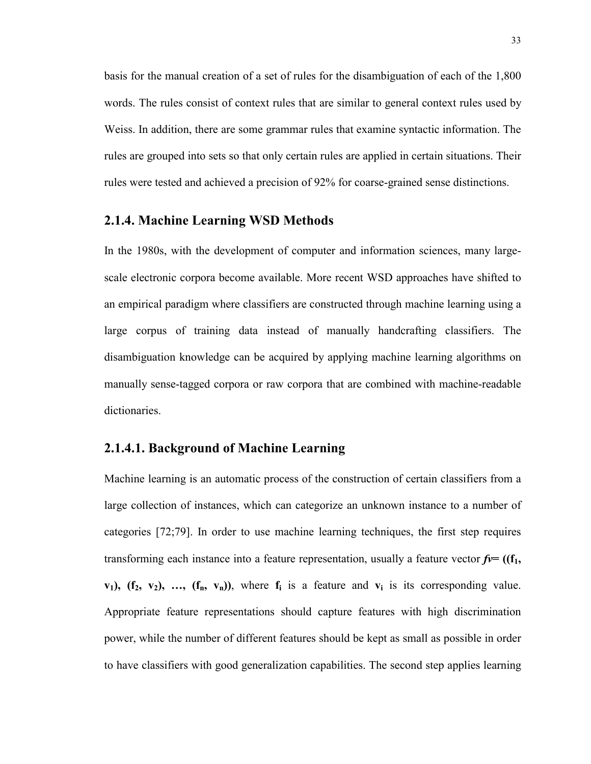basis for the manual creation of a set of rules for the disambiguation of each of the 1,800 words. The rules consist of context rules that are similar to general context rules used by Weiss. In addition, there are some grammar rules that examine syntactic information. The rules are grouped into sets so that only certain rules are applied in certain situations. Their rules were tested and achieved a precision of 92% for coarse-grained sense distinctions.

## **2.1.4. Machine Learning WSD Methods**

In the 1980s, with the development of computer and information sciences, many largescale electronic corpora become available. More recent WSD approaches have shifted to an empirical paradigm where classifiers are constructed through machine learning using a large corpus of training data instead of manually handcrafting classifiers. The disambiguation knowledge can be acquired by applying machine learning algorithms on manually sense-tagged corpora or raw corpora that are combined with machine-readable dictionaries.

## **2.1.4.1. Background of Machine Learning**

Machine learning is an automatic process of the construction of certain classifiers from a large collection of instances, which can categorize an unknown instance to a number of categories [72;79]. In order to use machine learning techniques, the first step requires transforming each instance into a feature representation, usually a feature vector  $f = (f_1, f_2)$  $v_1$ ,  $(f_2, v_2)$ , ...,  $(f_n, v_n)$ , where  $f_i$  is a feature and  $v_i$  is its corresponding value. Appropriate feature representations should capture features with high discrimination power, while the number of different features should be kept as small as possible in order to have classifiers with good generalization capabilities. The second step applies learning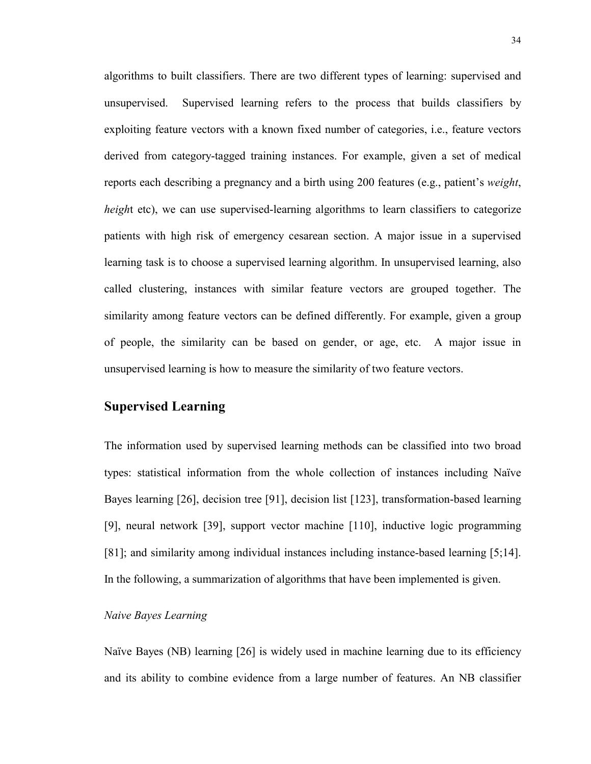algorithms to built classifiers. There are two different types of learning: supervised and unsupervised. Supervised learning refers to the process that builds classifiers by exploiting feature vectors with a known fixed number of categories, i.e., feature vectors derived from category-tagged training instances. For example, given a set of medical reports each describing a pregnancy and a birth using 200 features (e.g., patient's *weight*, *height* etc), we can use supervised-learning algorithms to learn classifiers to categorize patients with high risk of emergency cesarean section. A major issue in a supervised learning task is to choose a supervised learning algorithm. In unsupervised learning, also called clustering, instances with similar feature vectors are grouped together. The similarity among feature vectors can be defined differently. For example, given a group of people, the similarity can be based on gender, or age, etc. A major issue in unsupervised learning is how to measure the similarity of two feature vectors.

# **Supervised Learning**

The information used by supervised learning methods can be classified into two broad types: statistical information from the whole collection of instances including Naïve Bayes learning [26], decision tree [91], decision list [123], transformation-based learning [9], neural network [39], support vector machine [110], inductive logic programming [81]; and similarity among individual instances including instance-based learning [5;14]. In the following, a summarization of algorithms that have been implemented is given.

## *Naive Bayes Learning*

Naïve Bayes (NB) learning [26] is widely used in machine learning due to its efficiency and its ability to combine evidence from a large number of features. An NB classifier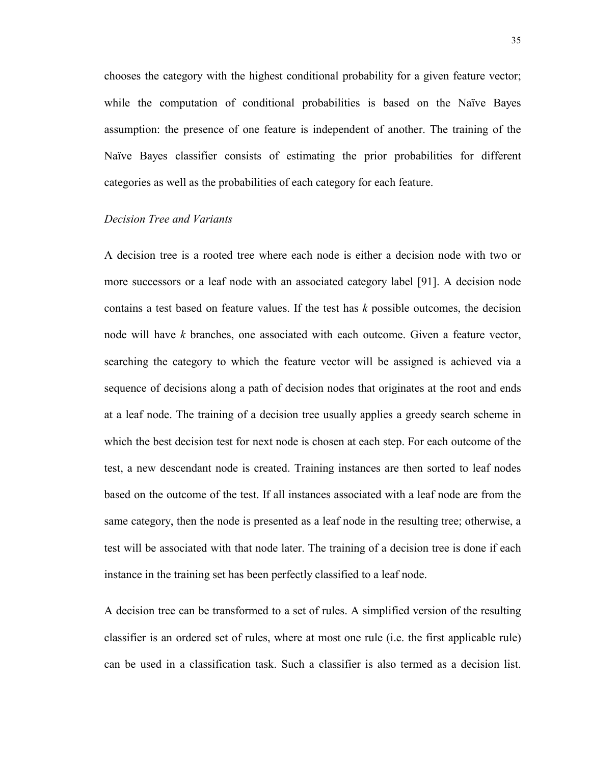chooses the category with the highest conditional probability for a given feature vector; while the computation of conditional probabilities is based on the Naïve Bayes assumption: the presence of one feature is independent of another. The training of the Naïve Bayes classifier consists of estimating the prior probabilities for different categories as well as the probabilities of each category for each feature.

#### *Decision Tree and Variants*

A decision tree is a rooted tree where each node is either a decision node with two or more successors or a leaf node with an associated category label [91]. A decision node contains a test based on feature values. If the test has *k* possible outcomes, the decision node will have *k* branches, one associated with each outcome. Given a feature vector, searching the category to which the feature vector will be assigned is achieved via a sequence of decisions along a path of decision nodes that originates at the root and ends at a leaf node. The training of a decision tree usually applies a greedy search scheme in which the best decision test for next node is chosen at each step. For each outcome of the test, a new descendant node is created. Training instances are then sorted to leaf nodes based on the outcome of the test. If all instances associated with a leaf node are from the same category, then the node is presented as a leaf node in the resulting tree; otherwise, a test will be associated with that node later. The training of a decision tree is done if each instance in the training set has been perfectly classified to a leaf node.

A decision tree can be transformed to a set of rules. A simplified version of the resulting classifier is an ordered set of rules, where at most one rule (i.e. the first applicable rule) can be used in a classification task. Such a classifier is also termed as a decision list.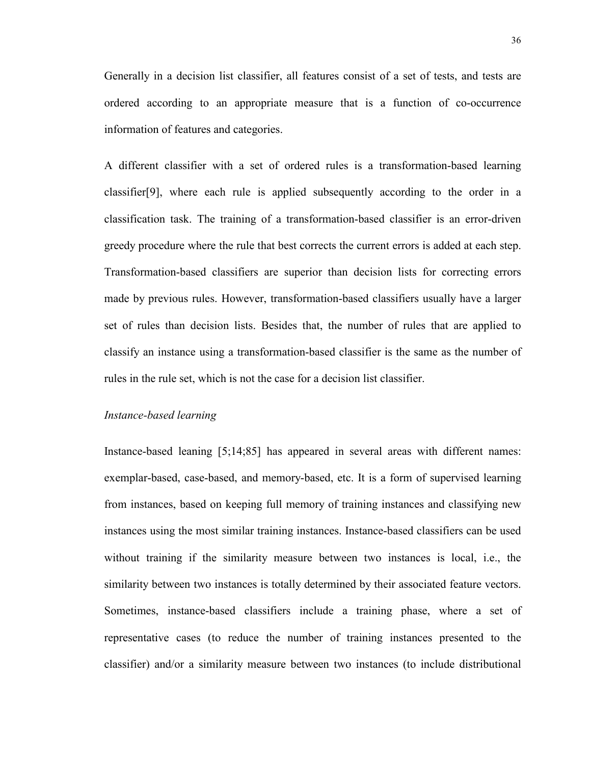Generally in a decision list classifier, all features consist of a set of tests, and tests are ordered according to an appropriate measure that is a function of co-occurrence information of features and categories.

A different classifier with a set of ordered rules is a transformation-based learning classifier[9], where each rule is applied subsequently according to the order in a classification task. The training of a transformation-based classifier is an error-driven greedy procedure where the rule that best corrects the current errors is added at each step. Transformation-based classifiers are superior than decision lists for correcting errors made by previous rules. However, transformation-based classifiers usually have a larger set of rules than decision lists. Besides that, the number of rules that are applied to classify an instance using a transformation-based classifier is the same as the number of rules in the rule set, which is not the case for a decision list classifier.

#### *Instance-based learning*

Instance-based leaning [5;14;85] has appeared in several areas with different names: exemplar-based, case-based, and memory-based, etc. It is a form of supervised learning from instances, based on keeping full memory of training instances and classifying new instances using the most similar training instances. Instance-based classifiers can be used without training if the similarity measure between two instances is local, i.e., the similarity between two instances is totally determined by their associated feature vectors. Sometimes, instance-based classifiers include a training phase, where a set of representative cases (to reduce the number of training instances presented to the classifier) and/or a similarity measure between two instances (to include distributional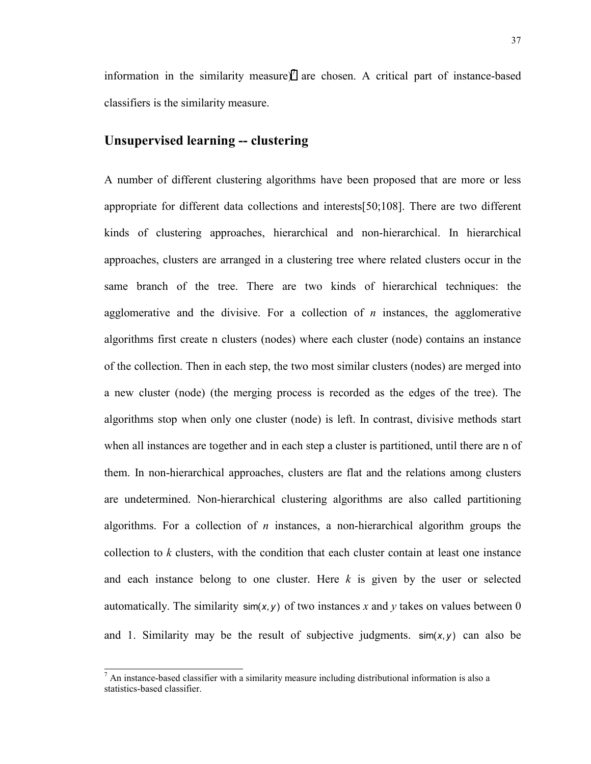information in the similarity measure)<sup>7</sup> are chosen. A critical part of instance-based classifiers is the similarity measure.

## **Unsupervised learning -- clustering**

A number of different clustering algorithms have been proposed that are more or less appropriate for different data collections and interests[50;108]. There are two different kinds of clustering approaches, hierarchical and non-hierarchical. In hierarchical approaches, clusters are arranged in a clustering tree where related clusters occur in the same branch of the tree. There are two kinds of hierarchical techniques: the agglomerative and the divisive. For a collection of *n* instances, the agglomerative algorithms first create n clusters (nodes) where each cluster (node) contains an instance of the collection. Then in each step, the two most similar clusters (nodes) are merged into a new cluster (node) (the merging process is recorded as the edges of the tree). The algorithms stop when only one cluster (node) is left. In contrast, divisive methods start when all instances are together and in each step a cluster is partitioned, until there are n of them. In non-hierarchical approaches, clusters are flat and the relations among clusters are undetermined. Non-hierarchical clustering algorithms are also called partitioning algorithms. For a collection of *n* instances, a non-hierarchical algorithm groups the collection to *k* clusters, with the condition that each cluster contain at least one instance and each instance belong to one cluster. Here *k* is given by the user or selected automatically. The similarity  $\sin(x, y)$  of two instances x and y takes on values between 0 and 1. Similarity may be the result of subjective judgments. sim(*x*, *y*) can also be

<sup>&</sup>lt;sup>7</sup> An instance-based classifier with a similarity measure including distributional information is also a statistics-based classifier.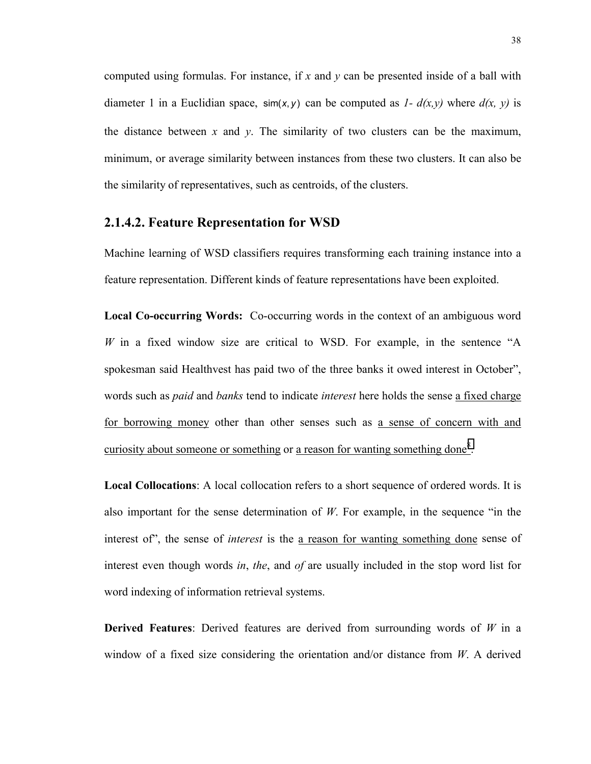computed using formulas. For instance, if *x* and *y* can be presented inside of a ball with diameter 1 in a Euclidian space,  $\sin(x, y)$  can be computed as *1-d(x,y)* where  $d(x, y)$  is the distance between x and  $y$ . The similarity of two clusters can be the maximum, minimum, or average similarity between instances from these two clusters. It can also be the similarity of representatives, such as centroids, of the clusters.

## **2.1.4.2. Feature Representation for WSD**

Machine learning of WSD classifiers requires transforming each training instance into a feature representation. Different kinds of feature representations have been exploited.

**Local Co-occurring Words:** Co-occurring words in the context of an ambiguous word *W* in a fixed window size are critical to WSD. For example, in the sentence "A spokesman said Healthvest has paid two of the three banks it owed interest in October", words such as *paid* and *banks* tend to indicate *interest* here holds the sense a fixed charge for borrowing money other than other senses such as a sense of concern with and curiosity about someone or something or a reason for wanting something done<sup>8</sup>.

**Local Collocations**: A local collocation refers to a short sequence of ordered words. It is also important for the sense determination of *W*. For example, in the sequence "in the interest of", the sense of *interest* is the a reason for wanting something done sense of interest even though words *in*, *the*, and *of* are usually included in the stop word list for word indexing of information retrieval systems.

**Derived Features**: Derived features are derived from surrounding words of *W* in a window of a fixed size considering the orientation and/or distance from *W*. A derived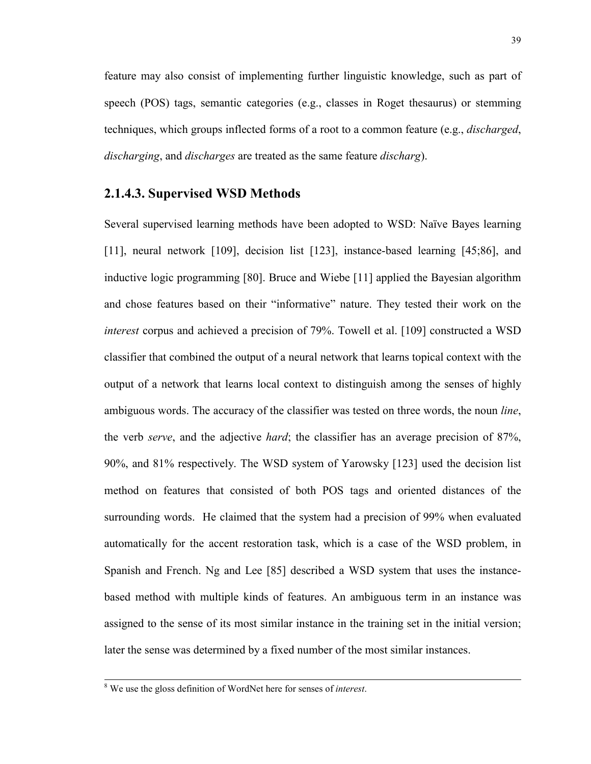feature may also consist of implementing further linguistic knowledge, such as part of speech (POS) tags, semantic categories (e.g., classes in Roget thesaurus) or stemming techniques, which groups inflected forms of a root to a common feature (e.g., *discharged*, *discharging*, and *discharges* are treated as the same feature *discharg*).

## **2.1.4.3. Supervised WSD Methods**

Several supervised learning methods have been adopted to WSD: Naïve Bayes learning [11], neural network [109], decision list [123], instance-based learning [45;86], and inductive logic programming [80]. Bruce and Wiebe [11] applied the Bayesian algorithm and chose features based on their "informative" nature. They tested their work on the *interest* corpus and achieved a precision of 79%. Towell et al. [109] constructed a WSD classifier that combined the output of a neural network that learns topical context with the output of a network that learns local context to distinguish among the senses of highly ambiguous words. The accuracy of the classifier was tested on three words, the noun *line*, the verb *serve*, and the adjective *hard*; the classifier has an average precision of 87%, 90%, and 81% respectively. The WSD system of Yarowsky [123] used the decision list method on features that consisted of both POS tags and oriented distances of the surrounding words. He claimed that the system had a precision of 99% when evaluated automatically for the accent restoration task, which is a case of the WSD problem, in Spanish and French. Ng and Lee [85] described a WSD system that uses the instancebased method with multiple kinds of features. An ambiguous term in an instance was assigned to the sense of its most similar instance in the training set in the initial version; later the sense was determined by a fixed number of the most similar instances.

 <sup>8</sup> We use the gloss definition of WordNet here for senses of *interest*.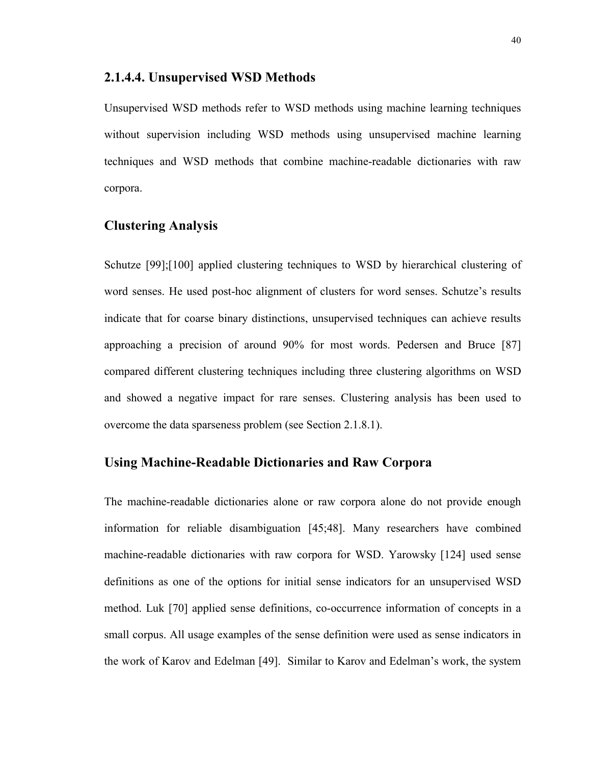#### **2.1.4.4. Unsupervised WSD Methods**

Unsupervised WSD methods refer to WSD methods using machine learning techniques without supervision including WSD methods using unsupervised machine learning techniques and WSD methods that combine machine-readable dictionaries with raw corpora.

## **Clustering Analysis**

Schutze [99];[100] applied clustering techniques to WSD by hierarchical clustering of word senses. He used post-hoc alignment of clusters for word senses. Schutze's results indicate that for coarse binary distinctions, unsupervised techniques can achieve results approaching a precision of around 90% for most words. Pedersen and Bruce [87] compared different clustering techniques including three clustering algorithms on WSD and showed a negative impact for rare senses. Clustering analysis has been used to overcome the data sparseness problem (see Section 2.1.8.1).

## **Using Machine-Readable Dictionaries and Raw Corpora**

The machine-readable dictionaries alone or raw corpora alone do not provide enough information for reliable disambiguation [45;48]. Many researchers have combined machine-readable dictionaries with raw corpora for WSD. Yarowsky [124] used sense definitions as one of the options for initial sense indicators for an unsupervised WSD method. Luk [70] applied sense definitions, co-occurrence information of concepts in a small corpus. All usage examples of the sense definition were used as sense indicators in the work of Karov and Edelman [49]. Similar to Karov and Edelman's work, the system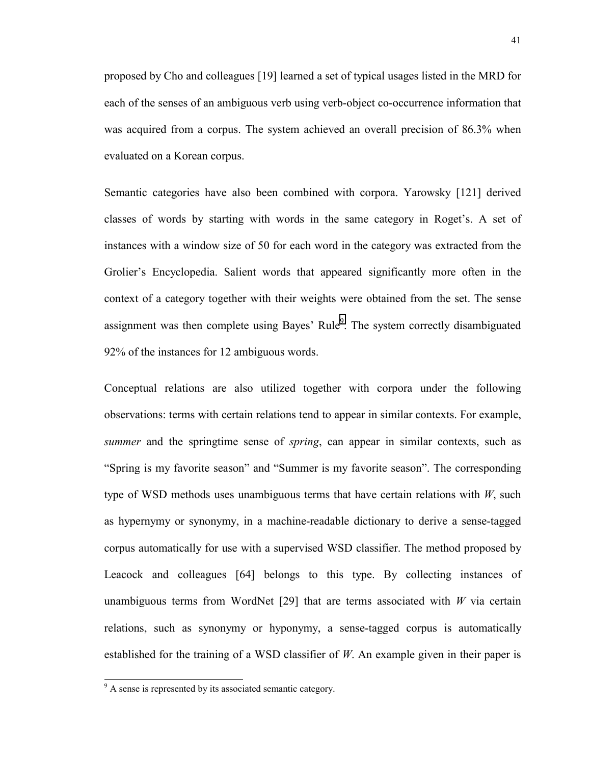proposed by Cho and colleagues [19] learned a set of typical usages listed in the MRD for each of the senses of an ambiguous verb using verb-object co-occurrence information that was acquired from a corpus. The system achieved an overall precision of 86.3% when evaluated on a Korean corpus.

Semantic categories have also been combined with corpora. Yarowsky [121] derived classes of words by starting with words in the same category in Roget's. A set of instances with a window size of 50 for each word in the category was extracted from the Grolier's Encyclopedia. Salient words that appeared significantly more often in the context of a category together with their weights were obtained from the set. The sense assignment was then complete using Bayes' Rule $9$ . The system correctly disambiguated 92% of the instances for 12 ambiguous words.

Conceptual relations are also utilized together with corpora under the following observations: terms with certain relations tend to appear in similar contexts. For example, *summer* and the springtime sense of *spring*, can appear in similar contexts, such as "Spring is my favorite season" and "Summer is my favorite season". The corresponding type of WSD methods uses unambiguous terms that have certain relations with *W*, such as hypernymy or synonymy, in a machine-readable dictionary to derive a sense-tagged corpus automatically for use with a supervised WSD classifier. The method proposed by Leacock and colleagues [64] belongs to this type. By collecting instances of unambiguous terms from WordNet [29] that are terms associated with *W* via certain relations, such as synonymy or hyponymy, a sense-tagged corpus is automatically established for the training of a WSD classifier of *W*. An example given in their paper is

<sup>&</sup>lt;sup>9</sup> A sense is represented by its associated semantic category.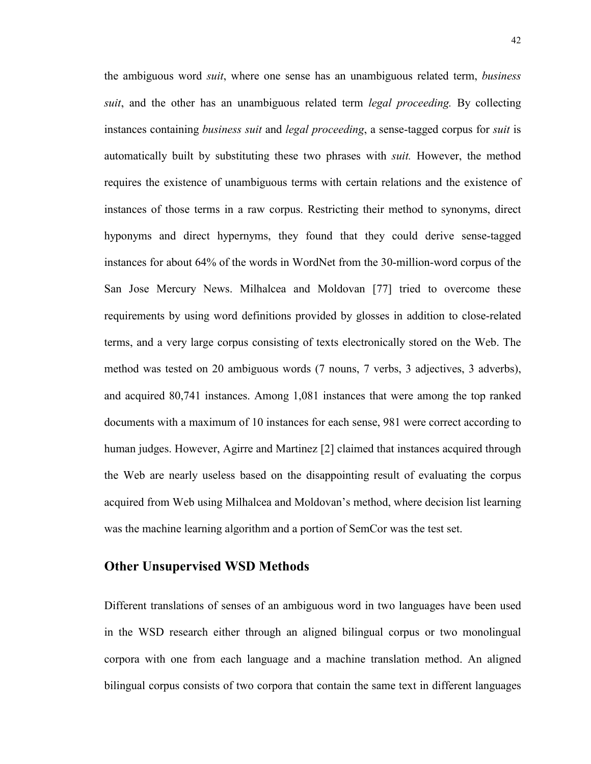the ambiguous word *suit*, where one sense has an unambiguous related term, *business suit*, and the other has an unambiguous related term *legal proceeding.* By collecting instances containing *business suit* and *legal proceeding*, a sense-tagged corpus for *suit* is automatically built by substituting these two phrases with *suit.* However, the method requires the existence of unambiguous terms with certain relations and the existence of instances of those terms in a raw corpus. Restricting their method to synonyms, direct hyponyms and direct hypernyms, they found that they could derive sense-tagged instances for about 64% of the words in WordNet from the 30-million-word corpus of the San Jose Mercury News. Milhalcea and Moldovan [77] tried to overcome these requirements by using word definitions provided by glosses in addition to close-related terms, and a very large corpus consisting of texts electronically stored on the Web. The method was tested on 20 ambiguous words (7 nouns, 7 verbs, 3 adjectives, 3 adverbs), and acquired 80,741 instances. Among 1,081 instances that were among the top ranked documents with a maximum of 10 instances for each sense, 981 were correct according to human judges. However, Agirre and Martinez [2] claimed that instances acquired through the Web are nearly useless based on the disappointing result of evaluating the corpus acquired from Web using Milhalcea and Moldovan's method, where decision list learning was the machine learning algorithm and a portion of SemCor was the test set.

#### **Other Unsupervised WSD Methods**

Different translations of senses of an ambiguous word in two languages have been used in the WSD research either through an aligned bilingual corpus or two monolingual corpora with one from each language and a machine translation method. An aligned bilingual corpus consists of two corpora that contain the same text in different languages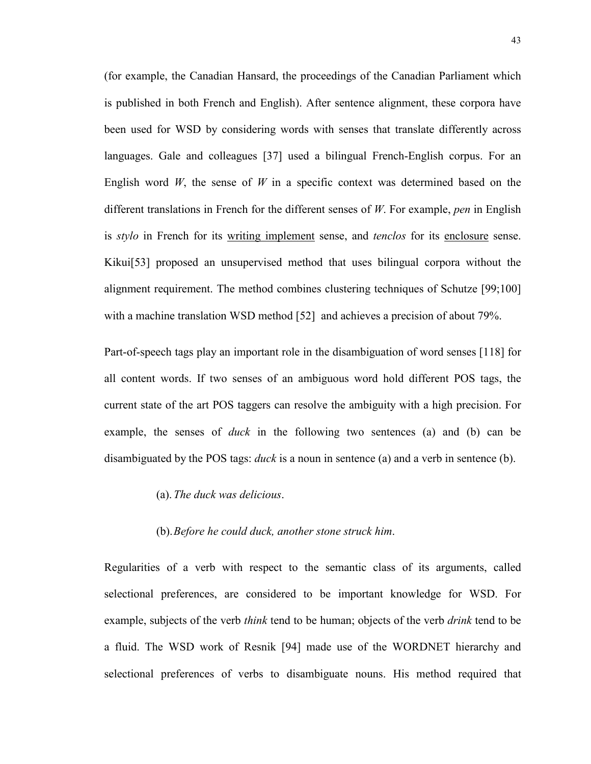(for example, the Canadian Hansard, the proceedings of the Canadian Parliament which is published in both French and English). After sentence alignment, these corpora have been used for WSD by considering words with senses that translate differently across languages. Gale and colleagues [37] used a bilingual French-English corpus. For an English word *W*, the sense of *W* in a specific context was determined based on the different translations in French for the different senses of *W*. For example, *pen* in English is *stylo* in French for its writing implement sense, and *tenclos* for its enclosure sense. Kikui[53] proposed an unsupervised method that uses bilingual corpora without the alignment requirement. The method combines clustering techniques of Schutze [99;100] with a machine translation WSD method [52] and achieves a precision of about 79%.

Part-of-speech tags play an important role in the disambiguation of word senses [118] for all content words. If two senses of an ambiguous word hold different POS tags, the current state of the art POS taggers can resolve the ambiguity with a high precision. For example, the senses of *duck* in the following two sentences (a) and (b) can be disambiguated by the POS tags: *duck* is a noun in sentence (a) and a verb in sentence (b).

(a). *The duck was delicious*.

## (b). *Before he could duck, another stone struck him*.

Regularities of a verb with respect to the semantic class of its arguments, called selectional preferences, are considered to be important knowledge for WSD. For example, subjects of the verb *think* tend to be human; objects of the verb *drink* tend to be a fluid. The WSD work of Resnik [94] made use of the WORDNET hierarchy and selectional preferences of verbs to disambiguate nouns. His method required that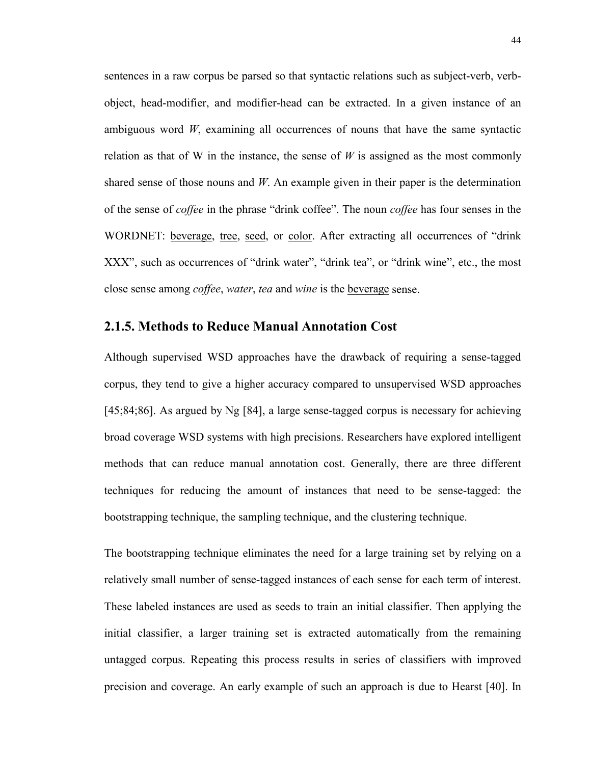sentences in a raw corpus be parsed so that syntactic relations such as subject-verb, verbobject, head-modifier, and modifier-head can be extracted. In a given instance of an ambiguous word *W*, examining all occurrences of nouns that have the same syntactic relation as that of W in the instance, the sense of  $W$  is assigned as the most commonly shared sense of those nouns and *W*. An example given in their paper is the determination of the sense of *coffee* in the phrase "drink coffee". The noun *coffee* has four senses in the WORDNET: beverage, tree, seed, or color. After extracting all occurrences of "drink XXX", such as occurrences of "drink water", "drink tea", or "drink wine", etc., the most close sense among *coffee*, *water*, *tea* and *wine* is the beverage sense.

## **2.1.5. Methods to Reduce Manual Annotation Cost**

Although supervised WSD approaches have the drawback of requiring a sense-tagged corpus, they tend to give a higher accuracy compared to unsupervised WSD approaches [45;84;86]. As argued by Ng [84], a large sense-tagged corpus is necessary for achieving broad coverage WSD systems with high precisions. Researchers have explored intelligent methods that can reduce manual annotation cost. Generally, there are three different techniques for reducing the amount of instances that need to be sense-tagged: the bootstrapping technique, the sampling technique, and the clustering technique.

The bootstrapping technique eliminates the need for a large training set by relying on a relatively small number of sense-tagged instances of each sense for each term of interest. These labeled instances are used as seeds to train an initial classifier. Then applying the initial classifier, a larger training set is extracted automatically from the remaining untagged corpus. Repeating this process results in series of classifiers with improved precision and coverage. An early example of such an approach is due to Hearst [40]. In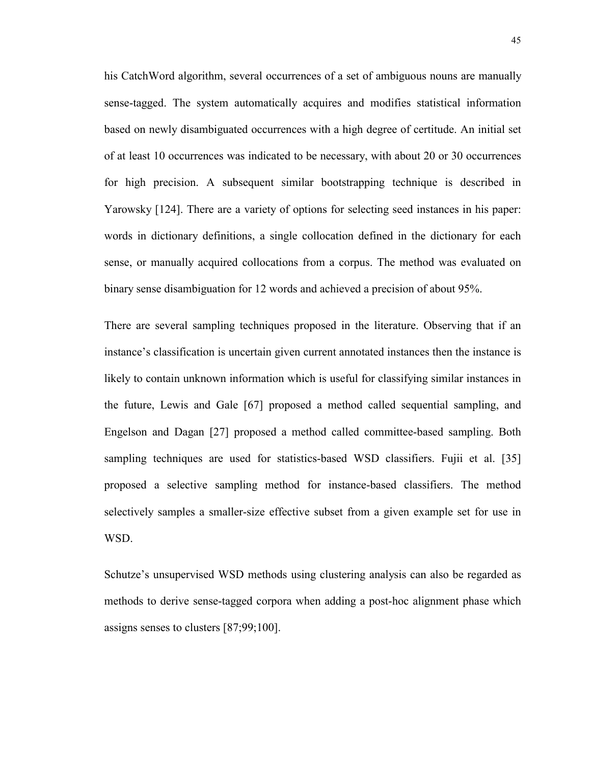his CatchWord algorithm, several occurrences of a set of ambiguous nouns are manually sense-tagged. The system automatically acquires and modifies statistical information based on newly disambiguated occurrences with a high degree of certitude. An initial set of at least 10 occurrences was indicated to be necessary, with about 20 or 30 occurrences for high precision. A subsequent similar bootstrapping technique is described in Yarowsky [124]. There are a variety of options for selecting seed instances in his paper: words in dictionary definitions, a single collocation defined in the dictionary for each sense, or manually acquired collocations from a corpus. The method was evaluated on binary sense disambiguation for 12 words and achieved a precision of about 95%.

There are several sampling techniques proposed in the literature. Observing that if an instance's classification is uncertain given current annotated instances then the instance is likely to contain unknown information which is useful for classifying similar instances in the future, Lewis and Gale [67] proposed a method called sequential sampling, and Engelson and Dagan [27] proposed a method called committee-based sampling. Both sampling techniques are used for statistics-based WSD classifiers. Fujii et al. [35] proposed a selective sampling method for instance-based classifiers. The method selectively samples a smaller-size effective subset from a given example set for use in WSD.

Schutze's unsupervised WSD methods using clustering analysis can also be regarded as methods to derive sense-tagged corpora when adding a post-hoc alignment phase which assigns senses to clusters [87;99;100].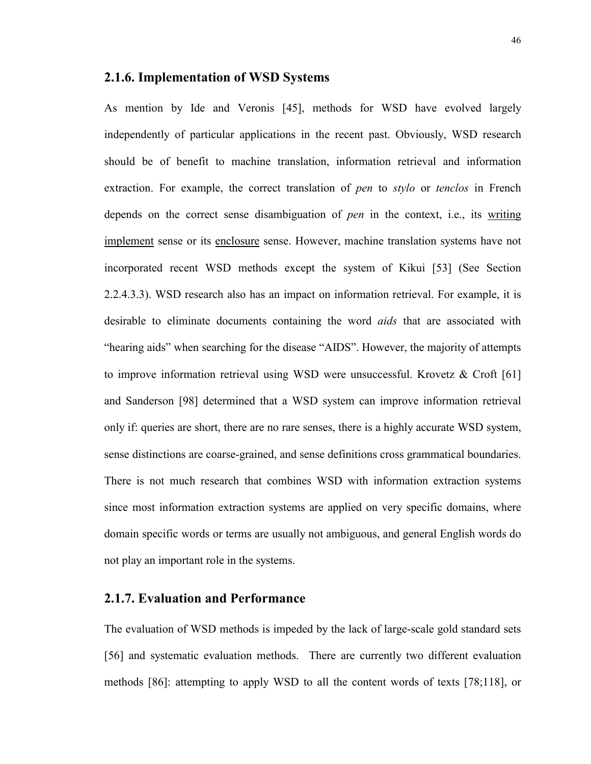## **2.1.6. Implementation of WSD Systems**

As mention by Ide and Veronis [45], methods for WSD have evolved largely independently of particular applications in the recent past. Obviously, WSD research should be of benefit to machine translation, information retrieval and information extraction. For example, the correct translation of *pen* to *stylo* or *tenclos* in French depends on the correct sense disambiguation of *pen* in the context, i.e., its writing implement sense or its enclosure sense. However, machine translation systems have not incorporated recent WSD methods except the system of Kikui [53] (See Section 2.2.4.3.3). WSD research also has an impact on information retrieval. For example, it is desirable to eliminate documents containing the word *aids* that are associated with "hearing aids" when searching for the disease "AIDS". However, the majority of attempts to improve information retrieval using WSD were unsuccessful. Krovetz  $\&$  Croft [61] and Sanderson [98] determined that a WSD system can improve information retrieval only if: queries are short, there are no rare senses, there is a highly accurate WSD system, sense distinctions are coarse-grained, and sense definitions cross grammatical boundaries. There is not much research that combines WSD with information extraction systems since most information extraction systems are applied on very specific domains, where domain specific words or terms are usually not ambiguous, and general English words do not play an important role in the systems.

## **2.1.7. Evaluation and Performance**

The evaluation of WSD methods is impeded by the lack of large-scale gold standard sets [56] and systematic evaluation methods. There are currently two different evaluation methods [86]: attempting to apply WSD to all the content words of texts [78;118], or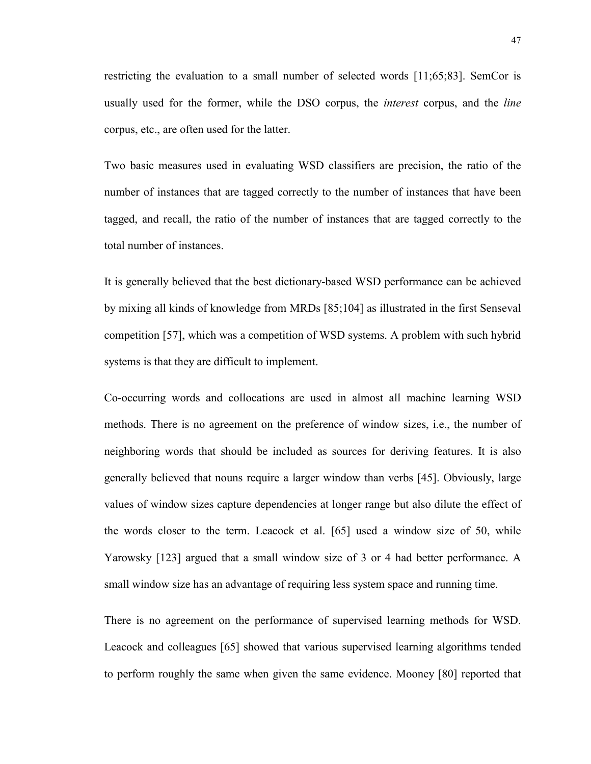restricting the evaluation to a small number of selected words [11;65;83]. SemCor is usually used for the former, while the DSO corpus, the *interest* corpus, and the *line* corpus, etc., are often used for the latter.

Two basic measures used in evaluating WSD classifiers are precision, the ratio of the number of instances that are tagged correctly to the number of instances that have been tagged, and recall, the ratio of the number of instances that are tagged correctly to the total number of instances.

It is generally believed that the best dictionary-based WSD performance can be achieved by mixing all kinds of knowledge from MRDs [85;104] as illustrated in the first Senseval competition [57], which was a competition of WSD systems. A problem with such hybrid systems is that they are difficult to implement.

Co-occurring words and collocations are used in almost all machine learning WSD methods. There is no agreement on the preference of window sizes, i.e., the number of neighboring words that should be included as sources for deriving features. It is also generally believed that nouns require a larger window than verbs [45]. Obviously, large values of window sizes capture dependencies at longer range but also dilute the effect of the words closer to the term. Leacock et al. [65] used a window size of 50, while Yarowsky [123] argued that a small window size of 3 or 4 had better performance. A small window size has an advantage of requiring less system space and running time.

There is no agreement on the performance of supervised learning methods for WSD. Leacock and colleagues [65] showed that various supervised learning algorithms tended to perform roughly the same when given the same evidence. Mooney [80] reported that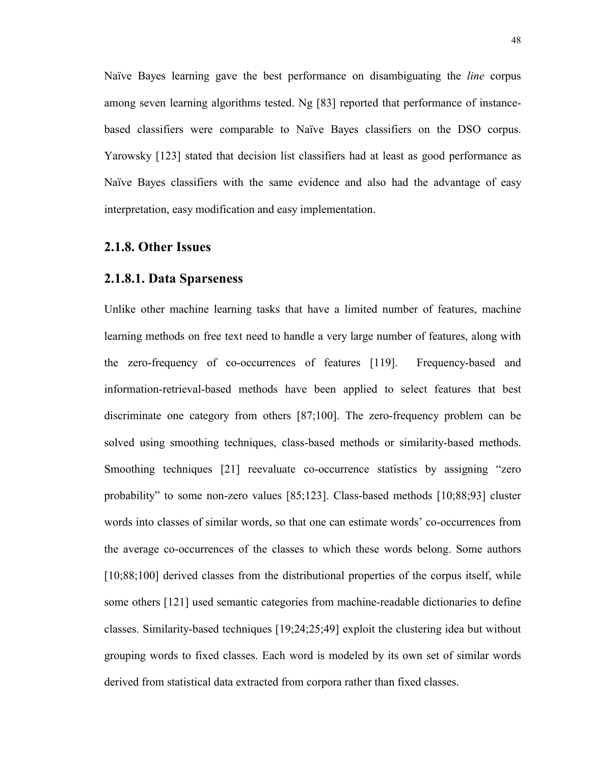Naïve Bayes learning gave the best performance on disambiguating the *line* corpus among seven learning algorithms tested. Ng [83] reported that performance of instancebased classifiers were comparable to Naïve Bayes classifiers on the DSO corpus. Yarowsky [123] stated that decision list classifiers had at least as good performance as Naïve Bayes classifiers with the same evidence and also had the advantage of easy interpretation, easy modification and easy implementation.

## **2.1.8. Other Issues**

## **2.1.8.1. Data Sparseness**

Unlike other machine learning tasks that have a limited number of features, machine learning methods on free text need to handle a very large number of features, along with the zero-frequency of co-occurrences of features [119]. Frequency-based and information-retrieval-based methods have been applied to select features that best discriminate one category from others [87;100]. The zero-frequency problem can be solved using smoothing techniques, class-based methods or similarity-based methods. Smoothing techniques [21] reevaluate co-occurrence statistics by assigning "zero probability" to some non-zero values [85;123]. Class-based methods [10;88;93] cluster words into classes of similar words, so that one can estimate words' co-occurrences from the average co-occurrences of the classes to which these words belong. Some authors [10;88;100] derived classes from the distributional properties of the corpus itself, while some others [121] used semantic categories from machine-readable dictionaries to define classes. Similarity-based techniques [19;24;25;49] exploit the clustering idea but without grouping words to fixed classes. Each word is modeled by its own set of similar words derived from statistical data extracted from corpora rather than fixed classes.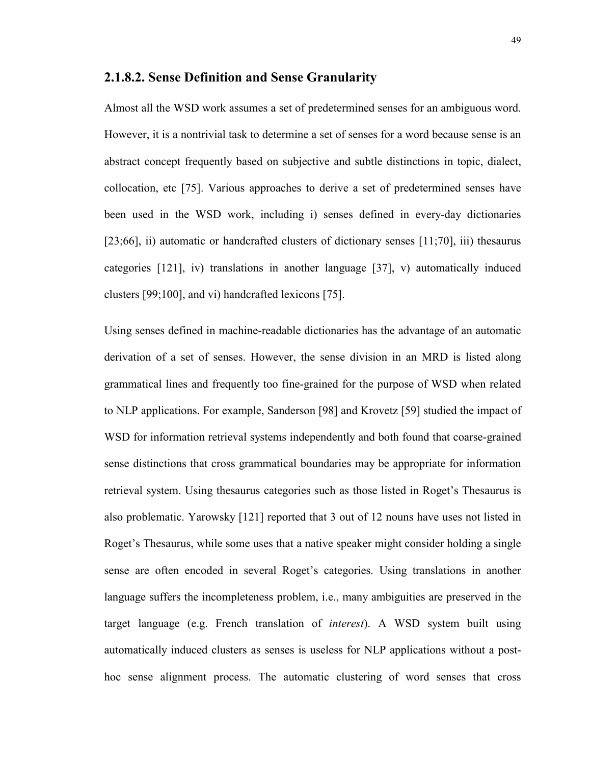## **2.1.8.2. Sense Definition and Sense Granularity**

Almost all the WSD work assumes a set of predetermined senses for an ambiguous word. However, it is a nontrivial task to determine a set of senses for a word because sense is an abstract concept frequently based on subjective and subtle distinctions in topic, dialect, collocation, etc [75]. Various approaches to derive a set of predetermined senses have been used in the WSD work, including i) senses defined in every-day dictionaries [23;66], ii) automatic or handcrafted clusters of dictionary senses [11;70], iii) thesaurus categories [121], iv) translations in another language [37], v) automatically induced clusters [99;100], and vi) handcrafted lexicons [75].

Using senses defined in machine-readable dictionaries has the advantage of an automatic derivation of a set of senses. However, the sense division in an MRD is listed along grammatical lines and frequently too fine-grained for the purpose of WSD when related to NLP applications. For example, Sanderson [98] and Krovetz [59] studied the impact of WSD for information retrieval systems independently and both found that coarse-grained sense distinctions that cross grammatical boundaries may be appropriate for information retrieval system. Using thesaurus categories such as those listed in Roget's Thesaurus is also problematic. Yarowsky [121] reported that 3 out of 12 nouns have uses not listed in Roget's Thesaurus, while some uses that a native speaker might consider holding a single sense are often encoded in several Roget's categories. Using translations in another language suffers the incompleteness problem, i.e., many ambiguities are preserved in the target language (e.g. French translation of *interest*). A WSD system built using automatically induced clusters as senses is useless for NLP applications without a posthoc sense alignment process. The automatic clustering of word senses that cross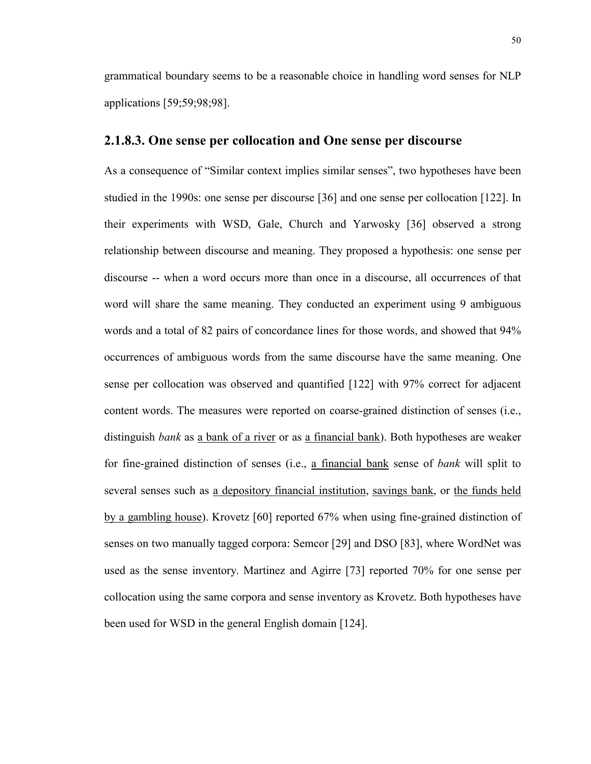grammatical boundary seems to be a reasonable choice in handling word senses for NLP applications [59;59;98;98].

## **2.1.8.3. One sense per collocation and One sense per discourse**

As a consequence of "Similar context implies similar senses", two hypotheses have been studied in the 1990s: one sense per discourse [36] and one sense per collocation [122]. In their experiments with WSD, Gale, Church and Yarwosky [36] observed a strong relationship between discourse and meaning. They proposed a hypothesis: one sense per discourse -- when a word occurs more than once in a discourse, all occurrences of that word will share the same meaning. They conducted an experiment using 9 ambiguous words and a total of 82 pairs of concordance lines for those words, and showed that 94% occurrences of ambiguous words from the same discourse have the same meaning. One sense per collocation was observed and quantified [122] with 97% correct for adjacent content words. The measures were reported on coarse-grained distinction of senses (i.e., distinguish *bank* as a bank of a river or as a financial bank). Both hypotheses are weaker for fine-grained distinction of senses (i.e., a financial bank sense of *bank* will split to several senses such as a depository financial institution, savings bank, or the funds held by a gambling house). Krovetz [60] reported 67% when using fine-grained distinction of senses on two manually tagged corpora: Semcor [29] and DSO [83], where WordNet was used as the sense inventory. Martinez and Agirre [73] reported 70% for one sense per collocation using the same corpora and sense inventory as Krovetz. Both hypotheses have been used for WSD in the general English domain [124].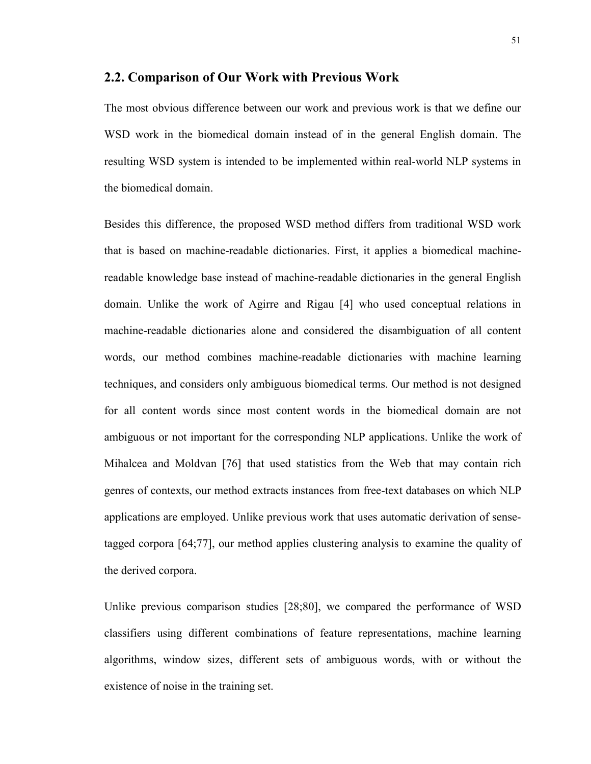#### **2.2. Comparison of Our Work with Previous Work**

The most obvious difference between our work and previous work is that we define our WSD work in the biomedical domain instead of in the general English domain. The resulting WSD system is intended to be implemented within real-world NLP systems in the biomedical domain.

Besides this difference, the proposed WSD method differs from traditional WSD work that is based on machine-readable dictionaries. First, it applies a biomedical machinereadable knowledge base instead of machine-readable dictionaries in the general English domain. Unlike the work of Agirre and Rigau [4] who used conceptual relations in machine-readable dictionaries alone and considered the disambiguation of all content words, our method combines machine-readable dictionaries with machine learning techniques, and considers only ambiguous biomedical terms. Our method is not designed for all content words since most content words in the biomedical domain are not ambiguous or not important for the corresponding NLP applications. Unlike the work of Mihalcea and Moldvan [76] that used statistics from the Web that may contain rich genres of contexts, our method extracts instances from free-text databases on which NLP applications are employed. Unlike previous work that uses automatic derivation of sensetagged corpora [64;77], our method applies clustering analysis to examine the quality of the derived corpora.

Unlike previous comparison studies [28;80], we compared the performance of WSD classifiers using different combinations of feature representations, machine learning algorithms, window sizes, different sets of ambiguous words, with or without the existence of noise in the training set.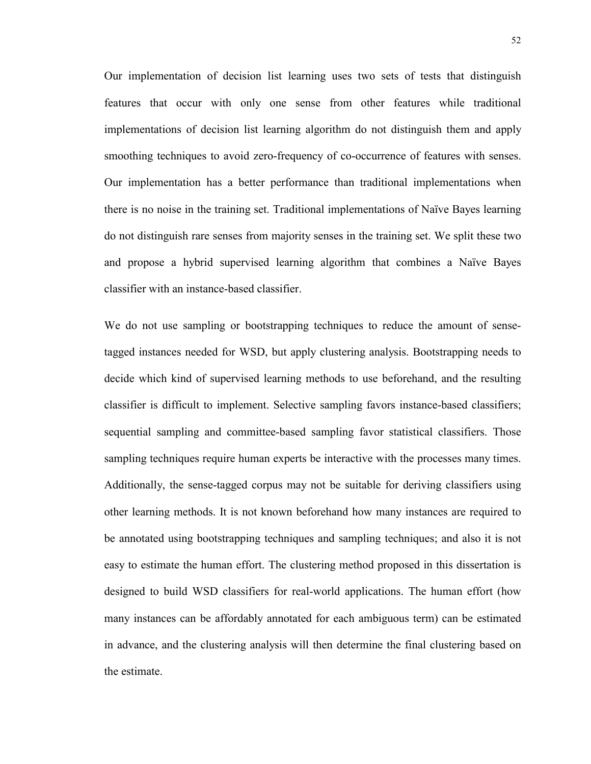Our implementation of decision list learning uses two sets of tests that distinguish features that occur with only one sense from other features while traditional implementations of decision list learning algorithm do not distinguish them and apply smoothing techniques to avoid zero-frequency of co-occurrence of features with senses. Our implementation has a better performance than traditional implementations when there is no noise in the training set. Traditional implementations of Naïve Bayes learning do not distinguish rare senses from majority senses in the training set. We split these two and propose a hybrid supervised learning algorithm that combines a Naïve Bayes classifier with an instance-based classifier.

We do not use sampling or bootstrapping techniques to reduce the amount of sensetagged instances needed for WSD, but apply clustering analysis. Bootstrapping needs to decide which kind of supervised learning methods to use beforehand, and the resulting classifier is difficult to implement. Selective sampling favors instance-based classifiers; sequential sampling and committee-based sampling favor statistical classifiers. Those sampling techniques require human experts be interactive with the processes many times. Additionally, the sense-tagged corpus may not be suitable for deriving classifiers using other learning methods. It is not known beforehand how many instances are required to be annotated using bootstrapping techniques and sampling techniques; and also it is not easy to estimate the human effort. The clustering method proposed in this dissertation is designed to build WSD classifiers for real-world applications. The human effort (how many instances can be affordably annotated for each ambiguous term) can be estimated in advance, and the clustering analysis will then determine the final clustering based on the estimate.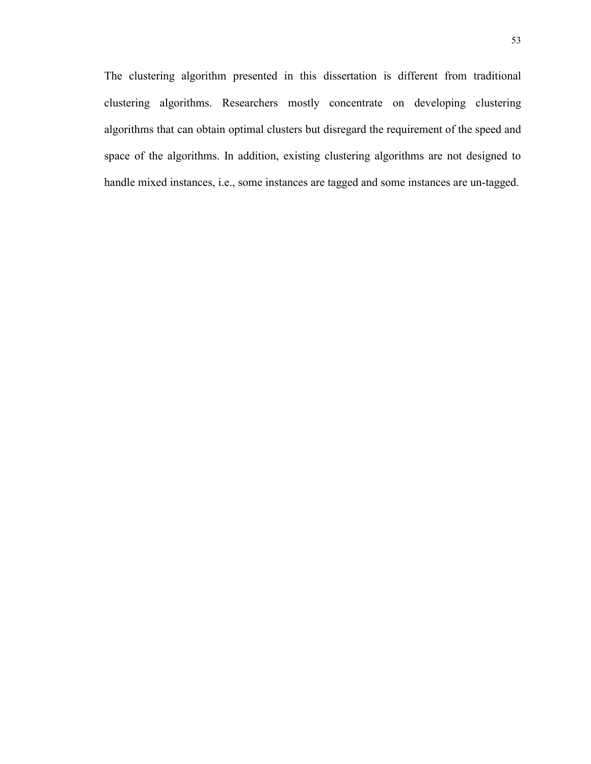The clustering algorithm presented in this dissertation is different from traditional clustering algorithms. Researchers mostly concentrate on developing clustering algorithms that can obtain optimal clusters but disregard the requirement of the speed and space of the algorithms. In addition, existing clustering algorithms are not designed to handle mixed instances, i.e., some instances are tagged and some instances are un-tagged.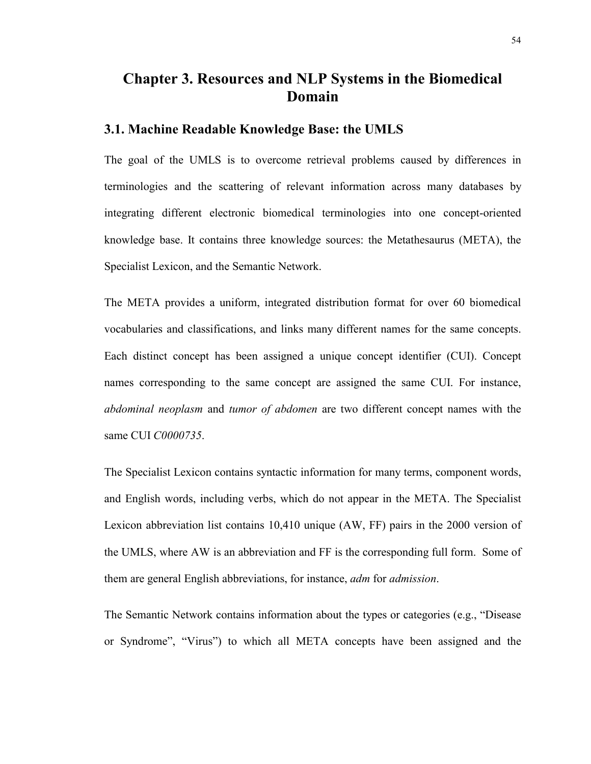# **Chapter 3. Resources and NLP Systems in the Biomedical Domain**

# **3.1. Machine Readable Knowledge Base: the UMLS**

The goal of the UMLS is to overcome retrieval problems caused by differences in terminologies and the scattering of relevant information across many databases by integrating different electronic biomedical terminologies into one concept-oriented knowledge base. It contains three knowledge sources: the Metathesaurus (META), the Specialist Lexicon, and the Semantic Network.

The META provides a uniform, integrated distribution format for over 60 biomedical vocabularies and classifications, and links many different names for the same concepts. Each distinct concept has been assigned a unique concept identifier (CUI). Concept names corresponding to the same concept are assigned the same CUI. For instance, *abdominal neoplasm* and *tumor of abdomen* are two different concept names with the same CUI *C0000735*.

The Specialist Lexicon contains syntactic information for many terms, component words, and English words, including verbs, which do not appear in the META. The Specialist Lexicon abbreviation list contains 10,410 unique (AW, FF) pairs in the 2000 version of the UMLS, where AW is an abbreviation and FF is the corresponding full form. Some of them are general English abbreviations, for instance, *adm* for *admission*.

The Semantic Network contains information about the types or categories (e.g., "Disease or Syndrome", "Virus") to which all META concepts have been assigned and the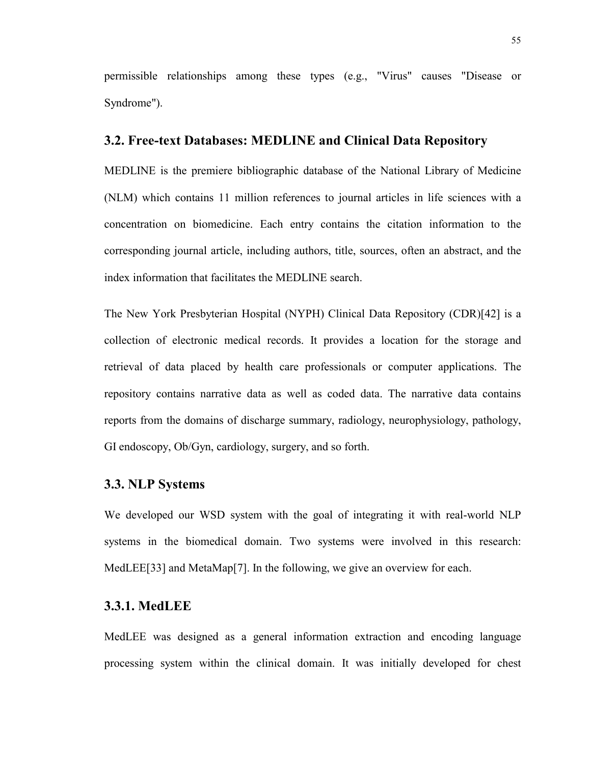permissible relationships among these types (e.g., "Virus" causes "Disease or Syndrome").

## **3.2. Free-text Databases: MEDLINE and Clinical Data Repository**

MEDLINE is the premiere bibliographic database of the National Library of Medicine (NLM) which contains 11 million references to journal articles in life sciences with a concentration on biomedicine. Each entry contains the citation information to the corresponding journal article, including authors, title, sources, often an abstract, and the index information that facilitates the MEDLINE search.

The New York Presbyterian Hospital (NYPH) Clinical Data Repository (CDR)[42] is a collection of electronic medical records. It provides a location for the storage and retrieval of data placed by health care professionals or computer applications. The repository contains narrative data as well as coded data. The narrative data contains reports from the domains of discharge summary, radiology, neurophysiology, pathology, GI endoscopy, Ob/Gyn, cardiology, surgery, and so forth.

## **3.3. NLP Systems**

We developed our WSD system with the goal of integrating it with real-world NLP systems in the biomedical domain. Two systems were involved in this research: MedLEE[33] and MetaMap[7]. In the following, we give an overview for each.

# **3.3.1. MedLEE**

MedLEE was designed as a general information extraction and encoding language processing system within the clinical domain. It was initially developed for chest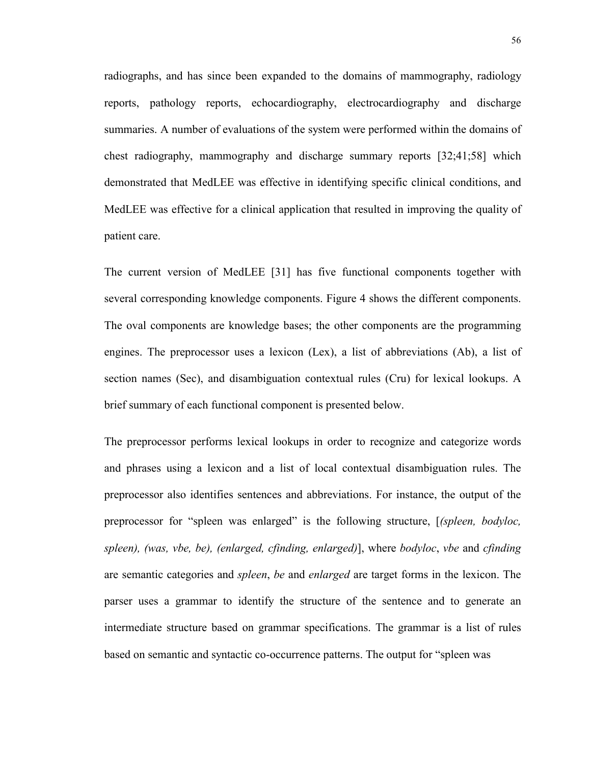radiographs, and has since been expanded to the domains of mammography, radiology reports, pathology reports, echocardiography, electrocardiography and discharge summaries. A number of evaluations of the system were performed within the domains of chest radiography, mammography and discharge summary reports [32;41;58] which demonstrated that MedLEE was effective in identifying specific clinical conditions, and MedLEE was effective for a clinical application that resulted in improving the quality of patient care.

The current version of MedLEE [31] has five functional components together with several corresponding knowledge components. Figure 4 shows the different components. The oval components are knowledge bases; the other components are the programming engines. The preprocessor uses a lexicon (Lex), a list of abbreviations (Ab), a list of section names (Sec), and disambiguation contextual rules (Cru) for lexical lookups. A brief summary of each functional component is presented below.

The preprocessor performs lexical lookups in order to recognize and categorize words and phrases using a lexicon and a list of local contextual disambiguation rules. The preprocessor also identifies sentences and abbreviations. For instance, the output of the preprocessor for "spleen was enlarged" is the following structure, [*(spleen, bodyloc, spleen), (was, vbe, be), (enlarged, cfinding, enlarged)*], where *bodyloc*, *vbe* and *cfinding* are semantic categories and *spleen*, *be* and *enlarged* are target forms in the lexicon. The parser uses a grammar to identify the structure of the sentence and to generate an intermediate structure based on grammar specifications. The grammar is a list of rules based on semantic and syntactic co-occurrence patterns. The output for "spleen was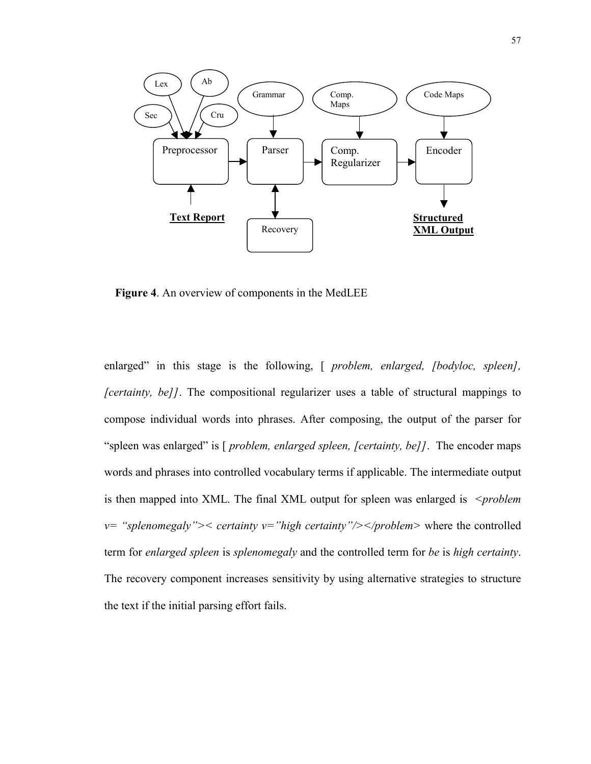

**Figure 4**. An overview of components in the MedLEE

enlarged" in this stage is the following, [ *problem, enlarged, [bodyloc, spleen], [certainty, be]]*. The compositional regularizer uses a table of structural mappings to compose individual words into phrases. After composing, the output of the parser for "spleen was enlarged" is [ *problem, enlarged spleen, [certainty, be]]*. The encoder maps words and phrases into controlled vocabulary terms if applicable. The intermediate output is then mapped into XML. The final XML output for spleen was enlarged is *<problem v= "splenomegaly">< certainty v="high certainty"/></problem>* where the controlled term for *enlarged spleen* is *splenomegaly* and the controlled term for *be* is *high certainty*. The recovery component increases sensitivity by using alternative strategies to structure the text if the initial parsing effort fails.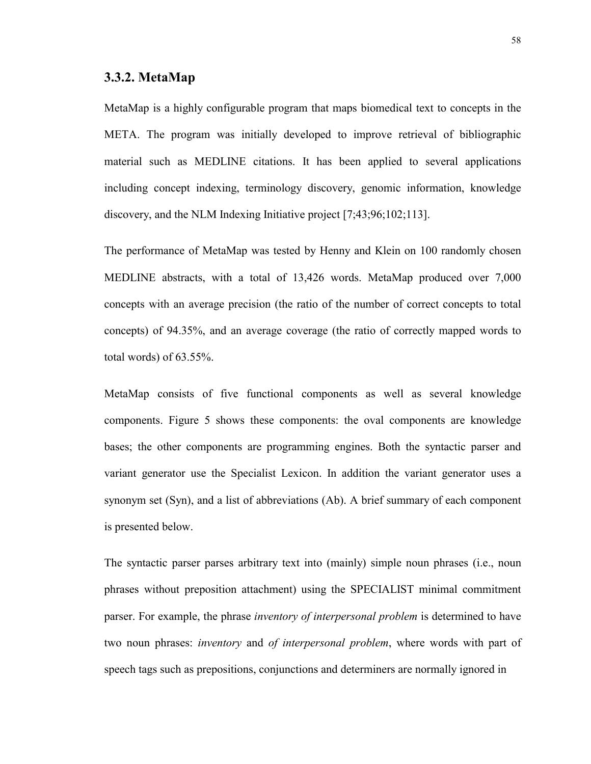#### **3.3.2. MetaMap**

MetaMap is a highly configurable program that maps biomedical text to concepts in the META. The program was initially developed to improve retrieval of bibliographic material such as MEDLINE citations. It has been applied to several applications including concept indexing, terminology discovery, genomic information, knowledge discovery, and the NLM Indexing Initiative project [7;43;96;102;113].

The performance of MetaMap was tested by Henny and Klein on 100 randomly chosen MEDLINE abstracts, with a total of 13,426 words. MetaMap produced over 7,000 concepts with an average precision (the ratio of the number of correct concepts to total concepts) of 94.35%, and an average coverage (the ratio of correctly mapped words to total words) of 63.55%.

MetaMap consists of five functional components as well as several knowledge components. Figure 5 shows these components: the oval components are knowledge bases; the other components are programming engines. Both the syntactic parser and variant generator use the Specialist Lexicon. In addition the variant generator uses a synonym set (Syn), and a list of abbreviations (Ab). A brief summary of each component is presented below.

The syntactic parser parses arbitrary text into (mainly) simple noun phrases (i.e., noun phrases without preposition attachment) using the SPECIALIST minimal commitment parser. For example, the phrase *inventory of interpersonal problem* is determined to have two noun phrases: *inventory* and *of interpersonal problem*, where words with part of speech tags such as prepositions, conjunctions and determiners are normally ignored in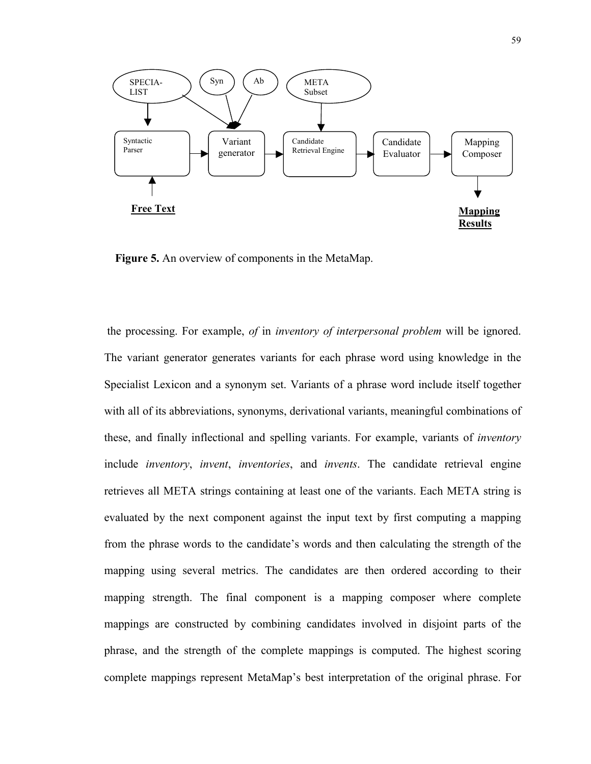

**Figure 5.** An overview of components in the MetaMap.

 the processing. For example, *of* in *inventory of interpersonal problem* will be ignored. The variant generator generates variants for each phrase word using knowledge in the Specialist Lexicon and a synonym set. Variants of a phrase word include itself together with all of its abbreviations, synonyms, derivational variants, meaningful combinations of these, and finally inflectional and spelling variants. For example, variants of *inventory* include *inventory*, *invent*, *inventories*, and *invents*. The candidate retrieval engine retrieves all META strings containing at least one of the variants. Each META string is evaluated by the next component against the input text by first computing a mapping from the phrase words to the candidate's words and then calculating the strength of the mapping using several metrics. The candidates are then ordered according to their mapping strength. The final component is a mapping composer where complete mappings are constructed by combining candidates involved in disjoint parts of the phrase, and the strength of the complete mappings is computed. The highest scoring complete mappings represent MetaMap's best interpretation of the original phrase. For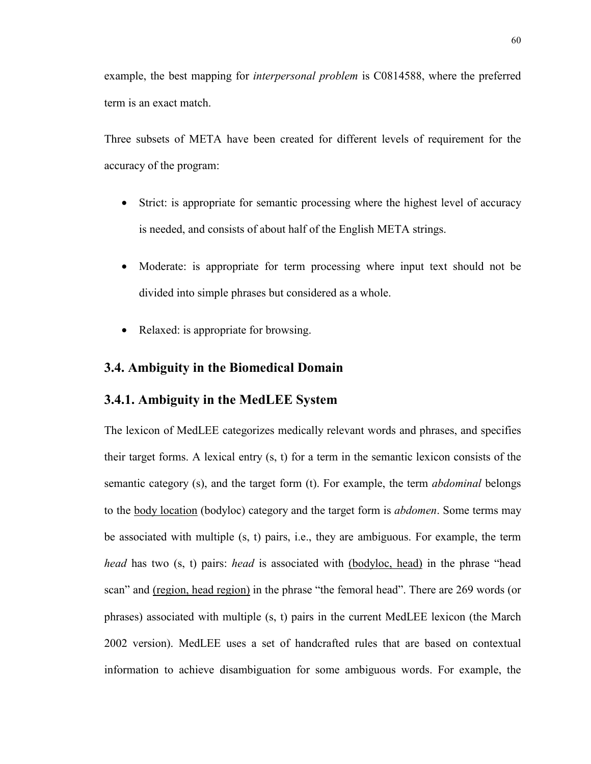example, the best mapping for *interpersonal problem* is C0814588, where the preferred term is an exact match.

Three subsets of META have been created for different levels of requirement for the accuracy of the program:

- Strict: is appropriate for semantic processing where the highest level of accuracy is needed, and consists of about half of the English META strings.
- Moderate: is appropriate for term processing where input text should not be divided into simple phrases but considered as a whole.
- Relaxed: is appropriate for browsing.

### **3.4. Ambiguity in the Biomedical Domain**

### **3.4.1. Ambiguity in the MedLEE System**

The lexicon of MedLEE categorizes medically relevant words and phrases, and specifies their target forms. A lexical entry (s, t) for a term in the semantic lexicon consists of the semantic category (s), and the target form (t). For example, the term *abdominal* belongs to the body location (bodyloc) category and the target form is *abdomen*. Some terms may be associated with multiple (s, t) pairs, i.e., they are ambiguous. For example, the term *head* has two (s, t) pairs: *head* is associated with (bodyloc, head) in the phrase "head scan" and (region, head region) in the phrase "the femoral head". There are 269 words (or phrases) associated with multiple (s, t) pairs in the current MedLEE lexicon (the March 2002 version). MedLEE uses a set of handcrafted rules that are based on contextual information to achieve disambiguation for some ambiguous words. For example, the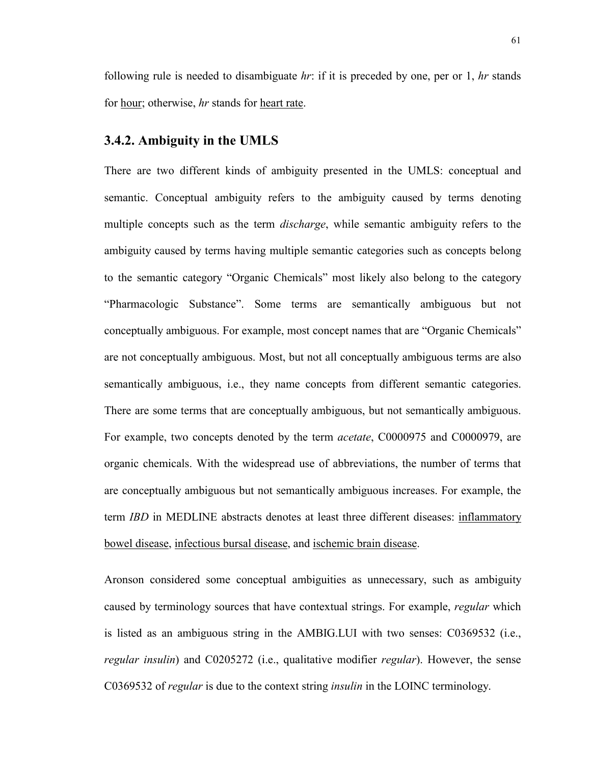following rule is needed to disambiguate *hr*: if it is preceded by one, per or 1, *hr* stands for hour; otherwise, *hr* stands for heart rate.

#### **3.4.2. Ambiguity in the UMLS**

There are two different kinds of ambiguity presented in the UMLS: conceptual and semantic. Conceptual ambiguity refers to the ambiguity caused by terms denoting multiple concepts such as the term *discharge*, while semantic ambiguity refers to the ambiguity caused by terms having multiple semantic categories such as concepts belong to the semantic category "Organic Chemicals" most likely also belong to the category "Pharmacologic Substance". Some terms are semantically ambiguous but not conceptually ambiguous. For example, most concept names that are "Organic Chemicals" are not conceptually ambiguous. Most, but not all conceptually ambiguous terms are also semantically ambiguous, i.e., they name concepts from different semantic categories. There are some terms that are conceptually ambiguous, but not semantically ambiguous. For example, two concepts denoted by the term *acetate*, C0000975 and C0000979, are organic chemicals. With the widespread use of abbreviations, the number of terms that are conceptually ambiguous but not semantically ambiguous increases. For example, the term *IBD* in MEDLINE abstracts denotes at least three different diseases: inflammatory bowel disease, infectious bursal disease, and ischemic brain disease.

Aronson considered some conceptual ambiguities as unnecessary, such as ambiguity caused by terminology sources that have contextual strings. For example, *regular* which is listed as an ambiguous string in the AMBIG.LUI with two senses: C0369532 (i.e., *regular insulin*) and C0205272 (i.e., qualitative modifier *regular*). However, the sense C0369532 of *regular* is due to the context string *insulin* in the LOINC terminology.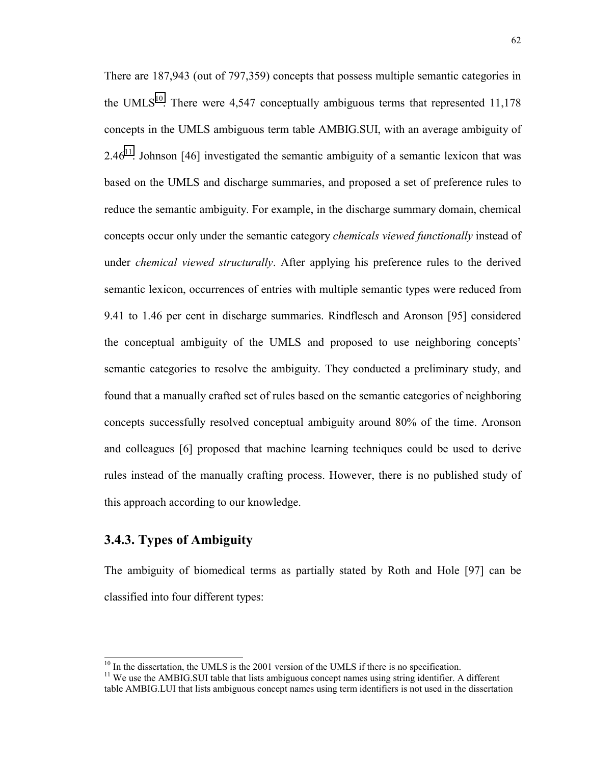There are 187,943 (out of 797,359) concepts that possess multiple semantic categories in the UMLS<sup>10</sup>. There were 4,547 conceptually ambiguous terms that represented 11,178 concepts in the UMLS ambiguous term table AMBIG.SUI, with an average ambiguity of 2.46<sup>11</sup>. Johnson [46] investigated the semantic ambiguity of a semantic lexicon that was based on the UMLS and discharge summaries, and proposed a set of preference rules to reduce the semantic ambiguity. For example, in the discharge summary domain, chemical concepts occur only under the semantic category *chemicals viewed functionally* instead of under *chemical viewed structurally*. After applying his preference rules to the derived semantic lexicon, occurrences of entries with multiple semantic types were reduced from 9.41 to 1.46 per cent in discharge summaries. Rindflesch and Aronson [95] considered the conceptual ambiguity of the UMLS and proposed to use neighboring concepts' semantic categories to resolve the ambiguity. They conducted a preliminary study, and found that a manually crafted set of rules based on the semantic categories of neighboring concepts successfully resolved conceptual ambiguity around 80% of the time. Aronson and colleagues [6] proposed that machine learning techniques could be used to derive rules instead of the manually crafting process. However, there is no published study of this approach according to our knowledge.

# **3.4.3. Types of Ambiguity**

The ambiguity of biomedical terms as partially stated by Roth and Hole [97] can be classified into four different types:

<sup>&</sup>lt;sup>10</sup> In the dissertation, the UMLS is the 2001 version of the UMLS if there is no specification.

 $11$  We use the AMBIG.SUI table that lists ambiguous concept names using string identifier. A different table AMBIG.LUI that lists ambiguous concept names using term identifiers is not used in the dissertation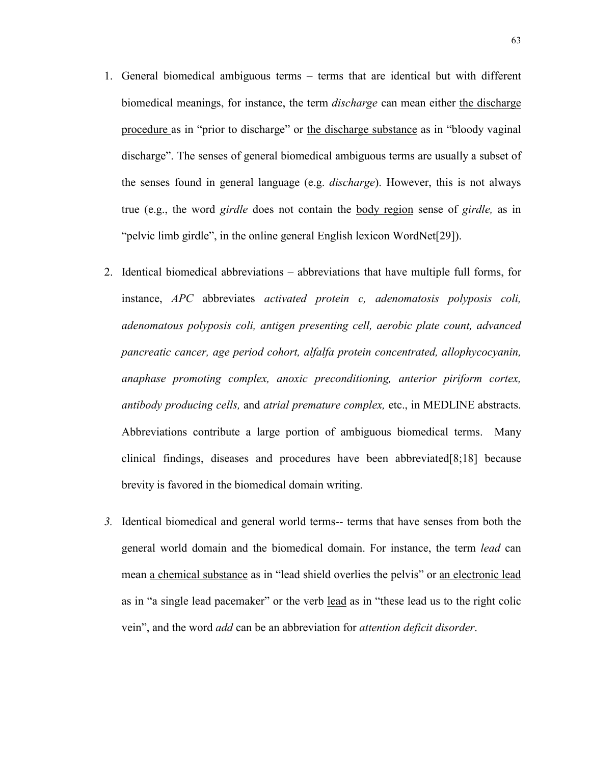- 1. General biomedical ambiguous terms terms that are identical but with different biomedical meanings, for instance, the term *discharge* can mean either the discharge procedure as in "prior to discharge" or the discharge substance as in "bloody vaginal discharge". The senses of general biomedical ambiguous terms are usually a subset of the senses found in general language (e.g. *discharge*). However, this is not always true (e.g., the word *girdle* does not contain the body region sense of *girdle,* as in "pelvic limb girdle", in the online general English lexicon WordNet[29]).
- 2. Identical biomedical abbreviations abbreviations that have multiple full forms, for instance, *APC* abbreviates *activated protein c, adenomatosis polyposis coli, adenomatous polyposis coli, antigen presenting cell, aerobic plate count, advanced pancreatic cancer, age period cohort, alfalfa protein concentrated, allophycocyanin, anaphase promoting complex, anoxic preconditioning, anterior piriform cortex, antibody producing cells,* and *atrial premature complex,* etc., in MEDLINE abstracts. Abbreviations contribute a large portion of ambiguous biomedical terms. Many clinical findings, diseases and procedures have been abbreviated[8;18] because brevity is favored in the biomedical domain writing.
- *3.* Identical biomedical and general world terms-- terms that have senses from both the general world domain and the biomedical domain. For instance, the term *lead* can mean a chemical substance as in "lead shield overlies the pelvis" or an electronic lead as in "a single lead pacemaker" or the verb lead as in "these lead us to the right colic vein", and the word *add* can be an abbreviation for *attention deficit disorder*.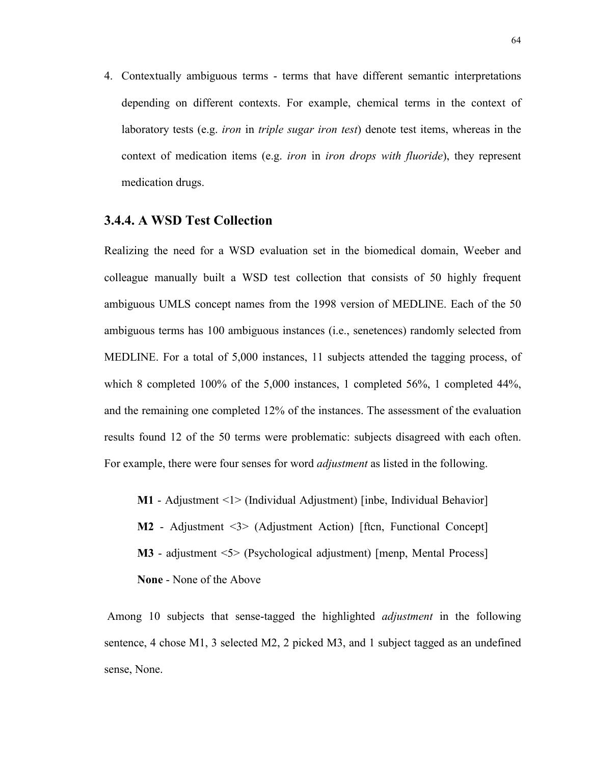4. Contextually ambiguous terms - terms that have different semantic interpretations depending on different contexts. For example, chemical terms in the context of laboratory tests (e.g. *iron* in *triple sugar iron test*) denote test items, whereas in the context of medication items (e.g. *iron* in *iron drops with fluoride*), they represent medication drugs.

#### **3.4.4. A WSD Test Collection**

Realizing the need for a WSD evaluation set in the biomedical domain, Weeber and colleague manually built a WSD test collection that consists of 50 highly frequent ambiguous UMLS concept names from the 1998 version of MEDLINE. Each of the 50 ambiguous terms has 100 ambiguous instances (i.e., senetences) randomly selected from MEDLINE. For a total of 5,000 instances, 11 subjects attended the tagging process, of which 8 completed 100% of the 5,000 instances, 1 completed 56%, 1 completed 44%, and the remaining one completed 12% of the instances. The assessment of the evaluation results found 12 of the 50 terms were problematic: subjects disagreed with each often. For example, there were four senses for word *adjustment* as listed in the following.

**M1** - Adjustment <1> (Individual Adjustment) [inbe, Individual Behavior]

**M2** - Adjustment <3> (Adjustment Action) [ftcn, Functional Concept]

- **M3** adjustment <5> (Psychological adjustment) [menp, Mental Process]
- **None** None of the Above

 Among 10 subjects that sense-tagged the highlighted *adjustment* in the following sentence, 4 chose M1, 3 selected M2, 2 picked M3, and 1 subject tagged as an undefined sense, None.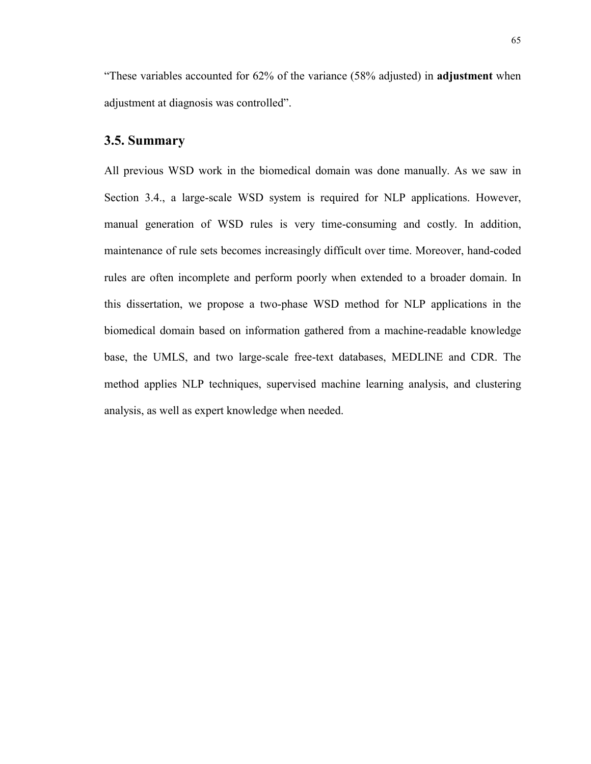"These variables accounted for 62% of the variance (58% adjusted) in **adjustment** when adjustment at diagnosis was controlled".

### **3.5. Summary**

All previous WSD work in the biomedical domain was done manually. As we saw in Section 3.4., a large-scale WSD system is required for NLP applications. However, manual generation of WSD rules is very time-consuming and costly. In addition, maintenance of rule sets becomes increasingly difficult over time. Moreover, hand-coded rules are often incomplete and perform poorly when extended to a broader domain. In this dissertation, we propose a two-phase WSD method for NLP applications in the biomedical domain based on information gathered from a machine-readable knowledge base, the UMLS, and two large-scale free-text databases, MEDLINE and CDR. The method applies NLP techniques, supervised machine learning analysis, and clustering analysis, as well as expert knowledge when needed.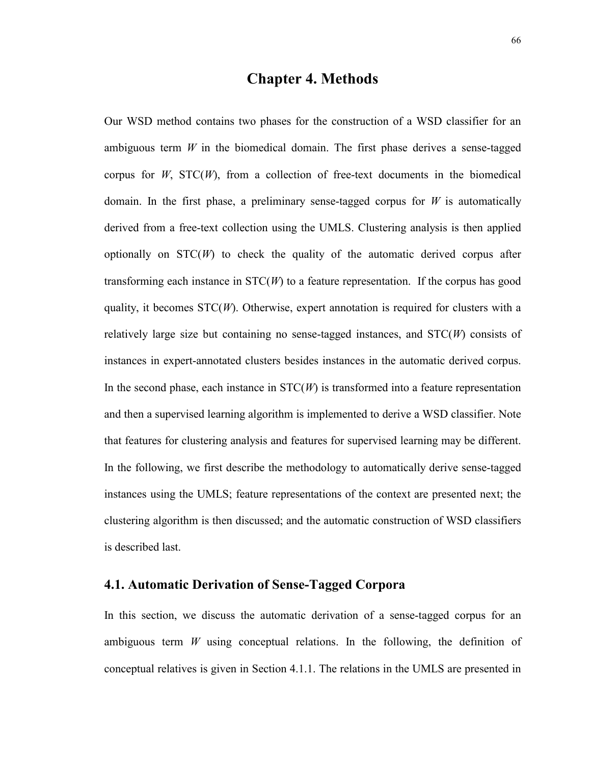# **Chapter 4. Methods**

Our WSD method contains two phases for the construction of a WSD classifier for an ambiguous term *W* in the biomedical domain. The first phase derives a sense-tagged corpus for  $W$ ,  $STC(W)$ , from a collection of free-text documents in the biomedical domain. In the first phase, a preliminary sense-tagged corpus for *W* is automatically derived from a free-text collection using the UMLS. Clustering analysis is then applied optionally on  $STC(W)$  to check the quality of the automatic derived corpus after transforming each instance in STC(*W*) to a feature representation. If the corpus has good quality, it becomes STC(*W*). Otherwise, expert annotation is required for clusters with a relatively large size but containing no sense-tagged instances, and STC(*W*) consists of instances in expert-annotated clusters besides instances in the automatic derived corpus. In the second phase, each instance in  $STC(W)$  is transformed into a feature representation and then a supervised learning algorithm is implemented to derive a WSD classifier. Note that features for clustering analysis and features for supervised learning may be different. In the following, we first describe the methodology to automatically derive sense-tagged instances using the UMLS; feature representations of the context are presented next; the clustering algorithm is then discussed; and the automatic construction of WSD classifiers is described last.

#### **4.1. Automatic Derivation of Sense-Tagged Corpora**

In this section, we discuss the automatic derivation of a sense-tagged corpus for an ambiguous term *W* using conceptual relations. In the following, the definition of conceptual relatives is given in Section 4.1.1. The relations in the UMLS are presented in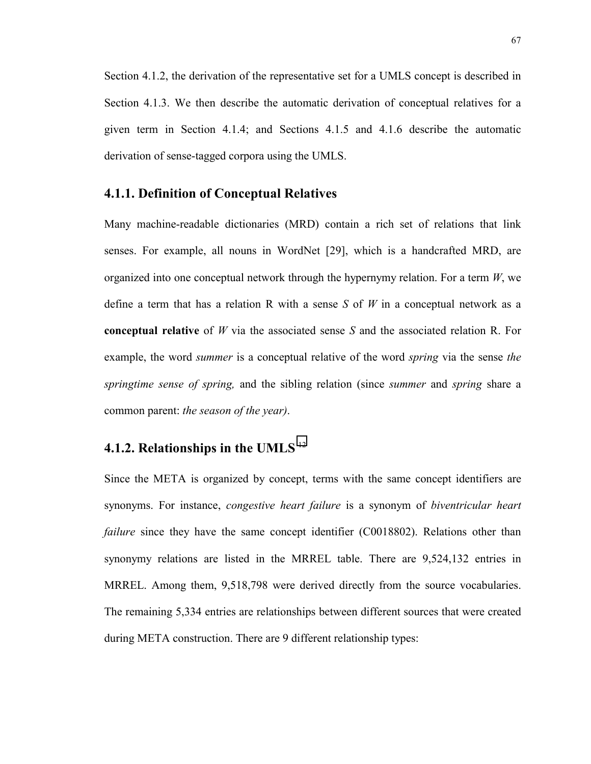Section 4.1.2, the derivation of the representative set for a UMLS concept is described in Section 4.1.3. We then describe the automatic derivation of conceptual relatives for a given term in Section 4.1.4; and Sections 4.1.5 and 4.1.6 describe the automatic derivation of sense-tagged corpora using the UMLS.

#### **4.1.1. Definition of Conceptual Relatives**

Many machine-readable dictionaries (MRD) contain a rich set of relations that link senses. For example, all nouns in WordNet [29], which is a handcrafted MRD, are organized into one conceptual network through the hypernymy relation. For a term *W*, we define a term that has a relation R with a sense *S* of *W* in a conceptual network as a **conceptual relative** of *W* via the associated sense *S* and the associated relation R. For example, the word *summer* is a conceptual relative of the word *spring* via the sense *the springtime sense of spring,* and the sibling relation (since *summer* and *spring* share a common parent: *the season of the year)*.

# **4.1.2. Relationships in the UMLS** <sup>12</sup>

Since the META is organized by concept, terms with the same concept identifiers are synonyms. For instance, *congestive heart failure* is a synonym of *biventricular heart failure* since they have the same concept identifier (C0018802). Relations other than synonymy relations are listed in the MRREL table. There are 9,524,132 entries in MRREL. Among them, 9,518,798 were derived directly from the source vocabularies. The remaining 5,334 entries are relationships between different sources that were created during META construction. There are 9 different relationship types: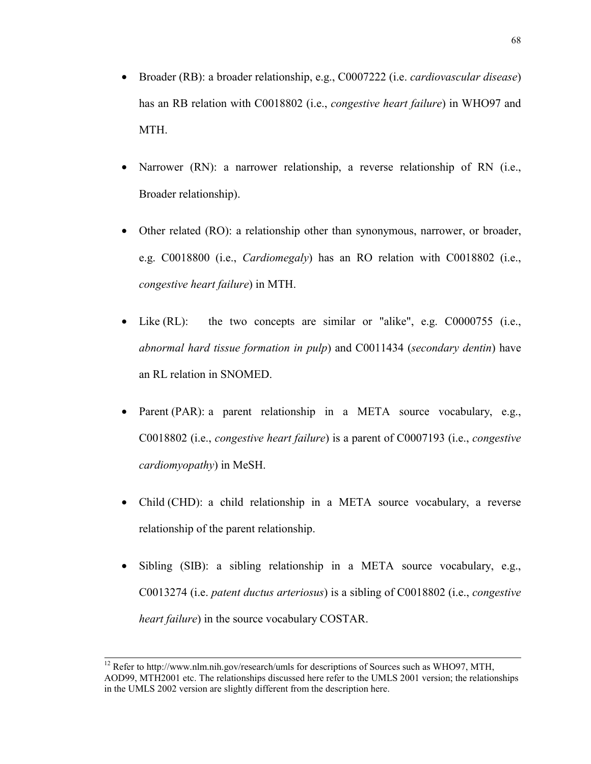- Broader (RB): a broader relationship, e.g., C0007222 (i.e. *cardiovascular disease*) has an RB relation with C0018802 (i.e., *congestive heart failure*) in WHO97 and MTH.
- Narrower (RN): a narrower relationship, a reverse relationship of RN (i.e., Broader relationship).
- Other related (RO): a relationship other than synonymous, narrower, or broader, e.g. C0018800 (i.e., *Cardiomegaly*) has an RO relation with C0018802 (i.e., *congestive heart failure*) in MTH.
- Like (RL): the two concepts are similar or "alike", e.g. C0000755 (i.e., *abnormal hard tissue formation in pulp*) and C0011434 (*secondary dentin*) have an RL relation in SNOMED.
- Parent (PAR): a parent relationship in a META source vocabulary, e.g., C0018802 (i.e., *congestive heart failure*) is a parent of C0007193 (i.e., *congestive cardiomyopathy*) in MeSH.
- Child (CHD): a child relationship in a META source vocabulary, a reverse relationship of the parent relationship.
- Sibling (SIB): a sibling relationship in a META source vocabulary, e.g., C0013274 (i.e. *patent ductus arteriosus*) is a sibling of C0018802 (i.e., *congestive heart failure*) in the source vocabulary COSTAR.

<sup>&</sup>lt;sup>12</sup> Refer to http://www.nlm.nih.gov/research/umls for descriptions of Sources such as WHO97, MTH, AOD99, MTH2001 etc. The relationships discussed here refer to the UMLS 2001 version; the relationships in the UMLS 2002 version are slightly different from the description here.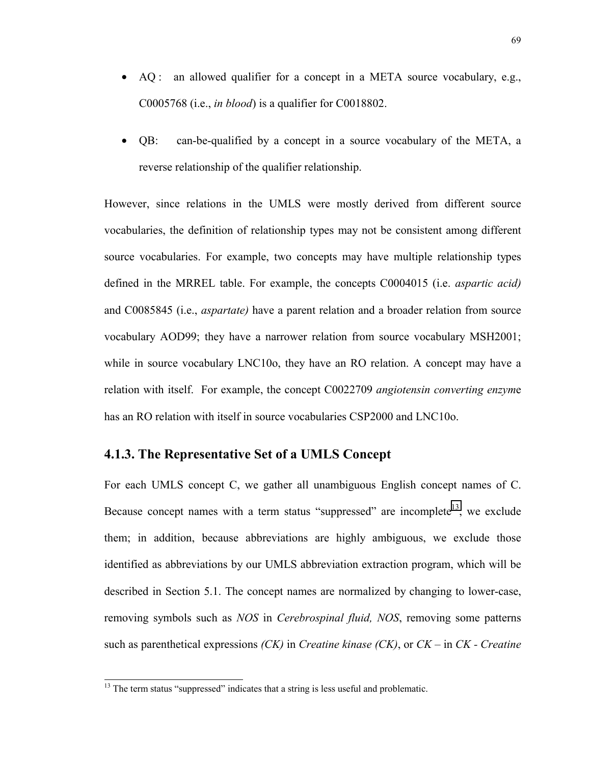- AQ: an allowed qualifier for a concept in a META source vocabulary, e.g., C0005768 (i.e., *in blood*) is a qualifier for C0018802.
- QB: can-be-qualified by a concept in a source vocabulary of the META, a reverse relationship of the qualifier relationship.

However, since relations in the UMLS were mostly derived from different source vocabularies, the definition of relationship types may not be consistent among different source vocabularies. For example, two concepts may have multiple relationship types defined in the MRREL table. For example, the concepts C0004015 (i.e. *aspartic acid)* and C0085845 (i.e., *aspartate)* have a parent relation and a broader relation from source vocabulary AOD99; they have a narrower relation from source vocabulary MSH2001; while in source vocabulary LNC10o, they have an RO relation. A concept may have a relation with itself. For example, the concept C0022709 *angiotensin converting enzym*e has an RO relation with itself in source vocabularies CSP2000 and LNC10o.

### **4.1.3. The Representative Set of a UMLS Concept**

For each UMLS concept C, we gather all unambiguous English concept names of C. Because concept names with a term status "suppressed" are incomplete<sup>13</sup>, we exclude them; in addition, because abbreviations are highly ambiguous, we exclude those identified as abbreviations by our UMLS abbreviation extraction program, which will be described in Section 5.1. The concept names are normalized by changing to lower-case, removing symbols such as *NOS* in *Cerebrospinal fluid, NOS*, removing some patterns such as parenthetical expressions *(CK)* in *Creatine kinase (CK)*, or *CK –* in *CK - Creatine* 

<sup>&</sup>lt;sup>13</sup> The term status "suppressed" indicates that a string is less useful and problematic.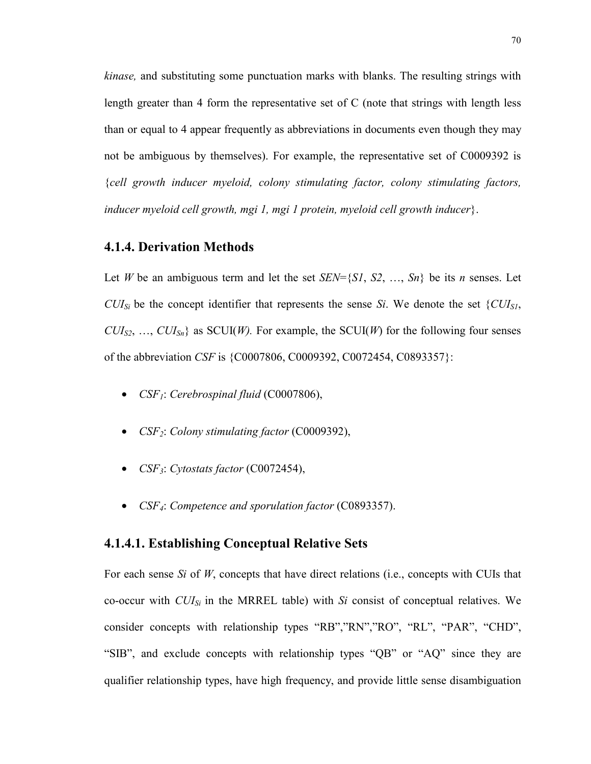*kinase,* and substituting some punctuation marks with blanks. The resulting strings with length greater than 4 form the representative set of C (note that strings with length less than or equal to 4 appear frequently as abbreviations in documents even though they may not be ambiguous by themselves). For example, the representative set of C0009392 is {*cell growth inducer myeloid, colony stimulating factor, colony stimulating factors, inducer myeloid cell growth, mgi 1, mgi 1 protein, myeloid cell growth inducer*}.

### **4.1.4. Derivation Methods**

Let *W* be an ambiguous term and let the set  $SEN=\{S1, S2, ..., Sn\}$  be its *n* senses. Let *CUI<sub>Si</sub>* be the concept identifier that represents the sense *Si*. We denote the set  $\{CU_{S1},$  $CUI<sub>S2</sub>, ..., *CU<sub>Sn</sub>*$  as SCUI(*W*). For example, the SCUI(*W*) for the following four senses of the abbreviation *CSF* is {C0007806, C0009392, C0072454, C0893357}:

- *CSF<sub>1</sub>*: *Cerebrospinal fluid* (C0007806),
- *CSF2*: *Colony stimulating factor* (C0009392),
- *CSF3*: *Cytostats factor* (C0072454),
- *CSF4*: *Competence and sporulation factor* (C0893357).

#### **4.1.4.1. Establishing Conceptual Relative Sets**

For each sense *Si* of *W*, concepts that have direct relations (i.e., concepts with CUIs that co-occur with *CUISi* in the MRREL table) with *Si* consist of conceptual relatives. We consider concepts with relationship types "RB","RN","RO", "RL", "PAR", "CHD", "SIB", and exclude concepts with relationship types "QB" or "AQ" since they are qualifier relationship types, have high frequency, and provide little sense disambiguation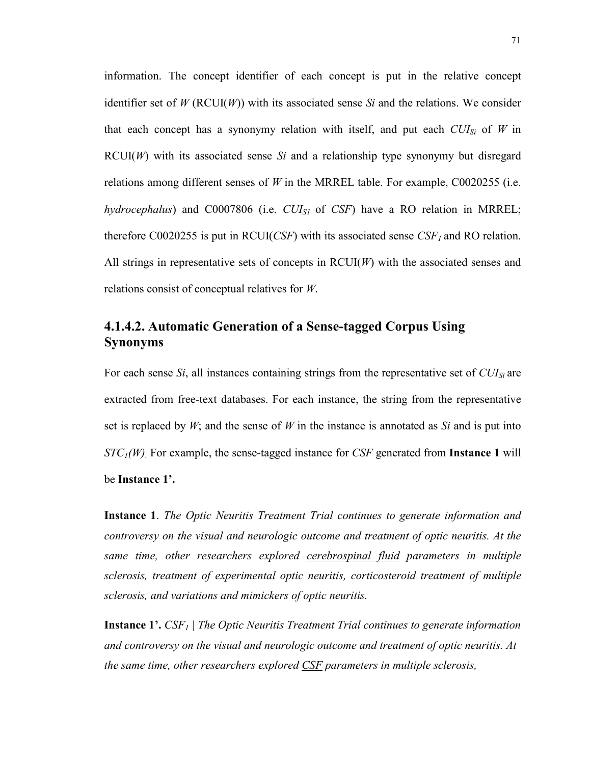information. The concept identifier of each concept is put in the relative concept identifier set of  $W(\text{RCUI}(W))$  with its associated sense *Si* and the relations. We consider that each concept has a synonymy relation with itself, and put each  $CUI_{Si}$  of *W* in RCUI(*W*) with its associated sense *Si* and a relationship type synonymy but disregard relations among different senses of *W* in the MRREL table. For example, C0020255 (i.e. *hydrocephalus*) and C0007806 (i.e. *CUIS1* of *CSF*) have a RO relation in MRREL; therefore C0020255 is put in RCUI(*CSF*) with its associated sense  $CSF<sub>1</sub>$  and RO relation. All strings in representative sets of concepts in RCUI(*W*) with the associated senses and relations consist of conceptual relatives for *W*.

# **4.1.4.2. Automatic Generation of a Sense-tagged Corpus Using Synonyms**

For each sense *Si*, all instances containing strings from the representative set of *CUISi* are extracted from free-text databases. For each instance, the string from the representative set is replaced by *W*; and the sense of *W* in the instance is annotated as *Si* and is put into *STC1(W)*. For example, the sense-tagged instance for *CSF* generated from **Instance 1** will be **Instance 1'.**

**Instance 1**. *The Optic Neuritis Treatment Trial continues to generate information and controversy on the visual and neurologic outcome and treatment of optic neuritis. At the same time, other researchers explored cerebrospinal fluid parameters in multiple sclerosis, treatment of experimental optic neuritis, corticosteroid treatment of multiple sclerosis, and variations and mimickers of optic neuritis.* 

**Instance 1'.** *CSF<sub>1</sub>* | *The Optic Neuritis Treatment Trial continues to generate information and controversy on the visual and neurologic outcome and treatment of optic neuritis. At the same time, other researchers explored CSF parameters in multiple sclerosis,*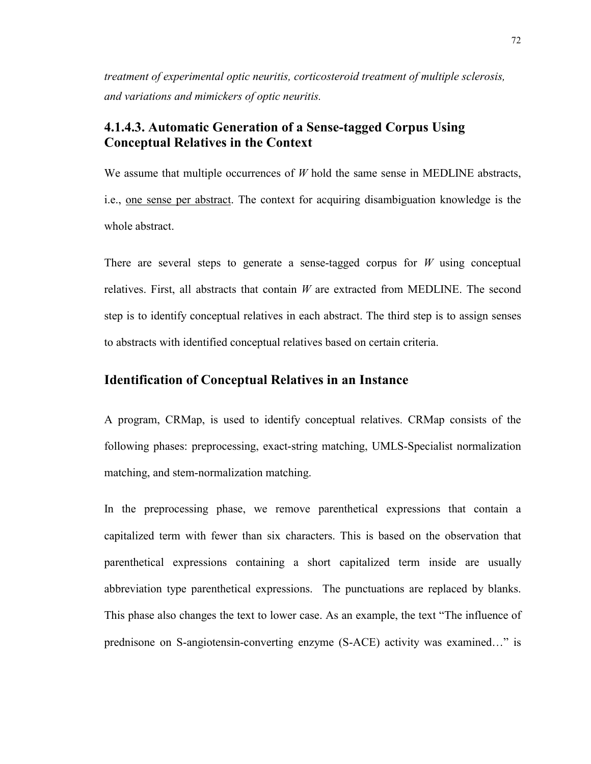*treatment of experimental optic neuritis, corticosteroid treatment of multiple sclerosis, and variations and mimickers of optic neuritis.* 

## **4.1.4.3. Automatic Generation of a Sense-tagged Corpus Using Conceptual Relatives in the Context**

We assume that multiple occurrences of *W* hold the same sense in MEDLINE abstracts, i.e., one sense per abstract. The context for acquiring disambiguation knowledge is the whole abstract.

There are several steps to generate a sense-tagged corpus for *W* using conceptual relatives. First, all abstracts that contain *W* are extracted from MEDLINE. The second step is to identify conceptual relatives in each abstract. The third step is to assign senses to abstracts with identified conceptual relatives based on certain criteria.

### **Identification of Conceptual Relatives in an Instance**

A program, CRMap, is used to identify conceptual relatives. CRMap consists of the following phases: preprocessing, exact-string matching, UMLS-Specialist normalization matching, and stem-normalization matching.

In the preprocessing phase, we remove parenthetical expressions that contain a capitalized term with fewer than six characters. This is based on the observation that parenthetical expressions containing a short capitalized term inside are usually abbreviation type parenthetical expressions. The punctuations are replaced by blanks. This phase also changes the text to lower case. As an example, the text "The influence of prednisone on S-angiotensin-converting enzyme (S-ACE) activity was examined…" is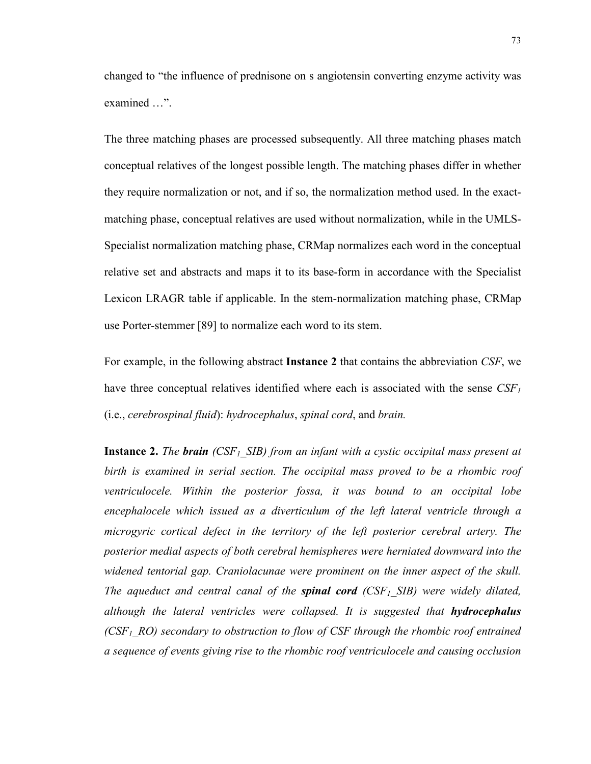changed to "the influence of prednisone on s angiotensin converting enzyme activity was examined …".

The three matching phases are processed subsequently. All three matching phases match conceptual relatives of the longest possible length. The matching phases differ in whether they require normalization or not, and if so, the normalization method used. In the exactmatching phase, conceptual relatives are used without normalization, while in the UMLS-Specialist normalization matching phase, CRMap normalizes each word in the conceptual relative set and abstracts and maps it to its base-form in accordance with the Specialist Lexicon LRAGR table if applicable. In the stem-normalization matching phase, CRMap use Porter-stemmer [89] to normalize each word to its stem.

For example, in the following abstract **Instance 2** that contains the abbreviation *CSF*, we have three conceptual relatives identified where each is associated with the sense  $CSF<sub>1</sub>$ (i.e., *cerebrospinal fluid*): *hydrocephalus*, *spinal cord*, and *brain.*

**Instance 2.** *The brain (CSF<sub>1</sub> SIB) from an infant with a cystic occipital mass present at birth is examined in serial section. The occipital mass proved to be a rhombic roof ventriculocele. Within the posterior fossa, it was bound to an occipital lobe encephalocele which issued as a diverticulum of the left lateral ventricle through a microgyric cortical defect in the territory of the left posterior cerebral artery. The posterior medial aspects of both cerebral hemispheres were herniated downward into the widened tentorial gap. Craniolacunae were prominent on the inner aspect of the skull. The aqueduct and central canal of the spinal cord (CSF<sub>1</sub> SIB) were widely dilated, although the lateral ventricles were collapsed. It is suggested that hydrocephalus (CSF1\_RO) secondary to obstruction to flow of CSF through the rhombic roof entrained a sequence of events giving rise to the rhombic roof ventriculocele and causing occlusion*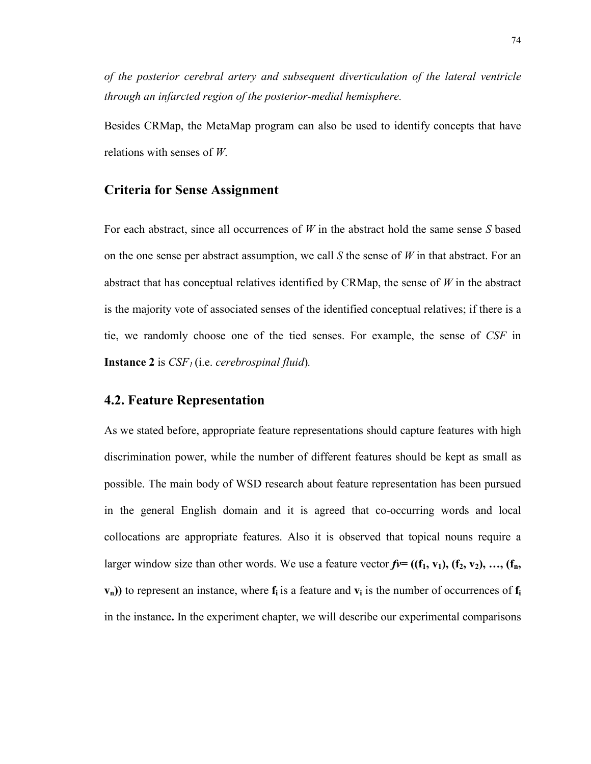*of the posterior cerebral artery and subsequent diverticulation of the lateral ventricle through an infarcted region of the posterior-medial hemisphere.* 

Besides CRMap, the MetaMap program can also be used to identify concepts that have relations with senses of *W*.

### **Criteria for Sense Assignment**

For each abstract, since all occurrences of *W* in the abstract hold the same sense *S* based on the one sense per abstract assumption, we call *S* the sense of *W* in that abstract. For an abstract that has conceptual relatives identified by CRMap, the sense of *W* in the abstract is the majority vote of associated senses of the identified conceptual relatives; if there is a tie, we randomly choose one of the tied senses. For example, the sense of *CSF* in **Instance 2** is *CSF<sub>1</sub>* (i.e. *cerebrospinal fluid*).

## **4.2. Feature Representation**

As we stated before, appropriate feature representations should capture features with high discrimination power, while the number of different features should be kept as small as possible. The main body of WSD research about feature representation has been pursued in the general English domain and it is agreed that co-occurring words and local collocations are appropriate features. Also it is observed that topical nouns require a larger window size than other words. We use a feature vector  $f = ((f_1, v_1), (f_2, v_2), ..., (f_n,$  $v_n$ )) to represent an instance, where  $f_i$  is a feature and  $v_i$  is the number of occurrences of  $f_i$ in the instance**.** In the experiment chapter, we will describe our experimental comparisons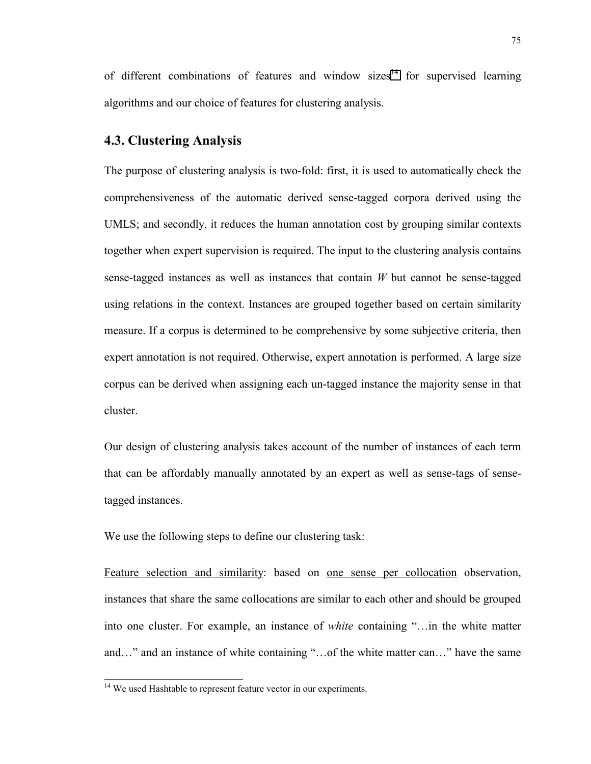of different combinations of features and window sizes<sup>14</sup> for supervised learning algorithms and our choice of features for clustering analysis.

#### **4.3. Clustering Analysis**

The purpose of clustering analysis is two-fold: first, it is used to automatically check the comprehensiveness of the automatic derived sense-tagged corpora derived using the UMLS; and secondly, it reduces the human annotation cost by grouping similar contexts together when expert supervision is required. The input to the clustering analysis contains sense-tagged instances as well as instances that contain *W* but cannot be sense-tagged using relations in the context. Instances are grouped together based on certain similarity measure. If a corpus is determined to be comprehensive by some subjective criteria, then expert annotation is not required. Otherwise, expert annotation is performed. A large size corpus can be derived when assigning each un-tagged instance the majority sense in that cluster.

Our design of clustering analysis takes account of the number of instances of each term that can be affordably manually annotated by an expert as well as sense-tags of sensetagged instances.

We use the following steps to define our clustering task:

Feature selection and similarity: based on one sense per collocation observation, instances that share the same collocations are similar to each other and should be grouped into one cluster. For example, an instance of *white* containing "…in the white matter and…" and an instance of white containing "…of the white matter can…" have the same

<sup>&</sup>lt;sup>14</sup> We used Hashtable to represent feature vector in our experiments.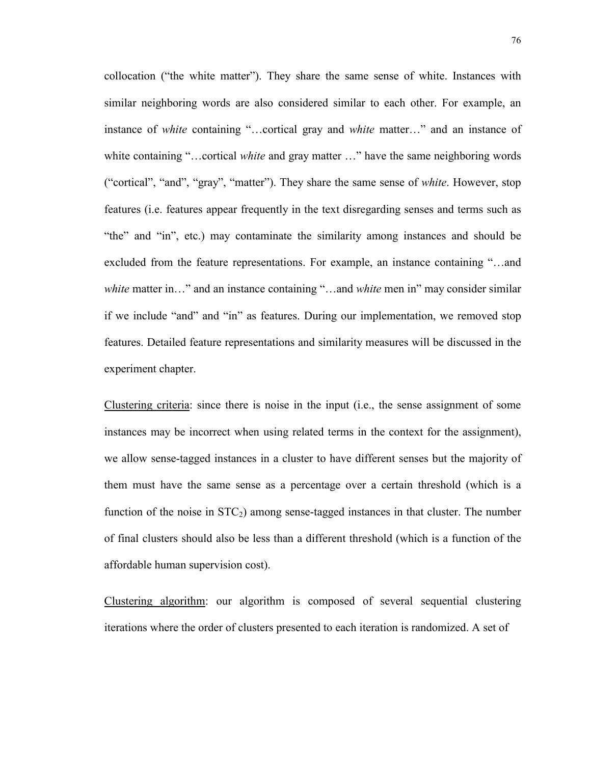collocation ("the white matter"). They share the same sense of white. Instances with similar neighboring words are also considered similar to each other. For example, an instance of *white* containing "…cortical gray and *white* matter…" and an instance of white containing "...cortical *white* and gray matter ..." have the same neighboring words ("cortical", "and", "gray", "matter"). They share the same sense of *white*. However, stop features (i.e. features appear frequently in the text disregarding senses and terms such as "the" and "in", etc.) may contaminate the similarity among instances and should be excluded from the feature representations. For example, an instance containing "…and *white* matter in…" and an instance containing "…and *white* men in" may consider similar if we include "and" and "in" as features. During our implementation, we removed stop features. Detailed feature representations and similarity measures will be discussed in the experiment chapter.

Clustering criteria: since there is noise in the input (i.e., the sense assignment of some instances may be incorrect when using related terms in the context for the assignment), we allow sense-tagged instances in a cluster to have different senses but the majority of them must have the same sense as a percentage over a certain threshold (which is a function of the noise in  $STC<sub>2</sub>$ ) among sense-tagged instances in that cluster. The number of final clusters should also be less than a different threshold (which is a function of the affordable human supervision cost).

Clustering algorithm: our algorithm is composed of several sequential clustering iterations where the order of clusters presented to each iteration is randomized. A set of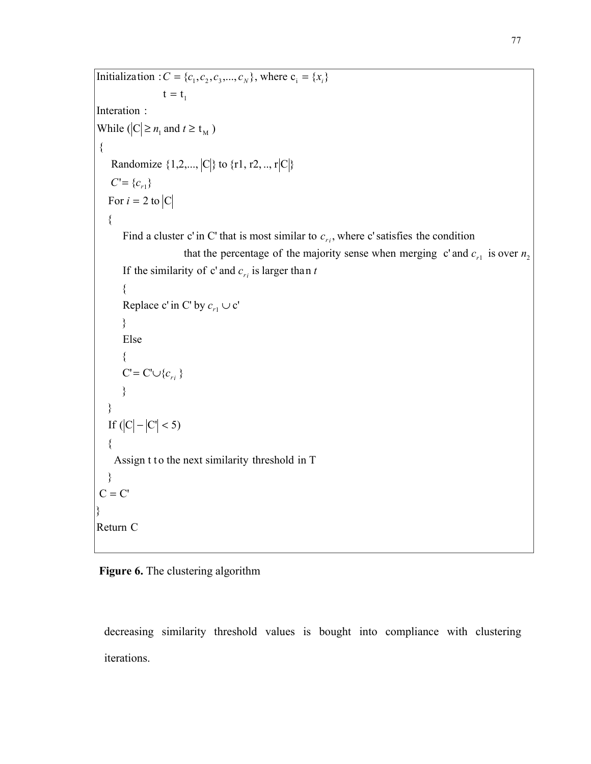```
C = C' } 
    Assign t to the next similarity threshold in T
\{If (|C| - |C| < 5) }
 }
C' = C' \cup \{c_{r_i}\}\ {
       Else
       } 
Replace c' in C' by c_{r_1} \cup c'\{If the similarity of c' and c_{ri} is larger than t
that the percentage of the majority sense when merging c' and c_{r_1} is over n_2Find a cluster c' in C' that is most similar to c_{ri}, where c' satisfies the condition
   {
For i = 2 to |C|C' = \{c_{r_1}\}\Randomize \{1,2,...,|C|\} to \{r1, r2, ..., r|C|\}\{While (|C| \ge n_1 and t \ge t_M)
Interation :
t = t_1Initialization : C = \{c_1, c_2, c_3, ..., c_N\}, where c_i = \{x_i\}=
      =\{c_{r}\}i
   C = \{c
```

```
Return C
```
}

## **Figure 6.** The clustering algorithm

decreasing similarity threshold values is bought into compliance with clustering iterations.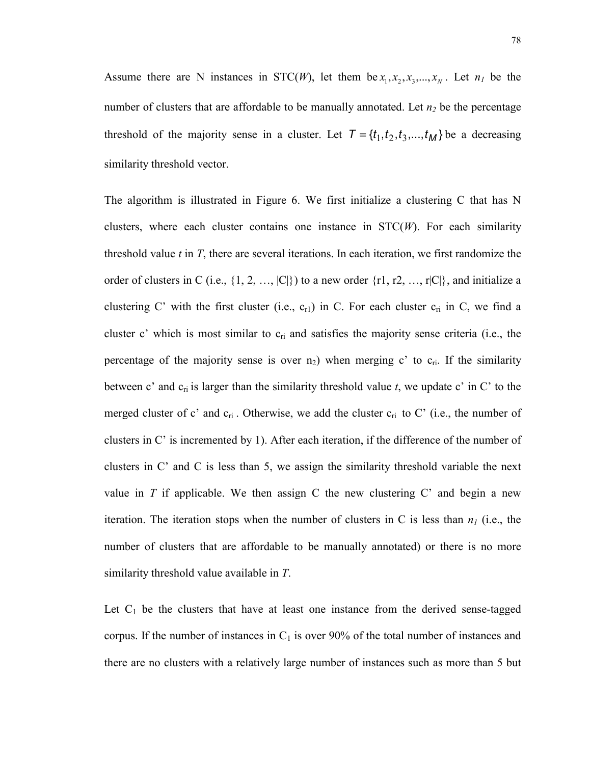Assume there are N instances in STC(*W*), let them be  $x_1, x_2, x_3, \ldots, x_N$ . Let  $n_1$  be the number of clusters that are affordable to be manually annotated. Let  $n_2$  be the percentage threshold of the majority sense in a cluster. Let  $T = \{t_1, t_2, t_3, ..., t_M\}$  be a decreasing similarity threshold vector.

The algorithm is illustrated in Figure 6. We first initialize a clustering C that has N clusters, where each cluster contains one instance in STC(*W*). For each similarity threshold value *t* in *T*, there are several iterations. In each iteration, we first randomize the order of clusters in C (i.e.,  $\{1, 2, ..., |C|\}$ ) to a new order  $\{r1, r2, ..., r|C|\}$ , and initialize a clustering C' with the first cluster (i.e.,  $c_{r1}$ ) in C. For each cluster  $c_{ri}$  in C, we find a cluster c' which is most similar to  $c_{ri}$  and satisfies the majority sense criteria (i.e., the percentage of the majority sense is over  $n_2$ ) when merging c' to  $c_{ri}$ . If the similarity between c' and  $c_{ri}$  is larger than the similarity threshold value  $t$ , we update c' in C' to the merged cluster of c' and  $c_{ri}$ . Otherwise, we add the cluster  $c_{ri}$  to C' (i.e., the number of clusters in C' is incremented by 1). After each iteration, if the difference of the number of clusters in C' and C is less than 5, we assign the similarity threshold variable the next value in  $T$  if applicable. We then assign  $C$  the new clustering  $C'$  and begin a new iteration. The iteration stops when the number of clusters in C is less than  $n<sub>1</sub>$  (i.e., the number of clusters that are affordable to be manually annotated) or there is no more similarity threshold value available in *T*.

Let  $C_1$  be the clusters that have at least one instance from the derived sense-tagged corpus. If the number of instances in  $C_1$  is over 90% of the total number of instances and there are no clusters with a relatively large number of instances such as more than 5 but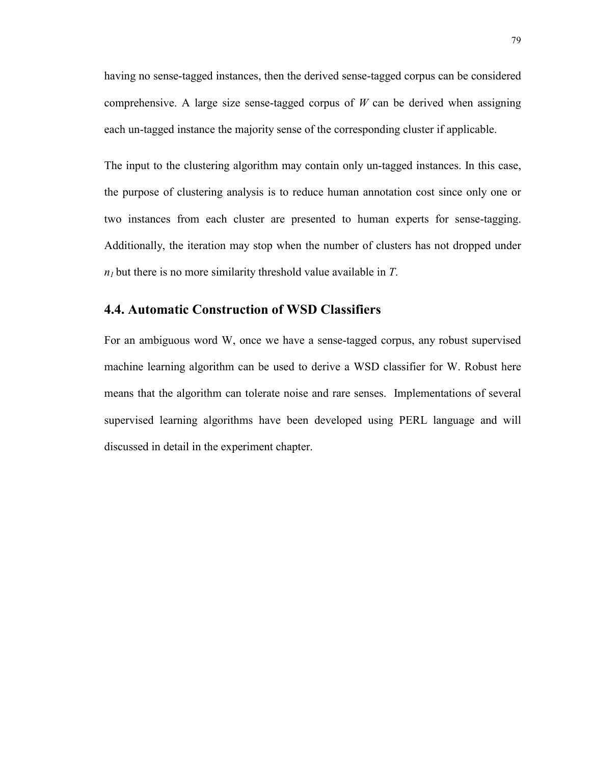having no sense-tagged instances, then the derived sense-tagged corpus can be considered comprehensive. A large size sense-tagged corpus of *W* can be derived when assigning each un-tagged instance the majority sense of the corresponding cluster if applicable.

The input to the clustering algorithm may contain only un-tagged instances. In this case, the purpose of clustering analysis is to reduce human annotation cost since only one or two instances from each cluster are presented to human experts for sense-tagging. Additionally, the iteration may stop when the number of clusters has not dropped under  $n_1$  but there is no more similarity threshold value available in  $T$ .

### **4.4. Automatic Construction of WSD Classifiers**

For an ambiguous word W, once we have a sense-tagged corpus, any robust supervised machine learning algorithm can be used to derive a WSD classifier for W. Robust here means that the algorithm can tolerate noise and rare senses. Implementations of several supervised learning algorithms have been developed using PERL language and will discussed in detail in the experiment chapter.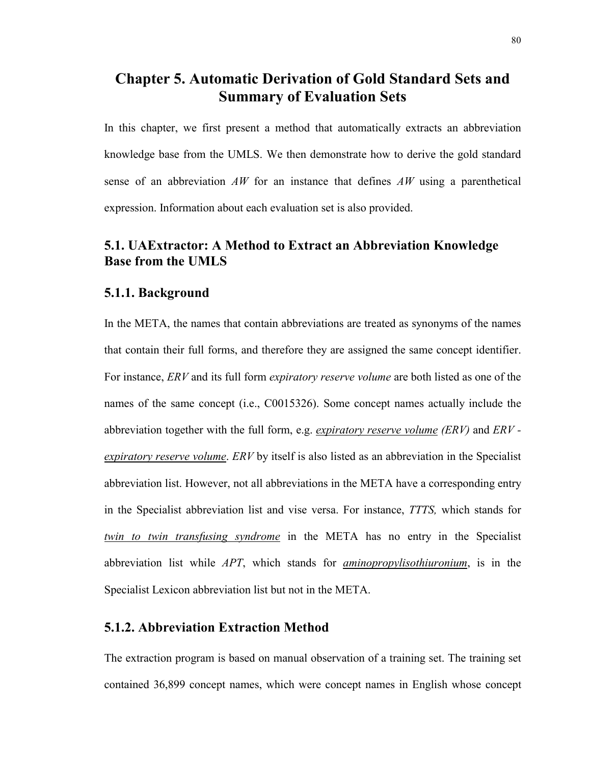# **Chapter 5. Automatic Derivation of Gold Standard Sets and Summary of Evaluation Sets**

In this chapter, we first present a method that automatically extracts an abbreviation knowledge base from the UMLS. We then demonstrate how to derive the gold standard sense of an abbreviation *AW* for an instance that defines *AW* using a parenthetical expression. Information about each evaluation set is also provided.

# **5.1. UAExtractor: A Method to Extract an Abbreviation Knowledge Base from the UMLS**

### **5.1.1. Background**

In the META, the names that contain abbreviations are treated as synonyms of the names that contain their full forms, and therefore they are assigned the same concept identifier. For instance, *ERV* and its full form *expiratory reserve volume* are both listed as one of the names of the same concept (i.e., C0015326). Some concept names actually include the abbreviation together with the full form, e.g. *expiratory reserve volume (ERV)* and *ERV expiratory reserve volume*. *ERV* by itself is also listed as an abbreviation in the Specialist abbreviation list. However, not all abbreviations in the META have a corresponding entry in the Specialist abbreviation list and vise versa. For instance, *TTTS,* which stands for *twin to twin transfusing syndrome* in the META has no entry in the Specialist abbreviation list while *APT*, which stands for *aminopropylisothiuronium*, is in the Specialist Lexicon abbreviation list but not in the META.

### **5.1.2. Abbreviation Extraction Method**

The extraction program is based on manual observation of a training set. The training set contained 36,899 concept names, which were concept names in English whose concept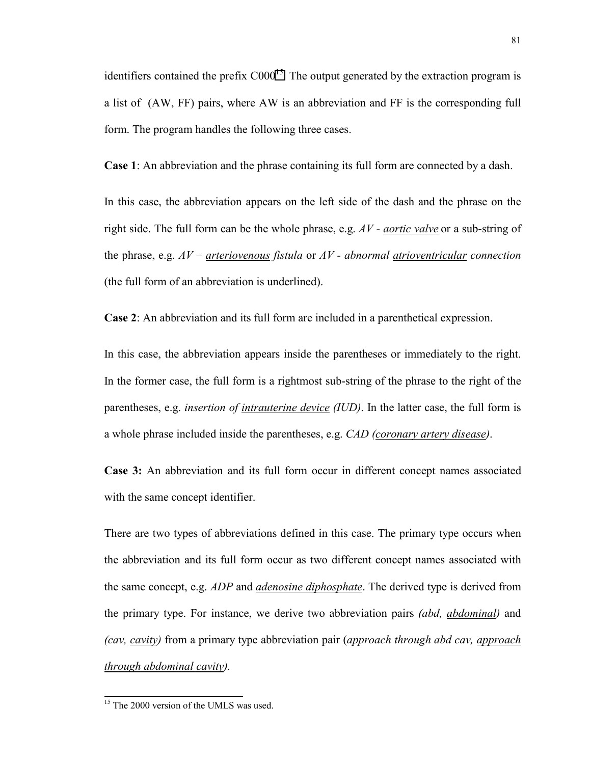identifiers contained the prefix  $C000^{15}$ . The output generated by the extraction program is a list of (AW, FF) pairs, where AW is an abbreviation and FF is the corresponding full form. The program handles the following three cases.

**Case 1**: An abbreviation and the phrase containing its full form are connected by a dash.

In this case, the abbreviation appears on the left side of the dash and the phrase on the right side. The full form can be the whole phrase, e.g. *AV - aortic valve* or a sub-string of the phrase, e.g. *AV – arteriovenous fistula* or *AV - abnormal atrioventricular connection* (the full form of an abbreviation is underlined).

**Case 2**: An abbreviation and its full form are included in a parenthetical expression.

In this case, the abbreviation appears inside the parentheses or immediately to the right. In the former case, the full form is a rightmost sub-string of the phrase to the right of the parentheses, e.g. *insertion of intrauterine device (IUD)*. In the latter case, the full form is a whole phrase included inside the parentheses, e.g. *CAD (coronary artery disease)*.

**Case 3:** An abbreviation and its full form occur in different concept names associated with the same concept identifier.

There are two types of abbreviations defined in this case. The primary type occurs when the abbreviation and its full form occur as two different concept names associated with the same concept, e.g. *ADP* and *adenosine diphosphate*. The derived type is derived from the primary type. For instance, we derive two abbreviation pairs *(abd, abdominal)* and *(cav, cavity)* from a primary type abbreviation pair (*approach through abd cav, approach through abdominal cavity).* 

 $\overline{a}$ 

<sup>&</sup>lt;sup>15</sup> The 2000 version of the UMLS was used.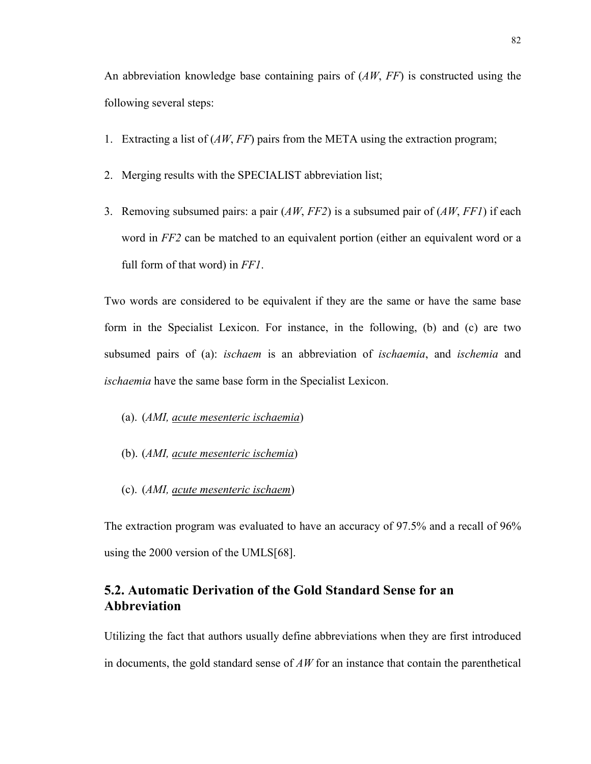An abbreviation knowledge base containing pairs of (*AW*, *FF*) is constructed using the following several steps:

- 1. Extracting a list of (*AW*, *FF*) pairs from the META using the extraction program;
- 2. Merging results with the SPECIALIST abbreviation list;
- 3. Removing subsumed pairs: a pair (*AW*, *FF2*) is a subsumed pair of (*AW*, *FF1*) if each word in *FF2* can be matched to an equivalent portion (either an equivalent word or a full form of that word) in *FF1*.

Two words are considered to be equivalent if they are the same or have the same base form in the Specialist Lexicon. For instance, in the following, (b) and (c) are two subsumed pairs of (a): *ischaem* is an abbreviation of *ischaemia*, and *ischemia* and *ischaemia* have the same base form in the Specialist Lexicon.

- (a). (*AMI, acute mesenteric ischaemia*)
- (b). (*AMI, acute mesenteric ischemia*)
- (c). (*AMI, acute mesenteric ischaem*)

The extraction program was evaluated to have an accuracy of 97.5% and a recall of 96% using the 2000 version of the UMLS[68].

# **5.2. Automatic Derivation of the Gold Standard Sense for an Abbreviation**

Utilizing the fact that authors usually define abbreviations when they are first introduced in documents, the gold standard sense of *AW* for an instance that contain the parenthetical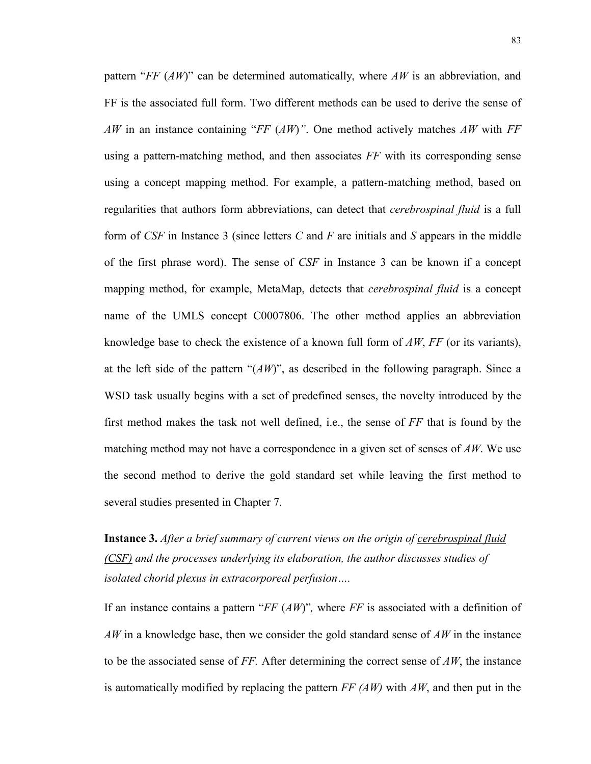pattern "*FF* (*AW*)" can be determined automatically, where *AW* is an abbreviation, and FF is the associated full form. Two different methods can be used to derive the sense of *AW* in an instance containing "*FF* (*AW*)*"*. One method actively matches *AW* with *FF* using a pattern-matching method, and then associates *FF* with its corresponding sense using a concept mapping method. For example, a pattern-matching method, based on regularities that authors form abbreviations, can detect that *cerebrospinal fluid* is a full form of *CSF* in Instance 3 (since letters *C* and *F* are initials and *S* appears in the middle of the first phrase word). The sense of *CSF* in Instance 3 can be known if a concept mapping method, for example, MetaMap, detects that *cerebrospinal fluid* is a concept name of the UMLS concept C0007806. The other method applies an abbreviation knowledge base to check the existence of a known full form of *AW*, *FF* (or its variants), at the left side of the pattern "(*AW*)", as described in the following paragraph. Since a WSD task usually begins with a set of predefined senses, the novelty introduced by the first method makes the task not well defined, i.e., the sense of *FF* that is found by the matching method may not have a correspondence in a given set of senses of *AW*. We use the second method to derive the gold standard set while leaving the first method to several studies presented in Chapter 7.

**Instance 3.** *After a brief summary of current views on the origin of cerebrospinal fluid (CSF) and the processes underlying its elaboration, the author discusses studies of isolated chorid plexus in extracorporeal perfusion….*

If an instance contains a pattern "*FF* (*AW*)"*,* where *FF* is associated with a definition of *AW* in a knowledge base, then we consider the gold standard sense of *AW* in the instance to be the associated sense of *FF.* After determining the correct sense of *AW*, the instance is automatically modified by replacing the pattern *FF (AW)* with *AW*, and then put in the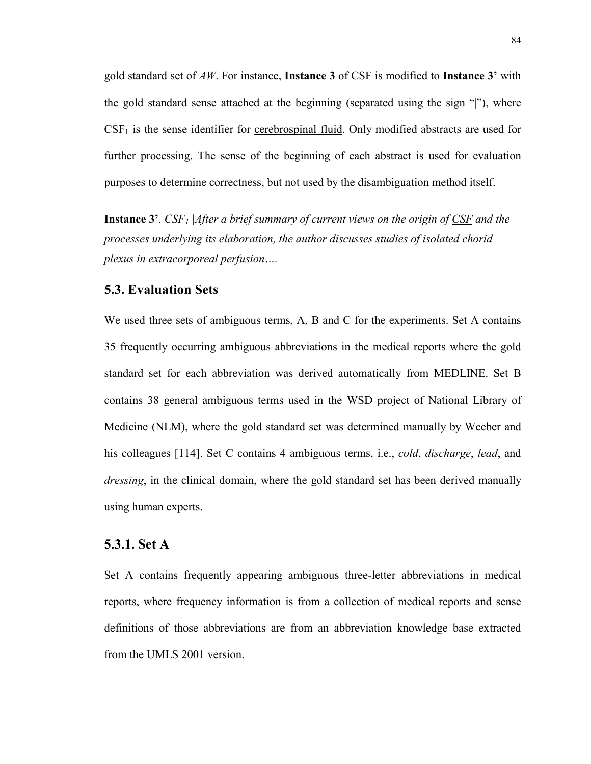gold standard set of *AW*. For instance, **Instance 3** of CSF is modified to **Instance 3'** with the gold standard sense attached at the beginning (separated using the sign "|"), where  $CSF<sub>1</sub>$  is the sense identifier for cerebrospinal fluid. Only modified abstracts are used for further processing. The sense of the beginning of each abstract is used for evaluation purposes to determine correctness, but not used by the disambiguation method itself.

**Instance 3'**. *CSF1 |After a brief summary of current views on the origin of CSF and the processes underlying its elaboration, the author discusses studies of isolated chorid plexus in extracorporeal perfusion….*

#### **5.3. Evaluation Sets**

We used three sets of ambiguous terms, A, B and C for the experiments. Set A contains 35 frequently occurring ambiguous abbreviations in the medical reports where the gold standard set for each abbreviation was derived automatically from MEDLINE. Set B contains 38 general ambiguous terms used in the WSD project of National Library of Medicine (NLM), where the gold standard set was determined manually by Weeber and his colleagues [114]. Set C contains 4 ambiguous terms, i.e., *cold*, *discharge*, *lead*, and *dressing*, in the clinical domain, where the gold standard set has been derived manually using human experts.

### **5.3.1. Set A**

Set A contains frequently appearing ambiguous three-letter abbreviations in medical reports, where frequency information is from a collection of medical reports and sense definitions of those abbreviations are from an abbreviation knowledge base extracted from the UMLS 2001 version.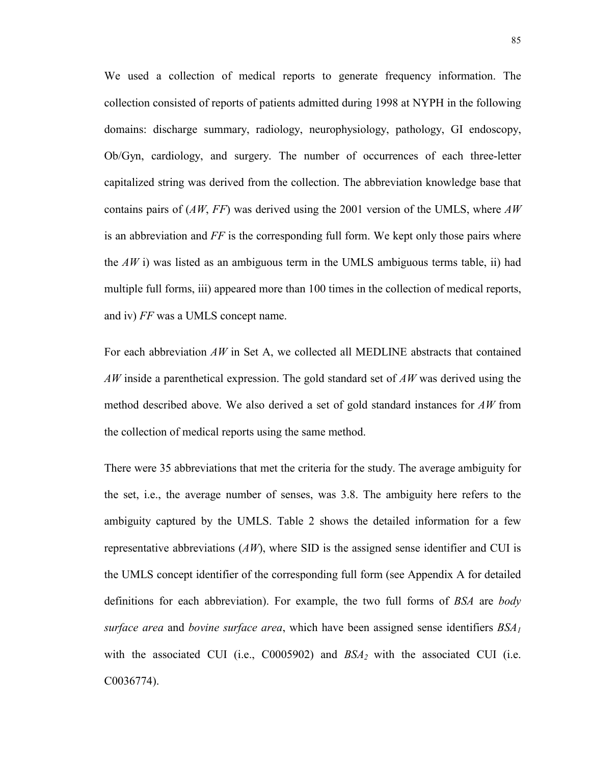We used a collection of medical reports to generate frequency information. The collection consisted of reports of patients admitted during 1998 at NYPH in the following domains: discharge summary, radiology, neurophysiology, pathology, GI endoscopy, Ob/Gyn, cardiology, and surgery. The number of occurrences of each three-letter capitalized string was derived from the collection. The abbreviation knowledge base that contains pairs of (*AW*, *FF*) was derived using the 2001 version of the UMLS, where *AW* is an abbreviation and *FF* is the corresponding full form. We kept only those pairs where the  $AW$  i) was listed as an ambiguous term in the UMLS ambiguous terms table, ii) had multiple full forms, iii) appeared more than 100 times in the collection of medical reports, and iv) *FF* was a UMLS concept name.

For each abbreviation *AW* in Set A, we collected all MEDLINE abstracts that contained *AW* inside a parenthetical expression. The gold standard set of *AW* was derived using the method described above. We also derived a set of gold standard instances for *AW* from the collection of medical reports using the same method.

There were 35 abbreviations that met the criteria for the study. The average ambiguity for the set, i.e., the average number of senses, was 3.8. The ambiguity here refers to the ambiguity captured by the UMLS. Table 2 shows the detailed information for a few representative abbreviations (*AW*), where SID is the assigned sense identifier and CUI is the UMLS concept identifier of the corresponding full form (see Appendix A for detailed definitions for each abbreviation). For example, the two full forms of *BSA* are *body surface area* and *bovine surface area*, which have been assigned sense identifiers *BSA1* with the associated CUI (i.e., C0005902) and  $BSA<sub>2</sub>$  with the associated CUI (i.e. C0036774).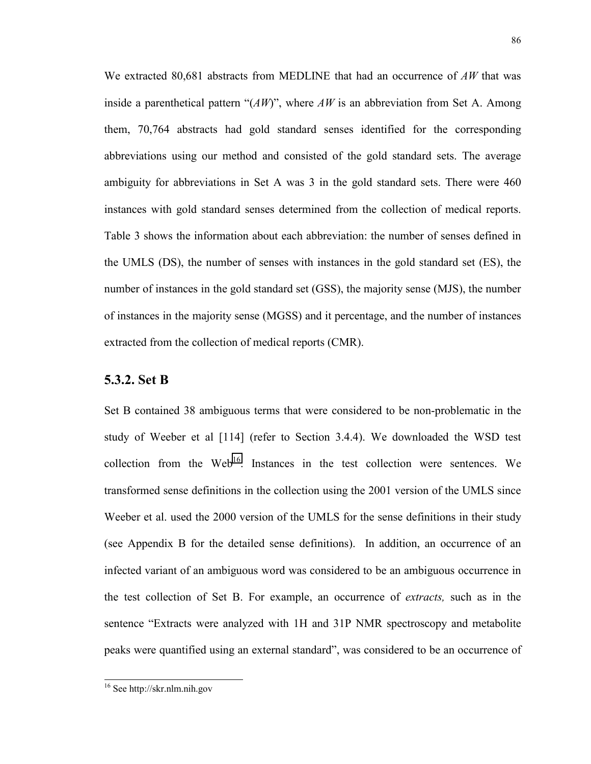We extracted 80,681 abstracts from MEDLINE that had an occurrence of *AW* that was inside a parenthetical pattern "(*AW*)", where *AW* is an abbreviation from Set A. Among them, 70,764 abstracts had gold standard senses identified for the corresponding abbreviations using our method and consisted of the gold standard sets. The average ambiguity for abbreviations in Set A was 3 in the gold standard sets. There were 460 instances with gold standard senses determined from the collection of medical reports. Table 3 shows the information about each abbreviation: the number of senses defined in the UMLS (DS), the number of senses with instances in the gold standard set (ES), the number of instances in the gold standard set (GSS), the majority sense (MJS), the number of instances in the majority sense (MGSS) and it percentage, and the number of instances extracted from the collection of medical reports (CMR).

#### **5.3.2. Set B**

Set B contained 38 ambiguous terms that were considered to be non-problematic in the study of Weeber et al [114] (refer to Section 3.4.4). We downloaded the WSD test collection from the Web<sup>16</sup>. Instances in the test collection were sentences. We transformed sense definitions in the collection using the 2001 version of the UMLS since Weeber et al. used the 2000 version of the UMLS for the sense definitions in their study (see Appendix B for the detailed sense definitions). In addition, an occurrence of an infected variant of an ambiguous word was considered to be an ambiguous occurrence in the test collection of Set B. For example, an occurrence of *extracts,* such as in the sentence "Extracts were analyzed with 1H and 31P NMR spectroscopy and metabolite peaks were quantified using an external standard", was considered to be an occurrence of

 16 See http://skr.nlm.nih.gov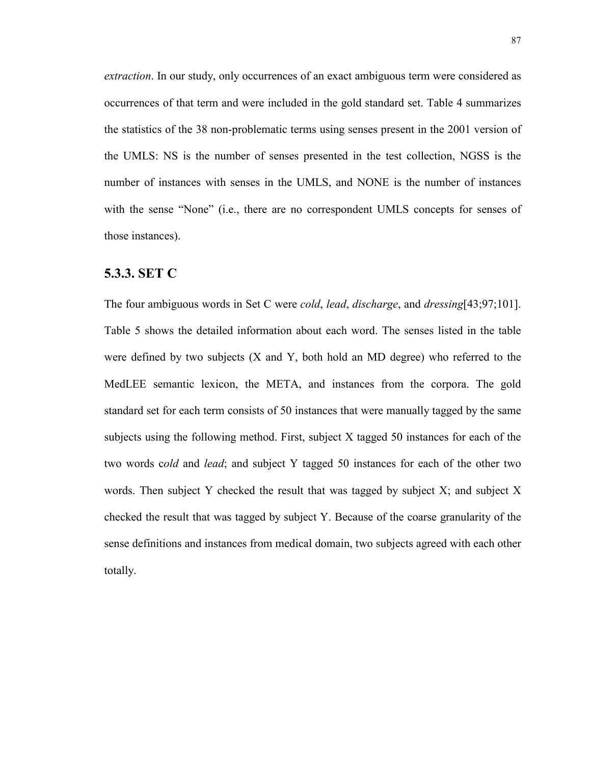*extraction*. In our study, only occurrences of an exact ambiguous term were considered as occurrences of that term and were included in the gold standard set. Table 4 summarizes the statistics of the 38 non-problematic terms using senses present in the 2001 version of the UMLS: NS is the number of senses presented in the test collection, NGSS is the number of instances with senses in the UMLS, and NONE is the number of instances with the sense "None" (i.e., there are no correspondent UMLS concepts for senses of those instances).

#### **5.3.3. SET C**

The four ambiguous words in Set C were *cold*, *lead*, *discharge*, and *dressing*[43;97;101]. Table 5 shows the detailed information about each word. The senses listed in the table were defined by two subjects  $(X \text{ and } Y)$ , both hold an MD degree) who referred to the MedLEE semantic lexicon, the META, and instances from the corpora. The gold standard set for each term consists of 50 instances that were manually tagged by the same subjects using the following method. First, subject X tagged 50 instances for each of the two words c*old* and *lead*; and subject Y tagged 50 instances for each of the other two words. Then subject Y checked the result that was tagged by subject X; and subject X checked the result that was tagged by subject Y. Because of the coarse granularity of the sense definitions and instances from medical domain, two subjects agreed with each other totally.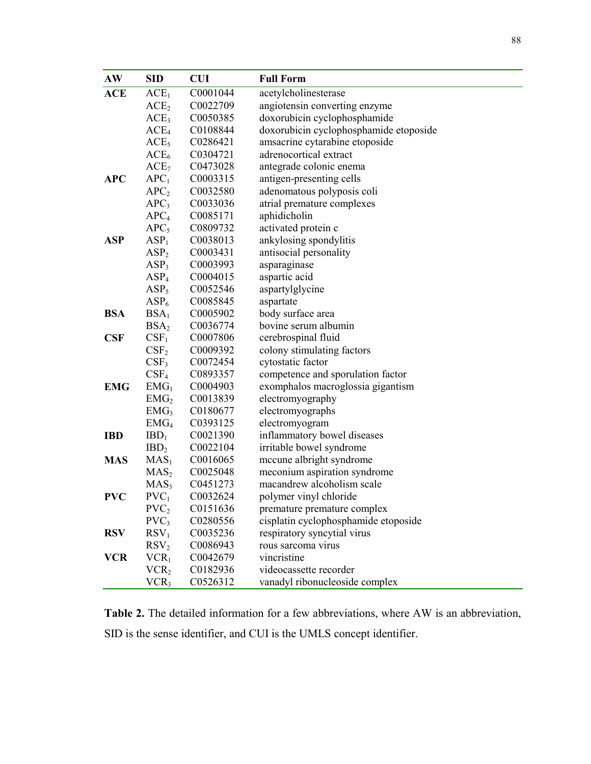| AW         | <b>SID</b>       | <b>CUI</b> | <b>Full Form</b>                       |
|------------|------------------|------------|----------------------------------------|
| <b>ACE</b> | ACE <sub>1</sub> | C0001044   | acetylcholinesterase                   |
|            | ACE <sub>2</sub> | C0022709   | angiotensin converting enzyme          |
|            | ACE <sub>3</sub> | C0050385   | doxorubicin cyclophosphamide           |
|            | ACE <sub>4</sub> | C0108844   | doxorubicin cyclophosphamide etoposide |
|            | ACE <sub>5</sub> | C0286421   | amsacrine cytarabine etoposide         |
|            | ACE <sub>6</sub> | C0304721   | adrenocortical extract                 |
|            | ACE <sub>7</sub> | C0473028   | antegrade colonic enema                |
| <b>APC</b> | APC <sub>1</sub> | C0003315   | antigen-presenting cells               |
|            | APC <sub>2</sub> | C0032580   | adenomatous polyposis coli             |
|            | APC <sub>3</sub> | C0033036   | atrial premature complexes             |
|            | APC <sub>4</sub> | C0085171   | aphidicholin                           |
|            | APC <sub>5</sub> | C0809732   | activated protein c                    |
| <b>ASP</b> | ASP <sub>1</sub> | C0038013   | ankylosing spondylitis                 |
|            | ASP <sub>2</sub> | C0003431   | antisocial personality                 |
|            | ASP <sub>3</sub> | C0003993   | asparaginase                           |
|            | ASP <sub>4</sub> | C0004015   | aspartic acid                          |
|            | ASP <sub>5</sub> | C0052546   | aspartylglycine                        |
|            | ASP <sub>6</sub> | C0085845   | aspartate                              |
| <b>BSA</b> | BSA <sub>1</sub> | C0005902   | body surface area                      |
|            | BSA <sub>2</sub> | C0036774   | bovine serum albumin                   |
| <b>CSF</b> | CSF <sub>1</sub> | C0007806   | cerebrospinal fluid                    |
|            | CSF <sub>2</sub> | C0009392   | colony stimulating factors             |
|            | CSF <sub>3</sub> | C0072454   | cytostatic factor                      |
|            | $\rm{CSF_4}$     | C0893357   | competence and sporulation factor      |
| <b>EMG</b> | $EMG_1$          | C0004903   | exomphalos macroglossia gigantism      |
|            | EMG <sub>2</sub> | C0013839   | electromyography                       |
|            | EMG <sub>3</sub> | C0180677   | electromyographs                       |
|            | EMG <sub>4</sub> | C0393125   | electromyogram                         |
| <b>IBD</b> | $IBD_1$          | C0021390   | inflammatory bowel diseases            |
|            | IBD <sub>2</sub> | C0022104   | irritable bowel syndrome               |
| <b>MAS</b> | $MAS_1$          | C0016065   | mccune albright syndrome               |
|            | MAS <sub>2</sub> | C0025048   | meconium aspiration syndrome           |
|            | MAS <sub>3</sub> | C0451273   | macandrew alcoholism scale             |
| <b>PVC</b> | $PVC_1$          | C0032624   | polymer vinyl chloride                 |
|            | PVC <sub>2</sub> | C0151636   | premature premature complex            |
|            | $PVC_3$          | C0280556   | cisplatin cyclophosphamide etoposide   |
| <b>RSV</b> | RSV <sub>1</sub> | C0035236   | respiratory syncytial virus            |
|            | RSV <sub>2</sub> | C0086943   | rous sarcoma virus                     |
| <b>VCR</b> | VCR <sub>1</sub> | C0042679   | vincristine                            |
|            | VCR <sub>2</sub> | C0182936   | videocassette recorder                 |
|            | VCR <sub>3</sub> | C0526312   | vanadyl ribonucleoside complex         |

**Table 2.** The detailed information for a few abbreviations, where AW is an abbreviation, SID is the sense identifier, and CUI is the UMLS concept identifier.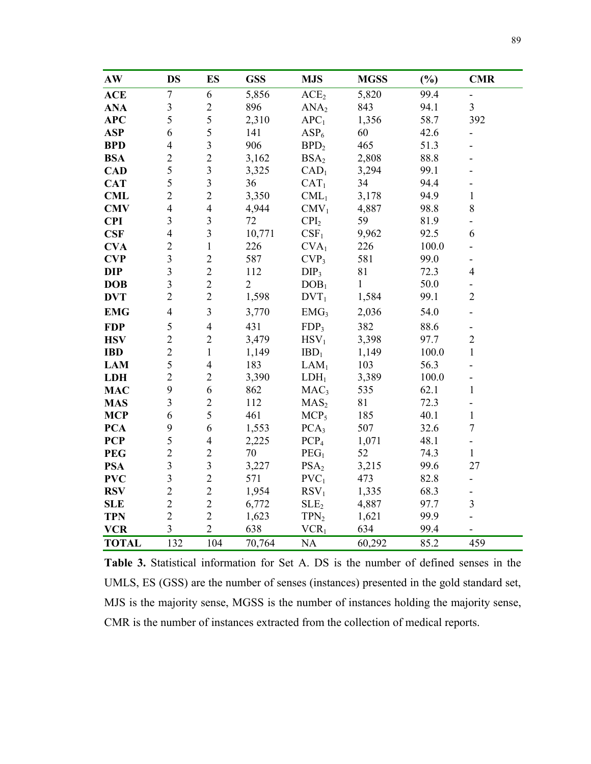| $\mathbf{A}\mathbf{W}$ | <b>DS</b>               | <b>ES</b>               | <b>GSS</b>     | <b>MJS</b>       | <b>MGSS</b>  | (%)   | <b>CMR</b>                   |
|------------------------|-------------------------|-------------------------|----------------|------------------|--------------|-------|------------------------------|
| <b>ACE</b>             | $\overline{7}$          | 6                       | 5,856          | ACE <sub>2</sub> | 5,820        | 99.4  | $\blacksquare$               |
| <b>ANA</b>             | $\mathfrak{Z}$          | $\overline{2}$          | 896            | ANA <sub>2</sub> | 843          | 94.1  | $\overline{3}$               |
| APC                    | 5                       | 5                       | 2,310          | APC <sub>1</sub> | 1,356        | 58.7  | 392                          |
| <b>ASP</b>             | 6                       | 5                       | 141            | ASP <sub>6</sub> | 60           | 42.6  |                              |
| <b>BPD</b>             | $\overline{4}$          | $\overline{\mathbf{3}}$ | 906            | BPD <sub>2</sub> | 465          | 51.3  |                              |
| <b>BSA</b>             | $\overline{c}$          | $\overline{2}$          | 3,162          | BSA <sub>2</sub> | 2,808        | 88.8  |                              |
| <b>CAD</b>             | 5                       | $\overline{\mathbf{3}}$ | 3,325          | CAD <sub>1</sub> | 3,294        | 99.1  |                              |
| <b>CAT</b>             | 5                       | $\overline{\mathbf{3}}$ | 36             | CAT <sub>1</sub> | 34           | 94.4  | $\overline{\phantom{a}}$     |
| <b>CML</b>             | $\overline{c}$          | $\overline{2}$          | 3,350          | $CML_1$          | 3,178        | 94.9  | $\mathbf{1}$                 |
| <b>CMV</b>             | $\overline{4}$          | $\overline{4}$          | 4,944          | $CMV_1$          | 4,887        | 98.8  | 8                            |
| <b>CPI</b>             | $\overline{3}$          | $\overline{3}$          | 72             | CPI <sub>2</sub> | 59           | 81.9  | $\blacksquare$               |
| CSF                    | $\overline{4}$          | $\overline{\mathbf{3}}$ | 10,771         | CSF <sub>1</sub> | 9,962        | 92.5  | 6                            |
| <b>CVA</b>             | $\overline{c}$          | $\mathbf{1}$            | 226            | CVA <sub>1</sub> | 226          | 100.0 | $\blacksquare$               |
| <b>CVP</b>             | $\overline{3}$          | $\overline{2}$          | 587            | CVP <sub>3</sub> | 581          | 99.0  | $\blacksquare$               |
| <b>DIP</b>             | $\overline{3}$          | $\overline{2}$          | 112            | DIP <sub>3</sub> | 81           | 72.3  | $\overline{4}$               |
| <b>DOB</b>             | $\overline{3}$          | $\overline{2}$          | $\overline{2}$ | DOB <sub>1</sub> | $\mathbf{1}$ | 50.0  | $\overline{\phantom{a}}$     |
| <b>DVT</b>             | $\overline{2}$          | $\overline{2}$          | 1,598          | $DVT_1$          | 1,584        | 99.1  | $\sqrt{2}$                   |
| <b>EMG</b>             | $\overline{4}$          | 3                       | 3,770          | EMG <sub>3</sub> | 2,036        | 54.0  | $\overline{\phantom{0}}$     |
| <b>FDP</b>             | 5                       | $\overline{4}$          | 431            | FDP <sub>3</sub> | 382          | 88.6  | $\qquad \qquad \blacksquare$ |
| <b>HSV</b>             | $\overline{2}$          | $\sqrt{2}$              | 3,479          | $HSV_1$          | 3,398        | 97.7  | $\overline{2}$               |
| <b>IBD</b>             | $\overline{2}$          | $\mathbf{1}$            | 1,149          | $IBD_1$          | 1,149        | 100.0 | $\mathbf{1}$                 |
| <b>LAM</b>             | 5                       | $\overline{4}$          | 183            | LAM <sub>1</sub> | 103          | 56.3  |                              |
| <b>LDH</b>             | $\overline{2}$          | $\overline{2}$          | 3,390          | $LDH_1$          | 3,389        | 100.0 |                              |
| <b>MAC</b>             | 9                       | 6                       | 862            | MAC <sub>3</sub> | 535          | 62.1  | $\mathbf{1}$                 |
| <b>MAS</b>             | $\overline{\mathbf{3}}$ | $\overline{2}$          | 112            | MAS <sub>2</sub> | 81           | 72.3  | ä,                           |
| <b>MCP</b>             | 6                       | 5                       | 461            | MCP <sub>5</sub> | 185          | 40.1  | $\mathbf{1}$                 |
| <b>PCA</b>             | 9                       | 6                       | 1,553          | PCA <sub>3</sub> | 507          | 32.6  | $\tau$                       |
| <b>PCP</b>             | 5                       | $\overline{4}$          | 2,225          | PCP <sub>4</sub> | 1,071        | 48.1  | $\overline{\phantom{a}}$     |
| <b>PEG</b>             | $\overline{c}$          | $\overline{2}$          | 70             | PEG <sub>1</sub> | 52           | 74.3  | $\mathbf{1}$                 |
| <b>PSA</b>             | $\overline{\mathbf{3}}$ | $\overline{\mathbf{3}}$ | 3,227          | PSA <sub>2</sub> | 3,215        | 99.6  | 27                           |
| <b>PVC</b>             | $\overline{3}$          | $\overline{2}$          | 571            | $PVC_1$          | 473          | 82.8  | $\overline{\phantom{a}}$     |
| <b>RSV</b>             | $\overline{c}$          | $\overline{2}$          | 1,954          | RSV <sub>1</sub> | 1,335        | 68.3  | $\overline{\phantom{a}}$     |
| <b>SLE</b>             | $\overline{2}$          | $\overline{2}$          | 6,772          | SLE <sub>2</sub> | 4,887        | 97.7  | $\overline{\mathbf{3}}$      |
| <b>TPN</b>             | $\overline{2}$          | $\overline{2}$          | 1,623          | TPN <sub>2</sub> | 1,621        | 99.9  | $\overline{a}$               |
| <b>VCR</b>             | $\overline{\mathbf{3}}$ | $\overline{2}$          | 638            | VCR <sub>1</sub> | 634          | 99.4  |                              |
| <b>TOTAL</b>           | 132                     | 104                     | 70,764         | <b>NA</b>        | 60,292       | 85.2  | 459                          |

**Table 3.** Statistical information for Set A. DS is the number of defined senses in the UMLS, ES (GSS) are the number of senses (instances) presented in the gold standard set, MJS is the majority sense, MGSS is the number of instances holding the majority sense, CMR is the number of instances extracted from the collection of medical reports.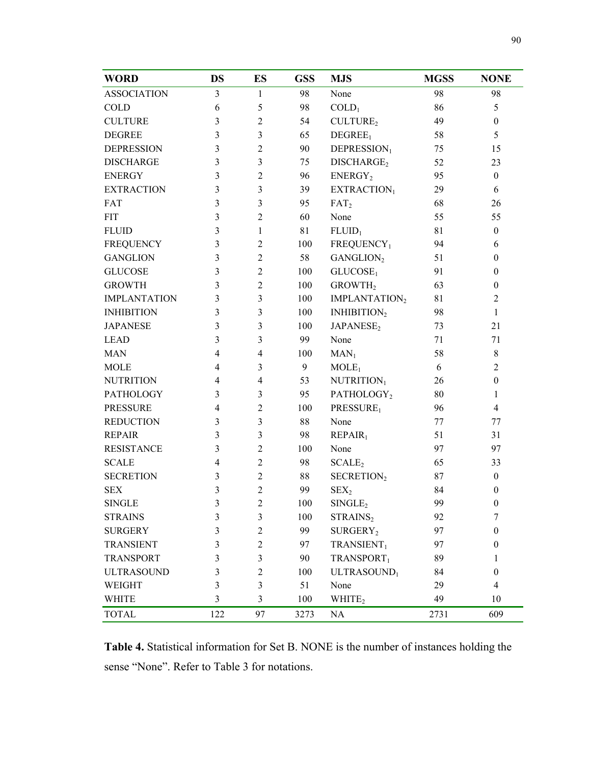| <b>WORD</b>         | <b>DS</b>      | ES             | <b>GSS</b> | <b>MJS</b>                | <b>MGSS</b> | <b>NONE</b>      |
|---------------------|----------------|----------------|------------|---------------------------|-------------|------------------|
| <b>ASSOCIATION</b>  | 3              | 1              | 98         | None                      | 98          | 98               |
| COLD                | 6              | 5              | 98         | $COLD_1$                  | 86          | 5                |
| <b>CULTURE</b>      | 3              | $\overline{2}$ | 54         | CULTURE <sub>2</sub>      | 49          | $\boldsymbol{0}$ |
| <b>DEGREE</b>       | 3              | 3              | 65         | DEGREE <sub>1</sub>       | 58          | 5                |
| <b>DEPRESSION</b>   | 3              | $\overline{2}$ | 90         | DEPRESSION <sub>1</sub>   | 75          | 15               |
| <b>DISCHARGE</b>    | 3              | 3              | 75         | DISCHARGE <sub>2</sub>    | 52          | 23               |
| <b>ENERGY</b>       | 3              | $\overline{2}$ | 96         | ENERGY <sub>2</sub>       | 95          | $\boldsymbol{0}$ |
| <b>EXTRACTION</b>   | 3              | 3              | 39         | EXTRACTION1               | 29          | 6                |
| FAT                 | 3              | 3              | 95         | FAT <sub>2</sub>          | 68          | 26               |
| <b>FIT</b>          | 3              | $\overline{2}$ | 60         | None                      | 55          | 55               |
| <b>FLUID</b>        | 3              | $\mathbf{1}$   | 81         | FLUID <sub>1</sub>        | 81          | $\boldsymbol{0}$ |
| <b>FREQUENCY</b>    | 3              | $\overline{2}$ | 100        | $\mbox{FREQUENCY}_1$      | 94          | 6                |
| <b>GANGLION</b>     | 3              | $\overline{2}$ | 58         | GANGLION <sub>2</sub>     | 51          | $\boldsymbol{0}$ |
| <b>GLUCOSE</b>      | 3              | $\overline{2}$ | 100        | GLUCOSE <sub>1</sub>      | 91          | $\boldsymbol{0}$ |
| <b>GROWTH</b>       | 3              | $\overline{c}$ | 100        | GROWTH <sub>2</sub>       | 63          | $\boldsymbol{0}$ |
| <b>IMPLANTATION</b> | 3              | 3              | 100        | IMPLANTATION <sub>2</sub> | 81          | $\overline{2}$   |
| <b>INHIBITION</b>   | 3              | 3              | 100        | INHIBITION <sub>2</sub>   | 98          | $\mathbf{1}$     |
| <b>JAPANESE</b>     | 3              | 3              | 100        | JAPANESE <sub>2</sub>     | 73          | 21               |
| <b>LEAD</b>         | 3              | 3              | 99         | None                      | 71          | 71               |
| <b>MAN</b>          | $\overline{4}$ | $\overline{4}$ | 100        | $MAN_1$                   | 58          | $\,8\,$          |
| <b>MOLE</b>         | 4              | 3              | 9          | MOLE <sub>1</sub>         | 6           | $\overline{2}$   |
| <b>NUTRITION</b>    | 4              | $\overline{4}$ | 53         | NUTRITION <sub>1</sub>    | 26          | $\boldsymbol{0}$ |
| <b>PATHOLOGY</b>    | 3              | 3              | 95         | PATHOLOGY <sub>2</sub>    | 80          | 1                |
| <b>PRESSURE</b>     | 4              | $\overline{2}$ | 100        | PRESSURE <sub>1</sub>     | 96          | $\overline{4}$   |
| <b>REDUCTION</b>    | 3              | 3              | 88         | None                      | 77          | 77               |
| <b>REPAIR</b>       | 3              | $\overline{3}$ | 98         | REPAIR <sub>1</sub>       | 51          | 31               |
| <b>RESISTANCE</b>   | 3              | $\overline{2}$ | 100        | None                      | 97          | 97               |
| <b>SCALE</b>        | 4              | $\overline{2}$ | 98         | SCALE <sub>2</sub>        | 65          | 33               |
| <b>SECRETION</b>    | 3              | $\overline{2}$ | 88         | SECRETION <sub>2</sub>    | 87          | $\boldsymbol{0}$ |
| <b>SEX</b>          | 3              | $\overline{2}$ | 99         | SEX <sub>2</sub>          | 84          | $\boldsymbol{0}$ |
| <b>SINGLE</b>       | $\mathfrak{Z}$ | $\overline{c}$ | 100        | SINGLE <sub>2</sub>       | 99          | $\boldsymbol{0}$ |
| <b>STRAINS</b>      | 3              | $\mathfrak{Z}$ | 100        | STRAINS <sub>2</sub>      | 92          | 7                |
| <b>SURGERY</b>      | 3              | $\sqrt{2}$     | 99         | SURGERY <sub>2</sub>      | 97          | $\boldsymbol{0}$ |
| <b>TRANSIENT</b>    | 3              | $\overline{2}$ | 97         | TRANSIENT <sub>1</sub>    | 97          | $\boldsymbol{0}$ |
| <b>TRANSPORT</b>    | 3              | $\mathfrak{Z}$ | 90         | TRANSPORT <sub>1</sub>    | 89          | 1                |
| <b>ULTRASOUND</b>   | 3              | $\sqrt{2}$     | 100        | ULTRASOUND <sub>1</sub>   | 84          | $\boldsymbol{0}$ |
| WEIGHT              | 3              | $\mathfrak{Z}$ | 51         | None                      | 29          | $\overline{4}$   |
| <b>WHITE</b>        | 3              | $\mathfrak{Z}$ | 100        | WHITE <sub>2</sub>        | 49          | 10               |
| <b>TOTAL</b>        | 122            | 97             | 3273       | NA                        | 2731        | 609              |

**Table 4.** Statistical information for Set B. NONE is the number of instances holding the sense "None". Refer to Table 3 for notations.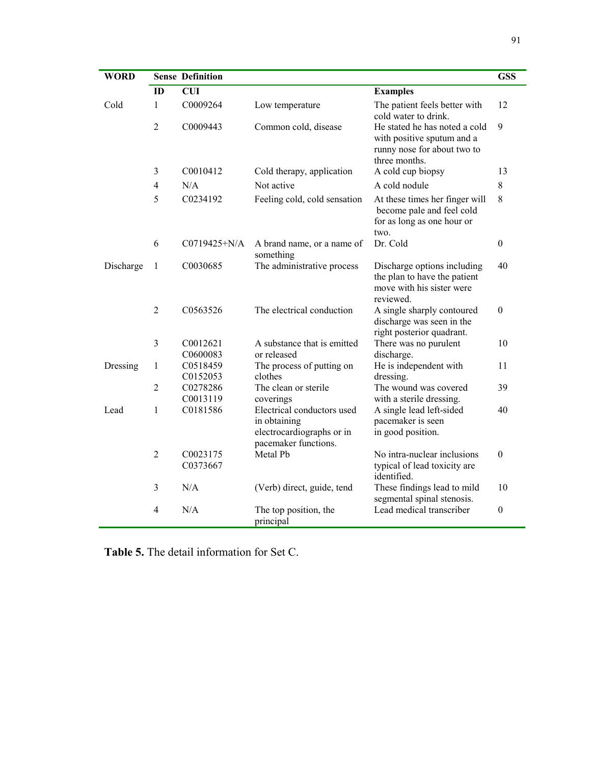| <b>WORD</b> |                | <b>Sense Definition</b>          |                                                                                                 |                                                                                                             | <b>GSS</b>       |
|-------------|----------------|----------------------------------|-------------------------------------------------------------------------------------------------|-------------------------------------------------------------------------------------------------------------|------------------|
|             | ID             | <b>CUI</b>                       |                                                                                                 | <b>Examples</b>                                                                                             |                  |
| Cold        | 1              | C0009264                         | Low temperature                                                                                 | The patient feels better with<br>cold water to drink.                                                       | 12               |
|             | $\overline{2}$ | C0009443                         | Common cold, disease                                                                            | He stated he has noted a cold<br>with positive sputum and a<br>runny nose for about two to<br>three months. | 9                |
|             | 3              | C0010412                         | Cold therapy, application                                                                       | A cold cup biopsy                                                                                           | 13               |
|             | $\overline{4}$ | N/A                              | Not active                                                                                      | A cold nodule                                                                                               | $8\,$            |
|             | 5              | C0234192                         | Feeling cold, cold sensation                                                                    | At these times her finger will<br>become pale and feel cold<br>for as long as one hour or<br>two.           | 8                |
|             | 6              | C0719425+N/A                     | A brand name, or a name of<br>something                                                         | Dr. Cold                                                                                                    | $\boldsymbol{0}$ |
| Discharge   | 1              | C0030685                         | The administrative process                                                                      | Discharge options including<br>the plan to have the patient<br>move with his sister were<br>reviewed.       | 40               |
|             | 2              | C0563526                         | The electrical conduction                                                                       | A single sharply contoured<br>discharge was seen in the<br>right posterior quadrant.                        | $\theta$         |
|             | $\overline{3}$ | C0012621<br>C0600083             | A substance that is emitted<br>or released                                                      | There was no purulent<br>discharge.                                                                         | 10               |
| Dressing    | $\mathbf{1}$   | C0518459                         | The process of putting on                                                                       | He is independent with                                                                                      | 11               |
|             |                | C0152053                         | clothes                                                                                         | dressing.                                                                                                   |                  |
|             | $\overline{2}$ | C0278286                         | The clean or sterile                                                                            | The wound was covered                                                                                       | 39               |
|             |                | C0013119                         | coverings                                                                                       | with a sterile dressing.                                                                                    |                  |
| Lead        | $\mathbf{1}$   | C0181586                         | Electrical conductors used<br>in obtaining<br>electrocardiographs or in<br>pacemaker functions. | A single lead left-sided<br>pacemaker is seen<br>in good position.                                          | 40               |
|             | $\overline{2}$ | C <sub>0023175</sub><br>C0373667 | Metal Pb                                                                                        | No intra-nuclear inclusions<br>typical of lead toxicity are<br>identified.                                  | $\theta$         |
|             | 3              | N/A                              | (Verb) direct, guide, tend                                                                      | These findings lead to mild<br>segmental spinal stenosis.                                                   | 10               |
|             | 4              | N/A                              | The top position, the<br>principal                                                              | Lead medical transcriber                                                                                    | $\boldsymbol{0}$ |

**Table 5.** The detail information for Set C.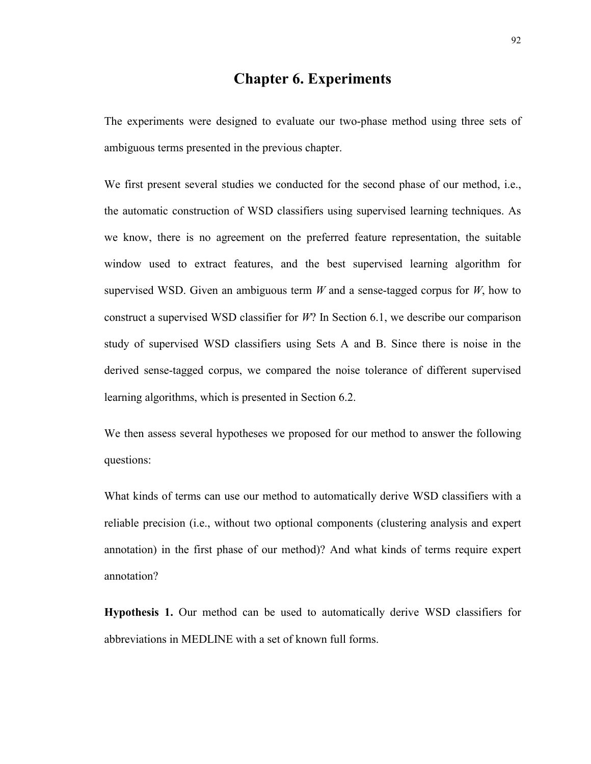# **Chapter 6. Experiments**

The experiments were designed to evaluate our two-phase method using three sets of ambiguous terms presented in the previous chapter.

We first present several studies we conducted for the second phase of our method, i.e., the automatic construction of WSD classifiers using supervised learning techniques. As we know, there is no agreement on the preferred feature representation, the suitable window used to extract features, and the best supervised learning algorithm for supervised WSD. Given an ambiguous term *W* and a sense-tagged corpus for *W*, how to construct a supervised WSD classifier for *W*? In Section 6.1, we describe our comparison study of supervised WSD classifiers using Sets A and B. Since there is noise in the derived sense-tagged corpus, we compared the noise tolerance of different supervised learning algorithms, which is presented in Section 6.2.

We then assess several hypotheses we proposed for our method to answer the following questions:

What kinds of terms can use our method to automatically derive WSD classifiers with a reliable precision (i.e., without two optional components (clustering analysis and expert annotation) in the first phase of our method)? And what kinds of terms require expert annotation?

**Hypothesis 1.** Our method can be used to automatically derive WSD classifiers for abbreviations in MEDLINE with a set of known full forms.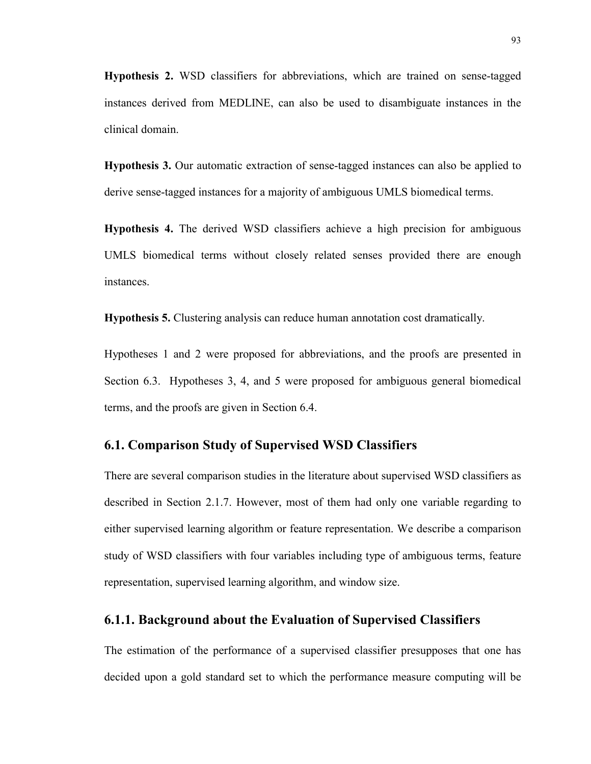**Hypothesis 2.** WSD classifiers for abbreviations, which are trained on sense-tagged instances derived from MEDLINE, can also be used to disambiguate instances in the clinical domain.

**Hypothesis 3.** Our automatic extraction of sense-tagged instances can also be applied to derive sense-tagged instances for a majority of ambiguous UMLS biomedical terms.

**Hypothesis 4.** The derived WSD classifiers achieve a high precision for ambiguous UMLS biomedical terms without closely related senses provided there are enough instances.

**Hypothesis 5.** Clustering analysis can reduce human annotation cost dramatically.

Hypotheses 1 and 2 were proposed for abbreviations, and the proofs are presented in Section 6.3. Hypotheses 3, 4, and 5 were proposed for ambiguous general biomedical terms, and the proofs are given in Section 6.4.

# **6.1. Comparison Study of Supervised WSD Classifiers**

There are several comparison studies in the literature about supervised WSD classifiers as described in Section 2.1.7. However, most of them had only one variable regarding to either supervised learning algorithm or feature representation. We describe a comparison study of WSD classifiers with four variables including type of ambiguous terms, feature representation, supervised learning algorithm, and window size.

## **6.1.1. Background about the Evaluation of Supervised Classifiers**

The estimation of the performance of a supervised classifier presupposes that one has decided upon a gold standard set to which the performance measure computing will be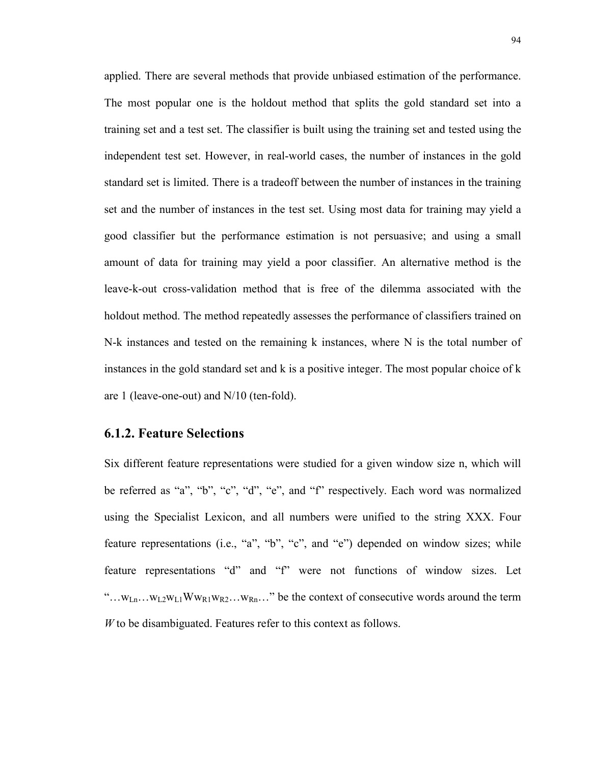applied. There are several methods that provide unbiased estimation of the performance. The most popular one is the holdout method that splits the gold standard set into a training set and a test set. The classifier is built using the training set and tested using the independent test set. However, in real-world cases, the number of instances in the gold standard set is limited. There is a tradeoff between the number of instances in the training set and the number of instances in the test set. Using most data for training may yield a good classifier but the performance estimation is not persuasive; and using a small amount of data for training may yield a poor classifier. An alternative method is the leave-k-out cross-validation method that is free of the dilemma associated with the holdout method. The method repeatedly assesses the performance of classifiers trained on N-k instances and tested on the remaining k instances, where N is the total number of instances in the gold standard set and k is a positive integer. The most popular choice of k are 1 (leave-one-out) and N/10 (ten-fold).

#### **6.1.2. Feature Selections**

Six different feature representations were studied for a given window size n, which will be referred as "a", "b", "c", "d", "e", and "f" respectively. Each word was normalized using the Specialist Lexicon, and all numbers were unified to the string XXX. Four feature representations (i.e., "a", "b", "c", and "e") depended on window sizes; while feature representations "d" and "f" were not functions of window sizes. Let "... $W_{Ln}$ ... $W_{L2}W_{L1}WW_{R1}W_{R2}...W_{Rn}$ ..." be the context of consecutive words around the term *W* to be disambiguated. Features refer to this context as follows.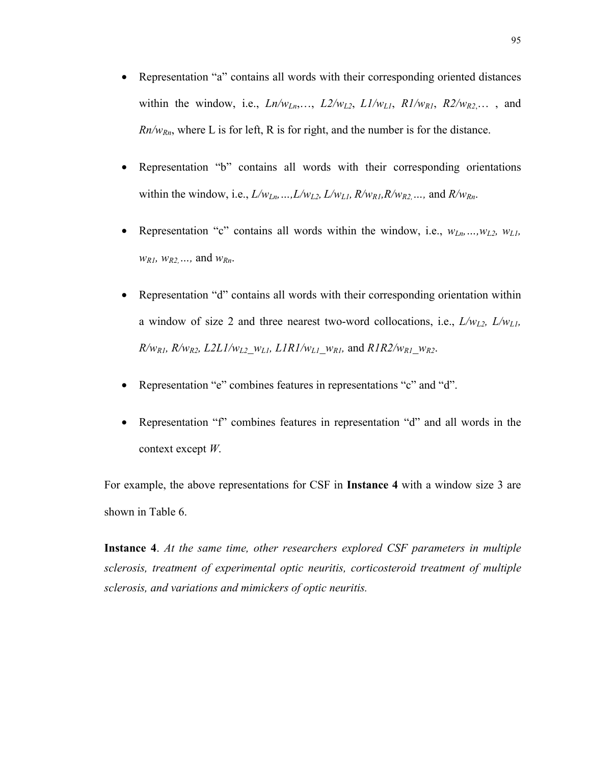- Representation "a" contains all words with their corresponding oriented distances within the window, i.e.,  $Ln/w_{Ln}$ ,...,  $L2/w_{L2}$ ,  $L1/w_{L1}$ ,  $R1/w_{R1}$ ,  $R2/w_{R2}$ ,..., and  $Rn/w_{Rn}$ , where L is for left, R is for right, and the number is for the distance.
- Representation "b" contains all words with their corresponding orientations within the window, i.e.,  $L/w_{Ln}$ , ...,  $L/w_{L2}$ ,  $L/w_{L1}$ ,  $R/w_{R1}$ ,  $R/w_{R2}$ , ..., and  $R/w_{R1}$ .
- Representation "c" contains all words within the window, i.e.,  $w_{Ln}$ , ...,  $w_{L2}$ ,  $w_{LI}$ , *wR1, wR2,…,* and *wRn*.
- Representation "d" contains all words with their corresponding orientation within a window of size 2 and three nearest two-word collocations, i.e., *L/wL2, L/wL1,*  $R/w_{R1}$ ,  $R/w_{R2}$ ,  $L2LI/w_{L2}$ ,  $w_{L1}$ ,  $L1R1/w_{L1}$ ,  $w_{R1}$ , and  $R1R2/w_{R1}$ ,  $w_{R2}$ .
- Representation "e" combines features in representations "c" and "d".
- Representation "f" combines features in representation "d" and all words in the context except *W*.

For example, the above representations for CSF in **Instance 4** with a window size 3 are shown in Table 6.

**Instance 4**. *At the same time, other researchers explored CSF parameters in multiple sclerosis, treatment of experimental optic neuritis, corticosteroid treatment of multiple sclerosis, and variations and mimickers of optic neuritis.*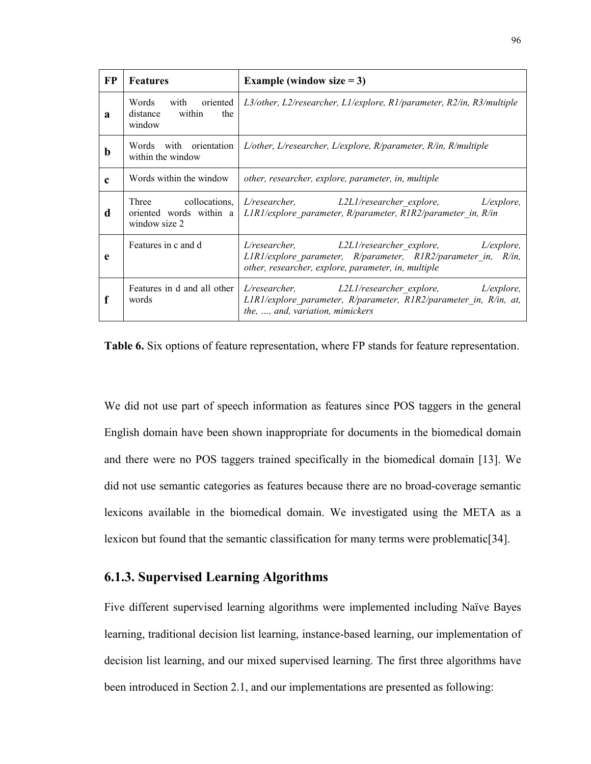| FP          | <b>Features</b>                                                                                                                                         | Example (window size $= 3$ )                                                                                                                                              |  |  |  |
|-------------|---------------------------------------------------------------------------------------------------------------------------------------------------------|---------------------------------------------------------------------------------------------------------------------------------------------------------------------------|--|--|--|
| a           | with oriented<br>$L3/other$ , $L2/researcher$ , $L1/explore$ , $R1/parameter$ , $R2/in$ , $R3/multiple$<br>Words<br>within<br>the<br>distance<br>window |                                                                                                                                                                           |  |  |  |
| $\mathbf b$ | Words with orientation<br>within the window                                                                                                             | $L/other$ , $L/researcher$ , $L/explore$ , $R/parameter$ , $R/in$ , $R/multiple$                                                                                          |  |  |  |
| $\mathbf c$ | Words within the window                                                                                                                                 | other, researcher, explore, parameter, in, multiple                                                                                                                       |  |  |  |
| d           | Three collocations,<br>oriented words within a<br>window size 2                                                                                         | L/researcher, L2L1/researcher explore, L/explore,<br>$LIR1/explore$ parameter, R/parameter, R1R2/parameter in, R/in                                                       |  |  |  |
| e           | Features in c and d                                                                                                                                     | L/researcher, L2L1/researcher explore, L/explore,<br>LIRI/explore parameter, R/parameter, RIR2/parameter in, R/in,<br>other, researcher, explore, parameter, in, multiple |  |  |  |
| f           | Features in d and all other<br>words                                                                                                                    | L/researcher, L2L1/researcher explore, L/explore,<br>$LIR1$ /explore parameter, R/parameter, R1R2/parameter in, R/in, at,<br>the, , and, variation, mimickers             |  |  |  |

**Table 6.** Six options of feature representation, where FP stands for feature representation.

We did not use part of speech information as features since POS taggers in the general English domain have been shown inappropriate for documents in the biomedical domain and there were no POS taggers trained specifically in the biomedical domain [13]. We did not use semantic categories as features because there are no broad-coverage semantic lexicons available in the biomedical domain. We investigated using the META as a lexicon but found that the semantic classification for many terms were problematic[34].

#### **6.1.3. Supervised Learning Algorithms**

Five different supervised learning algorithms were implemented including Naïve Bayes learning, traditional decision list learning, instance-based learning, our implementation of decision list learning, and our mixed supervised learning. The first three algorithms have been introduced in Section 2.1, and our implementations are presented as following: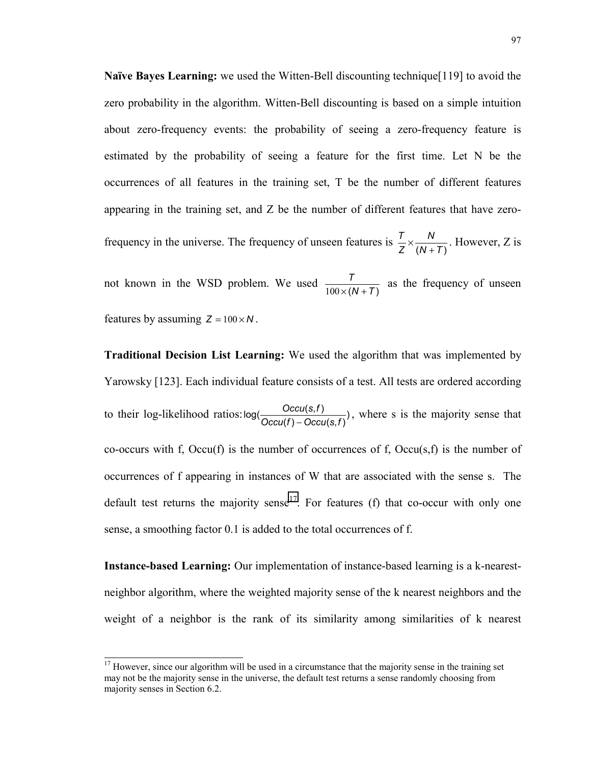**Naïve Bayes Learning:** we used the Witten-Bell discounting technique[119] to avoid the zero probability in the algorithm. Witten-Bell discounting is based on a simple intuition about zero-frequency events: the probability of seeing a zero-frequency feature is estimated by the probability of seeing a feature for the first time. Let N be the occurrences of all features in the training set, T be the number of different features appearing in the training set, and Z be the number of different features that have zerofrequency in the universe. The frequency of unseen features is  $\frac{T}{Z} \times \frac{N}{(N+T)}$ *Z T*  $\times \frac{N}{(N+T)}$ . However, Z is

not known in the WSD problem. We used  $\frac{7}{100 \times (N+T)}$  $\frac{1}{100 \times (N+T)}$  as the frequency of unseen features by assuming  $Z = 100 \times N$ .

**Traditional Decision List Learning:** We used the algorithm that was implemented by Yarowsky [123]. Each individual feature consists of a test. All tests are ordered according to their log-likelihood ratios:  $log(\frac{Occu(s, f)}{Occu(f) - Occu(s, f)})$ , where s is the majority sense that co-occurs with f, Occu(f) is the number of occurrences of f, Occu(s,f) is the number of occurrences of f appearing in instances of W that are associated with the sense s. The default test returns the majority sense<sup>17</sup>. For features (f) that co-occur with only one sense, a smoothing factor 0.1 is added to the total occurrences of f.

**Instance-based Learning:** Our implementation of instance-based learning is a k-nearestneighbor algorithm, where the weighted majority sense of the k nearest neighbors and the weight of a neighbor is the rank of its similarity among similarities of k nearest

<sup>&</sup>lt;sup>17</sup> However, since our algorithm will be used in a circumstance that the majority sense in the training set may not be the majority sense in the universe, the default test returns a sense randomly choosing from majority senses in Section 6.2.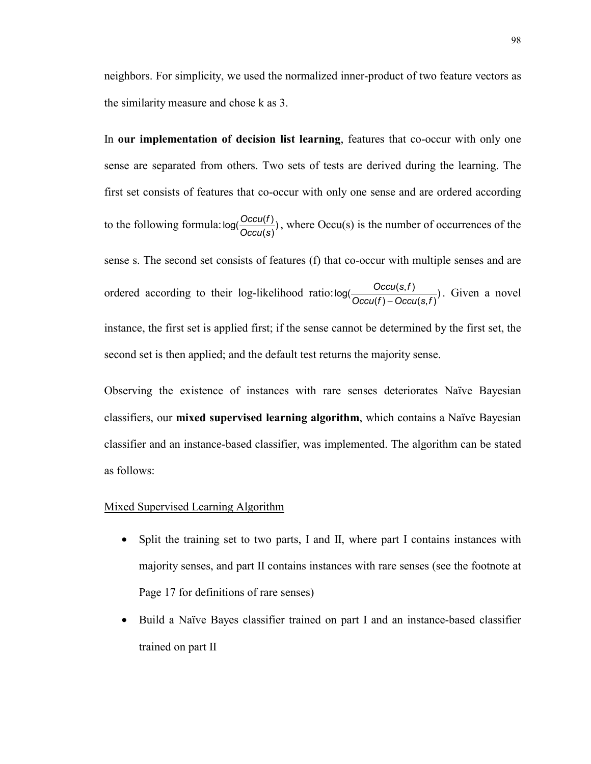neighbors. For simplicity, we used the normalized inner-product of two feature vectors as the similarity measure and chose k as 3.

In **our implementation of decision list learning**, features that co-occur with only one sense are separated from others. Two sets of tests are derived during the learning. The first set consists of features that co-occur with only one sense and are ordered according to the following formula:  $log(\frac{Occu(f)}{Occu(s)})$ , where Occu(s) is the number of occurrences of the sense s. The second set consists of features (f) that co-occur with multiple senses and are ordered according to their log-likelihood ratio:  $log(\frac{Occu(s,f)}{Occu(f) - Occu(s,f)})$ . Given a novel instance, the first set is applied first; if the sense cannot be determined by the first set, the second set is then applied; and the default test returns the majority sense.

Observing the existence of instances with rare senses deteriorates Naïve Bayesian classifiers, our **mixed supervised learning algorithm**, which contains a Naïve Bayesian classifier and an instance-based classifier, was implemented. The algorithm can be stated as follows:

#### Mixed Supervised Learning Algorithm

- Split the training set to two parts, I and II, where part I contains instances with majority senses, and part II contains instances with rare senses (see the footnote at Page 17 for definitions of rare senses)
- Build a Naïve Bayes classifier trained on part I and an instance-based classifier trained on part II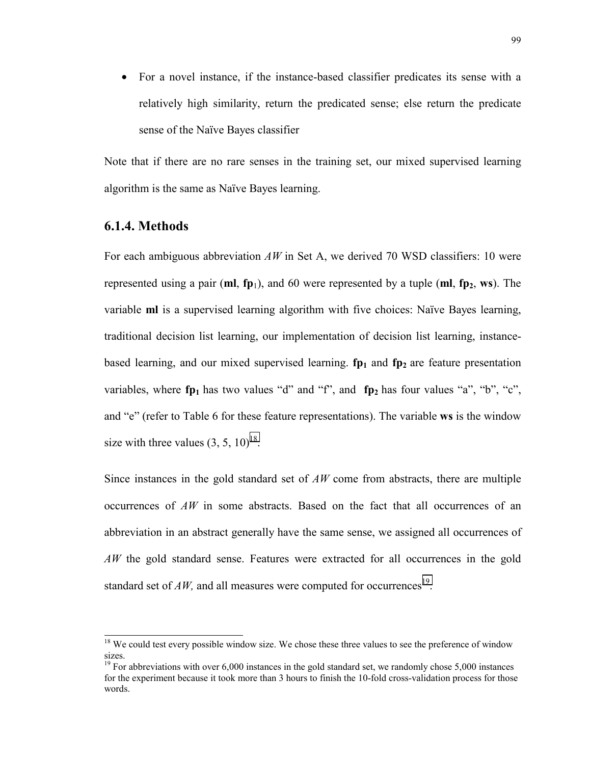• For a novel instance, if the instance-based classifier predicates its sense with a relatively high similarity, return the predicated sense; else return the predicate sense of the Naïve Bayes classifier

Note that if there are no rare senses in the training set, our mixed supervised learning algorithm is the same as Naïve Bayes learning.

# **6.1.4. Methods**

For each ambiguous abbreviation *AW* in Set A, we derived 70 WSD classifiers: 10 were represented using a pair ( $ml$ ,  $fp_1$ ), and 60 were represented by a tuple  $(ml, fp_2, ws)$ . The variable **ml** is a supervised learning algorithm with five choices: Naïve Bayes learning, traditional decision list learning, our implementation of decision list learning, instancebased learning, and our mixed supervised learning.  $f_{p1}$  and  $f_{p2}$  are feature presentation variables, where  $fp_1$  has two values "d" and "f", and  $fp_2$  has four values "a", "b", "c", and "e" (refer to Table 6 for these feature representations). The variable **ws** is the window size with three values  $(3, 5, 10)^{18}$ .

Since instances in the gold standard set of *AW* come from abstracts, there are multiple occurrences of *AW* in some abstracts. Based on the fact that all occurrences of an abbreviation in an abstract generally have the same sense, we assigned all occurrences of *AW* the gold standard sense. Features were extracted for all occurrences in the gold standard set of  $AW$ , and all measures were computed for occurrences<sup>19</sup>.

<sup>&</sup>lt;sup>18</sup> We could test every possible window size. We chose these three values to see the preference of window sizes.

 $19$  For abbreviations with over 6,000 instances in the gold standard set, we randomly chose 5,000 instances for the experiment because it took more than 3 hours to finish the 10-fold cross-validation process for those words.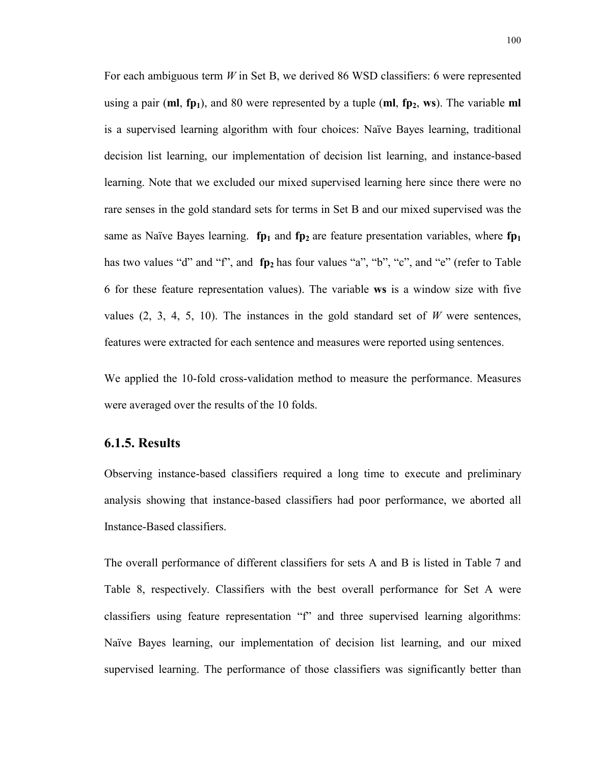For each ambiguous term *W* in Set B, we derived 86 WSD classifiers: 6 were represented using a pair  $(\mathbf{m}, \mathbf{fp}_1)$ , and 80 were represented by a tuple  $(\mathbf{m}, \mathbf{fp}_2, \mathbf{ws})$ . The variable  $\mathbf{m}$ is a supervised learning algorithm with four choices: Naïve Bayes learning, traditional decision list learning, our implementation of decision list learning, and instance-based learning. Note that we excluded our mixed supervised learning here since there were no rare senses in the gold standard sets for terms in Set B and our mixed supervised was the same as Naïve Bayes learning. **fp<sub>1</sub>** and **fp<sub>2</sub>** are feature presentation variables, where **fp**<sub>1</sub> has two values "d" and "f", and **fp**<sub>2</sub> has four values "a", "b", "c", and "e" (refer to Table 6 for these feature representation values). The variable **ws** is a window size with five values  $(2, 3, 4, 5, 10)$ . The instances in the gold standard set of *W* were sentences, features were extracted for each sentence and measures were reported using sentences.

We applied the 10-fold cross-validation method to measure the performance. Measures were averaged over the results of the 10 folds.

#### **6.1.5. Results**

Observing instance-based classifiers required a long time to execute and preliminary analysis showing that instance-based classifiers had poor performance, we aborted all Instance-Based classifiers.

The overall performance of different classifiers for sets A and B is listed in Table 7 and Table 8, respectively. Classifiers with the best overall performance for Set A were classifiers using feature representation "f" and three supervised learning algorithms: Naïve Bayes learning, our implementation of decision list learning, and our mixed supervised learning. The performance of those classifiers was significantly better than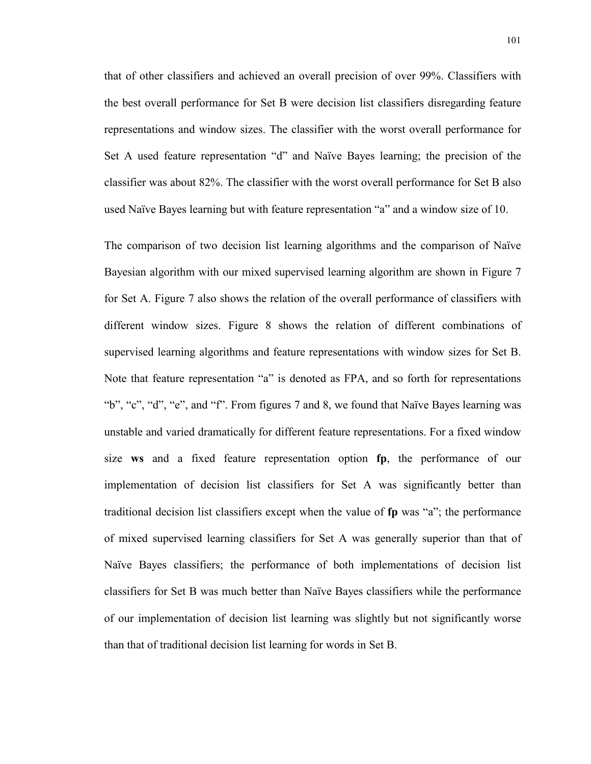that of other classifiers and achieved an overall precision of over 99%. Classifiers with the best overall performance for Set B were decision list classifiers disregarding feature representations and window sizes. The classifier with the worst overall performance for Set A used feature representation "d" and Naïve Bayes learning; the precision of the classifier was about 82%. The classifier with the worst overall performance for Set B also used Naïve Bayes learning but with feature representation "a" and a window size of 10.

The comparison of two decision list learning algorithms and the comparison of Naïve Bayesian algorithm with our mixed supervised learning algorithm are shown in Figure 7 for Set A. Figure 7 also shows the relation of the overall performance of classifiers with different window sizes. Figure 8 shows the relation of different combinations of supervised learning algorithms and feature representations with window sizes for Set B. Note that feature representation "a" is denoted as FPA, and so forth for representations "b", "c", "d", "e", and "f". From figures 7 and 8, we found that Naïve Bayes learning was unstable and varied dramatically for different feature representations. For a fixed window size **ws** and a fixed feature representation option **fp**, the performance of our implementation of decision list classifiers for Set A was significantly better than traditional decision list classifiers except when the value of **fp** was "a"; the performance of mixed supervised learning classifiers for Set A was generally superior than that of Naïve Bayes classifiers; the performance of both implementations of decision list classifiers for Set B was much better than Naïve Bayes classifiers while the performance of our implementation of decision list learning was slightly but not significantly worse than that of traditional decision list learning for words in Set B.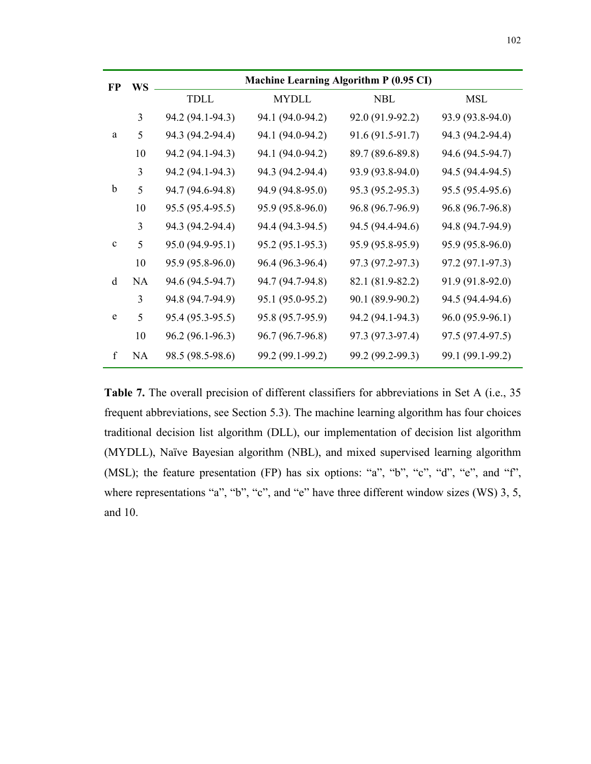| FP           | <b>WS</b> | Machine Learning Algorithm P (0.95 CI) |                  |                  |                  |  |  |  |
|--------------|-----------|----------------------------------------|------------------|------------------|------------------|--|--|--|
|              |           | TDLL                                   | <b>MYDLL</b>     | <b>NBL</b>       | <b>MSL</b>       |  |  |  |
|              | 3         | 94.2 (94.1-94.3)                       | 94.1 (94.0-94.2) | 92.0 (91.9-92.2) | 93.9 (93.8-94.0) |  |  |  |
| a            | 5         | 94.3 (94.2-94.4)                       | 94.1 (94.0-94.2) | 91.6 (91.5-91.7) | 94.3 (94.2-94.4) |  |  |  |
|              | 10        | 94.2 (94.1-94.3)                       | 94.1 (94.0-94.2) | 89.7 (89.6-89.8) | 94.6 (94.5-94.7) |  |  |  |
|              | 3         | 94.2 (94.1-94.3)                       | 94.3 (94.2-94.4) | 93.9 (93.8-94.0) | 94.5 (94.4-94.5) |  |  |  |
| b            | 5         | 94.7 (94.6-94.8)                       | 94.9 (94.8-95.0) | 95.3 (95.2-95.3) | 95.5 (95.4-95.6) |  |  |  |
|              | 10        | 95.5 (95.4-95.5)                       | 95.9 (95.8-96.0) | 96.8 (96.7-96.9) | 96.8 (96.7-96.8) |  |  |  |
|              | 3         | 94.3 (94.2-94.4)                       | 94.4 (94.3-94.5) | 94.5 (94.4-94.6) | 94.8 (94.7-94.9) |  |  |  |
| $\mathbf{c}$ | 5         | 95.0 (94.9-95.1)                       | 95.2 (95.1-95.3) | 95.9 (95.8-95.9) | 95.9 (95.8-96.0) |  |  |  |
|              | 10        | 95.9 (95.8-96.0)                       | 96.4 (96.3-96.4) | 97.3 (97.2-97.3) | 97.2 (97.1-97.3) |  |  |  |
| d            | <b>NA</b> | 94.6 (94.5-94.7)                       | 94.7 (94.7-94.8) | 82.1 (81.9-82.2) | 91.9 (91.8-92.0) |  |  |  |
|              | 3         | 94.8 (94.7-94.9)                       | 95.1 (95.0-95.2) | 90.1 (89.9-90.2) | 94.5 (94.4-94.6) |  |  |  |
| e            | 5         | 95.4 (95.3-95.5)                       | 95.8 (95.7-95.9) | 94.2 (94.1-94.3) | 96.0 (95.9-96.1) |  |  |  |
|              | 10        | 96.2 (96.1-96.3)                       | 96.7 (96.7-96.8) | 97.3 (97.3-97.4) | 97.5 (97.4-97.5) |  |  |  |
| $\mathbf f$  | <b>NA</b> | 98.5 (98.5-98.6)                       | 99.2 (99.1-99.2) | 99.2 (99.2-99.3) | 99.1 (99.1-99.2) |  |  |  |

Table 7. The overall precision of different classifiers for abbreviations in Set A (i.e., 35) frequent abbreviations, see Section 5.3). The machine learning algorithm has four choices traditional decision list algorithm (DLL), our implementation of decision list algorithm (MYDLL), Naïve Bayesian algorithm (NBL), and mixed supervised learning algorithm (MSL); the feature presentation (FP) has six options: "a", "b", "c", "d", "e", and "f", where representations "a", "b", "c", and "e" have three different window sizes (WS) 3, 5, and 10.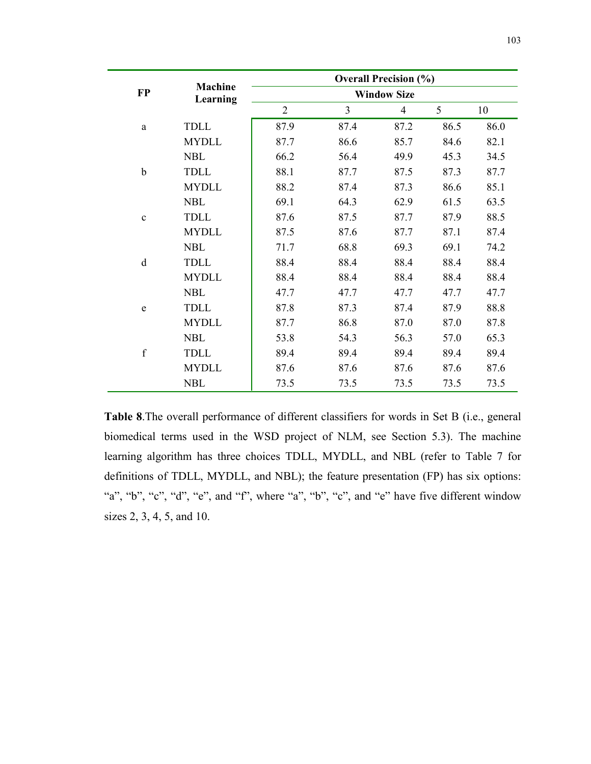|             |                            | <b>Overall Precision (%)</b> |                |      |      |      |  |  |
|-------------|----------------------------|------------------------------|----------------|------|------|------|--|--|
| <b>FP</b>   | <b>Machine</b><br>Learning | <b>Window Size</b>           |                |      |      |      |  |  |
|             |                            | $\overline{2}$               | $\overline{3}$ | 4    | 5    | 10   |  |  |
| a           | <b>TDLL</b>                | 87.9                         | 87.4           | 87.2 | 86.5 | 86.0 |  |  |
|             | <b>MYDLL</b>               | 87.7                         | 86.6           | 85.7 | 84.6 | 82.1 |  |  |
|             | <b>NBL</b>                 | 66.2                         | 56.4           | 49.9 | 45.3 | 34.5 |  |  |
| $\mathbf b$ | TDLL                       | 88.1                         | 87.7           | 87.5 | 87.3 | 87.7 |  |  |
|             | <b>MYDLL</b>               | 88.2                         | 87.4           | 87.3 | 86.6 | 85.1 |  |  |
|             | <b>NBL</b>                 | 69.1                         | 64.3           | 62.9 | 61.5 | 63.5 |  |  |
| $\mathbf c$ | <b>TDLL</b>                | 87.6                         | 87.5           | 87.7 | 87.9 | 88.5 |  |  |
|             | <b>MYDLL</b>               | 87.5                         | 87.6           | 87.7 | 87.1 | 87.4 |  |  |
|             | <b>NBL</b>                 | 71.7                         | 68.8           | 69.3 | 69.1 | 74.2 |  |  |
| d           | <b>TDLL</b>                | 88.4                         | 88.4           | 88.4 | 88.4 | 88.4 |  |  |
|             | <b>MYDLL</b>               | 88.4                         | 88.4           | 88.4 | 88.4 | 88.4 |  |  |
|             | <b>NBL</b>                 | 47.7                         | 47.7           | 47.7 | 47.7 | 47.7 |  |  |
| e           | TDLL                       | 87.8                         | 87.3           | 87.4 | 87.9 | 88.8 |  |  |
|             | <b>MYDLL</b>               | 87.7                         | 86.8           | 87.0 | 87.0 | 87.8 |  |  |
|             | <b>NBL</b>                 | 53.8                         | 54.3           | 56.3 | 57.0 | 65.3 |  |  |
| $\mathbf f$ | <b>TDLL</b>                | 89.4                         | 89.4           | 89.4 | 89.4 | 89.4 |  |  |
|             | <b>MYDLL</b>               | 87.6                         | 87.6           | 87.6 | 87.6 | 87.6 |  |  |
|             | <b>NBL</b>                 | 73.5                         | 73.5           | 73.5 | 73.5 | 73.5 |  |  |

**Table 8**.The overall performance of different classifiers for words in Set B (i.e., general biomedical terms used in the WSD project of NLM, see Section 5.3). The machine learning algorithm has three choices TDLL, MYDLL, and NBL (refer to Table 7 for definitions of TDLL, MYDLL, and NBL); the feature presentation (FP) has six options: "a", "b", "c", "d", "e", and "f", where "a", "b", "c", and "e" have five different window sizes 2, 3, 4, 5, and 10.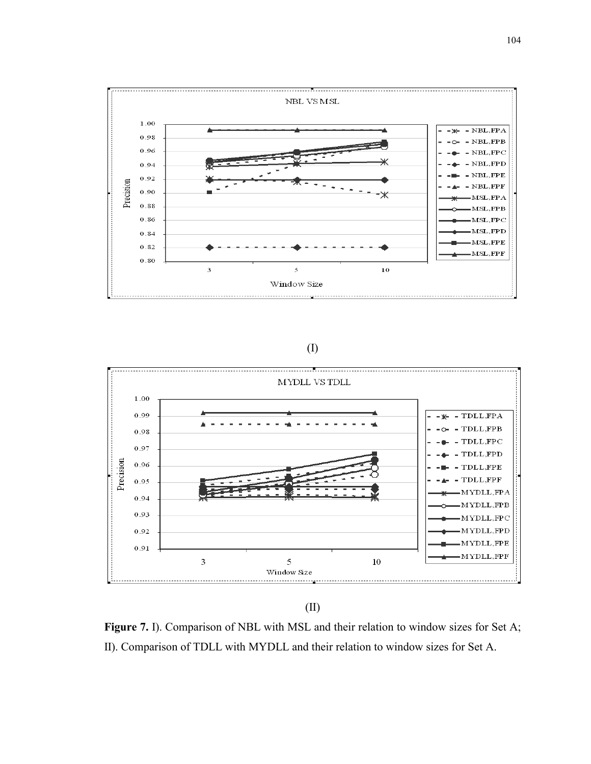

# (I)



(II)

**Figure 7.** I). Comparison of NBL with MSL and their relation to window sizes for Set A; II). Comparison of TDLL with MYDLL and their relation to window sizes for Set A.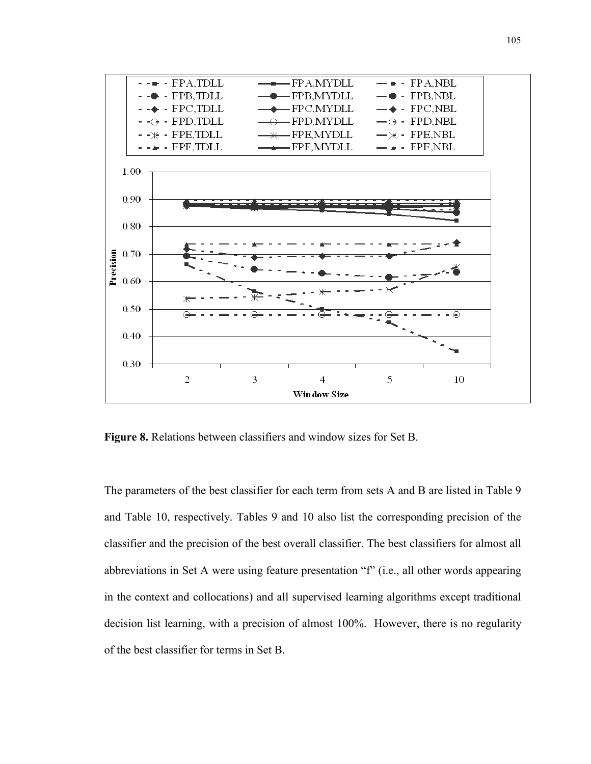

**Figure 8.** Relations between classifiers and window sizes for Set B.

The parameters of the best classifier for each term from sets A and B are listed in Table 9 and Table 10, respectively. Tables 9 and 10 also list the corresponding precision of the classifier and the precision of the best overall classifier. The best classifiers for almost all abbreviations in Set A were using feature presentation "f" (i.e., all other words appearing in the context and collocations) and all supervised learning algorithms except traditional decision list learning, with a precision of almost 100%. However, there is no regularity of the best classifier for terms in Set B.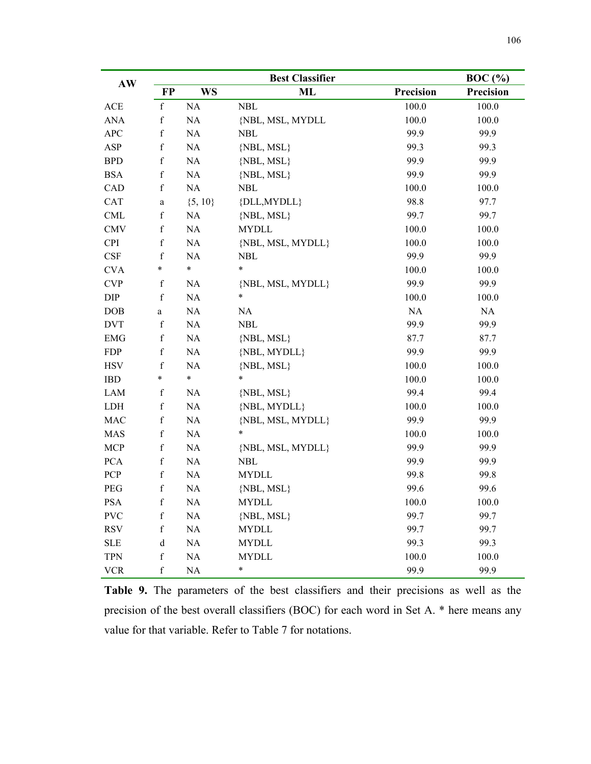| AW                          |             |             |                   | $BOC$ $(\% )$    |                  |
|-----------------------------|-------------|-------------|-------------------|------------------|------------------|
|                             | <b>FP</b>   | <b>WS</b>   | ML                | <b>Precision</b> | <b>Precision</b> |
| ACE                         | $\mathbf f$ | NA          | <b>NBL</b>        | 100.0            | 100.0            |
| <b>ANA</b>                  | $\mathbf f$ | $\rm NA$    | {NBL, MSL, MYDLL  | 100.0            | 100.0            |
| APC                         | $\mathbf f$ | NA          | <b>NBL</b>        | 99.9             | 99.9             |
| ASP                         | $\mathbf f$ | NA          | {NBL, MSL}        | 99.3             | 99.3             |
| <b>BPD</b>                  | $\mathbf f$ | NA          | $\{NBL, MSL\}$    | 99.9             | 99.9             |
| <b>BSA</b>                  | $\mathbf f$ | NA          | $\{NBL, MSL\}$    | 99.9             | 99.9             |
| CAD                         | $\mathbf f$ | NA          | <b>NBL</b>        | 100.0            | 100.0            |
| CAT                         | $\rm{a}$    | $\{5, 10\}$ | {DLL, MYDLL}      | 98.8             | 97.7             |
| CML                         | $\mathbf f$ | NA          | $\{NBL, MSL\}$    | 99.7             | 99.7             |
| <b>CMV</b>                  | $\mathbf f$ | $\rm NA$    | <b>MYDLL</b>      | 100.0            | 100.0            |
| <b>CPI</b>                  | $\mathbf f$ | $\rm NA$    | {NBL, MSL, MYDLL} | 100.0            | 100.0            |
| $\ensuremath{\mathsf{CSF}}$ | $\mathbf f$ | NA          | <b>NBL</b>        | 99.9             | 99.9             |
| <b>CVA</b>                  | $\ast$      | $\ast$      | $\ast$            | 100.0            | 100.0            |
| $\ensuremath{\mathrm{CVP}}$ | $\mathbf f$ | NA          | {NBL, MSL, MYDLL} | 99.9             | 99.9             |
| $\rm DIP$                   | $\mathbf f$ | $\rm NA$    | $\ast$            | 100.0            | 100.0            |
| DOB                         | $\rm{a}$    | $\rm NA$    | NA                | NA               | NA               |
| <b>DVT</b>                  | $\mathbf f$ | NA          | <b>NBL</b>        | 99.9             | 99.9             |
| <b>EMG</b>                  | $\mathbf f$ | NA          | $\{NBL, MSL\}$    | 87.7             | 87.7             |
| <b>FDP</b>                  | $\mathbf f$ | $\rm NA$    | {NBL, MYDLL}      | 99.9             | 99.9             |
| <b>HSV</b>                  | $\mathbf f$ | NA          | $\{NBL, MSL\}$    | 100.0            | 100.0            |
| <b>IBD</b>                  | $\ast$      | $\ast$      | $\ast$            | 100.0            | 100.0            |
| LAM                         | $\mathbf f$ | NA          | $\{NBL, MSL\}$    | 99.4             | 99.4             |
| LDH                         | $\mathbf f$ | NA          | {NBL, MYDLL}      | 100.0            | 100.0            |
| $\rm MAC$                   | $\mathbf f$ | $\rm NA$    | {NBL, MSL, MYDLL} | 99.9             | 99.9             |
| <b>MAS</b>                  | $\mathbf f$ | NA          | $\ast$            | 100.0            | 100.0            |
| <b>MCP</b>                  | $\mathbf f$ | NA          | {NBL, MSL, MYDLL} | 99.9             | 99.9             |
| <b>PCA</b>                  | $\mathbf f$ | NA          | <b>NBL</b>        | 99.9             | 99.9             |
| PCP                         | $\mathbf f$ | NA          | <b>MYDLL</b>      | 99.8             | 99.8             |
| PEG                         | $\mathbf f$ | $\rm NA$    | $\{NBL, MSL\}$    | 99.6             | 99.6             |
| <b>PSA</b>                  | $\mathbf f$ | <b>NA</b>   | <b>MYDLL</b>      | 100.0            | 100.0            |
| <b>PVC</b>                  | f           | NA          | $\{NBL, MSL\}$    | 99.7             | 99.7             |
| <b>RSV</b>                  | $\mathbf f$ | $\rm NA$    | <b>MYDLL</b>      | 99.7             | 99.7             |
| <b>SLE</b>                  | d           | NA          | <b>MYDLL</b>      | 99.3             | 99.3             |
| <b>TPN</b>                  | $\mathbf f$ | NA          | <b>MYDLL</b>      | 100.0            | 100.0            |
| <b>VCR</b>                  | $\mathbf f$ | $\rm NA$    | $\ast$            | 99.9             | 99.9             |

**Table 9.** The parameters of the best classifiers and their precisions as well as the precision of the best overall classifiers (BOC) for each word in Set A. \* here means any value for that variable. Refer to Table 7 for notations.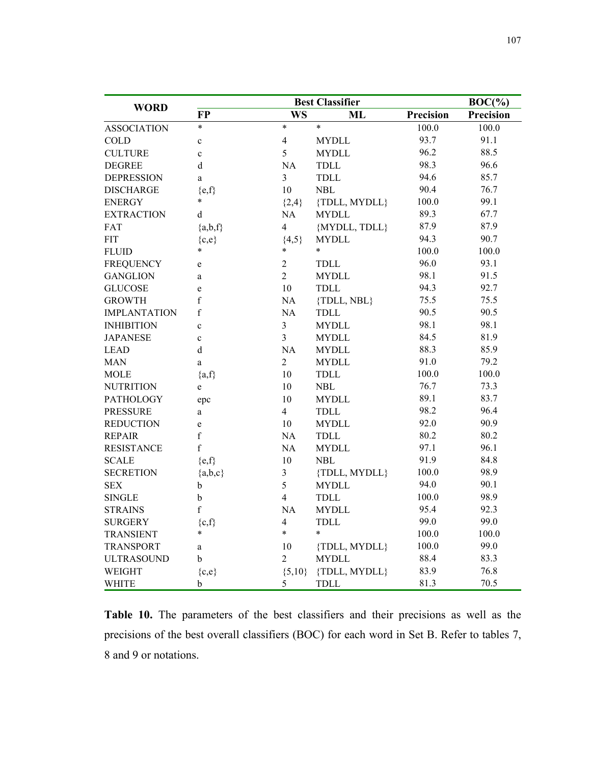|                     |              | $BOC(\% )$              |               |           |                  |
|---------------------|--------------|-------------------------|---------------|-----------|------------------|
| <b>WORD</b>         | <b>FP</b>    | <b>WS</b>               | ML            | Precision | <b>Precision</b> |
| <b>ASSOCIATION</b>  | $\ast$       | $\ast$                  | $\ast$        | 100.0     | 100.0            |
| <b>COLD</b>         | $\mathbf c$  | $\overline{4}$          | <b>MYDLL</b>  | 93.7      | 91.1             |
| <b>CULTURE</b>      | $\mathbf c$  | 5                       | <b>MYDLL</b>  | 96.2      | 88.5             |
| <b>DEGREE</b>       | $\mathbf d$  | $\rm NA$                | <b>TDLL</b>   | 98.3      | 96.6             |
| <b>DEPRESSION</b>   | a            | $\overline{\mathbf{3}}$ | <b>TDLL</b>   | 94.6      | 85.7             |
| <b>DISCHARGE</b>    | ${e,f}$      | 10                      | <b>NBL</b>    | 90.4      | 76.7             |
| <b>ENERGY</b>       | $\ast$       | ${2,4}$                 | {TDLL, MYDLL} | 100.0     | 99.1             |
| <b>EXTRACTION</b>   | d            | NA                      | <b>MYDLL</b>  | 89.3      | 67.7             |
| FAT                 | ${a,b,f}$    | 4                       | {MYDLL, TDLL} | 87.9      | 87.9             |
| <b>FIT</b>          | ${c,e}$      | ${4,5}$                 | <b>MYDLL</b>  | 94.3      | 90.7             |
| <b>FLUID</b>        | $\ast$       | $\ast$                  | $\ast$        | 100.0     | 100.0            |
| <b>FREQUENCY</b>    | e            | $\mathbf{2}$            | <b>TDLL</b>   | 96.0      | 93.1             |
| <b>GANGLION</b>     | a            | $\overline{2}$          | <b>MYDLL</b>  | 98.1      | 91.5             |
| <b>GLUCOSE</b>      | e            | 10                      | <b>TDLL</b>   | 94.3      | 92.7             |
| <b>GROWTH</b>       | f            | NA                      | {TDLL, NBL}   | 75.5      | 75.5             |
| <b>IMPLANTATION</b> | f            | NA                      | <b>TDLL</b>   | 90.5      | 90.5             |
| <b>INHIBITION</b>   | $\mathbf{c}$ | $\mathfrak{Z}$          | <b>MYDLL</b>  | 98.1      | 98.1             |
| <b>JAPANESE</b>     | $\mathbf c$  | $\overline{3}$          | <b>MYDLL</b>  | 84.5      | 81.9             |
| <b>LEAD</b>         | $\mathbf d$  | NA                      | <b>MYDLL</b>  | 88.3      | 85.9             |
| <b>MAN</b>          | $\mathbf{a}$ | $\overline{2}$          | <b>MYDLL</b>  | 91.0      | 79.2             |
| <b>MOLE</b>         | ${a,f}$      | 10                      | <b>TDLL</b>   | 100.0     | 100.0            |
| <b>NUTRITION</b>    | e            | 10                      | NBL           | 76.7      | 73.3             |
| <b>PATHOLOGY</b>    | epc          | 10                      | <b>MYDLL</b>  | 89.1      | 83.7             |
| <b>PRESSURE</b>     | a            | $\overline{4}$          | <b>TDLL</b>   | 98.2      | 96.4             |
| <b>REDUCTION</b>    | e            | 10                      | <b>MYDLL</b>  | 92.0      | 90.9             |
| <b>REPAIR</b>       | f            | NA                      | <b>TDLL</b>   | 80.2      | 80.2             |
| <b>RESISTANCE</b>   | f            | NA                      | <b>MYDLL</b>  | 97.1      | 96.1             |
| <b>SCALE</b>        | ${e,f}$      | 10                      | <b>NBL</b>    | 91.9      | 84.8             |
| <b>SECRETION</b>    | ${a,b,c}$    | $\mathfrak{Z}$          | {TDLL, MYDLL} | 100.0     | 98.9             |
| <b>SEX</b>          | b            | 5                       | <b>MYDLL</b>  | 94.0      | 90.1             |
| <b>SINGLE</b>       | $\rm b$      | $\overline{4}$          | <b>TDLL</b>   | 100.0     | 98.9             |
| <b>STRAINS</b>      | $\rm f$      | NA                      | <b>MYDLL</b>  | 95.4      | 92.3             |
| <b>SURGERY</b>      | $\{c,f\}$    | $\overline{4}$          | TDLL          | 99.0      | 99.0             |
| <b>TRANSIENT</b>    | $\ast$       | $\ast$                  | $\ast$        | 100.0     | 100.0            |
| <b>TRANSPORT</b>    | a            | 10                      | {TDLL, MYDLL} | 100.0     | 99.0             |
| <b>ULTRASOUND</b>   | b            | $\overline{2}$          | <b>MYDLL</b>  | 88.4      | 83.3             |
| WEIGHT              | ${c,e}$      | ${5,10}$                | {TDLL, MYDLL} | 83.9      | 76.8             |
| <b>WHITE</b>        | b            | 5                       | <b>TDLL</b>   | 81.3      | 70.5             |

**Table 10.** The parameters of the best classifiers and their precisions as well as the precisions of the best overall classifiers (BOC) for each word in Set B. Refer to tables 7, 8 and 9 or notations.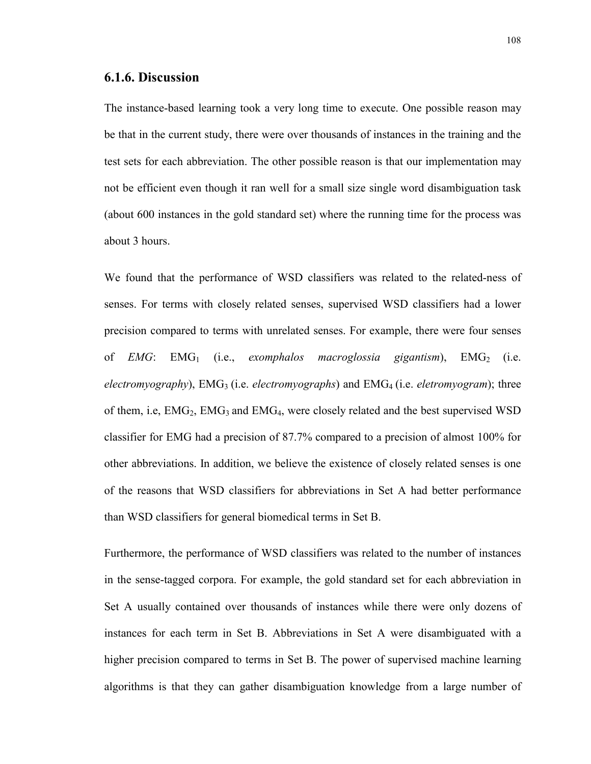#### **6.1.6. Discussion**

The instance-based learning took a very long time to execute. One possible reason may be that in the current study, there were over thousands of instances in the training and the test sets for each abbreviation. The other possible reason is that our implementation may not be efficient even though it ran well for a small size single word disambiguation task (about 600 instances in the gold standard set) where the running time for the process was about 3 hours.

We found that the performance of WSD classifiers was related to the related-ness of senses. For terms with closely related senses, supervised WSD classifiers had a lower precision compared to terms with unrelated senses. For example, there were four senses of *EMG*: EMG<sub>1</sub> (i.e., *exomphalos macroglossia gigantism*), EMG<sub>2</sub> (i.e. *electromyography*), EMG<sub>3</sub> (i.e. *electromyographs*) and EMG<sub>4</sub> (i.e. *eletromyogram*); three of them, i.e,  $EMG_2$ ,  $EMG_3$  and  $EMG_4$ , were closely related and the best supervised WSD classifier for EMG had a precision of 87.7% compared to a precision of almost 100% for other abbreviations. In addition, we believe the existence of closely related senses is one of the reasons that WSD classifiers for abbreviations in Set A had better performance than WSD classifiers for general biomedical terms in Set B.

Furthermore, the performance of WSD classifiers was related to the number of instances in the sense-tagged corpora. For example, the gold standard set for each abbreviation in Set A usually contained over thousands of instances while there were only dozens of instances for each term in Set B. Abbreviations in Set A were disambiguated with a higher precision compared to terms in Set B. The power of supervised machine learning algorithms is that they can gather disambiguation knowledge from a large number of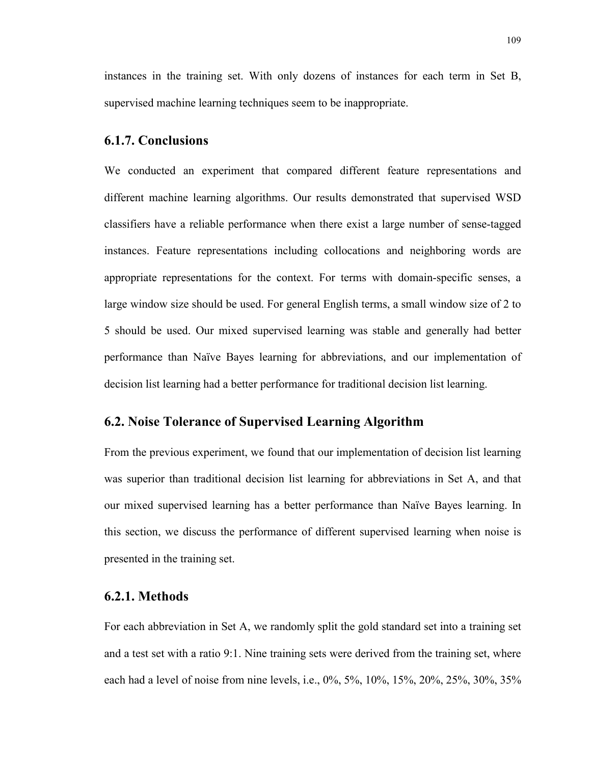instances in the training set. With only dozens of instances for each term in Set B, supervised machine learning techniques seem to be inappropriate.

#### **6.1.7. Conclusions**

We conducted an experiment that compared different feature representations and different machine learning algorithms. Our results demonstrated that supervised WSD classifiers have a reliable performance when there exist a large number of sense-tagged instances. Feature representations including collocations and neighboring words are appropriate representations for the context. For terms with domain-specific senses, a large window size should be used. For general English terms, a small window size of 2 to 5 should be used. Our mixed supervised learning was stable and generally had better performance than Naïve Bayes learning for abbreviations, and our implementation of decision list learning had a better performance for traditional decision list learning.

#### **6.2. Noise Tolerance of Supervised Learning Algorithm**

From the previous experiment, we found that our implementation of decision list learning was superior than traditional decision list learning for abbreviations in Set A, and that our mixed supervised learning has a better performance than Naïve Bayes learning. In this section, we discuss the performance of different supervised learning when noise is presented in the training set.

# **6.2.1. Methods**

For each abbreviation in Set A, we randomly split the gold standard set into a training set and a test set with a ratio 9:1. Nine training sets were derived from the training set, where each had a level of noise from nine levels, i.e., 0%, 5%, 10%, 15%, 20%, 25%, 30%, 35%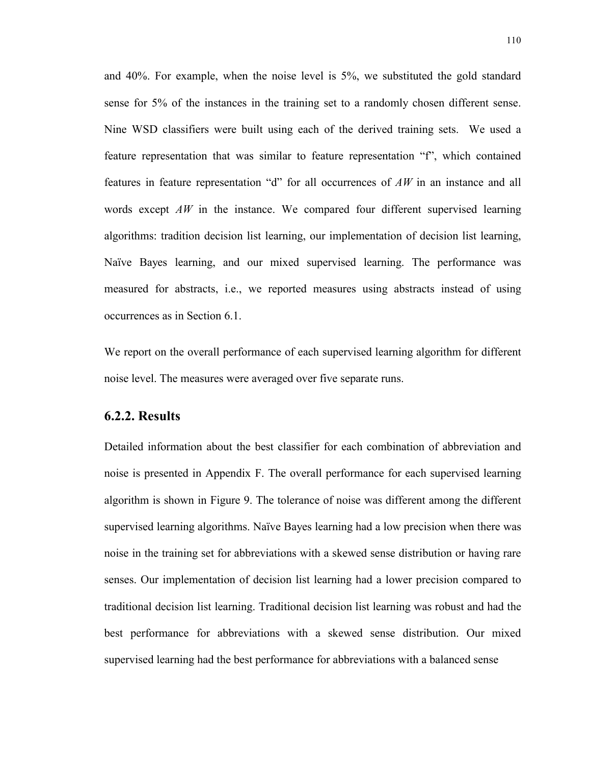and 40%. For example, when the noise level is 5%, we substituted the gold standard sense for 5% of the instances in the training set to a randomly chosen different sense. Nine WSD classifiers were built using each of the derived training sets. We used a feature representation that was similar to feature representation "f", which contained features in feature representation "d" for all occurrences of *AW* in an instance and all words except *AW* in the instance. We compared four different supervised learning algorithms: tradition decision list learning, our implementation of decision list learning, Naïve Bayes learning, and our mixed supervised learning. The performance was measured for abstracts, i.e., we reported measures using abstracts instead of using occurrences as in Section 6.1.

We report on the overall performance of each supervised learning algorithm for different noise level. The measures were averaged over five separate runs.

#### **6.2.2. Results**

Detailed information about the best classifier for each combination of abbreviation and noise is presented in Appendix F. The overall performance for each supervised learning algorithm is shown in Figure 9. The tolerance of noise was different among the different supervised learning algorithms. Naïve Bayes learning had a low precision when there was noise in the training set for abbreviations with a skewed sense distribution or having rare senses. Our implementation of decision list learning had a lower precision compared to traditional decision list learning. Traditional decision list learning was robust and had the best performance for abbreviations with a skewed sense distribution. Our mixed supervised learning had the best performance for abbreviations with a balanced sense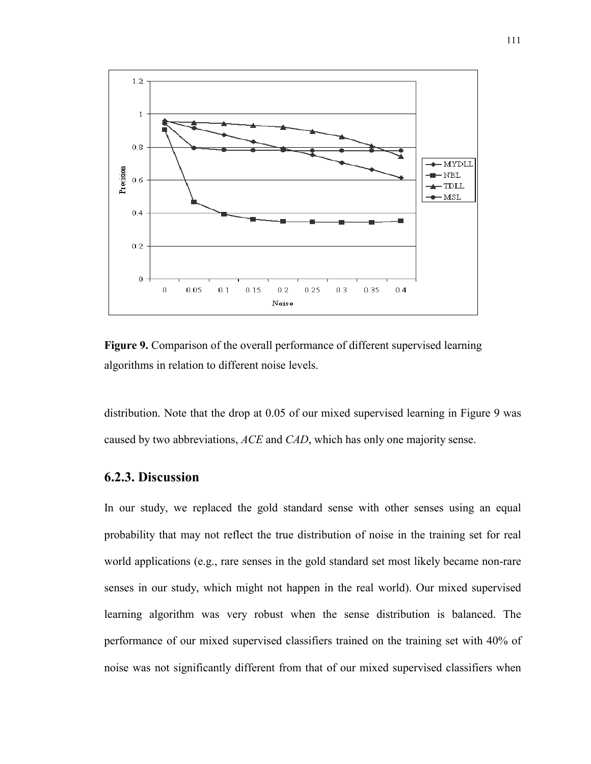

**Figure 9.** Comparison of the overall performance of different supervised learning algorithms in relation to different noise levels.

distribution. Note that the drop at 0.05 of our mixed supervised learning in Figure 9 was caused by two abbreviations, *ACE* and *CAD*, which has only one majority sense.

# **6.2.3. Discussion**

In our study, we replaced the gold standard sense with other senses using an equal probability that may not reflect the true distribution of noise in the training set for real world applications (e.g., rare senses in the gold standard set most likely became non-rare senses in our study, which might not happen in the real world). Our mixed supervised learning algorithm was very robust when the sense distribution is balanced. The performance of our mixed supervised classifiers trained on the training set with 40% of noise was not significantly different from that of our mixed supervised classifiers when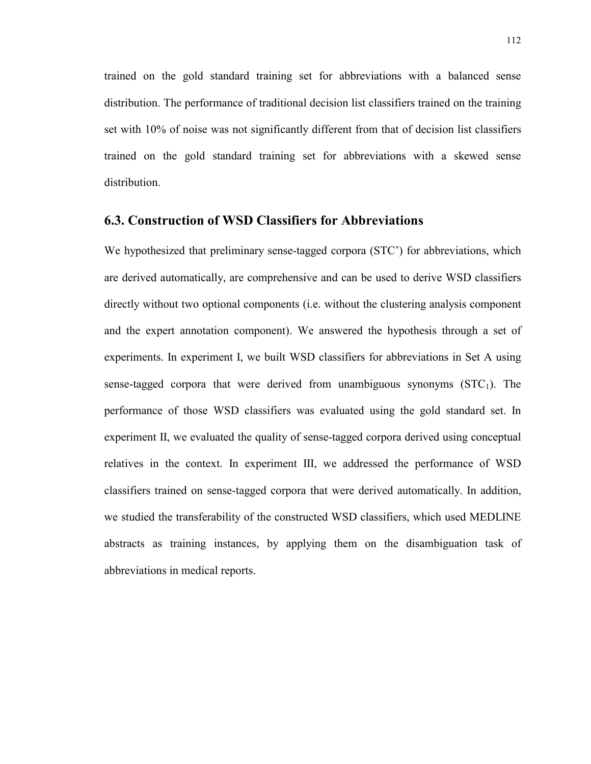trained on the gold standard training set for abbreviations with a balanced sense distribution. The performance of traditional decision list classifiers trained on the training set with 10% of noise was not significantly different from that of decision list classifiers trained on the gold standard training set for abbreviations with a skewed sense distribution.

#### **6.3. Construction of WSD Classifiers for Abbreviations**

We hypothesized that preliminary sense-tagged corpora (STC') for abbreviations, which are derived automatically, are comprehensive and can be used to derive WSD classifiers directly without two optional components (i.e. without the clustering analysis component and the expert annotation component). We answered the hypothesis through a set of experiments. In experiment I, we built WSD classifiers for abbreviations in Set A using sense-tagged corpora that were derived from unambiguous synonyms  $(STC<sub>1</sub>)$ . The performance of those WSD classifiers was evaluated using the gold standard set. In experiment II, we evaluated the quality of sense-tagged corpora derived using conceptual relatives in the context. In experiment III, we addressed the performance of WSD classifiers trained on sense-tagged corpora that were derived automatically. In addition, we studied the transferability of the constructed WSD classifiers, which used MEDLINE abstracts as training instances, by applying them on the disambiguation task of abbreviations in medical reports.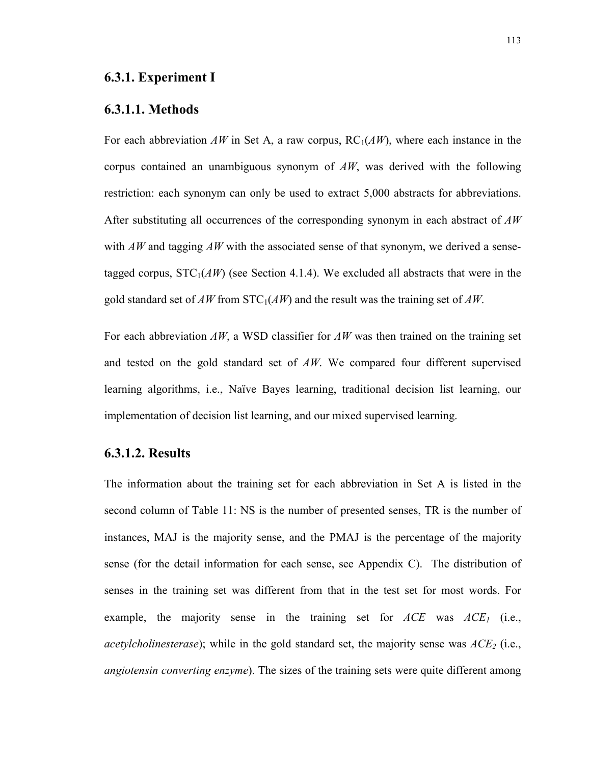#### **6.3.1.1. Methods**

For each abbreviation  $AW$  in Set A, a raw corpus,  $RC<sub>1</sub>(AW)$ , where each instance in the corpus contained an unambiguous synonym of *AW*, was derived with the following restriction: each synonym can only be used to extract 5,000 abstracts for abbreviations. After substituting all occurrences of the corresponding synonym in each abstract of *AW* with *AW* and tagging *AW* with the associated sense of that synonym, we derived a sensetagged corpus,  $STC_1(AW)$  (see Section 4.1.4). We excluded all abstracts that were in the gold standard set of *AW* from  $STC<sub>1</sub>(AW)$  and the result was the training set of *AW*.

For each abbreviation *AW*, a WSD classifier for *AW* was then trained on the training set and tested on the gold standard set of *AW*. We compared four different supervised learning algorithms, i.e., Naïve Bayes learning, traditional decision list learning, our implementation of decision list learning, and our mixed supervised learning.

# **6.3.1.2. Results**

The information about the training set for each abbreviation in Set A is listed in the second column of Table 11: NS is the number of presented senses, TR is the number of instances, MAJ is the majority sense, and the PMAJ is the percentage of the majority sense (for the detail information for each sense, see Appendix C). The distribution of senses in the training set was different from that in the test set for most words. For example, the majority sense in the training set for  $ACE$  was  $ACE<sub>1</sub>$  (i.e., *acetylcholinesterase*); while in the gold standard set, the majority sense was  $ACE<sub>2</sub>$  (i.e., *angiotensin converting enzyme*). The sizes of the training sets were quite different among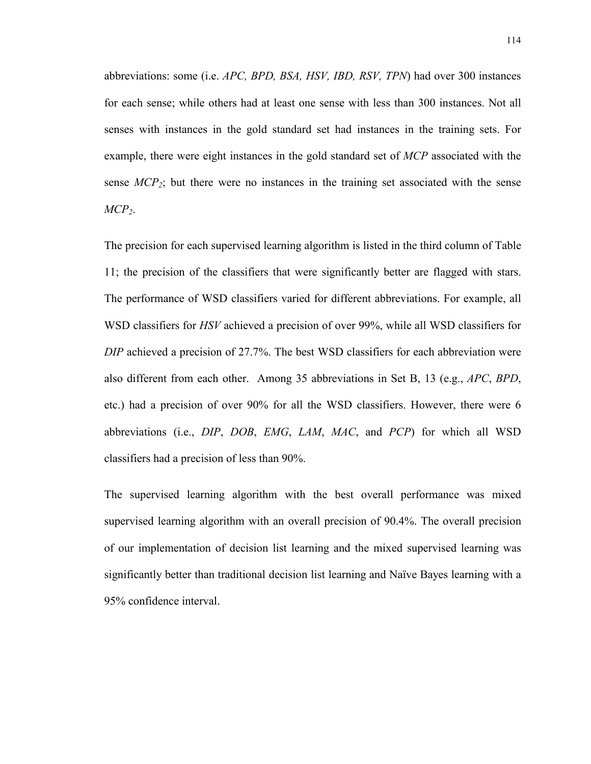abbreviations: some (i.e. *APC, BPD, BSA, HSV, IBD, RSV, TPN*) had over 300 instances for each sense; while others had at least one sense with less than 300 instances. Not all senses with instances in the gold standard set had instances in the training sets. For example, there were eight instances in the gold standard set of *MCP* associated with the sense  $MCP_2$ ; but there were no instances in the training set associated with the sense *MCP2*.

The precision for each supervised learning algorithm is listed in the third column of Table 11; the precision of the classifiers that were significantly better are flagged with stars. The performance of WSD classifiers varied for different abbreviations. For example, all WSD classifiers for *HSV* achieved a precision of over 99%, while all WSD classifiers for *DIP* achieved a precision of 27.7%. The best WSD classifiers for each abbreviation were also different from each other. Among 35 abbreviations in Set B, 13 (e.g., *APC*, *BPD*, etc.) had a precision of over 90% for all the WSD classifiers. However, there were 6 abbreviations (i.e., *DIP*, *DOB*, *EMG*, *LAM*, *MAC*, and *PCP*) for which all WSD classifiers had a precision of less than 90%.

The supervised learning algorithm with the best overall performance was mixed supervised learning algorithm with an overall precision of 90.4%. The overall precision of our implementation of decision list learning and the mixed supervised learning was significantly better than traditional decision list learning and Naïve Bayes learning with a 95% confidence interval.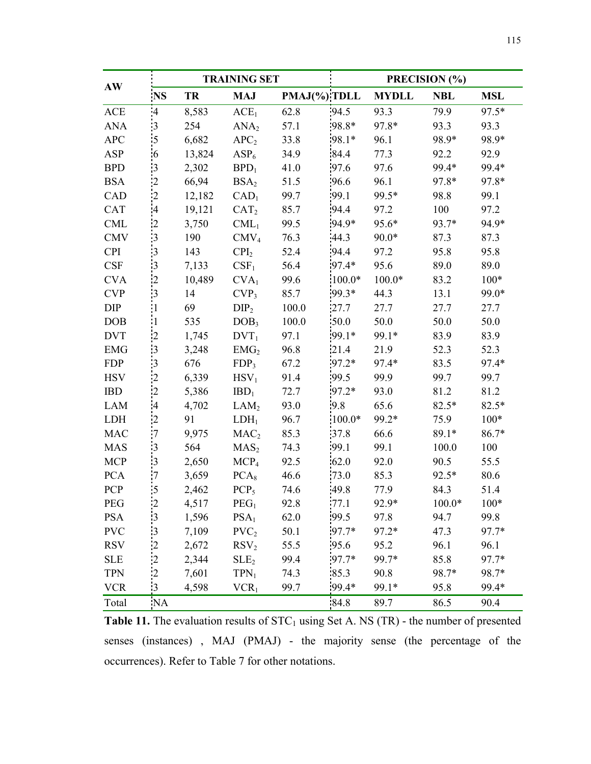|            |                      | <b>TRAINING SET</b> |                  |       |              | PRECISION (%) |            |            |  |
|------------|----------------------|---------------------|------------------|-------|--------------|---------------|------------|------------|--|
| AW         | <b>NS</b>            | <b>TR</b>           | <b>MAJ</b>       |       | PMAJ(%) TDLL | <b>MYDLL</b>  | <b>NBL</b> | <b>MSL</b> |  |
| ACE        | $\boldsymbol{A}$     | 8,583               | ACE <sub>1</sub> | 62.8  | 94.5         | 93.3          | 79.9       | 97.5*      |  |
| <b>ANA</b> | $\cdot$ 3            | 254                 | ANA <sub>2</sub> | 57.1  | 98.8*        | 97.8*         | 93.3       | 93.3       |  |
| <b>APC</b> | 5                    | 6,682               | APC <sub>2</sub> | 33.8  | 98.1*        | 96.1          | 98.9*      | 98.9*      |  |
| ASP        | $6 \frac{1}{2}$      | 13,824              | ASP <sub>6</sub> | 34.9  | 84.4         | 77.3          | 92.2       | 92.9       |  |
| <b>BPD</b> | 3                    | 2,302               | $BPD_1$          | 41.0  | 97.6         | 97.6          | 99.4*      | 99.4*      |  |
| <b>BSA</b> | $\overline{2}$       | 66,94               | BSA <sub>2</sub> | 51.5  | 96.6         | 96.1          | 97.8*      | 97.8*      |  |
| CAD        | $\overline{2}$       | 12,182              | CAD <sub>1</sub> | 99.7  | 99.1         | 99.5*         | 98.8       | 99.1       |  |
| <b>CAT</b> | 4                    | 19,121              | CAT <sub>2</sub> | 85.7  | .94.4        | 97.2          | 100        | 97.2       |  |
| <b>CML</b> | $\cdot$ 2            | 3,750               | $CML_1$          | 99.5  | 94.9*        | 95.6*         | 93.7*      | 94.9*      |  |
| <b>CMV</b> | $\cdot$ 3            | 190                 | CMV <sub>4</sub> | 76.3  | 44.3         | $90.0*$       | 87.3       | 87.3       |  |
| <b>CPI</b> | $\overline{3}$       | 143                 | $\text{CPI}_2$   | 52.4  | 94.4         | 97.2          | 95.8       | 95.8       |  |
| <b>CSF</b> | $\overline{3}$       | 7,133               | CSF <sub>1</sub> | 56.4  | 97.4*        | 95.6          | 89.0       | 89.0       |  |
| <b>CVA</b> | $\overline{2}$       | 10,489              | CVA <sub>1</sub> | 99.6  | $100.0*$     | $100.0*$      | 83.2       | $100*$     |  |
| <b>CVP</b> | $\cdot$ 3            | 14                  | CVP <sub>3</sub> | 85.7  | $.99.3*$     | 44.3          | 13.1       | 99.0*      |  |
| DIP        |                      | 69                  | DIP <sub>2</sub> | 100.0 | 27.7         | 27.7          | 27.7       | 27.7       |  |
| <b>DOB</b> |                      | 535                 | DOB <sub>3</sub> | 100.0 | 50.0         | 50.0          | 50.0       | 50.0       |  |
| <b>DVT</b> | $\overline{2}$       | 1,745               | $DVT_1$          | 97.1  | $.99.1*$     | 99.1*         | 83.9       | 83.9       |  |
| <b>EMG</b> | $\cdot$ 3            | 3,248               | EMG <sub>2</sub> | 96.8  | 21.4         | 21.9          | 52.3       | 52.3       |  |
| <b>FDP</b> | $\cdot$ 3            | 676                 | FDP <sub>3</sub> | 67.2  | $97.2*$      | 97.4*         | 83.5       | 97.4*      |  |
| <b>HSV</b> | $^{2}$               | 6,339               | $HSV_1$          | 91.4  | 99.5         | 99.9          | 99.7       | 99.7       |  |
| <b>IBD</b> | $\overline{2}$       | 5,386               | $IBD_1$          | 72.7  | $97.2*$      | 93.0          | 81.2       | 81.2       |  |
| <b>LAM</b> | $\overline{4}$       | 4,702               | LAM <sub>2</sub> | 93.0  | 9.8          | 65.6          | 82.5*      | $82.5*$    |  |
| <b>LDH</b> | $\overline{2}$       | 91                  | $LDH_1$          | 96.7  | $100.0*$     | 99.2*         | 75.9       | $100*$     |  |
| <b>MAC</b> | 7                    | 9,975               | MAC <sub>2</sub> | 85.3  | 37.8         | 66.6          | 89.1*      | $86.7*$    |  |
| <b>MAS</b> | 3                    | 564                 | MAS <sub>2</sub> | 74.3  | 99.1         | 99.1          | 100.0      | 100        |  |
| <b>MCP</b> | $\cdot$ 3            | 2,650               | MCP <sub>4</sub> | 92.5  | 62.0         | 92.0          | 90.5       | 55.5       |  |
| <b>PCA</b> | 7                    | 3,659               | PCA <sub>8</sub> | 46.6  | 73.0         | 85.3          | $92.5*$    | 80.6       |  |
| PCP        | $\cdot$ 5            | 2,462               | $PCP_5$          | 74.6  | 49.8         | 77.9          | 84.3       | 51.4       |  |
| PEG        | $\frac{2}{\sqrt{2}}$ | 4,517               | PEG <sub>1</sub> | 92.8  | 77.1         | 92.9*         | $100.0*$   | $100*$     |  |
| <b>PSA</b> | $\cdot$ 3            | 1,596               | PSA <sub>1</sub> | 62.0  | 99.5         | 97.8          | 94.7       | 99.8       |  |
| <b>PVC</b> | $\cdot$ 3            | 7,109               | PVC <sub>2</sub> | 50.1  | $97.7*$      | 97.2*         | 47.3       | 97.7*      |  |
| <b>RSV</b> | $\cdot$ 2            | 2,672               | RSV <sub>2</sub> | 55.5  | .95.6        | 95.2          | 96.1       | 96.1       |  |
| <b>SLE</b> | $\overline{2}$       | 2,344               | SLE <sub>2</sub> | 99.4  | $97.7*$      | 99.7*         | 85.8       | 97.7*      |  |
| <b>TPN</b> | $\overline{2}$       | 7,601               | $TPN_1$          | 74.3  | 85.3         | 90.8          | 98.7*      | 98.7*      |  |
| <b>VCR</b> | $\frac{1}{3}$        | 4,598               | VCR <sub>1</sub> | 99.7  | $.99.4*$     | 99.1*         | 95.8       | 99.4*      |  |
| Total      | <b>NA</b>            |                     |                  |       | 84.8         | 89.7          | 86.5       | 90.4       |  |

**Table 11.** The evaluation results of  $STC<sub>1</sub>$  using Set A. NS (TR) - the number of presented senses (instances) , MAJ (PMAJ) - the majority sense (the percentage of the occurrences). Refer to Table 7 for other notations.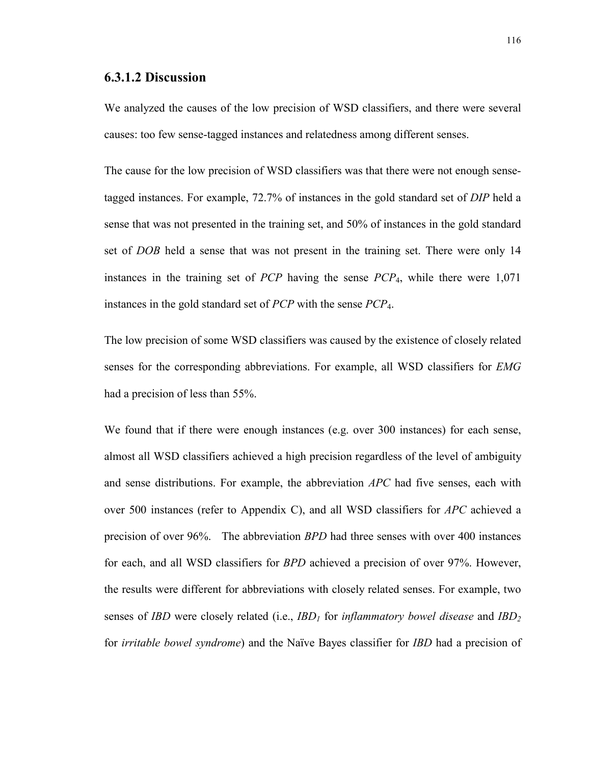#### **6.3.1.2 Discussion**

We analyzed the causes of the low precision of WSD classifiers, and there were several causes: too few sense-tagged instances and relatedness among different senses.

The cause for the low precision of WSD classifiers was that there were not enough sensetagged instances. For example, 72.7% of instances in the gold standard set of *DIP* held a sense that was not presented in the training set, and 50% of instances in the gold standard set of *DOB* held a sense that was not present in the training set. There were only 14 instances in the training set of *PCP* having the sense *PCP*4, while there were 1,071 instances in the gold standard set of *PCP* with the sense *PCP*4.

The low precision of some WSD classifiers was caused by the existence of closely related senses for the corresponding abbreviations. For example, all WSD classifiers for *EMG* had a precision of less than 55%.

We found that if there were enough instances (e.g. over 300 instances) for each sense, almost all WSD classifiers achieved a high precision regardless of the level of ambiguity and sense distributions. For example, the abbreviation *APC* had five senses, each with over 500 instances (refer to Appendix C), and all WSD classifiers for *APC* achieved a precision of over 96%. The abbreviation *BPD* had three senses with over 400 instances for each, and all WSD classifiers for *BPD* achieved a precision of over 97%. However, the results were different for abbreviations with closely related senses. For example, two senses of *IBD* were closely related (i.e., *IBD<sub>1</sub>* for *inflammatory bowel disease* and *IBD<sub>2</sub>* for *irritable bowel syndrome*) and the Naïve Bayes classifier for *IBD* had a precision of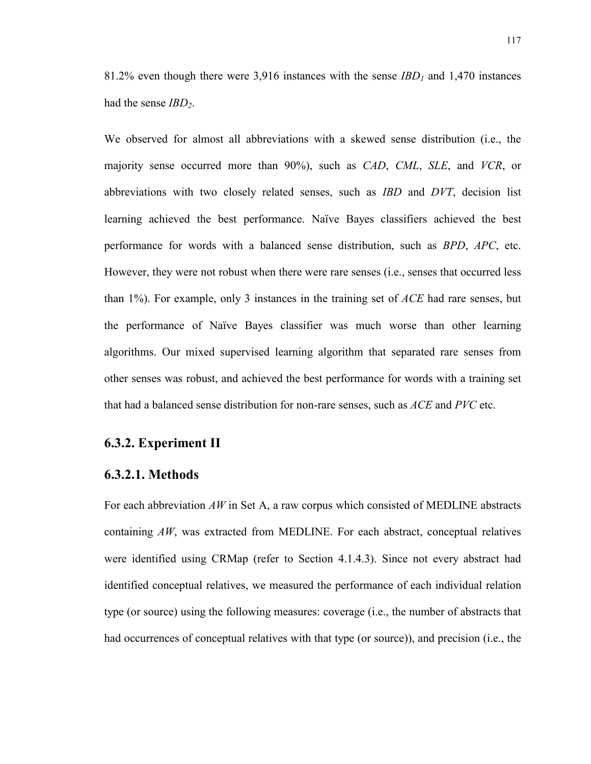81.2% even though there were 3,916 instances with the sense *IBD1* and 1,470 instances had the sense *IBD*<sub>2</sub>.

We observed for almost all abbreviations with a skewed sense distribution (i.e., the majority sense occurred more than 90%), such as *CAD*, *CML*, *SLE*, and *VCR*, or abbreviations with two closely related senses, such as *IBD* and *DVT*, decision list learning achieved the best performance. Naïve Bayes classifiers achieved the best performance for words with a balanced sense distribution, such as *BPD*, *APC*, etc. However, they were not robust when there were rare senses (i.e., senses that occurred less than 1%). For example, only 3 instances in the training set of *ACE* had rare senses, but the performance of Naïve Bayes classifier was much worse than other learning algorithms. Our mixed supervised learning algorithm that separated rare senses from other senses was robust, and achieved the best performance for words with a training set that had a balanced sense distribution for non-rare senses, such as *ACE* and *PVC* etc.

# **6.3.2. Experiment II**

#### **6.3.2.1. Methods**

For each abbreviation *AW* in Set A, a raw corpus which consisted of MEDLINE abstracts containing *AW*, was extracted from MEDLINE. For each abstract, conceptual relatives were identified using CRMap (refer to Section 4.1.4.3). Since not every abstract had identified conceptual relatives, we measured the performance of each individual relation type (or source) using the following measures: coverage (i.e., the number of abstracts that had occurrences of conceptual relatives with that type (or source)), and precision (i.e., the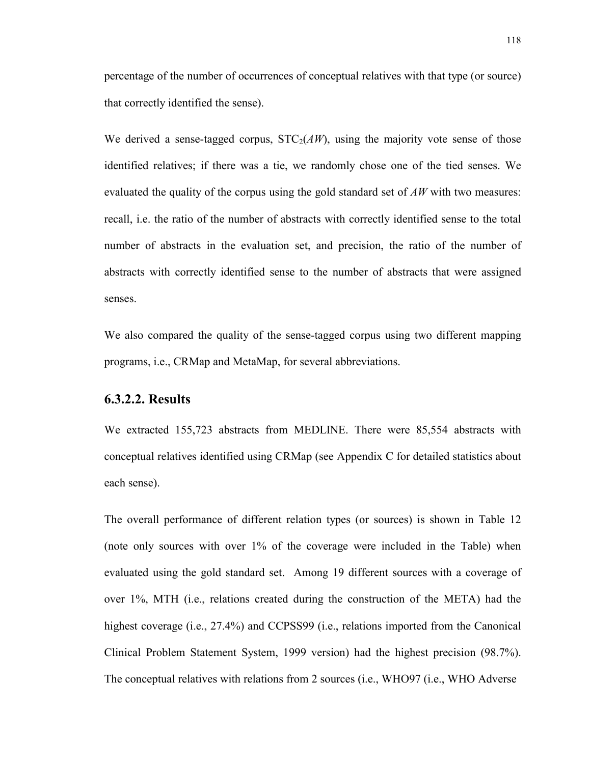percentage of the number of occurrences of conceptual relatives with that type (or source) that correctly identified the sense).

We derived a sense-tagged corpus,  $STC<sub>2</sub>(AW)$ , using the majority vote sense of those identified relatives; if there was a tie, we randomly chose one of the tied senses. We evaluated the quality of the corpus using the gold standard set of *AW* with two measures: recall, i.e. the ratio of the number of abstracts with correctly identified sense to the total number of abstracts in the evaluation set, and precision, the ratio of the number of abstracts with correctly identified sense to the number of abstracts that were assigned senses.

We also compared the quality of the sense-tagged corpus using two different mapping programs, i.e., CRMap and MetaMap, for several abbreviations.

# **6.3.2.2. Results**

We extracted 155,723 abstracts from MEDLINE. There were 85,554 abstracts with conceptual relatives identified using CRMap (see Appendix C for detailed statistics about each sense).

The overall performance of different relation types (or sources) is shown in Table 12 (note only sources with over 1% of the coverage were included in the Table) when evaluated using the gold standard set. Among 19 different sources with a coverage of over 1%, MTH (i.e., relations created during the construction of the META) had the highest coverage (i.e., 27.4%) and CCPSS99 (i.e., relations imported from the Canonical Clinical Problem Statement System, 1999 version) had the highest precision (98.7%). The conceptual relatives with relations from 2 sources (i.e., WHO97 (i.e., WHO Adverse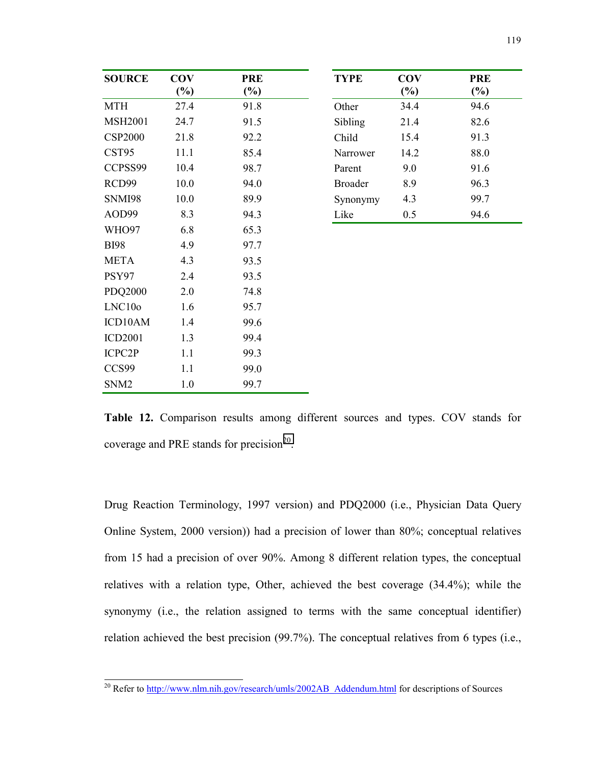| <b>SOURCE</b>    | <b>COV</b> | <b>PRE</b> | <b>TYPE</b>    | <b>COV</b> | <b>PRE</b> |
|------------------|------------|------------|----------------|------------|------------|
|                  | $(\%)$     | $(\%)$     |                | $(\%)$     | $(\%)$     |
| <b>MTH</b>       | 27.4       | 91.8       | Other          | 34.4       | 94.6       |
| <b>MSH2001</b>   | 24.7       | 91.5       | Sibling        | 21.4       | 82.6       |
| <b>CSP2000</b>   | 21.8       | 92.2       | Child          | 15.4       | 91.3       |
| CST95            | 11.1       | 85.4       | Narrower       | 14.2       | 88.0       |
| CCPSS99          | 10.4       | 98.7       | Parent         | 9.0        | 91.6       |
| RCD99            | 10.0       | 94.0       | <b>Broader</b> | 8.9        | 96.3       |
| <b>SNMI98</b>    | 10.0       | 89.9       | Synonymy       | 4.3        | 99.7       |
| AOD99            | 8.3        | 94.3       | Like           | 0.5        | 94.6       |
| WHO97            | 6.8        | 65.3       |                |            |            |
| <b>BI98</b>      | 4.9        | 97.7       |                |            |            |
| <b>META</b>      | 4.3        | 93.5       |                |            |            |
| PSY97            | 2.4        | 93.5       |                |            |            |
| <b>PDQ2000</b>   | 2.0        | 74.8       |                |            |            |
| LNC10o           | 1.6        | 95.7       |                |            |            |
| ICD10AM          | 1.4        | 99.6       |                |            |            |
| <b>ICD2001</b>   | 1.3        | 99.4       |                |            |            |
| ICPC2P           | 1.1        | 99.3       |                |            |            |
| CCS99            | 1.1        | 99.0       |                |            |            |
| SNM <sub>2</sub> | 1.0        | 99.7       |                |            |            |

| <b>TYPE</b>    | <b>COV</b> | <b>PRE</b> |
|----------------|------------|------------|
|                | (%)        | (%)        |
| Other          | 344        | 94.6       |
| Sibling        | 21.4       | 82 6       |
| Child          | 15.4       | 91.3       |
| Narrower       | 14 2       | 88.0       |
| Parent         | 9.0        | 91.6       |
| <b>Broader</b> | 8.9        | 96.3       |
| Synonymy       | 4.3        | 99.7       |
| Like           | 0.5        | 94.6       |

**Table 12.** Comparison results among different sources and types. COV stands for coverage and PRE stands for precision $2^0$ .

Drug Reaction Terminology, 1997 version) and PDQ2000 (i.e., Physician Data Query Online System, 2000 version)) had a precision of lower than 80%; conceptual relatives from 15 had a precision of over 90%. Among 8 different relation types, the conceptual relatives with a relation type, Other, achieved the best coverage (34.4%); while the synonymy (i.e., the relation assigned to terms with the same conceptual identifier) relation achieved the best precision (99.7%). The conceptual relatives from 6 types (i.e.,

<sup>&</sup>lt;sup>20</sup> Refer to http://www.nlm.nih.gov/research/umls/2002AB\_Addendum.html for descriptions of Sources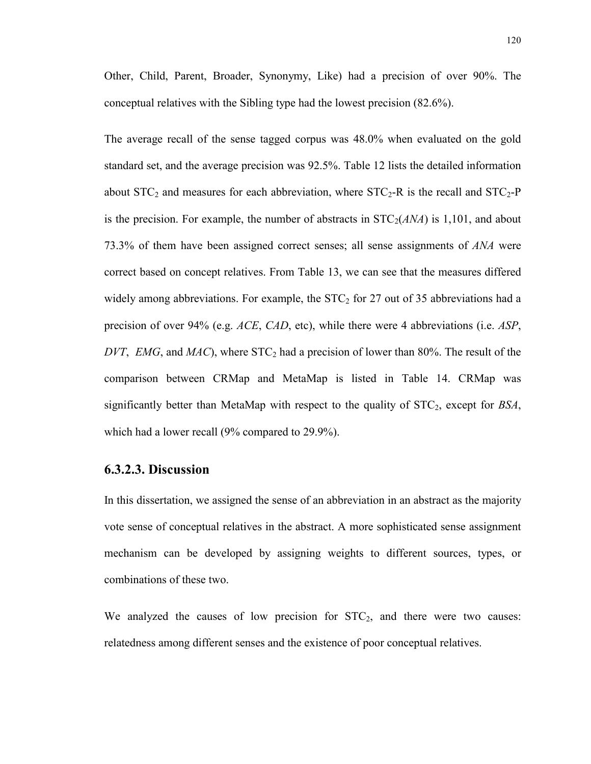Other, Child, Parent, Broader, Synonymy, Like) had a precision of over 90%. The conceptual relatives with the Sibling type had the lowest precision (82.6%).

The average recall of the sense tagged corpus was 48.0% when evaluated on the gold standard set, and the average precision was 92.5%. Table 12 lists the detailed information about  $STC_2$  and measures for each abbreviation, where  $STC_2$ -R is the recall and  $STC_2$ -P is the precision. For example, the number of abstracts in  $STC<sub>2</sub>(*ANA*)$  is 1,101, and about 73.3% of them have been assigned correct senses; all sense assignments of *ANA* were correct based on concept relatives. From Table 13, we can see that the measures differed widely among abbreviations. For example, the  $STC<sub>2</sub>$  for 27 out of 35 abbreviations had a precision of over 94% (e.g. *ACE*, *CAD*, etc), while there were 4 abbreviations (i.e. *ASP*, *DVT*, *EMG*, and *MAC*), where  $STC<sub>2</sub>$  had a precision of lower than 80%. The result of the comparison between CRMap and MetaMap is listed in Table 14. CRMap was significantly better than MetaMap with respect to the quality of STC2, except for *BSA*, which had a lower recall (9% compared to 29.9%).

#### **6.3.2.3. Discussion**

In this dissertation, we assigned the sense of an abbreviation in an abstract as the majority vote sense of conceptual relatives in the abstract. A more sophisticated sense assignment mechanism can be developed by assigning weights to different sources, types, or combinations of these two.

We analyzed the causes of low precision for  $STC<sub>2</sub>$ , and there were two causes: relatedness among different senses and the existence of poor conceptual relatives.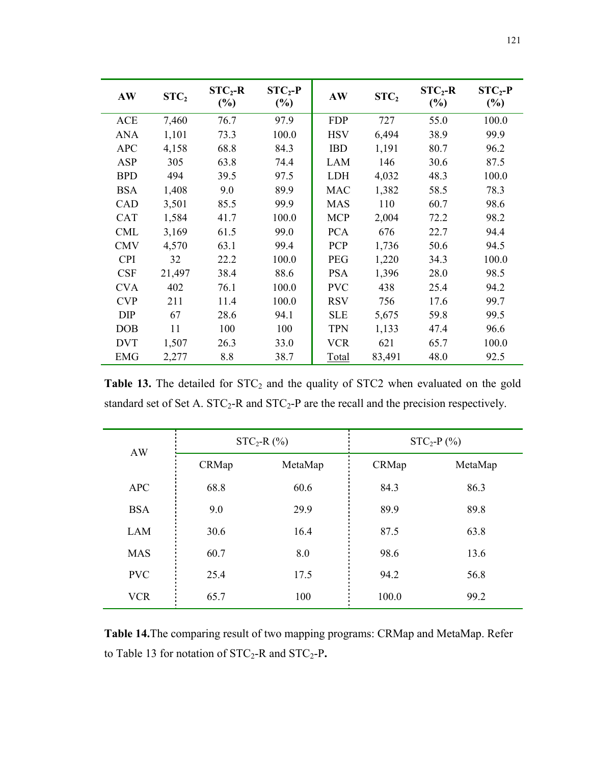| AW         | STC <sub>2</sub> | $STC_2-R$<br>$(\%)$ | $STC_2-P$<br>$(\%)$ | AW         | STC <sub>2</sub> | $STC_2-R$<br>(%) | $STC_2-P$<br>(%) |
|------------|------------------|---------------------|---------------------|------------|------------------|------------------|------------------|
| ACE        | 7,460            | 76.7                | 97.9                | <b>FDP</b> | 727              | 55.0             | 100.0            |
| <b>ANA</b> | 1,101            | 73.3                | 100.0               | <b>HSV</b> | 6,494            | 38.9             | 99.9             |
| <b>APC</b> | 4,158            | 68.8                | 84.3                | <b>IBD</b> | 1,191            | 80.7             | 96.2             |
| ASP        | 305              | 63.8                | 74.4                | <b>LAM</b> | 146              | 30.6             | 87.5             |
| <b>BPD</b> | 494              | 39.5                | 97.5                | <b>LDH</b> | 4,032            | 48.3             | 100.0            |
| <b>BSA</b> | 1,408            | 9.0                 | 89.9                | <b>MAC</b> | 1,382            | 58.5             | 78.3             |
| CAD        | 3,501            | 85.5                | 99.9                | <b>MAS</b> | 110              | 60.7             | 98.6             |
| <b>CAT</b> | 1,584            | 41.7                | 100.0               | <b>MCP</b> | 2,004            | 72.2             | 98.2             |
| <b>CML</b> | 3,169            | 61.5                | 99.0                | <b>PCA</b> | 676              | 22.7             | 94.4             |
| <b>CMV</b> | 4,570            | 63.1                | 99.4                | <b>PCP</b> | 1,736            | 50.6             | 94.5             |
| <b>CPI</b> | 32               | 22.2                | 100.0               | <b>PEG</b> | 1,220            | 34.3             | 100.0            |
| <b>CSF</b> | 21,497           | 38.4                | 88.6                | <b>PSA</b> | 1,396            | 28.0             | 98.5             |
| <b>CVA</b> | 402              | 76.1                | 100.0               | <b>PVC</b> | 438              | 25.4             | 94.2             |
| <b>CVP</b> | 211              | 11.4                | 100.0               | <b>RSV</b> | 756              | 17.6             | 99.7             |
| <b>DIP</b> | 67               | 28.6                | 94.1                | <b>SLE</b> | 5,675            | 59.8             | 99.5             |
| DOB        | 11               | 100                 | 100                 | <b>TPN</b> | 1,133            | 47.4             | 96.6             |
| <b>DVT</b> | 1,507            | 26.3                | 33.0                | <b>VCR</b> | 621              | 65.7             | 100.0            |
| EMG        | 2,277            | 8.8                 | 38.7                | Total      | 83,491           | 48.0             | 92.5             |

Table 13. The detailed for STC<sub>2</sub> and the quality of STC2 when evaluated on the gold standard set of Set A.  $STC_2$ -R and  $STC_2$ -P are the recall and the precision respectively.

| AW         |       | $STC_2-R$ (%) | $STC_2-P$ (%) |         |  |
|------------|-------|---------------|---------------|---------|--|
|            | CRMap | MetaMap       | CRMap         | MetaMap |  |
| <b>APC</b> | 68.8  | 60.6          | 84.3          | 86.3    |  |
| <b>BSA</b> | 9.0   | 29.9          | 89.9          | 89.8    |  |
| LAM        | 30.6  | 16.4          | 87.5          | 63.8    |  |
| <b>MAS</b> | 60.7  | 8.0           | 98.6          | 13.6    |  |
| <b>PVC</b> | 25.4  | 17.5          | 94.2          | 56.8    |  |
| <b>VCR</b> | 65.7  | 100           | 100.0         | 99.2    |  |

**Table 14.**The comparing result of two mapping programs: CRMap and MetaMap. Refer to Table 13 for notation of STC<sub>2</sub>-R and STC<sub>2</sub>-P.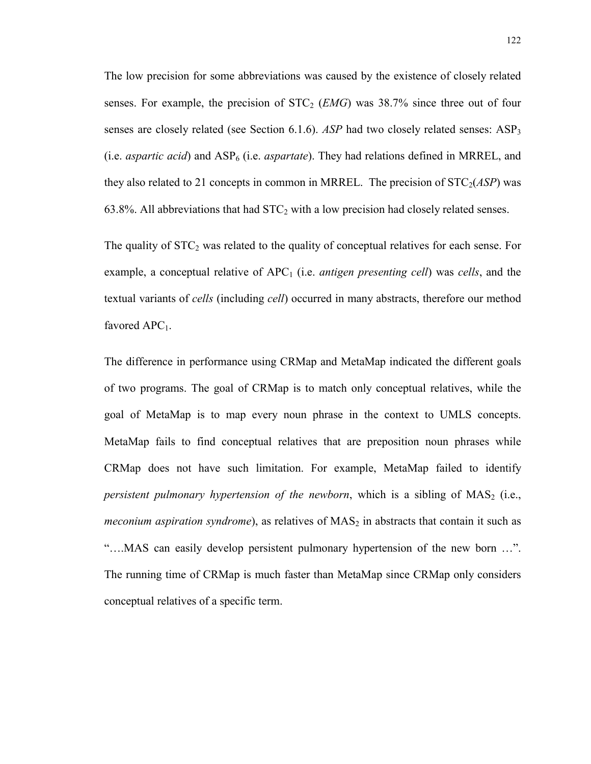The low precision for some abbreviations was caused by the existence of closely related senses. For example, the precision of  $STC_2$  (*EMG*) was 38.7% since three out of four senses are closely related (see Section 6.1.6). *ASP* had two closely related senses:  $ASP<sub>3</sub>$ (i.e. *aspartic acid*) and ASP<sub>6</sub> (i.e. *aspartate*). They had relations defined in MRREL, and they also related to 21 concepts in common in MRREL. The precision of  $STC<sub>2</sub>(ASP)$  was 63.8%. All abbreviations that had  $STC<sub>2</sub>$  with a low precision had closely related senses.

The quality of  $STC_2$  was related to the quality of conceptual relatives for each sense. For example, a conceptual relative of APC<sub>1</sub> (i.e. *antigen presenting cell*) was *cells*, and the textual variants of *cells* (including *cell*) occurred in many abstracts, therefore our method favored  $APC<sub>1</sub>$ .

The difference in performance using CRMap and MetaMap indicated the different goals of two programs. The goal of CRMap is to match only conceptual relatives, while the goal of MetaMap is to map every noun phrase in the context to UMLS concepts. MetaMap fails to find conceptual relatives that are preposition noun phrases while CRMap does not have such limitation. For example, MetaMap failed to identify *persistent pulmonary hypertension of the newborn*, which is a sibling of  $MAS<sub>2</sub>$  (i.e., *meconium aspiration syndrome*), as relatives of MAS<sub>2</sub> in abstracts that contain it such as "….MAS can easily develop persistent pulmonary hypertension of the new born …". The running time of CRMap is much faster than MetaMap since CRMap only considers conceptual relatives of a specific term.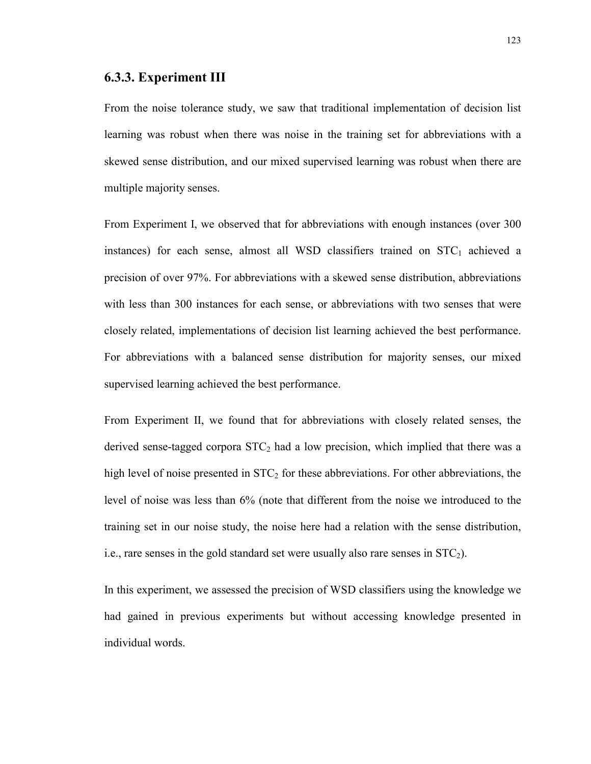#### **6.3.3. Experiment III**

From the noise tolerance study, we saw that traditional implementation of decision list learning was robust when there was noise in the training set for abbreviations with a skewed sense distribution, and our mixed supervised learning was robust when there are multiple majority senses.

From Experiment I, we observed that for abbreviations with enough instances (over 300 instances) for each sense, almost all WSD classifiers trained on  $STC<sub>1</sub>$  achieved a precision of over 97%. For abbreviations with a skewed sense distribution, abbreviations with less than 300 instances for each sense, or abbreviations with two senses that were closely related, implementations of decision list learning achieved the best performance. For abbreviations with a balanced sense distribution for majority senses, our mixed supervised learning achieved the best performance.

From Experiment II, we found that for abbreviations with closely related senses, the derived sense-tagged corpora  $STC<sub>2</sub>$  had a low precision, which implied that there was a high level of noise presented in  $STC<sub>2</sub>$  for these abbreviations. For other abbreviations, the level of noise was less than 6% (note that different from the noise we introduced to the training set in our noise study, the noise here had a relation with the sense distribution, i.e., rare senses in the gold standard set were usually also rare senses in  $STC<sub>2</sub>$ ).

In this experiment, we assessed the precision of WSD classifiers using the knowledge we had gained in previous experiments but without accessing knowledge presented in individual words.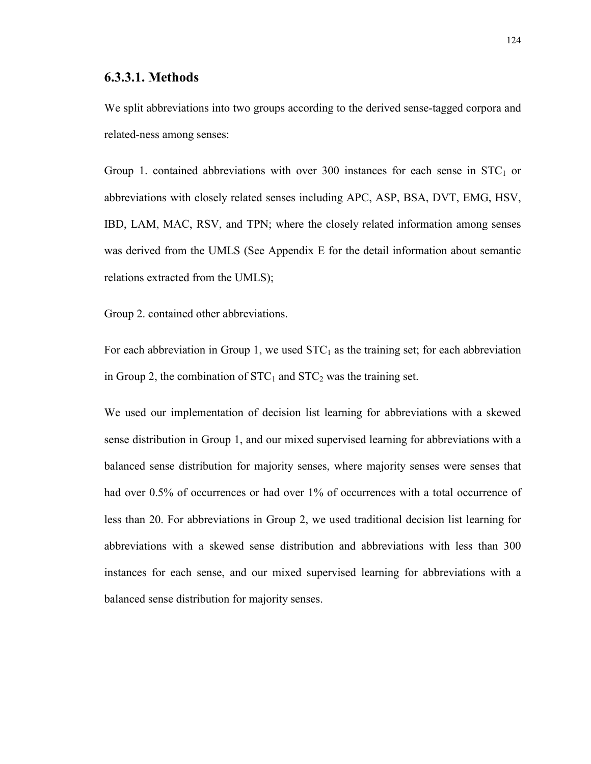#### **6.3.3.1. Methods**

We split abbreviations into two groups according to the derived sense-tagged corpora and related-ness among senses:

Group 1. contained abbreviations with over 300 instances for each sense in  $STC<sub>1</sub>$  or abbreviations with closely related senses including APC, ASP, BSA, DVT, EMG, HSV, IBD, LAM, MAC, RSV, and TPN; where the closely related information among senses was derived from the UMLS (See Appendix E for the detail information about semantic relations extracted from the UMLS);

Group 2. contained other abbreviations.

For each abbreviation in Group 1, we used  $STC_1$  as the training set; for each abbreviation in Group 2, the combination of  $STC_1$  and  $STC_2$  was the training set.

We used our implementation of decision list learning for abbreviations with a skewed sense distribution in Group 1, and our mixed supervised learning for abbreviations with a balanced sense distribution for majority senses, where majority senses were senses that had over 0.5% of occurrences or had over 1% of occurrences with a total occurrence of less than 20. For abbreviations in Group 2, we used traditional decision list learning for abbreviations with a skewed sense distribution and abbreviations with less than 300 instances for each sense, and our mixed supervised learning for abbreviations with a balanced sense distribution for majority senses.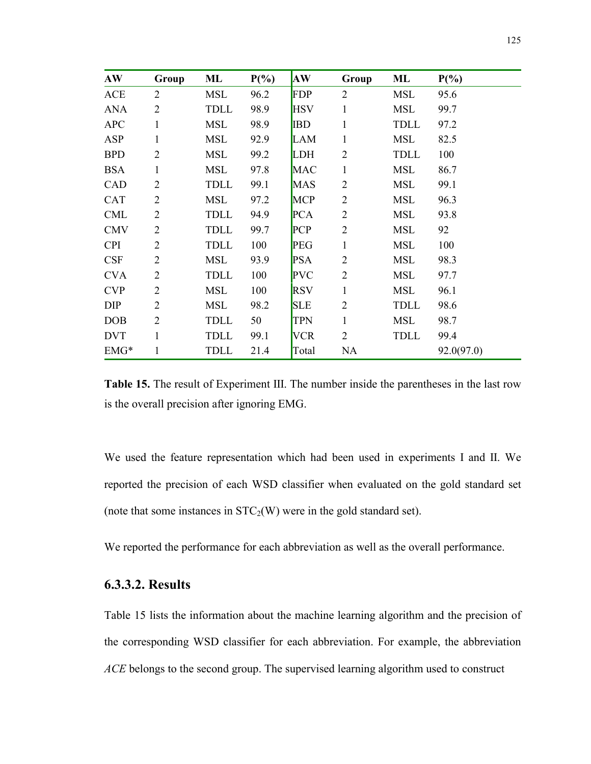| AW         | Group          | ML         | $P(\%)$ | <b>AW</b>  | Group          | ML          | $P(\%)$    |
|------------|----------------|------------|---------|------------|----------------|-------------|------------|
| <b>ACE</b> | $\overline{2}$ | MSL        | 96.2    | <b>FDP</b> | $\overline{2}$ | <b>MSL</b>  | 95.6       |
| <b>ANA</b> | $\overline{2}$ | TDLL       | 98.9    | <b>HSV</b> | $\mathbf{1}$   | MSL         | 99.7       |
| <b>APC</b> | 1              | <b>MSL</b> | 98.9    | <b>IBD</b> | 1              | TDLL        | 97.2       |
| <b>ASP</b> | 1              | MSL        | 92.9    | <b>LAM</b> | 1              | MSL         | 82.5       |
| <b>BPD</b> | $\overline{2}$ | MSL        | 99.2    | <b>LDH</b> | $\overline{2}$ | TDLL        | 100        |
| <b>BSA</b> | 1              | MSL        | 97.8    | <b>MAC</b> | 1              | <b>MSL</b>  | 86.7       |
| CAD        | $\overline{2}$ | TDLL       | 99.1    | <b>MAS</b> | $\overline{2}$ | <b>MSL</b>  | 99.1       |
| <b>CAT</b> | $\overline{2}$ | MSL        | 97.2    | <b>MCP</b> | $\overline{2}$ | <b>MSL</b>  | 96.3       |
| <b>CML</b> | $\overline{2}$ | TDLL       | 94.9    | <b>PCA</b> | $\overline{2}$ | <b>MSL</b>  | 93.8       |
| <b>CMV</b> | $\overline{2}$ | TDLL       | 99.7    | <b>PCP</b> | $\overline{2}$ | <b>MSL</b>  | 92         |
| <b>CPI</b> | $\overline{2}$ | TDLL       | 100     | <b>PEG</b> | 1              | <b>MSL</b>  | 100        |
| <b>CSF</b> | $\overline{2}$ | MSL        | 93.9    | <b>PSA</b> | $\overline{2}$ | <b>MSL</b>  | 98.3       |
| <b>CVA</b> | $\overline{2}$ | TDLL       | 100     | <b>PVC</b> | $\overline{2}$ | <b>MSL</b>  | 97.7       |
| <b>CVP</b> | $\overline{2}$ | <b>MSL</b> | 100     | <b>RSV</b> | 1              | <b>MSL</b>  | 96.1       |
| DIP        | $\overline{2}$ | MSL        | 98.2    | <b>SLE</b> | $\overline{2}$ | TDLL        | 98.6       |
| <b>DOB</b> | $\overline{2}$ | TDLL       | 50      | <b>TPN</b> | 1              | <b>MSL</b>  | 98.7       |
| <b>DVT</b> | 1              | TDLL       | 99.1    | <b>VCR</b> | $\overline{2}$ | <b>TDLL</b> | 99.4       |
| $EMG*$     | 1              | TDLL       | 21.4    | Total      | NA             |             | 92.0(97.0) |

**Table 15.** The result of Experiment III. The number inside the parentheses in the last row is the overall precision after ignoring EMG.

We used the feature representation which had been used in experiments I and II. We reported the precision of each WSD classifier when evaluated on the gold standard set (note that some instances in  $STC_2(W)$  were in the gold standard set).

We reported the performance for each abbreviation as well as the overall performance.

# **6.3.3.2. Results**

Table 15 lists the information about the machine learning algorithm and the precision of the corresponding WSD classifier for each abbreviation. For example, the abbreviation *ACE* belongs to the second group. The supervised learning algorithm used to construct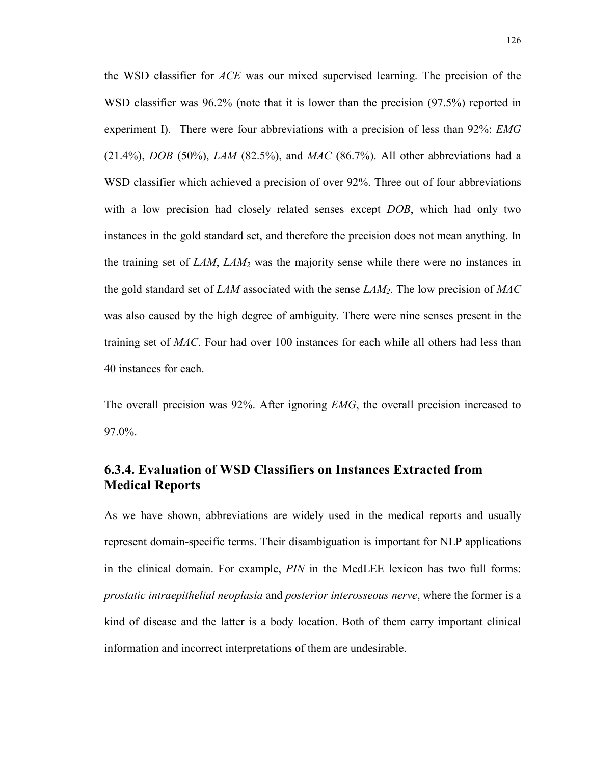the WSD classifier for *ACE* was our mixed supervised learning. The precision of the WSD classifier was 96.2% (note that it is lower than the precision (97.5%) reported in experiment I). There were four abbreviations with a precision of less than 92%: *EMG* (21.4%), *DOB* (50%), *LAM* (82.5%), and *MAC* (86.7%). All other abbreviations had a WSD classifier which achieved a precision of over 92%. Three out of four abbreviations with a low precision had closely related senses except *DOB*, which had only two instances in the gold standard set, and therefore the precision does not mean anything. In the training set of *LAM*, *LAM2* was the majority sense while there were no instances in the gold standard set of *LAM* associated with the sense *LAM2*. The low precision of *MAC* was also caused by the high degree of ambiguity. There were nine senses present in the training set of *MAC*. Four had over 100 instances for each while all others had less than 40 instances for each.

The overall precision was 92%. After ignoring *EMG*, the overall precision increased to 97.0%.

# **6.3.4. Evaluation of WSD Classifiers on Instances Extracted from Medical Reports**

As we have shown, abbreviations are widely used in the medical reports and usually represent domain-specific terms. Their disambiguation is important for NLP applications in the clinical domain. For example, *PIN* in the MedLEE lexicon has two full forms: *prostatic intraepithelial neoplasia* and *posterior interosseous nerve*, where the former is a kind of disease and the latter is a body location. Both of them carry important clinical information and incorrect interpretations of them are undesirable.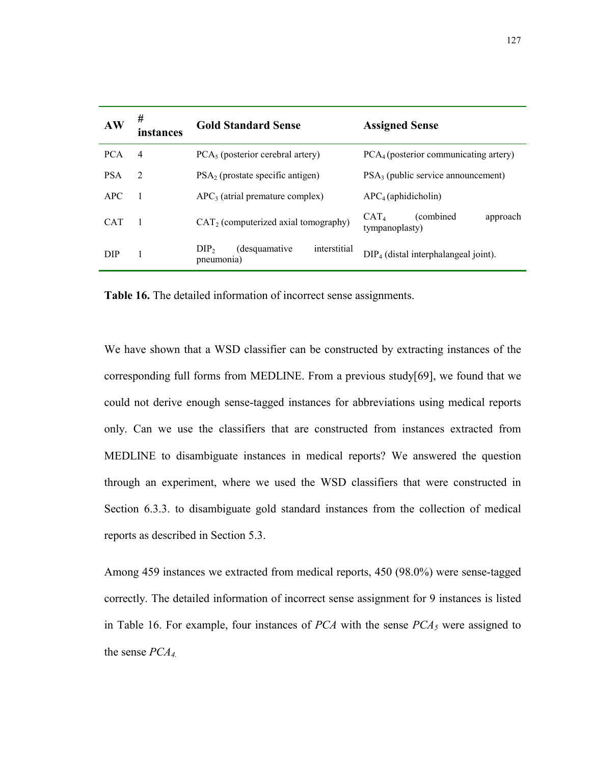| AW         | #<br>instances | <b>Gold Standard Sense</b>                                       | <b>Assigned Sense</b>                                               |  |  |
|------------|----------------|------------------------------------------------------------------|---------------------------------------------------------------------|--|--|
| <b>PCA</b> | $\overline{4}$ | $PCA5$ (posterior cerebral artery)                               | $PCA_4$ (posterior communicating artery)                            |  |  |
| <b>PSA</b> | $\overline{2}$ | $PSA2$ (prostate specific antigen)                               | $PSA3$ (public service announcement)                                |  |  |
| APC        |                | $APC3$ (atrial premature complex)                                | $APC4$ (aphidicholin)                                               |  |  |
| <b>CAT</b> |                | $CAT2$ (computerized axial tomography)                           | <i>(combined)</i><br>CAT <sub>4</sub><br>approach<br>tympanoplasty) |  |  |
| <b>DIP</b> |                | interstitial<br>(desquamative)<br>DIP <sub>2</sub><br>pneumonia) | $DIP_4$ (distal interphalangeal joint).                             |  |  |

**Table 16.** The detailed information of incorrect sense assignments.

We have shown that a WSD classifier can be constructed by extracting instances of the corresponding full forms from MEDLINE. From a previous study[69], we found that we could not derive enough sense-tagged instances for abbreviations using medical reports only. Can we use the classifiers that are constructed from instances extracted from MEDLINE to disambiguate instances in medical reports? We answered the question through an experiment, where we used the WSD classifiers that were constructed in Section 6.3.3. to disambiguate gold standard instances from the collection of medical reports as described in Section 5.3.

Among 459 instances we extracted from medical reports, 450 (98.0%) were sense-tagged correctly. The detailed information of incorrect sense assignment for 9 instances is listed in Table 16. For example, four instances of  $PCA$  with the sense  $PCA<sub>5</sub>$  were assigned to the sense *PCA4.*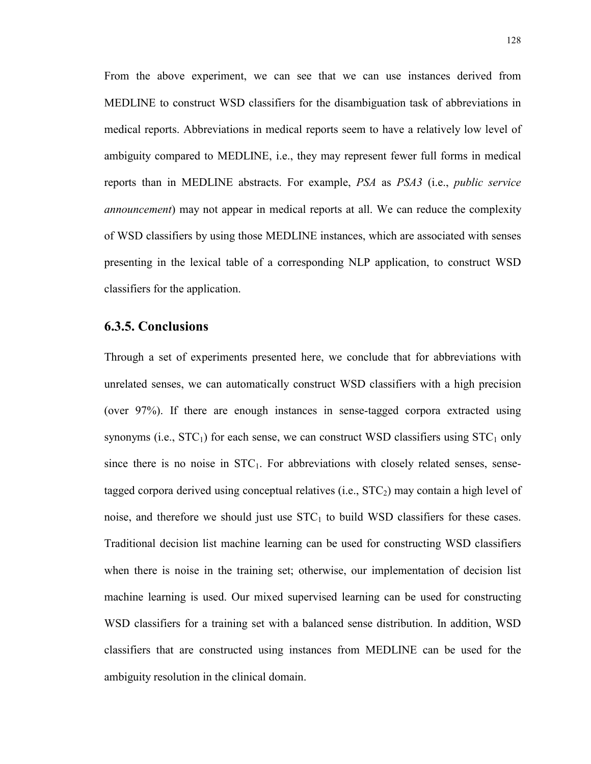From the above experiment, we can see that we can use instances derived from MEDLINE to construct WSD classifiers for the disambiguation task of abbreviations in medical reports. Abbreviations in medical reports seem to have a relatively low level of ambiguity compared to MEDLINE, i.e., they may represent fewer full forms in medical reports than in MEDLINE abstracts. For example, *PSA* as *PSA3* (i.e., *public service announcement*) may not appear in medical reports at all. We can reduce the complexity of WSD classifiers by using those MEDLINE instances, which are associated with senses presenting in the lexical table of a corresponding NLP application, to construct WSD classifiers for the application.

#### **6.3.5. Conclusions**

Through a set of experiments presented here, we conclude that for abbreviations with unrelated senses, we can automatically construct WSD classifiers with a high precision (over 97%). If there are enough instances in sense-tagged corpora extracted using synonyms (i.e.,  $STC<sub>1</sub>$ ) for each sense, we can construct WSD classifiers using  $STC<sub>1</sub>$  only since there is no noise in  $STC<sub>1</sub>$ . For abbreviations with closely related senses, sensetagged corpora derived using conceptual relatives (i.e.,  $STC<sub>2</sub>$ ) may contain a high level of noise, and therefore we should just use  $STC<sub>1</sub>$  to build WSD classifiers for these cases. Traditional decision list machine learning can be used for constructing WSD classifiers when there is noise in the training set; otherwise, our implementation of decision list machine learning is used. Our mixed supervised learning can be used for constructing WSD classifiers for a training set with a balanced sense distribution. In addition, WSD classifiers that are constructed using instances from MEDLINE can be used for the ambiguity resolution in the clinical domain.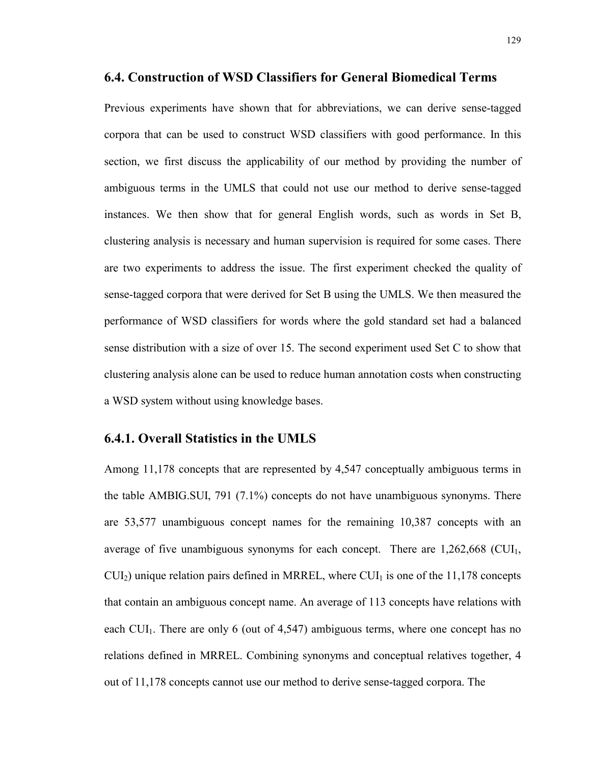#### **6.4. Construction of WSD Classifiers for General Biomedical Terms**

Previous experiments have shown that for abbreviations, we can derive sense-tagged corpora that can be used to construct WSD classifiers with good performance. In this section, we first discuss the applicability of our method by providing the number of ambiguous terms in the UMLS that could not use our method to derive sense-tagged instances. We then show that for general English words, such as words in Set B, clustering analysis is necessary and human supervision is required for some cases. There are two experiments to address the issue. The first experiment checked the quality of sense-tagged corpora that were derived for Set B using the UMLS. We then measured the performance of WSD classifiers for words where the gold standard set had a balanced sense distribution with a size of over 15. The second experiment used Set C to show that clustering analysis alone can be used to reduce human annotation costs when constructing a WSD system without using knowledge bases.

#### **6.4.1. Overall Statistics in the UMLS**

Among 11,178 concepts that are represented by 4,547 conceptually ambiguous terms in the table AMBIG.SUI, 791 (7.1%) concepts do not have unambiguous synonyms. There are 53,577 unambiguous concept names for the remaining 10,387 concepts with an average of five unambiguous synonyms for each concept. There are  $1,262,668$  (CUI<sub>1</sub>,  $CUI<sub>2</sub>$ ) unique relation pairs defined in MRREL, where  $CUI<sub>1</sub>$  is one of the 11,178 concepts that contain an ambiguous concept name. An average of 113 concepts have relations with each  $CU<sub>1</sub>$ . There are only 6 (out of 4,547) ambiguous terms, where one concept has no relations defined in MRREL. Combining synonyms and conceptual relatives together, 4 out of 11,178 concepts cannot use our method to derive sense-tagged corpora. The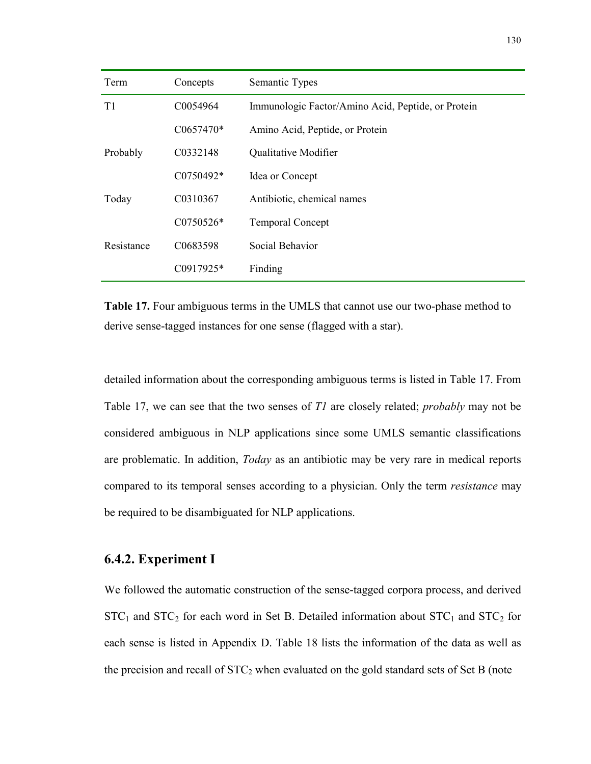| Term       | Concepts       | Semantic Types                                     |  |
|------------|----------------|----------------------------------------------------|--|
| T1         | C0054964       | Immunologic Factor/Amino Acid, Peptide, or Protein |  |
|            | $C0657470*$    | Amino Acid, Peptide, or Protein                    |  |
| Probably   | C0332148       | Qualitative Modifier                               |  |
|            | $C0750492*$    | Idea or Concept                                    |  |
| Today      | C0310367       | Antibiotic, chemical names                         |  |
|            | $C0750526*$    | <b>Temporal Concept</b>                            |  |
| Resistance | C0683598       | Social Behavior                                    |  |
|            | $C_{0917925*}$ | Finding                                            |  |

**Table 17.** Four ambiguous terms in the UMLS that cannot use our two-phase method to derive sense-tagged instances for one sense (flagged with a star).

detailed information about the corresponding ambiguous terms is listed in Table 17. From Table 17, we can see that the two senses of *T1* are closely related; *probably* may not be considered ambiguous in NLP applications since some UMLS semantic classifications are problematic. In addition, *Today* as an antibiotic may be very rare in medical reports compared to its temporal senses according to a physician. Only the term *resistance* may be required to be disambiguated for NLP applications.

## **6.4.2. Experiment I**

We followed the automatic construction of the sense-tagged corpora process, and derived  $STC_1$  and  $STC_2$  for each word in Set B. Detailed information about  $STC_1$  and  $STC_2$  for each sense is listed in Appendix D. Table 18 lists the information of the data as well as the precision and recall of  $STC_2$  when evaluated on the gold standard sets of Set B (note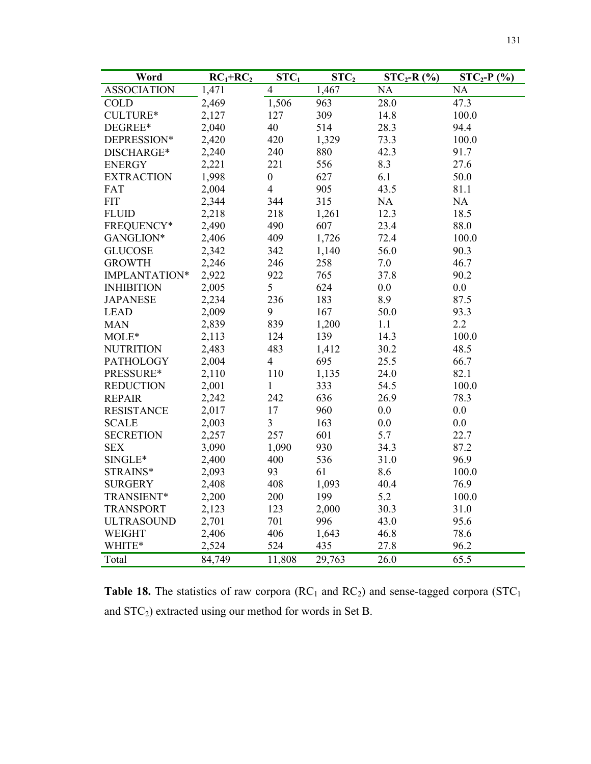| Word               | $RC1+RC2$ | STC <sub>1</sub> | STC <sub>2</sub> | $STC_2-R$ (%) | $STC_2-P$ (%) |
|--------------------|-----------|------------------|------------------|---------------|---------------|
| <b>ASSOCIATION</b> | 1,471     | 4                | 1,467            | NA            | NA            |
| <b>COLD</b>        | 2,469     | 1,506            | 963              | 28.0          | 47.3          |
| CULTURE*           | 2,127     | 127              | 309              | 14.8          | 100.0         |
| DEGREE*            | 2,040     | 40               | 514              | 28.3          | 94.4          |
| DEPRESSION*        | 2,420     | 420              | 1,329            | 73.3          | 100.0         |
| DISCHARGE*         | 2,240     | 240              | 880              | 42.3          | 91.7          |
| <b>ENERGY</b>      | 2,221     | 221              | 556              | 8.3           | 27.6          |
| <b>EXTRACTION</b>  | 1,998     | $\boldsymbol{0}$ | 627              | 6.1           | 50.0          |
| FAT                | 2,004     | $\overline{4}$   | 905              | 43.5          | 81.1          |
| <b>FIT</b>         | 2,344     | 344              | 315              | NA            | NA            |
| <b>FLUID</b>       | 2,218     | 218              | 1,261            | 12.3          | 18.5          |
| FREQUENCY*         | 2,490     | 490              | 607              | 23.4          | 88.0          |
| GANGLION*          | 2,406     | 409              | 1,726            | 72.4          | 100.0         |
| <b>GLUCOSE</b>     | 2,342     | 342              | 1,140            | 56.0          | 90.3          |
| <b>GROWTH</b>      | 2,246     | 246              | 258              | 7.0           | 46.7          |
| IMPLANTATION*      | 2,922     | 922              | 765              | 37.8          | 90.2          |
| <b>INHIBITION</b>  | 2,005     | 5                | 624              | 0.0           | 0.0           |
| <b>JAPANESE</b>    | 2,234     | 236              | 183              | 8.9           | 87.5          |
| <b>LEAD</b>        | 2,009     | 9                | 167              | 50.0          | 93.3          |
| <b>MAN</b>         | 2,839     | 839              | 1,200            | 1.1           | 2.2           |
| MOLE*              | 2,113     | 124              | 139              | 14.3          | 100.0         |
| <b>NUTRITION</b>   | 2,483     | 483              | 1,412            | 30.2          | 48.5          |
| <b>PATHOLOGY</b>   | 2,004     | $\overline{4}$   | 695              | 25.5          | 66.7          |
| PRESSURE*          | 2,110     | 110              | 1,135            | 24.0          | 82.1          |
| <b>REDUCTION</b>   | 2,001     | $\mathbf{1}$     | 333              | 54.5          | 100.0         |
| <b>REPAIR</b>      | 2,242     | 242              | 636              | 26.9          | 78.3          |
| <b>RESISTANCE</b>  | 2,017     | 17               | 960              | 0.0           | 0.0           |
| <b>SCALE</b>       | 2,003     | 3                | 163              | 0.0           | 0.0           |
| <b>SECRETION</b>   | 2,257     | 257              | 601              | 5.7           | 22.7          |
| <b>SEX</b>         | 3,090     | 1,090            | 930              | 34.3          | 87.2          |
| SINGLE*            | 2,400     | 400              | 536              | 31.0          | 96.9          |
| STRAINS*           | 2,093     | 93               | 61               | 8.6           | 100.0         |
| <b>SURGERY</b>     | 2,408     | 408              | 1,093            | 40.4          | 76.9          |
| TRANSIENT*         | 2,200     | 200              | 199              | 5.2           | 100.0         |
| <b>TRANSPORT</b>   | 2,123     | 123              | 2,000            | 30.3          | 31.0          |
| <b>ULTRASOUND</b>  | 2,701     | 701              | 996              | 43.0          | 95.6          |
| <b>WEIGHT</b>      | 2,406     | 406              | 1,643            | 46.8          | 78.6          |
| WHITE*             | 2,524     | 524              | 435              | 27.8          | 96.2          |
| Total              | 84,749    | 11,808           | 29,763           | 26.0          | 65.5          |

**Table 18.** The statistics of raw corpora  $(RC<sub>1</sub>$  and  $RC<sub>2</sub>)$  and sense-tagged corpora  $(STC<sub>1</sub>)$ and STC2) extracted using our method for words in Set B.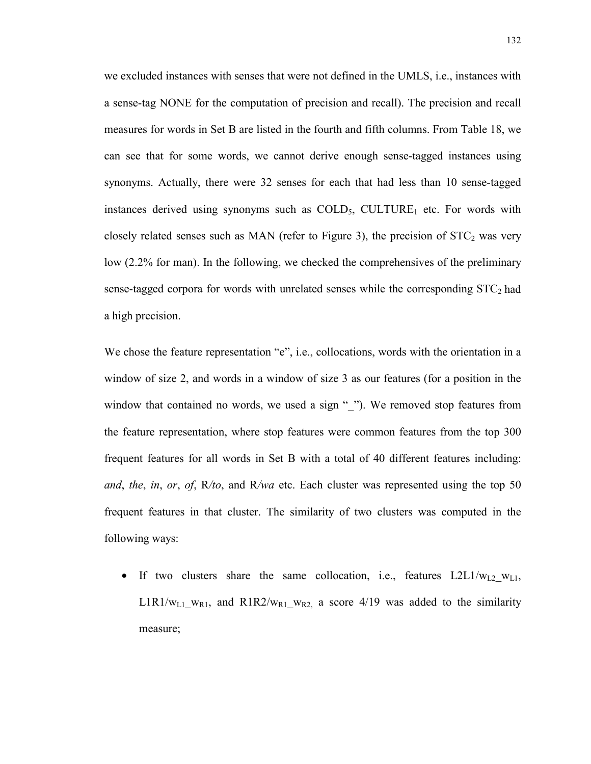we excluded instances with senses that were not defined in the UMLS, i.e., instances with a sense-tag NONE for the computation of precision and recall). The precision and recall measures for words in Set B are listed in the fourth and fifth columns. From Table 18, we can see that for some words, we cannot derive enough sense-tagged instances using synonyms. Actually, there were 32 senses for each that had less than 10 sense-tagged instances derived using synonyms such as  $COLD<sub>5</sub>$ , CULTURE<sub>1</sub> etc. For words with closely related senses such as MAN (refer to Figure 3), the precision of  $STC<sub>2</sub>$  was very low (2.2% for man). In the following, we checked the comprehensives of the preliminary sense-tagged corpora for words with unrelated senses while the corresponding  $STC<sub>2</sub>$  had a high precision.

We chose the feature representation "e", i.e., collocations, words with the orientation in a window of size 2, and words in a window of size 3 as our features (for a position in the window that contained no words, we used a sign ""). We removed stop features from the feature representation, where stop features were common features from the top 300 frequent features for all words in Set B with a total of 40 different features including: *and*, *the*, *in*, *or*, *of*, R*/to*, and R*/wa* etc. Each cluster was represented using the top 50 frequent features in that cluster. The similarity of two clusters was computed in the following ways:

• If two clusters share the same collocation, i.e., features  $L2L1/w_{L2}$  w<sub>L1</sub>, L1R1/w<sub>L1</sub> w<sub>R1</sub>, and R1R2/w<sub>R1</sub> w<sub>R2</sub> a score 4/19 was added to the similarity measure;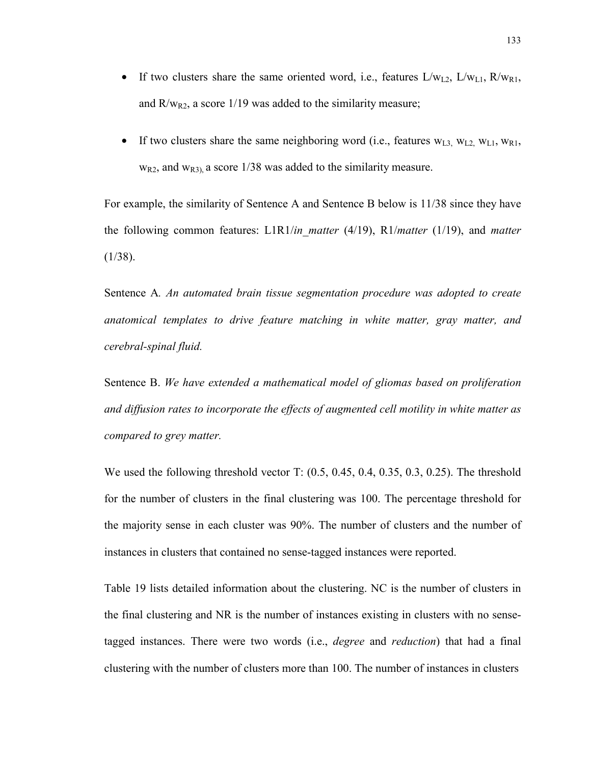- If two clusters share the same oriented word, i.e., features  $L/w_{L2}$ ,  $L/w_{L1}$ ,  $R/w_{R1}$ , and  $R/w_{R2}$ , a score 1/19 was added to the similarity measure;
- If two clusters share the same neighboring word (i.e., features  $w_{L3}$ ,  $w_{L2}$ ,  $w_{L1}$ ,  $w_{R1}$ ,  $w_{R2}$ , and  $w_{R3}$ , a score 1/38 was added to the similarity measure.

For example, the similarity of Sentence A and Sentence B below is 11/38 since they have the following common features: L1R1/*in\_matter* (4/19), R1/*matter* (1/19), and *matter*   $(1/38)$ .

Sentence A*. An automated brain tissue segmentation procedure was adopted to create anatomical templates to drive feature matching in white matter, gray matter, and cerebral-spinal fluid.* 

Sentence B. *We have extended a mathematical model of gliomas based on proliferation and diffusion rates to incorporate the effects of augmented cell motility in white matter as compared to grey matter.* 

We used the following threshold vector T:  $(0.5, 0.45, 0.4, 0.35, 0.3, 0.25)$ . The threshold for the number of clusters in the final clustering was 100. The percentage threshold for the majority sense in each cluster was 90%. The number of clusters and the number of instances in clusters that contained no sense-tagged instances were reported.

Table 19 lists detailed information about the clustering. NC is the number of clusters in the final clustering and NR is the number of instances existing in clusters with no sensetagged instances. There were two words (i.e., *degree* and *reduction*) that had a final clustering with the number of clusters more than 100. The number of instances in clusters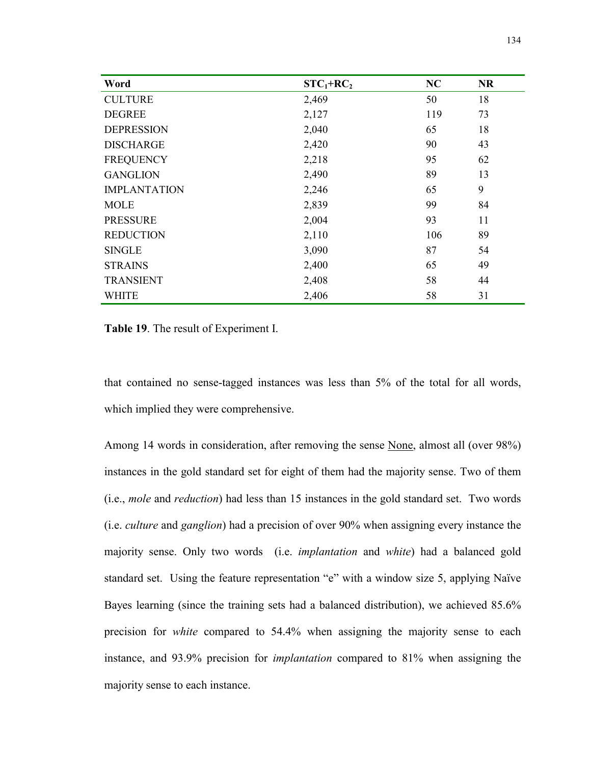| Word                | $STC_1+RC_2$ | NC  | <b>NR</b> |
|---------------------|--------------|-----|-----------|
| <b>CULTURE</b>      | 2,469        | 50  | 18        |
| <b>DEGREE</b>       | 2,127        | 119 | 73        |
| <b>DEPRESSION</b>   | 2,040        | 65  | 18        |
| <b>DISCHARGE</b>    | 2,420        | 90  | 43        |
| <b>FREQUENCY</b>    | 2,218        | 95  | 62        |
| <b>GANGLION</b>     | 2,490        | 89  | 13        |
| <b>IMPLANTATION</b> | 2,246        | 65  | 9         |
| <b>MOLE</b>         | 2,839        | 99  | 84        |
| <b>PRESSURE</b>     | 2,004        | 93  | 11        |
| <b>REDUCTION</b>    | 2,110        | 106 | 89        |
| <b>SINGLE</b>       | 3,090        | 87  | 54        |
| <b>STRAINS</b>      | 2,400        | 65  | 49        |
| <b>TRANSIENT</b>    | 2,408        | 58  | 44        |
| <b>WHITE</b>        | 2,406        | 58  | 31        |

**Table 19**. The result of Experiment I.

that contained no sense-tagged instances was less than 5% of the total for all words, which implied they were comprehensive.

Among 14 words in consideration, after removing the sense None, almost all (over 98%) instances in the gold standard set for eight of them had the majority sense. Two of them (i.e., *mole* and *reduction*) had less than 15 instances in the gold standard set. Two words (i.e. *culture* and *ganglion*) had a precision of over 90% when assigning every instance the majority sense. Only two words (i.e. *implantation* and *white*) had a balanced gold standard set. Using the feature representation "e" with a window size 5, applying Naïve Bayes learning (since the training sets had a balanced distribution), we achieved 85.6% precision for *white* compared to 54.4% when assigning the majority sense to each instance, and 93.9% precision for *implantation* compared to 81% when assigning the majority sense to each instance.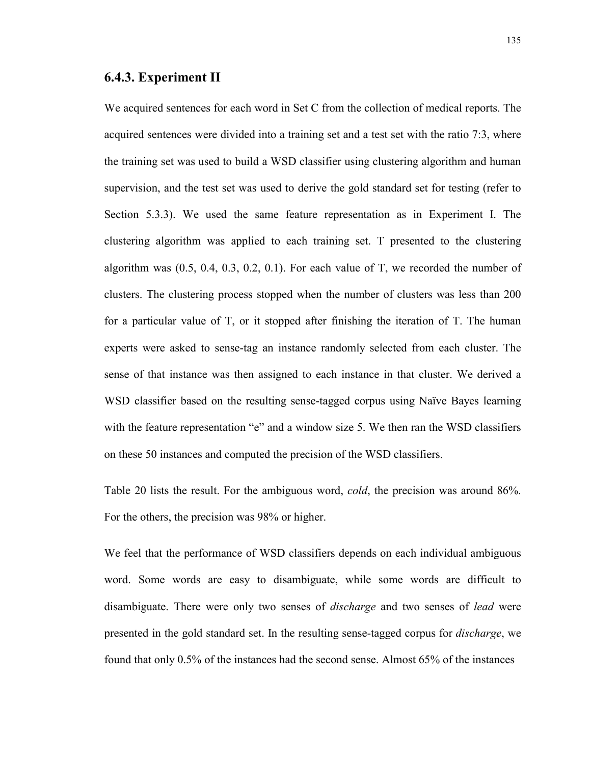#### **6.4.3. Experiment II**

We acquired sentences for each word in Set C from the collection of medical reports. The acquired sentences were divided into a training set and a test set with the ratio 7:3, where the training set was used to build a WSD classifier using clustering algorithm and human supervision, and the test set was used to derive the gold standard set for testing (refer to Section 5.3.3). We used the same feature representation as in Experiment I. The clustering algorithm was applied to each training set. T presented to the clustering algorithm was  $(0.5, 0.4, 0.3, 0.2, 0.1)$ . For each value of T, we recorded the number of clusters. The clustering process stopped when the number of clusters was less than 200 for a particular value of T, or it stopped after finishing the iteration of T. The human experts were asked to sense-tag an instance randomly selected from each cluster. The sense of that instance was then assigned to each instance in that cluster. We derived a WSD classifier based on the resulting sense-tagged corpus using Naïve Bayes learning with the feature representation "e" and a window size 5. We then ran the WSD classifiers on these 50 instances and computed the precision of the WSD classifiers.

Table 20 lists the result. For the ambiguous word, *cold*, the precision was around 86%. For the others, the precision was 98% or higher.

We feel that the performance of WSD classifiers depends on each individual ambiguous word. Some words are easy to disambiguate, while some words are difficult to disambiguate. There were only two senses of *discharge* and two senses of *lead* were presented in the gold standard set. In the resulting sense-tagged corpus for *discharge*, we found that only 0.5% of the instances had the second sense. Almost 65% of the instances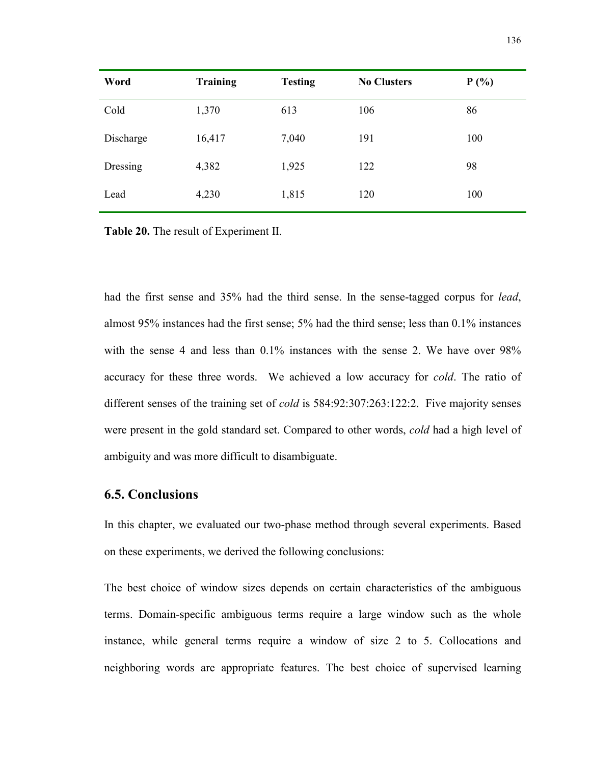| Word      | <b>Training</b> | <b>Testing</b> | <b>No Clusters</b> | P(%) |
|-----------|-----------------|----------------|--------------------|------|
| Cold      | 1,370           | 613            | 106                | 86   |
| Discharge | 16,417          | 7,040          | 191                | 100  |
| Dressing  | 4,382           | 1,925          | 122                | 98   |
| Lead      | 4,230           | 1,815          | 120                | 100  |

**Table 20.** The result of Experiment II.

had the first sense and 35% had the third sense. In the sense-tagged corpus for *lead*, almost 95% instances had the first sense; 5% had the third sense; less than 0.1% instances with the sense 4 and less than  $0.1\%$  instances with the sense 2. We have over 98% accuracy for these three words. We achieved a low accuracy for *cold*. The ratio of different senses of the training set of *cold* is 584:92:307:263:122:2. Five majority senses were present in the gold standard set. Compared to other words, *cold* had a high level of ambiguity and was more difficult to disambiguate.

## **6.5. Conclusions**

In this chapter, we evaluated our two-phase method through several experiments. Based on these experiments, we derived the following conclusions:

The best choice of window sizes depends on certain characteristics of the ambiguous terms. Domain-specific ambiguous terms require a large window such as the whole instance, while general terms require a window of size 2 to 5. Collocations and neighboring words are appropriate features. The best choice of supervised learning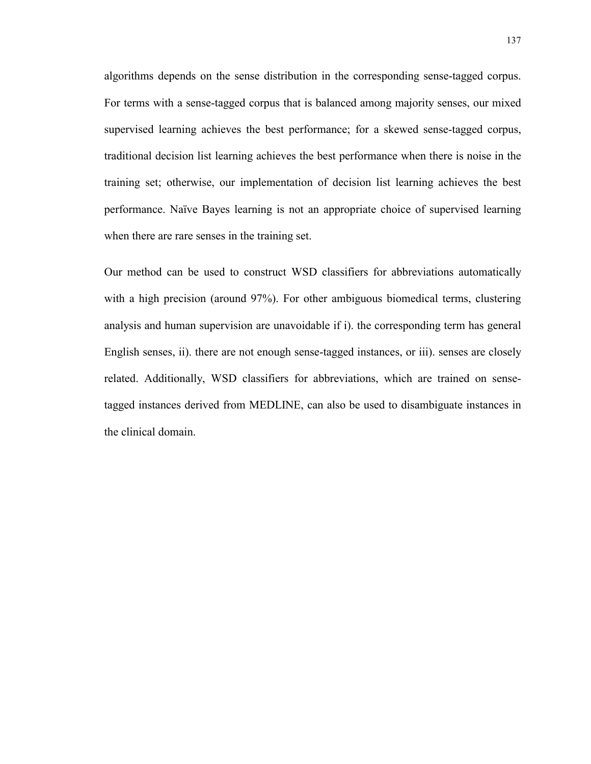algorithms depends on the sense distribution in the corresponding sense-tagged corpus. For terms with a sense-tagged corpus that is balanced among majority senses, our mixed supervised learning achieves the best performance; for a skewed sense-tagged corpus, traditional decision list learning achieves the best performance when there is noise in the training set; otherwise, our implementation of decision list learning achieves the best performance. Naïve Bayes learning is not an appropriate choice of supervised learning when there are rare senses in the training set.

Our method can be used to construct WSD classifiers for abbreviations automatically with a high precision (around 97%). For other ambiguous biomedical terms, clustering analysis and human supervision are unavoidable if i). the corresponding term has general English senses, ii). there are not enough sense-tagged instances, or iii). senses are closely related. Additionally, WSD classifiers for abbreviations, which are trained on sensetagged instances derived from MEDLINE, can also be used to disambiguate instances in the clinical domain.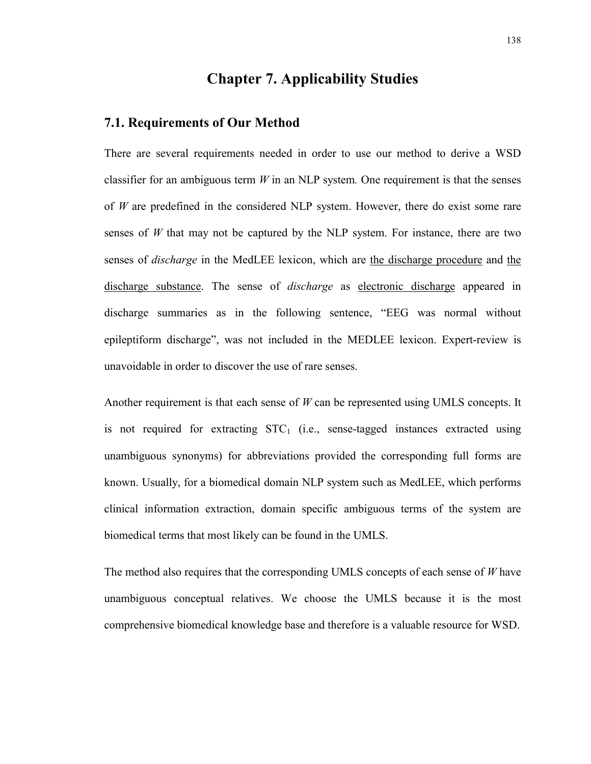# **Chapter 7. Applicability Studies**

#### **7.1. Requirements of Our Method**

There are several requirements needed in order to use our method to derive a WSD classifier for an ambiguous term *W* in an NLP system*.* One requirement is that the senses of *W* are predefined in the considered NLP system. However, there do exist some rare senses of  $W$  that may not be captured by the NLP system. For instance, there are two senses of *discharge* in the MedLEE lexicon, which are the discharge procedure and the discharge substance. The sense of *discharge* as electronic discharge appeared in discharge summaries as in the following sentence, "EEG was normal without epileptiform discharge", was not included in the MEDLEE lexicon. Expert-review is unavoidable in order to discover the use of rare senses.

Another requirement is that each sense of *W* can be represented using UMLS concepts. It is not required for extracting  $STC<sub>1</sub>$  (i.e., sense-tagged instances extracted using unambiguous synonyms) for abbreviations provided the corresponding full forms are known. Usually, for a biomedical domain NLP system such as MedLEE, which performs clinical information extraction, domain specific ambiguous terms of the system are biomedical terms that most likely can be found in the UMLS.

The method also requires that the corresponding UMLS concepts of each sense of *W* have unambiguous conceptual relatives. We choose the UMLS because it is the most comprehensive biomedical knowledge base and therefore is a valuable resource for WSD.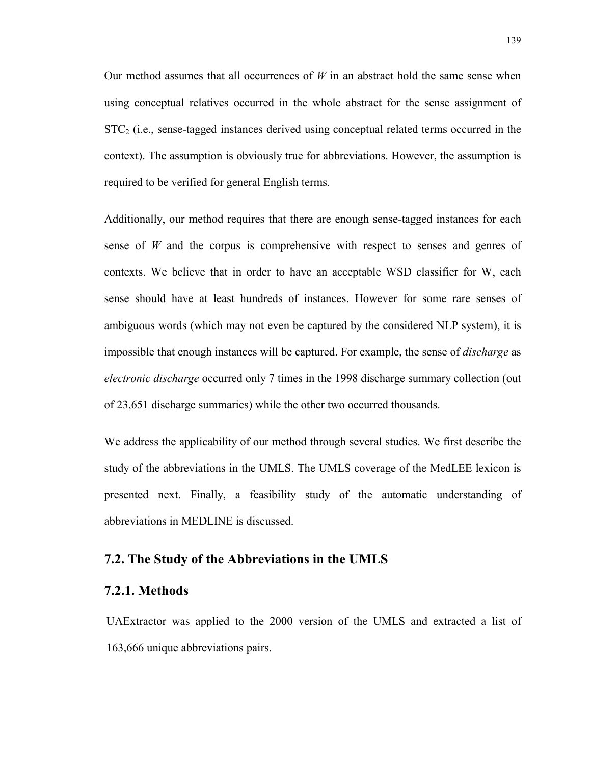Our method assumes that all occurrences of *W* in an abstract hold the same sense when using conceptual relatives occurred in the whole abstract for the sense assignment of  $STC<sub>2</sub>$  (i.e., sense-tagged instances derived using conceptual related terms occurred in the context). The assumption is obviously true for abbreviations. However, the assumption is required to be verified for general English terms.

Additionally, our method requires that there are enough sense-tagged instances for each sense of *W* and the corpus is comprehensive with respect to senses and genres of contexts. We believe that in order to have an acceptable WSD classifier for W, each sense should have at least hundreds of instances. However for some rare senses of ambiguous words (which may not even be captured by the considered NLP system), it is impossible that enough instances will be captured. For example, the sense of *discharge* as *electronic discharge* occurred only 7 times in the 1998 discharge summary collection (out of 23,651 discharge summaries) while the other two occurred thousands.

We address the applicability of our method through several studies. We first describe the study of the abbreviations in the UMLS. The UMLS coverage of the MedLEE lexicon is presented next. Finally, a feasibility study of the automatic understanding of abbreviations in MEDLINE is discussed.

#### **7.2. The Study of the Abbreviations in the UMLS**

#### **7.2.1. Methods**

UAExtractor was applied to the 2000 version of the UMLS and extracted a list of 163,666 unique abbreviations pairs.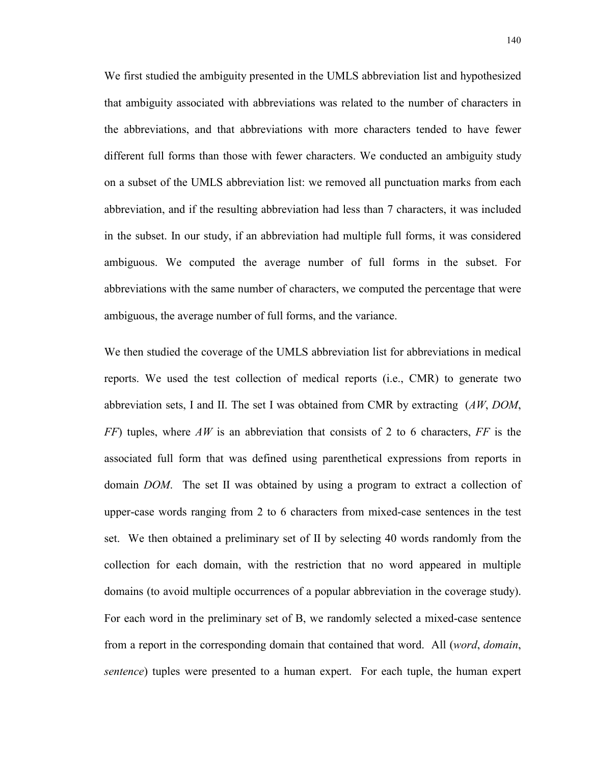We first studied the ambiguity presented in the UMLS abbreviation list and hypothesized that ambiguity associated with abbreviations was related to the number of characters in the abbreviations, and that abbreviations with more characters tended to have fewer different full forms than those with fewer characters. We conducted an ambiguity study on a subset of the UMLS abbreviation list: we removed all punctuation marks from each abbreviation, and if the resulting abbreviation had less than 7 characters, it was included in the subset. In our study, if an abbreviation had multiple full forms, it was considered ambiguous. We computed the average number of full forms in the subset. For abbreviations with the same number of characters, we computed the percentage that were ambiguous, the average number of full forms, and the variance.

We then studied the coverage of the UMLS abbreviation list for abbreviations in medical reports. We used the test collection of medical reports (i.e., CMR) to generate two abbreviation sets, I and II. The set I was obtained from CMR by extracting (*AW*, *DOM*, *FF*) tuples, where *AW* is an abbreviation that consists of 2 to 6 characters, *FF* is the associated full form that was defined using parenthetical expressions from reports in domain *DOM*. The set II was obtained by using a program to extract a collection of upper-case words ranging from 2 to 6 characters from mixed-case sentences in the test set. We then obtained a preliminary set of II by selecting 40 words randomly from the collection for each domain, with the restriction that no word appeared in multiple domains (to avoid multiple occurrences of a popular abbreviation in the coverage study). For each word in the preliminary set of B, we randomly selected a mixed-case sentence from a report in the corresponding domain that contained that word. All (*word*, *domain*, *sentence*) tuples were presented to a human expert. For each tuple, the human expert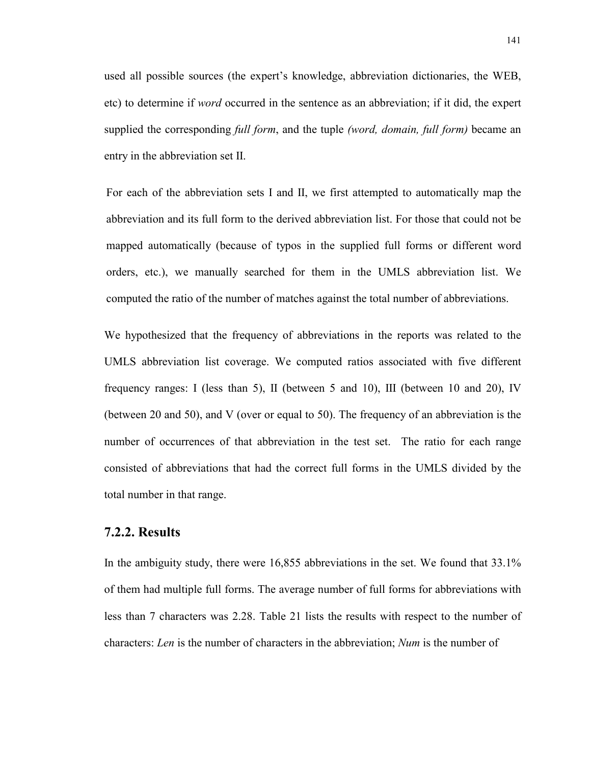used all possible sources (the expert's knowledge, abbreviation dictionaries, the WEB, etc) to determine if *word* occurred in the sentence as an abbreviation; if it did, the expert supplied the corresponding *full form*, and the tuple *(word, domain, full form)* became an entry in the abbreviation set II.

For each of the abbreviation sets I and II, we first attempted to automatically map the abbreviation and its full form to the derived abbreviation list. For those that could not be mapped automatically (because of typos in the supplied full forms or different word orders, etc.), we manually searched for them in the UMLS abbreviation list. We computed the ratio of the number of matches against the total number of abbreviations.

We hypothesized that the frequency of abbreviations in the reports was related to the UMLS abbreviation list coverage. We computed ratios associated with five different frequency ranges: I (less than 5), II (between 5 and 10), III (between 10 and 20), IV (between 20 and 50), and V (over or equal to 50). The frequency of an abbreviation is the number of occurrences of that abbreviation in the test set. The ratio for each range consisted of abbreviations that had the correct full forms in the UMLS divided by the total number in that range.

## **7.2.2. Results**

In the ambiguity study, there were 16,855 abbreviations in the set. We found that 33.1% of them had multiple full forms. The average number of full forms for abbreviations with less than 7 characters was 2.28. Table 21 lists the results with respect to the number of characters: *Len* is the number of characters in the abbreviation; *Num* is the number of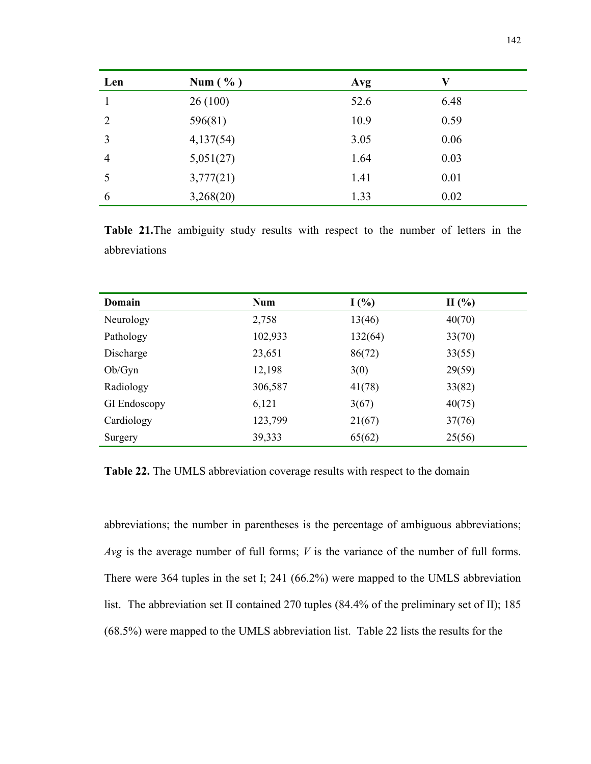| Len            | Num $(\% )$ | Avg  | V    |
|----------------|-------------|------|------|
|                | 26(100)     | 52.6 | 6.48 |
| 2              | 596(81)     | 10.9 | 0.59 |
| 3              | 4,137(54)   | 3.05 | 0.06 |
| $\overline{4}$ | 5,051(27)   | 1.64 | 0.03 |
|                | 3,777(21)   | 1.41 | 0.01 |
| 6              | 3,268(20)   | 1.33 | 0.02 |

**Table 21.**The ambiguity study results with respect to the number of letters in the abbreviations

| Domain              | <b>Num</b> | I(%)    | $\Pi$ (%) |
|---------------------|------------|---------|-----------|
| Neurology           | 2,758      | 13(46)  | 40(70)    |
| Pathology           | 102,933    | 132(64) | 33(70)    |
| Discharge           | 23,651     | 86(72)  | 33(55)    |
| Ob/Gyn              | 12,198     | 3(0)    | 29(59)    |
| Radiology           | 306,587    | 41(78)  | 33(82)    |
| <b>GI</b> Endoscopy | 6,121      | 3(67)   | 40(75)    |
| Cardiology          | 123,799    | 21(67)  | 37(76)    |
| Surgery             | 39,333     | 65(62)  | 25(56)    |

**Table 22.** The UMLS abbreviation coverage results with respect to the domain

abbreviations; the number in parentheses is the percentage of ambiguous abbreviations; *Avg* is the average number of full forms; *V* is the variance of the number of full forms. There were 364 tuples in the set I; 241 (66.2%) were mapped to the UMLS abbreviation list. The abbreviation set II contained 270 tuples (84.4% of the preliminary set of II); 185 (68.5%) were mapped to the UMLS abbreviation list. Table 22 lists the results for the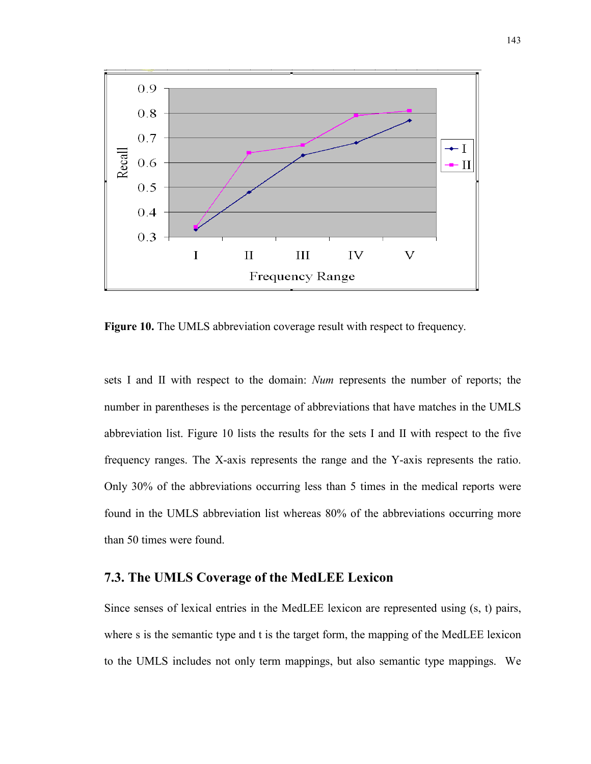

**Figure 10.** The UMLS abbreviation coverage result with respect to frequency.

sets I and II with respect to the domain: *Num* represents the number of reports; the number in parentheses is the percentage of abbreviations that have matches in the UMLS abbreviation list. Figure 10 lists the results for the sets I and II with respect to the five frequency ranges. The X-axis represents the range and the Y-axis represents the ratio. Only 30% of the abbreviations occurring less than 5 times in the medical reports were found in the UMLS abbreviation list whereas 80% of the abbreviations occurring more than 50 times were found.

## **7.3. The UMLS Coverage of the MedLEE Lexicon**

Since senses of lexical entries in the MedLEE lexicon are represented using (s, t) pairs, where s is the semantic type and t is the target form, the mapping of the MedLEE lexicon to the UMLS includes not only term mappings, but also semantic type mappings. We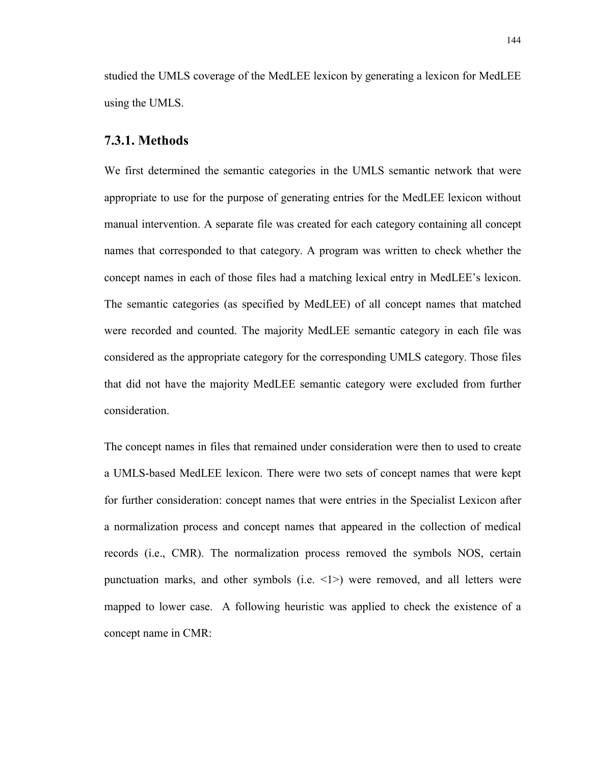studied the UMLS coverage of the MedLEE lexicon by generating a lexicon for MedLEE using the UMLS.

#### **7.3.1. Methods**

We first determined the semantic categories in the UMLS semantic network that were appropriate to use for the purpose of generating entries for the MedLEE lexicon without manual intervention. A separate file was created for each category containing all concept names that corresponded to that category. A program was written to check whether the concept names in each of those files had a matching lexical entry in MedLEE's lexicon. The semantic categories (as specified by MedLEE) of all concept names that matched were recorded and counted. The majority MedLEE semantic category in each file was considered as the appropriate category for the corresponding UMLS category. Those files that did not have the majority MedLEE semantic category were excluded from further consideration.

The concept names in files that remained under consideration were then to used to create a UMLS-based MedLEE lexicon. There were two sets of concept names that were kept for further consideration: concept names that were entries in the Specialist Lexicon after a normalization process and concept names that appeared in the collection of medical records (i.e., CMR). The normalization process removed the symbols NOS, certain punctuation marks, and other symbols (i.e. <1>) were removed, and all letters were mapped to lower case. A following heuristic was applied to check the existence of a concept name in CMR: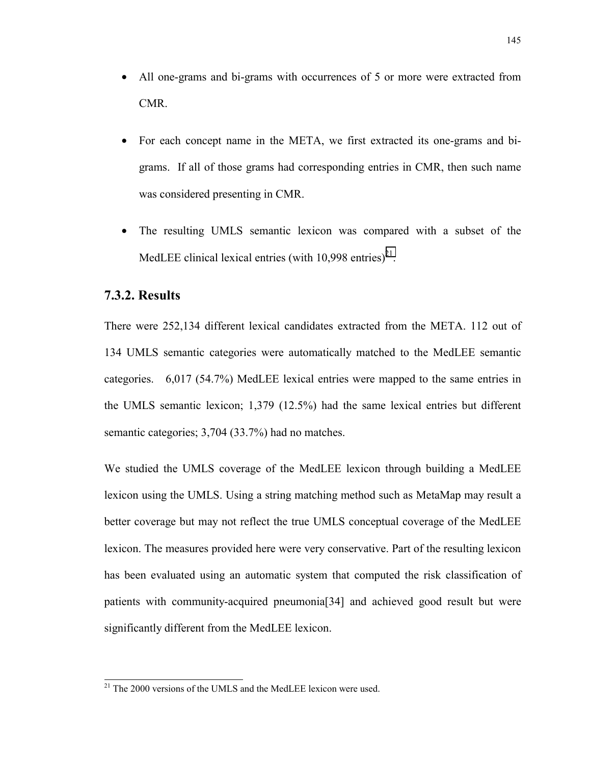- All one-grams and bi-grams with occurrences of 5 or more were extracted from CMR.
- For each concept name in the META, we first extracted its one-grams and bigrams. If all of those grams had corresponding entries in CMR, then such name was considered presenting in CMR.
- The resulting UMLS semantic lexicon was compared with a subset of the MedLEE clinical lexical entries (with  $10.998$  entries)<sup>21</sup>.

## **7.3.2. Results**

There were 252,134 different lexical candidates extracted from the META. 112 out of 134 UMLS semantic categories were automatically matched to the MedLEE semantic categories. 6,017 (54.7%) MedLEE lexical entries were mapped to the same entries in the UMLS semantic lexicon; 1,379 (12.5%) had the same lexical entries but different semantic categories; 3,704 (33.7%) had no matches.

We studied the UMLS coverage of the MedLEE lexicon through building a MedLEE lexicon using the UMLS. Using a string matching method such as MetaMap may result a better coverage but may not reflect the true UMLS conceptual coverage of the MedLEE lexicon. The measures provided here were very conservative. Part of the resulting lexicon has been evaluated using an automatic system that computed the risk classification of patients with community-acquired pneumonia[34] and achieved good result but were significantly different from the MedLEE lexicon.

 $21$  The 2000 versions of the UMLS and the MedLEE lexicon were used.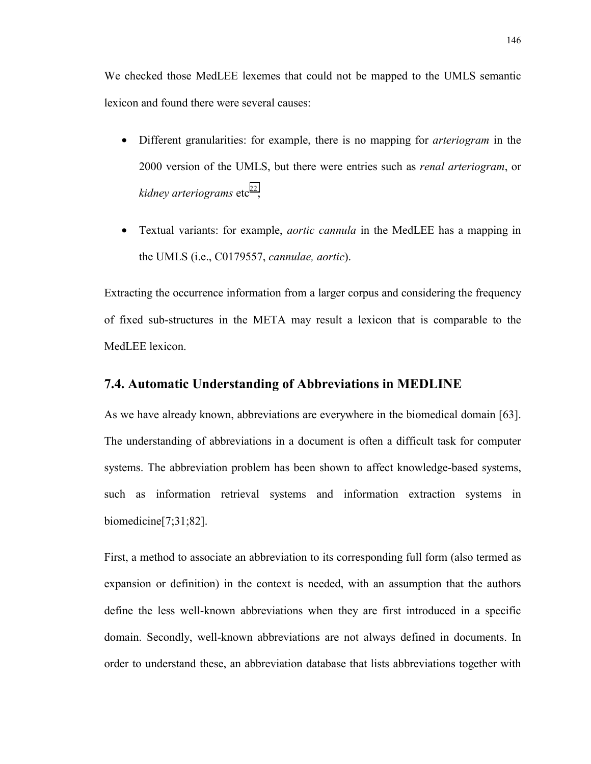We checked those MedLEE lexemes that could not be mapped to the UMLS semantic lexicon and found there were several causes:

- Different granularities: for example, there is no mapping for *arteriogram* in the 2000 version of the UMLS, but there were entries such as *renal arteriogram*, or *kidney arteriograms* etc<sup>22</sup>;
- Textual variants: for example, *aortic cannula* in the MedLEE has a mapping in the UMLS (i.e., C0179557, *cannulae, aortic*).

Extracting the occurrence information from a larger corpus and considering the frequency of fixed sub-structures in the META may result a lexicon that is comparable to the MedLEE lexicon.

#### **7.4. Automatic Understanding of Abbreviations in MEDLINE**

As we have already known, abbreviations are everywhere in the biomedical domain [63]. The understanding of abbreviations in a document is often a difficult task for computer systems. The abbreviation problem has been shown to affect knowledge-based systems, such as information retrieval systems and information extraction systems in biomedicine[7;31;82].

First, a method to associate an abbreviation to its corresponding full form (also termed as expansion or definition) in the context is needed, with an assumption that the authors define the less well-known abbreviations when they are first introduced in a specific domain. Secondly, well-known abbreviations are not always defined in documents. In order to understand these, an abbreviation database that lists abbreviations together with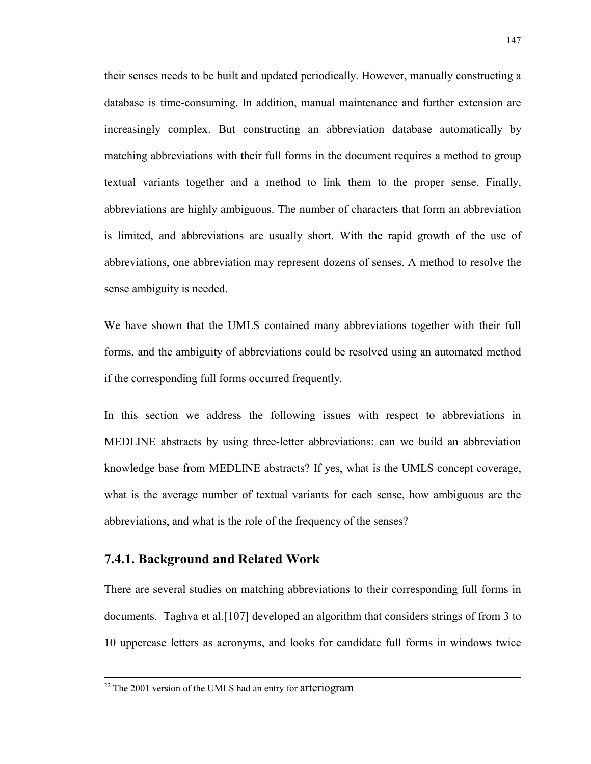their senses needs to be built and updated periodically. However, manually constructing a database is time-consuming. In addition, manual maintenance and further extension are increasingly complex. But constructing an abbreviation database automatically by matching abbreviations with their full forms in the document requires a method to group textual variants together and a method to link them to the proper sense. Finally, abbreviations are highly ambiguous. The number of characters that form an abbreviation is limited, and abbreviations are usually short. With the rapid growth of the use of abbreviations, one abbreviation may represent dozens of senses. A method to resolve the sense ambiguity is needed.

We have shown that the UMLS contained many abbreviations together with their full forms, and the ambiguity of abbreviations could be resolved using an automated method if the corresponding full forms occurred frequently.

In this section we address the following issues with respect to abbreviations in MEDLINE abstracts by using three-letter abbreviations: can we build an abbreviation knowledge base from MEDLINE abstracts? If yes, what is the UMLS concept coverage, what is the average number of textual variants for each sense, how ambiguous are the abbreviations, and what is the role of the frequency of the senses?

## **7.4.1. Background and Related Work**

There are several studies on matching abbreviations to their corresponding full forms in documents. Taghva et al.[107] developed an algorithm that considers strings of from 3 to 10 uppercase letters as acronyms, and looks for candidate full forms in windows twice

 $\overline{a}$ 

 $22$  The 2001 version of the UMLS had an entry for arteriogram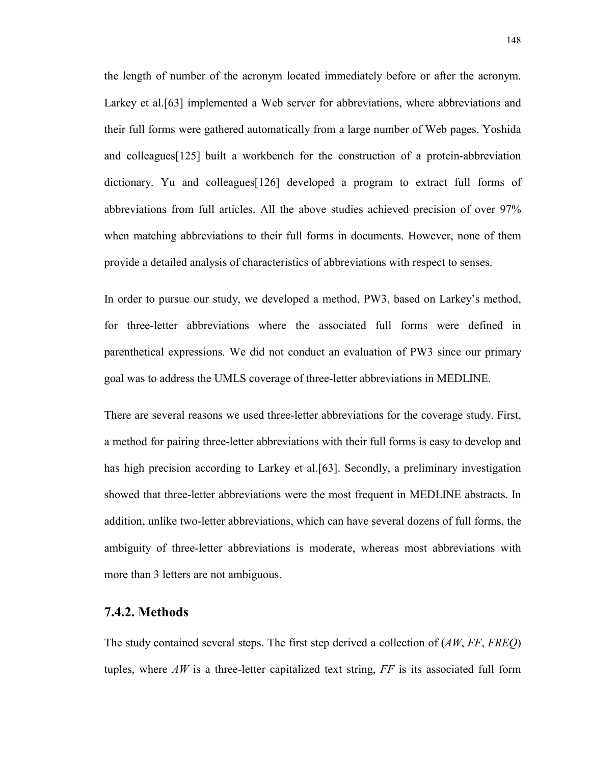the length of number of the acronym located immediately before or after the acronym. Larkey et al.[63] implemented a Web server for abbreviations, where abbreviations and their full forms were gathered automatically from a large number of Web pages. Yoshida and colleagues[125] built a workbench for the construction of a protein-abbreviation dictionary. Yu and colleagues[126] developed a program to extract full forms of abbreviations from full articles. All the above studies achieved precision of over 97% when matching abbreviations to their full forms in documents. However, none of them provide a detailed analysis of characteristics of abbreviations with respect to senses.

In order to pursue our study, we developed a method, PW3, based on Larkey's method, for three-letter abbreviations where the associated full forms were defined in parenthetical expressions. We did not conduct an evaluation of PW3 since our primary goal was to address the UMLS coverage of three-letter abbreviations in MEDLINE.

There are several reasons we used three-letter abbreviations for the coverage study. First, a method for pairing three-letter abbreviations with their full forms is easy to develop and has high precision according to Larkey et al. [63]. Secondly, a preliminary investigation showed that three-letter abbreviations were the most frequent in MEDLINE abstracts. In addition, unlike two-letter abbreviations, which can have several dozens of full forms, the ambiguity of three-letter abbreviations is moderate, whereas most abbreviations with more than 3 letters are not ambiguous.

## **7.4.2. Methods**

The study contained several steps. The first step derived a collection of (*AW*, *FF*, *FREQ*) tuples, where  $AW$  is a three-letter capitalized text string,  $FF$  is its associated full form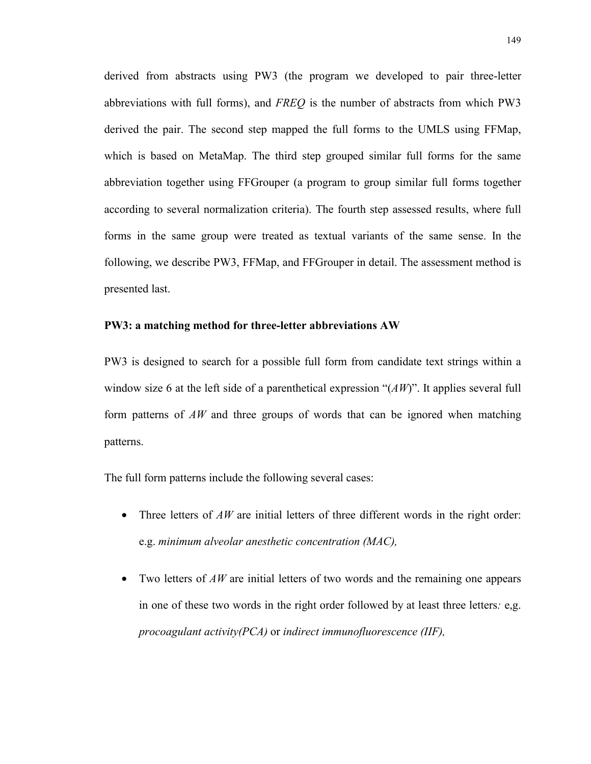derived from abstracts using PW3 (the program we developed to pair three-letter abbreviations with full forms), and *FREQ* is the number of abstracts from which PW3 derived the pair. The second step mapped the full forms to the UMLS using FFMap, which is based on MetaMap. The third step grouped similar full forms for the same abbreviation together using FFGrouper (a program to group similar full forms together according to several normalization criteria). The fourth step assessed results, where full forms in the same group were treated as textual variants of the same sense. In the following, we describe PW3, FFMap, and FFGrouper in detail. The assessment method is presented last.

#### **PW3: a matching method for three-letter abbreviations AW**

PW3 is designed to search for a possible full form from candidate text strings within a window size 6 at the left side of a parenthetical expression "(*AW*)". It applies several full form patterns of *AW* and three groups of words that can be ignored when matching patterns.

The full form patterns include the following several cases:

- Three letters of *AW* are initial letters of three different words in the right order: e.g. *minimum alveolar anesthetic concentration (MAC),*
- Two letters of *AW* are initial letters of two words and the remaining one appears in one of these two words in the right order followed by at least three letters*:* e,g. *procoagulant activity(PCA)* or *indirect immunofluorescence (IIF),*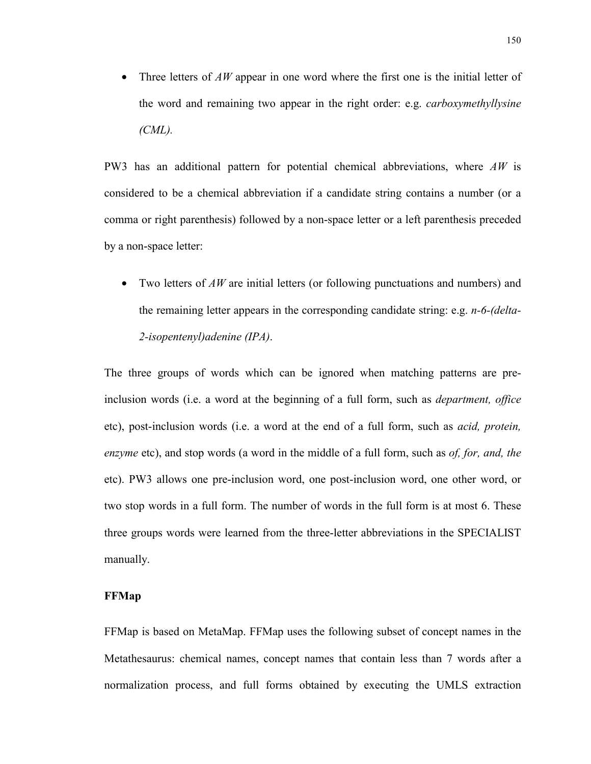• Three letters of *AW* appear in one word where the first one is the initial letter of the word and remaining two appear in the right order: e.g. *carboxymethyllysine (CML).*

PW3 has an additional pattern for potential chemical abbreviations, where *AW* is considered to be a chemical abbreviation if a candidate string contains a number (or a comma or right parenthesis) followed by a non-space letter or a left parenthesis preceded by a non-space letter:

• Two letters of *AW* are initial letters (or following punctuations and numbers) and the remaining letter appears in the corresponding candidate string: e.g. *n-6-(delta-2-isopentenyl)adenine (IPA)*.

The three groups of words which can be ignored when matching patterns are preinclusion words (i.e. a word at the beginning of a full form, such as *department, office* etc), post-inclusion words (i.e. a word at the end of a full form, such as *acid, protein, enzyme* etc), and stop words (a word in the middle of a full form, such as *of, for, and, the* etc). PW3 allows one pre-inclusion word, one post-inclusion word, one other word, or two stop words in a full form. The number of words in the full form is at most 6. These three groups words were learned from the three-letter abbreviations in the SPECIALIST manually.

#### **FFMap**

FFMap is based on MetaMap. FFMap uses the following subset of concept names in the Metathesaurus: chemical names, concept names that contain less than 7 words after a normalization process, and full forms obtained by executing the UMLS extraction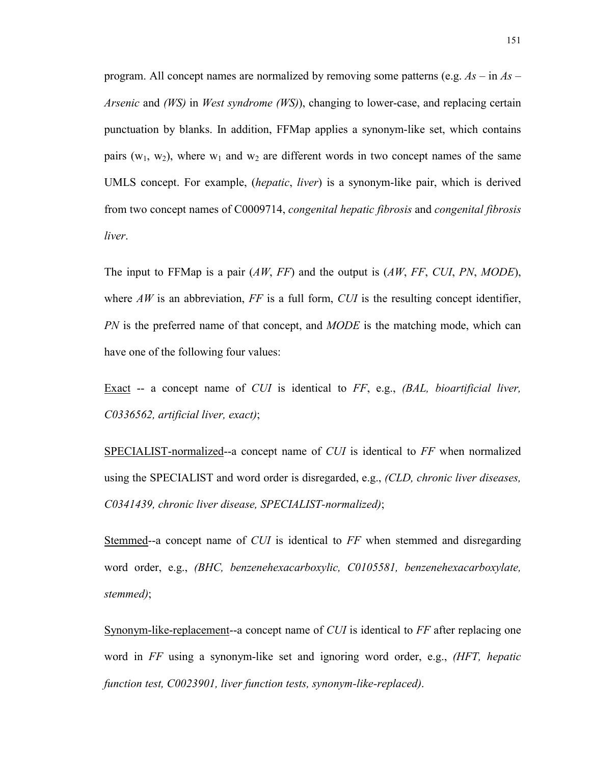program. All concept names are normalized by removing some patterns (e.g. *As –* in *As – Arsenic* and *(WS)* in *West syndrome (WS)*), changing to lower-case, and replacing certain punctuation by blanks. In addition, FFMap applies a synonym-like set, which contains pairs ( $w_1$ ,  $w_2$ ), where  $w_1$  and  $w_2$  are different words in two concept names of the same UMLS concept. For example, (*hepatic*, *liver*) is a synonym-like pair, which is derived from two concept names of C0009714, *congenital hepatic fibrosis* and *congenital fibrosis liver*.

The input to FFMap is a pair (*AW*, *FF*) and the output is (*AW*, *FF*, *CUI*, *PN*, *MODE*), where  $AW$  is an abbreviation,  $FF$  is a full form,  $CUI$  is the resulting concept identifier, *PN* is the preferred name of that concept, and *MODE* is the matching mode, which can have one of the following four values:

Exact -- a concept name of *CUI* is identical to *FF*, e.g., *(BAL, bioartificial liver, C0336562, artificial liver, exact)*;

SPECIALIST-normalized--a concept name of *CUI* is identical to *FF* when normalized using the SPECIALIST and word order is disregarded, e.g., *(CLD, chronic liver diseases, C0341439, chronic liver disease, SPECIALIST-normalized)*;

Stemmed--a concept name of *CUI* is identical to *FF* when stemmed and disregarding word order, e.g., *(BHC, benzenehexacarboxylic, C0105581, benzenehexacarboxylate, stemmed)*;

Synonym-like-replacement--a concept name of *CUI* is identical to *FF* after replacing one word in *FF* using a synonym-like set and ignoring word order, e.g., *(HFT, hepatic function test, C0023901, liver function tests, synonym-like-replaced)*.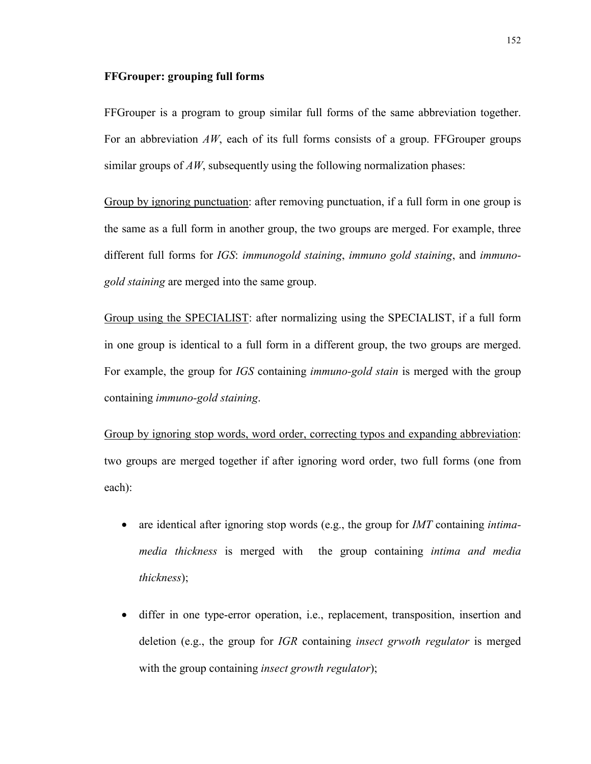#### **FFGrouper: grouping full forms**

FFGrouper is a program to group similar full forms of the same abbreviation together. For an abbreviation AW, each of its full forms consists of a group. FFGrouper groups similar groups of *AW*, subsequently using the following normalization phases:

Group by ignoring punctuation: after removing punctuation, if a full form in one group is the same as a full form in another group, the two groups are merged. For example, three different full forms for *IGS*: *immunogold staining*, *immuno gold staining*, and *immunogold staining* are merged into the same group.

Group using the SPECIALIST: after normalizing using the SPECIALIST, if a full form in one group is identical to a full form in a different group, the two groups are merged. For example, the group for *IGS* containing *immuno-gold stain* is merged with the group containing *immuno-gold staining*.

Group by ignoring stop words, word order, correcting typos and expanding abbreviation: two groups are merged together if after ignoring word order, two full forms (one from each):

- are identical after ignoring stop words (e.g., the group for *IMT* containing *intimamedia thickness* is merged with the group containing *intima and media thickness*);
- differ in one type-error operation, i.e., replacement, transposition, insertion and deletion (e.g., the group for *IGR* containing *insect grwoth regulator* is merged with the group containing *insect growth regulator*);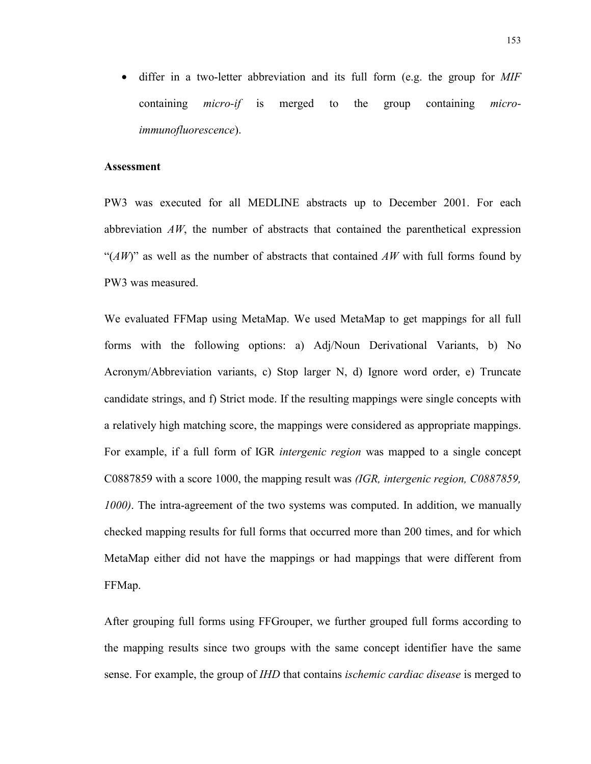• differ in a two-letter abbreviation and its full form (e.g. the group for *MIF*  containing *micro-if* is merged to the group containing *microimmunofluorescence*).

#### **Assessment**

PW3 was executed for all MEDLINE abstracts up to December 2001. For each abbreviation  $AW$ , the number of abstracts that contained the parenthetical expression "(*AW*)" as well as the number of abstracts that contained *AW* with full forms found by PW3 was measured.

We evaluated FFMap using MetaMap. We used MetaMap to get mappings for all full forms with the following options: a) Adj/Noun Derivational Variants, b) No Acronym/Abbreviation variants, c) Stop larger N, d) Ignore word order, e) Truncate candidate strings, and f) Strict mode. If the resulting mappings were single concepts with a relatively high matching score, the mappings were considered as appropriate mappings. For example, if a full form of IGR *intergenic region* was mapped to a single concept C0887859 with a score 1000, the mapping result was *(IGR, intergenic region, C0887859, 1000)*. The intra-agreement of the two systems was computed. In addition, we manually checked mapping results for full forms that occurred more than 200 times, and for which MetaMap either did not have the mappings or had mappings that were different from FFMap.

After grouping full forms using FFGrouper, we further grouped full forms according to the mapping results since two groups with the same concept identifier have the same sense. For example, the group of *IHD* that contains *ischemic cardiac disease* is merged to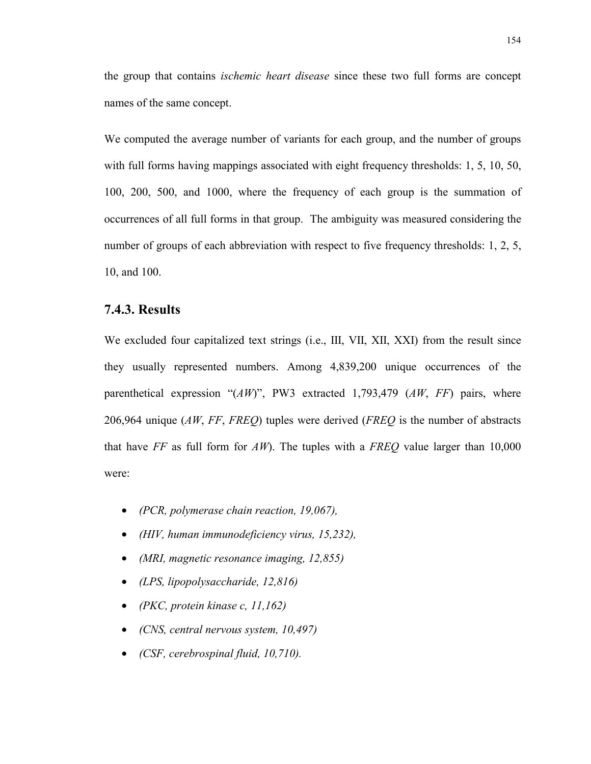the group that contains *ischemic heart disease* since these two full forms are concept names of the same concept.

We computed the average number of variants for each group, and the number of groups with full forms having mappings associated with eight frequency thresholds: 1, 5, 10, 50, 100, 200, 500, and 1000, where the frequency of each group is the summation of occurrences of all full forms in that group. The ambiguity was measured considering the number of groups of each abbreviation with respect to five frequency thresholds: 1, 2, 5, 10, and 100.

## **7.4.3. Results**

We excluded four capitalized text strings (i.e., III, VII, XII, XXI) from the result since they usually represented numbers. Among 4,839,200 unique occurrences of the parenthetical expression "(*AW*)", PW3 extracted 1,793,479 (*AW*, *FF*) pairs, where 206,964 unique (*AW*, *FF*, *FREQ*) tuples were derived (*FREQ* is the number of abstracts that have *FF* as full form for *AW*). The tuples with a *FREQ* value larger than 10,000 were:

- *(PCR, polymerase chain reaction, 19,067),*
- *(HIV, human immunodeficiency virus, 15,232),*
- *(MRI, magnetic resonance imaging, 12,855)*
- *(LPS, lipopolysaccharide, 12,816)*
- *(PKC, protein kinase c, 11,162)*
- *(CNS, central nervous system, 10,497)*
- *(CSF, cerebrospinal fluid, 10,710).*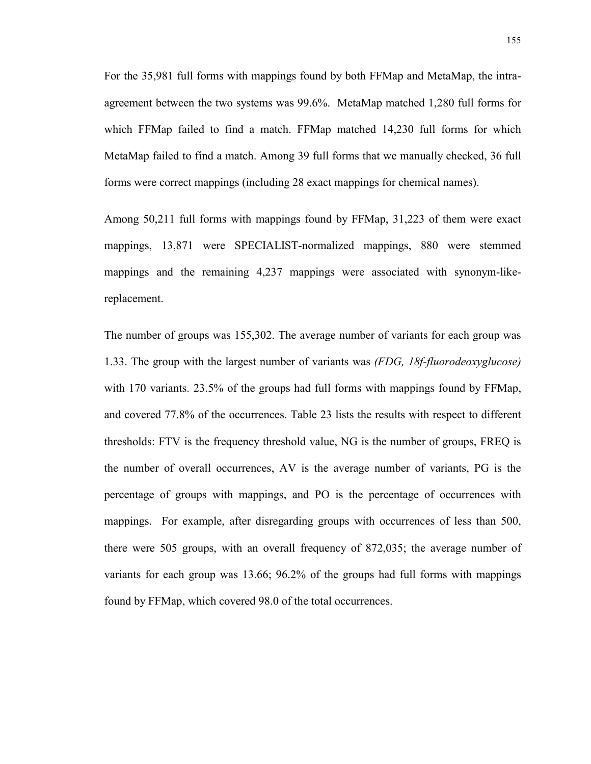For the 35,981 full forms with mappings found by both FFMap and MetaMap, the intraagreement between the two systems was 99.6%. MetaMap matched 1,280 full forms for which FFMap failed to find a match. FFMap matched 14,230 full forms for which MetaMap failed to find a match. Among 39 full forms that we manually checked, 36 full forms were correct mappings (including 28 exact mappings for chemical names).

Among 50,211 full forms with mappings found by FFMap, 31,223 of them were exact mappings, 13,871 were SPECIALIST-normalized mappings, 880 were stemmed mappings and the remaining 4,237 mappings were associated with synonym-likereplacement.

The number of groups was 155,302. The average number of variants for each group was 1.33. The group with the largest number of variants was *(FDG, 18f-fluorodeoxyglucose)* with 170 variants. 23.5% of the groups had full forms with mappings found by FFMap, and covered 77.8% of the occurrences. Table 23 lists the results with respect to different thresholds: FTV is the frequency threshold value, NG is the number of groups, FREQ is the number of overall occurrences, AV is the average number of variants, PG is the percentage of groups with mappings, and PO is the percentage of occurrences with mappings. For example, after disregarding groups with occurrences of less than 500, there were 505 groups, with an overall frequency of 872,035; the average number of variants for each group was 13.66; 96.2% of the groups had full forms with mappings found by FFMap, which covered 98.0 of the total occurrences.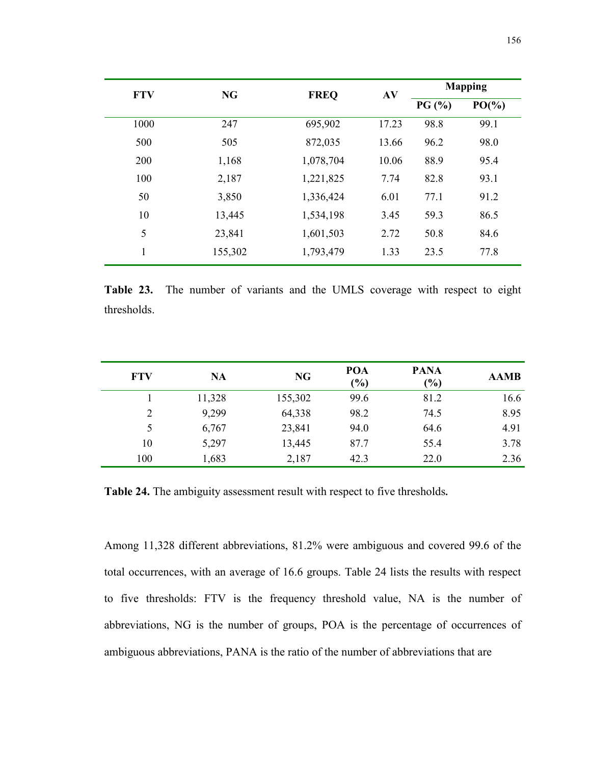| <b>FTV</b> |         | <b>NG</b><br><b>FREQ</b> |       | <b>Mapping</b> |          |
|------------|---------|--------------------------|-------|----------------|----------|
|            |         |                          | AV    | PG(%)          | $PO(\%)$ |
| 1000       | 247     | 695,902                  | 17.23 | 98.8           | 99.1     |
| 500        | 505     | 872,035                  | 13.66 | 96.2           | 98.0     |
| 200        | 1,168   | 1,078,704                | 10.06 | 88.9           | 95.4     |
| 100        | 2,187   | 1,221,825                | 7.74  | 82.8           | 93.1     |
| 50         | 3,850   | 1,336,424                | 6.01  | 77.1           | 91.2     |
| 10         | 13,445  | 1,534,198                | 3.45  | 59.3           | 86.5     |
| 5          | 23,841  | 1,601,503                | 2.72  | 50.8           | 84.6     |
| 1          | 155,302 | 1,793,479                | 1.33  | 23.5           | 77.8     |

**Table 23.** The number of variants and the UMLS coverage with respect to eight thresholds.

| <b>FTV</b>     | <b>NA</b> | <b>NG</b> | POA<br>(%) | <b>PANA</b><br>(%) | <b>AAMB</b> |
|----------------|-----------|-----------|------------|--------------------|-------------|
|                | 11,328    | 155,302   | 99.6       | 81.2               | 16.6        |
| $\overline{2}$ | 9,299     | 64,338    | 98.2       | 74.5               | 8.95        |
| 5              | 6,767     | 23,841    | 94.0       | 64.6               | 4.91        |
| 10             | 5,297     | 13,445    | 87.7       | 55.4               | 3.78        |
| 100            | 1,683     | 2,187     | 42.3       | 22.0               | 2.36        |

**Table 24.** The ambiguity assessment result with respect to five thresholds**.**

Among 11,328 different abbreviations, 81.2% were ambiguous and covered 99.6 of the total occurrences, with an average of 16.6 groups. Table 24 lists the results with respect to five thresholds: FTV is the frequency threshold value, NA is the number of abbreviations, NG is the number of groups, POA is the percentage of occurrences of ambiguous abbreviations, PANA is the ratio of the number of abbreviations that are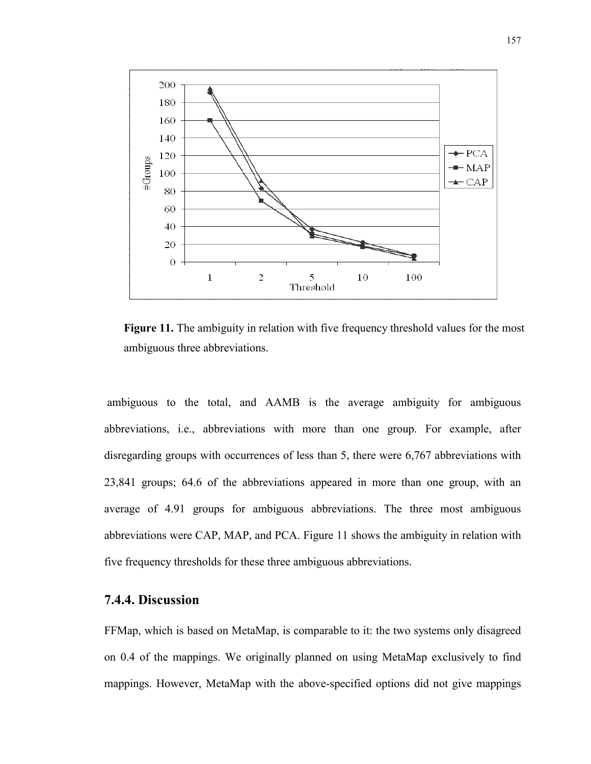

**Figure 11.** The ambiguity in relation with five frequency threshold values for the most ambiguous three abbreviations.

 ambiguous to the total, and AAMB is the average ambiguity for ambiguous abbreviations, i.e., abbreviations with more than one group. For example, after disregarding groups with occurrences of less than 5, there were 6,767 abbreviations with 23,841 groups; 64.6 of the abbreviations appeared in more than one group, with an average of 4.91 groups for ambiguous abbreviations. The three most ambiguous abbreviations were CAP, MAP, and PCA. Figure 11 shows the ambiguity in relation with five frequency thresholds for these three ambiguous abbreviations.

## **7.4.4. Discussion**

FFMap, which is based on MetaMap, is comparable to it: the two systems only disagreed on 0.4 of the mappings. We originally planned on using MetaMap exclusively to find mappings. However, MetaMap with the above-specified options did not give mappings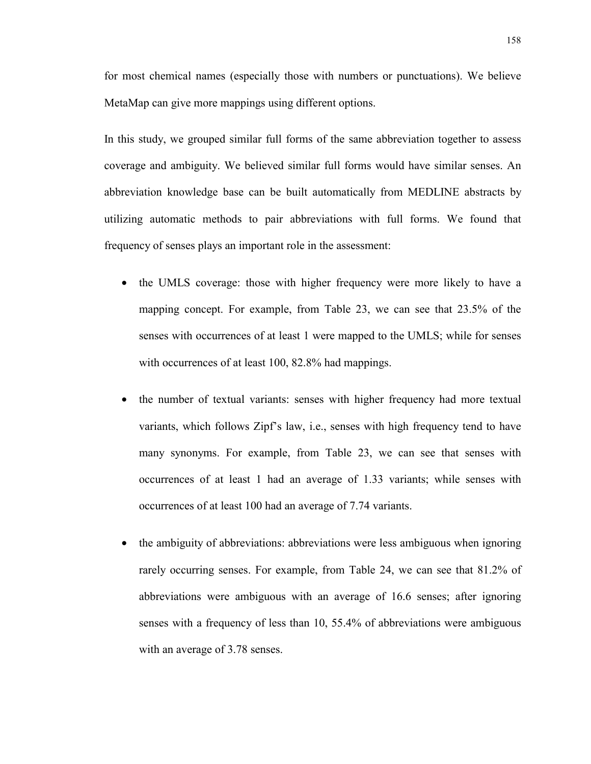for most chemical names (especially those with numbers or punctuations). We believe MetaMap can give more mappings using different options.

In this study, we grouped similar full forms of the same abbreviation together to assess coverage and ambiguity. We believed similar full forms would have similar senses. An abbreviation knowledge base can be built automatically from MEDLINE abstracts by utilizing automatic methods to pair abbreviations with full forms. We found that frequency of senses plays an important role in the assessment:

- the UMLS coverage: those with higher frequency were more likely to have a mapping concept. For example, from Table 23, we can see that 23.5% of the senses with occurrences of at least 1 were mapped to the UMLS; while for senses with occurrences of at least 100, 82.8% had mappings.
- the number of textual variants: senses with higher frequency had more textual variants, which follows Zipf's law, i.e., senses with high frequency tend to have many synonyms. For example, from Table 23, we can see that senses with occurrences of at least 1 had an average of 1.33 variants; while senses with occurrences of at least 100 had an average of 7.74 variants.
- the ambiguity of abbreviations: abbreviations were less ambiguous when ignoring rarely occurring senses. For example, from Table 24, we can see that 81.2% of abbreviations were ambiguous with an average of 16.6 senses; after ignoring senses with a frequency of less than 10, 55.4% of abbreviations were ambiguous with an average of 3.78 senses.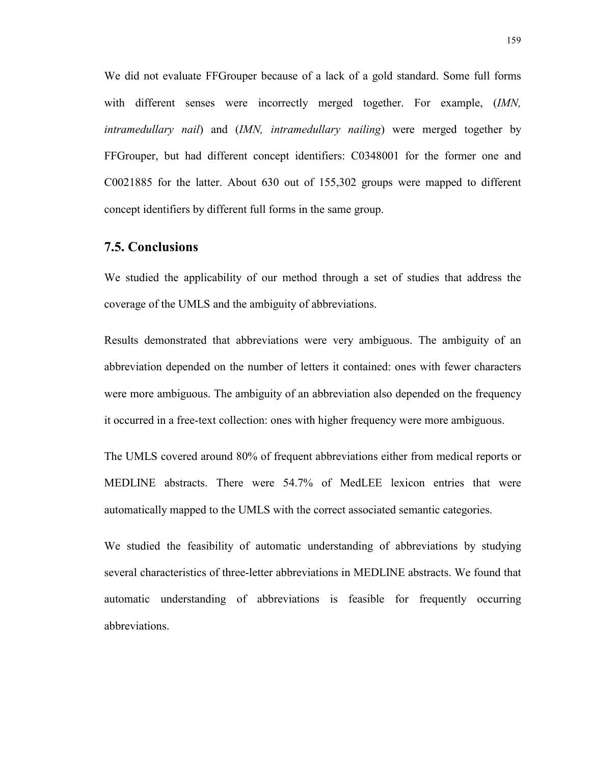We did not evaluate FFGrouper because of a lack of a gold standard. Some full forms with different senses were incorrectly merged together. For example, *(IMN, intramedullary nail*) and (*IMN, intramedullary nailing*) were merged together by FFGrouper, but had different concept identifiers: C0348001 for the former one and C0021885 for the latter. About 630 out of 155,302 groups were mapped to different concept identifiers by different full forms in the same group.

## **7.5. Conclusions**

We studied the applicability of our method through a set of studies that address the coverage of the UMLS and the ambiguity of abbreviations.

Results demonstrated that abbreviations were very ambiguous. The ambiguity of an abbreviation depended on the number of letters it contained: ones with fewer characters were more ambiguous. The ambiguity of an abbreviation also depended on the frequency it occurred in a free-text collection: ones with higher frequency were more ambiguous.

The UMLS covered around 80% of frequent abbreviations either from medical reports or MEDLINE abstracts. There were 54.7% of MedLEE lexicon entries that were automatically mapped to the UMLS with the correct associated semantic categories.

We studied the feasibility of automatic understanding of abbreviations by studying several characteristics of three-letter abbreviations in MEDLINE abstracts. We found that automatic understanding of abbreviations is feasible for frequently occurring abbreviations.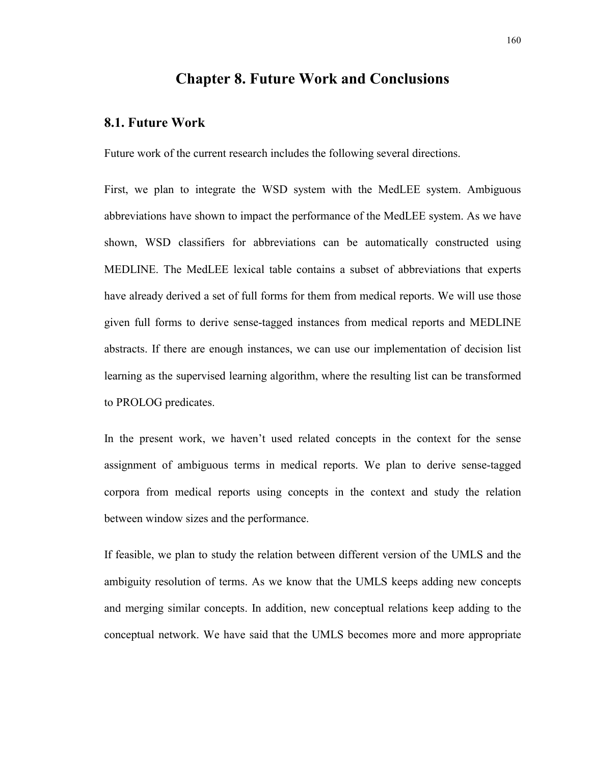## **Chapter 8. Future Work and Conclusions**

#### **8.1. Future Work**

Future work of the current research includes the following several directions.

First, we plan to integrate the WSD system with the MedLEE system. Ambiguous abbreviations have shown to impact the performance of the MedLEE system. As we have shown, WSD classifiers for abbreviations can be automatically constructed using MEDLINE. The MedLEE lexical table contains a subset of abbreviations that experts have already derived a set of full forms for them from medical reports. We will use those given full forms to derive sense-tagged instances from medical reports and MEDLINE abstracts. If there are enough instances, we can use our implementation of decision list learning as the supervised learning algorithm, where the resulting list can be transformed to PROLOG predicates.

In the present work, we haven't used related concepts in the context for the sense assignment of ambiguous terms in medical reports. We plan to derive sense-tagged corpora from medical reports using concepts in the context and study the relation between window sizes and the performance.

If feasible, we plan to study the relation between different version of the UMLS and the ambiguity resolution of terms. As we know that the UMLS keeps adding new concepts and merging similar concepts. In addition, new conceptual relations keep adding to the conceptual network. We have said that the UMLS becomes more and more appropriate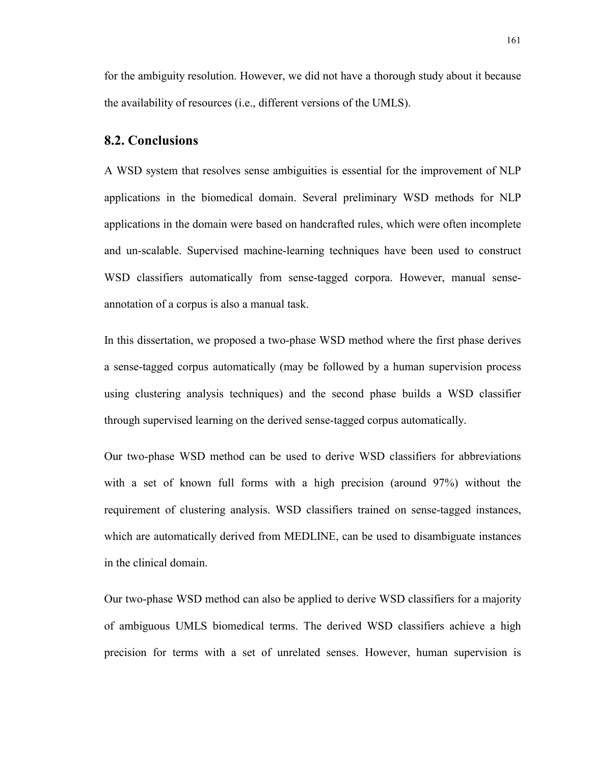for the ambiguity resolution. However, we did not have a thorough study about it because the availability of resources (i.e., different versions of the UMLS).

#### **8.2. Conclusions**

A WSD system that resolves sense ambiguities is essential for the improvement of NLP applications in the biomedical domain. Several preliminary WSD methods for NLP applications in the domain were based on handcrafted rules, which were often incomplete and un-scalable. Supervised machine-learning techniques have been used to construct WSD classifiers automatically from sense-tagged corpora. However, manual senseannotation of a corpus is also a manual task.

In this dissertation, we proposed a two-phase WSD method where the first phase derives a sense-tagged corpus automatically (may be followed by a human supervision process using clustering analysis techniques) and the second phase builds a WSD classifier through supervised learning on the derived sense-tagged corpus automatically.

Our two-phase WSD method can be used to derive WSD classifiers for abbreviations with a set of known full forms with a high precision (around 97%) without the requirement of clustering analysis. WSD classifiers trained on sense-tagged instances, which are automatically derived from MEDLINE, can be used to disambiguate instances in the clinical domain.

Our two-phase WSD method can also be applied to derive WSD classifiers for a majority of ambiguous UMLS biomedical terms. The derived WSD classifiers achieve a high precision for terms with a set of unrelated senses. However, human supervision is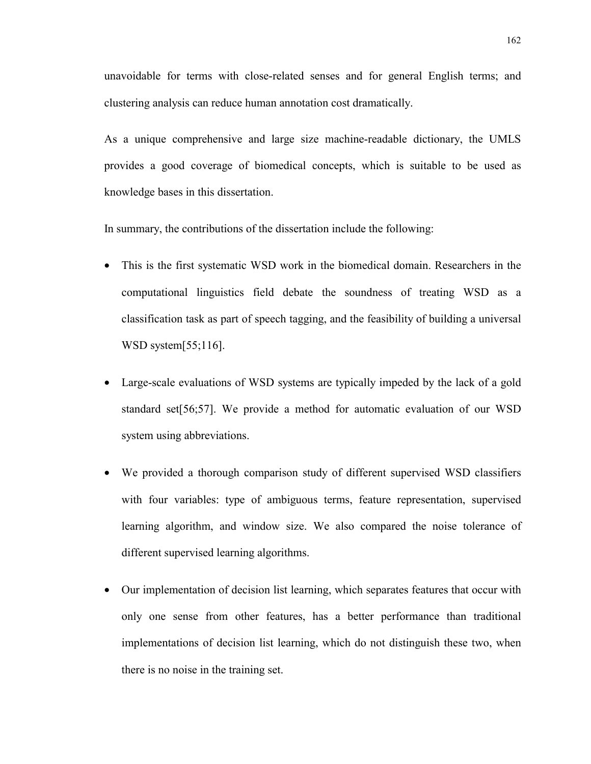unavoidable for terms with close-related senses and for general English terms; and clustering analysis can reduce human annotation cost dramatically.

As a unique comprehensive and large size machine-readable dictionary, the UMLS provides a good coverage of biomedical concepts, which is suitable to be used as knowledge bases in this dissertation.

In summary, the contributions of the dissertation include the following:

- This is the first systematic WSD work in the biomedical domain. Researchers in the computational linguistics field debate the soundness of treating WSD as a classification task as part of speech tagging, and the feasibility of building a universal WSD system[55;116].
- Large-scale evaluations of WSD systems are typically impeded by the lack of a gold standard set[56;57]. We provide a method for automatic evaluation of our WSD system using abbreviations.
- We provided a thorough comparison study of different supervised WSD classifiers with four variables: type of ambiguous terms, feature representation, supervised learning algorithm, and window size. We also compared the noise tolerance of different supervised learning algorithms.
- Our implementation of decision list learning, which separates features that occur with only one sense from other features, has a better performance than traditional implementations of decision list learning, which do not distinguish these two, when there is no noise in the training set.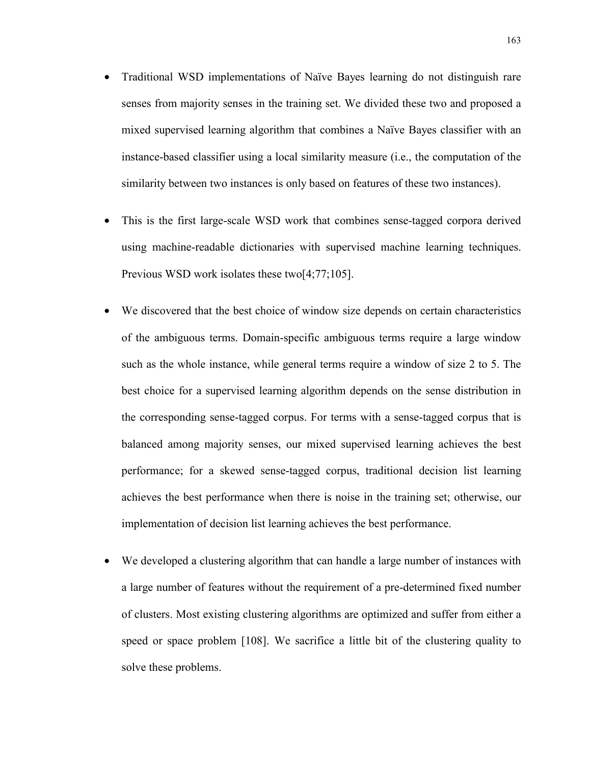- Traditional WSD implementations of Naïve Bayes learning do not distinguish rare senses from majority senses in the training set. We divided these two and proposed a mixed supervised learning algorithm that combines a Naïve Bayes classifier with an instance-based classifier using a local similarity measure (i.e., the computation of the similarity between two instances is only based on features of these two instances).
- This is the first large-scale WSD work that combines sense-tagged corpora derived using machine-readable dictionaries with supervised machine learning techniques. Previous WSD work isolates these two[4;77;105].
- We discovered that the best choice of window size depends on certain characteristics of the ambiguous terms. Domain-specific ambiguous terms require a large window such as the whole instance, while general terms require a window of size 2 to 5. The best choice for a supervised learning algorithm depends on the sense distribution in the corresponding sense-tagged corpus. For terms with a sense-tagged corpus that is balanced among majority senses, our mixed supervised learning achieves the best performance; for a skewed sense-tagged corpus, traditional decision list learning achieves the best performance when there is noise in the training set; otherwise, our implementation of decision list learning achieves the best performance.
- We developed a clustering algorithm that can handle a large number of instances with a large number of features without the requirement of a pre-determined fixed number of clusters. Most existing clustering algorithms are optimized and suffer from either a speed or space problem [108]. We sacrifice a little bit of the clustering quality to solve these problems.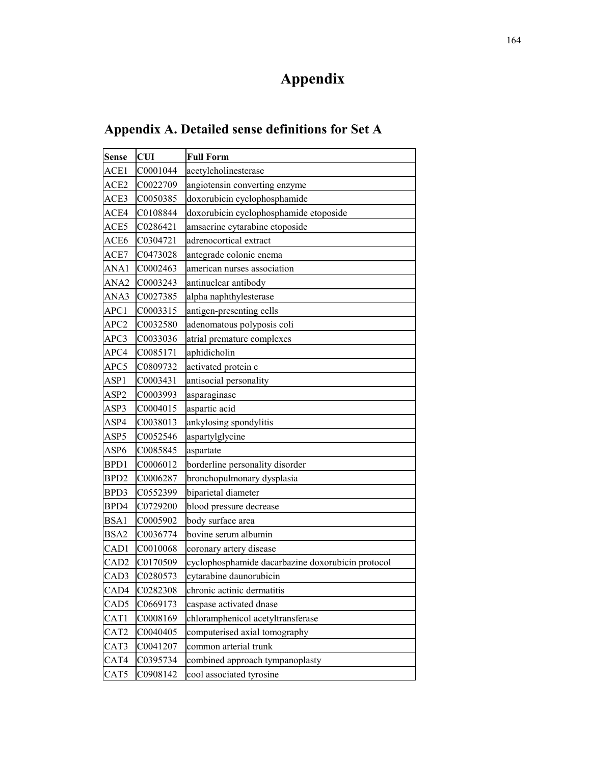# **Appendix**

| Appendix A. Detailed sense definitions for Set A |
|--------------------------------------------------|
|--------------------------------------------------|

| Sense            | <b>CUI</b> | <b>Full Form</b>                                  |
|------------------|------------|---------------------------------------------------|
| ACE1             | C0001044   | acetylcholinesterase                              |
| ACE2             | C0022709   | angiotensin converting enzyme                     |
| ACE3             | C0050385   | doxorubicin cyclophosphamide                      |
| ACE4             | C0108844   | doxorubicin cyclophosphamide etoposide            |
| ACE5             | C0286421   | amsacrine cytarabine etoposide                    |
| ACE6             | C0304721   | adrenocortical extract                            |
| ACE7             | C0473028   | antegrade colonic enema                           |
| ANA1             | C0002463   | american nurses association                       |
| ANA2             | C0003243   | antinuclear antibody                              |
| ANA3             | C0027385   | alpha naphthylesterase                            |
| APC1             | C0003315   | antigen-presenting cells                          |
| APC <sub>2</sub> | C0032580   | adenomatous polyposis coli                        |
| APC3             | C0033036   | atrial premature complexes                        |
| APC4             | C0085171   | aphidicholin                                      |
| APC5             | C0809732   | activated protein c                               |
| ASP <sub>1</sub> | C0003431   | antisocial personality                            |
| ASP2             | C0003993   | asparaginase                                      |
| ASP3             | C0004015   | aspartic acid                                     |
| ASP4             | C0038013   | ankylosing spondylitis                            |
| ASP5             | C0052546   | aspartylglycine                                   |
| ASP6             | C0085845   | aspartate                                         |
| BPD1             | C0006012   | borderline personality disorder                   |
| BPD <sub>2</sub> | C0006287   | bronchopulmonary dysplasia                        |
| BPD3             | C0552399   | biparietal diameter                               |
| BPD4             | C0729200   | blood pressure decrease                           |
| BSA1             | C0005902   | body surface area                                 |
| BSA2             | C0036774   | bovine serum albumin                              |
| CAD1             | C0010068   | coronary artery disease                           |
| CAD <sub>2</sub> | C0170509   | cyclophosphamide dacarbazine doxorubicin protocol |
| CAD3             | C0280573   | cytarabine daunorubicin                           |
| CAD4             | C0282308   | chronic actinic dermatitis                        |
| CAD5             | C0669173   | caspase activated dnase                           |
| CAT1             | C0008169   | chloramphenicol acetyltransferase                 |
| CAT2             | C0040405   | computerised axial tomography                     |
| CAT3             | C0041207   | common arterial trunk                             |
| CAT4             | C0395734   | combined approach tympanoplasty                   |
| CAT5             | C0908142   | cool associated tyrosine                          |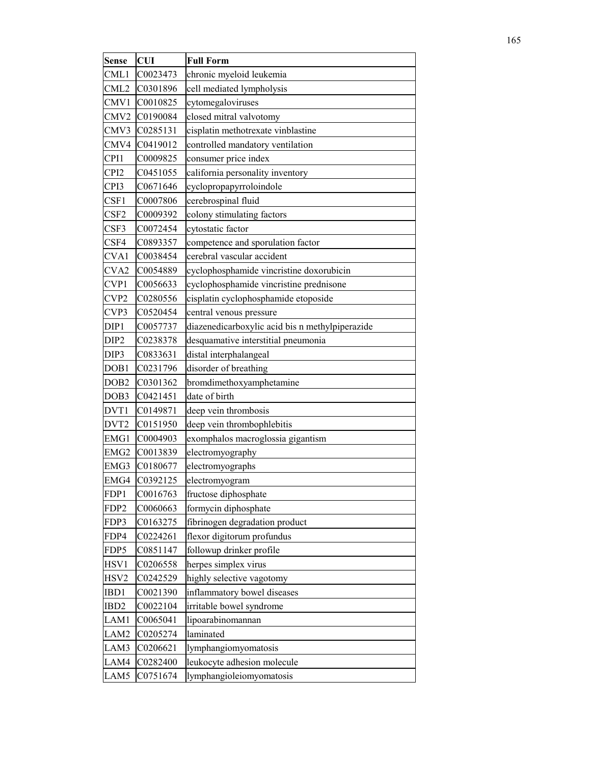| Sense            | <b>CUI</b> | <b>Full Form</b>                                |  |
|------------------|------------|-------------------------------------------------|--|
| CML1             | C0023473   | chronic myeloid leukemia                        |  |
| CML2             | C0301896   | cell mediated lympholysis                       |  |
| CMV1             | C0010825   | cytomegaloviruses                               |  |
| CMV2             | C0190084   | closed mitral valvotomy                         |  |
| CMV3             | C0285131   | cisplatin methotrexate vinblastine              |  |
| CMV4             | C0419012   | controlled mandatory ventilation                |  |
| CPI1             | C0009825   | consumer price index                            |  |
| CPI <sub>2</sub> | C0451055   | california personality inventory                |  |
| CPI3             | C0671646   | cyclopropapyrroloindole                         |  |
| CSF1             | C0007806   | cerebrospinal fluid                             |  |
| CSF2             | C0009392   | colony stimulating factors                      |  |
| CSF3             | C0072454   | cytostatic factor                               |  |
| CSF4             | C0893357   | competence and sporulation factor               |  |
| CVA1             | C0038454   | cerebral vascular accident                      |  |
| CVA2             | C0054889   | cyclophosphamide vincristine doxorubicin        |  |
| CVP1             | C0056633   | cyclophosphamide vincristine prednisone         |  |
| CVP <sub>2</sub> | C0280556   | cisplatin cyclophosphamide etoposide            |  |
| CVP3             | C0520454   | central venous pressure                         |  |
| DIP1             | C0057737   | diazenedicarboxylic acid bis n methylpiperazide |  |
| DIP <sub>2</sub> | C0238378   | desquamative interstitial pneumonia             |  |
| DIP3             | C0833631   | distal interphalangeal                          |  |
| DOB1             | C0231796   | disorder of breathing                           |  |
| DOB <sub>2</sub> | C0301362   | bromdimethoxyamphetamine                        |  |
| DOB3             | C0421451   | date of birth                                   |  |
| DVT1             | C0149871   | deep vein thrombosis                            |  |
| DVT2             | C0151950   | deep vein thrombophlebitis                      |  |
| EMG1             | C0004903   | exomphalos macroglossia gigantism               |  |
| EMG2             | C0013839   | electromyography                                |  |
| EMG3             | C0180677   | electromyographs                                |  |
| EMG4             | C0392125   | electromyogram                                  |  |
| FDP1             | C0016763   | fructose diphosphate                            |  |
| FDP <sub>2</sub> | C0060663   | formycin diphosphate                            |  |
| FDP3             | C0163275   | fibrinogen degradation product                  |  |
| FDP4             | C0224261   | flexor digitorum profundus                      |  |
| FDP5             | C0851147   | followup drinker profile                        |  |
| HSV1             | C0206558   | herpes simplex virus                            |  |
| HSV2             | C0242529   | highly selective vagotomy                       |  |
| IBD1             | C0021390   | inflammatory bowel diseases                     |  |
| IBD <sub>2</sub> | C0022104   | irritable bowel syndrome                        |  |
| LAM1             | C0065041   | lipoarabinomannan                               |  |
| LAM2             | C0205274   | laminated                                       |  |
| LAM3             | C0206621   | lymphangiomyomatosis                            |  |
| LAM4             | C0282400   | leukocyte adhesion molecule                     |  |
| LAM5             | C0751674   | lymphangioleiomyomatosis                        |  |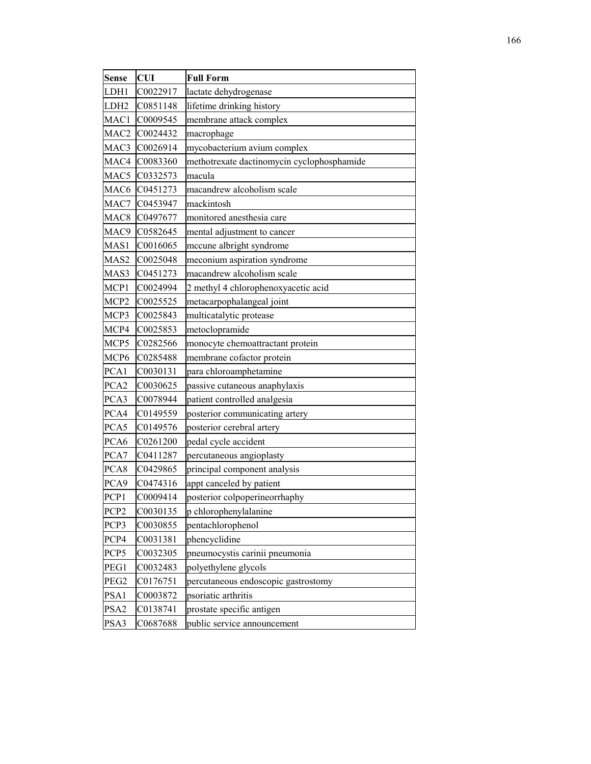| <b>Sense</b>     | <b>CUI</b> | <b>Full Form</b>                           |  |  |
|------------------|------------|--------------------------------------------|--|--|
| LDH1             | C0022917   | lactate dehydrogenase                      |  |  |
| LDH2             | C0851148   | lifetime drinking history                  |  |  |
| MAC1             | C0009545   | membrane attack complex                    |  |  |
| MAC2             | C0024432   | macrophage                                 |  |  |
| MAC3             | C0026914   | mycobacterium avium complex                |  |  |
| MAC4             | C0083360   | methotrexate dactinomycin cyclophosphamide |  |  |
| MAC5             | C0332573   | macula                                     |  |  |
| MAC6             | C0451273   | macandrew alcoholism scale                 |  |  |
| MAC7             | C0453947   | mackintosh                                 |  |  |
| MAC <sub>8</sub> | C0497677   | monitored anesthesia care                  |  |  |
| MAC9             | C0582645   | mental adjustment to cancer                |  |  |
| MAS1             | C0016065   | mccune albright syndrome                   |  |  |
| MAS <sub>2</sub> | C0025048   | meconium aspiration syndrome               |  |  |
| MAS3             | C0451273   | macandrew alcoholism scale                 |  |  |
| MCP1             | C0024994   | 2 methyl 4 chlorophenoxyacetic acid        |  |  |
| MCP2             | C0025525   | metacarpophalangeal joint                  |  |  |
| MCP3             | C0025843   | multicatalytic protease                    |  |  |
| MCP4             | C0025853   | metoclopramide                             |  |  |
| MCP5             | C0282566   | monocyte chemoattractant protein           |  |  |
| MCP6             | C0285488   | membrane cofactor protein                  |  |  |
| PCA1             | C0030131   | para chloroamphetamine                     |  |  |
| PCA <sub>2</sub> | C0030625   | passive cutaneous anaphylaxis              |  |  |
| PCA3             | C0078944   | patient controlled analgesia               |  |  |
| PCA4             | C0149559   | posterior communicating artery             |  |  |
| PCA5             | C0149576   | posterior cerebral artery                  |  |  |
| PCA6             | C0261200   | pedal cycle accident                       |  |  |
| PCA7             | C0411287   | percutaneous angioplasty                   |  |  |
| PCA8             | C0429865   | principal component analysis               |  |  |
| PCA9             | C0474316   | appt canceled by patient                   |  |  |
| PCP1             | C0009414   | posterior colpoperineorrhaphy              |  |  |
| PCP <sub>2</sub> | C0030135   | p chlorophenylalanine                      |  |  |
| PCP3             | C0030855   | pentachlorophenol                          |  |  |
| PCP4             | C0031381   | phencyclidine                              |  |  |
| PCP5             | C0032305   | pneumocystis carinii pneumonia             |  |  |
| PEG1             | C0032483   | polyethylene glycols                       |  |  |
| PEG <sub>2</sub> | C0176751   | percutaneous endoscopic gastrostomy        |  |  |
| PSA1             | C0003872   | psoriatic arthritis                        |  |  |
| PSA <sub>2</sub> | C0138741   | prostate specific antigen                  |  |  |
| PSA3             | C0687688   | public service announcement                |  |  |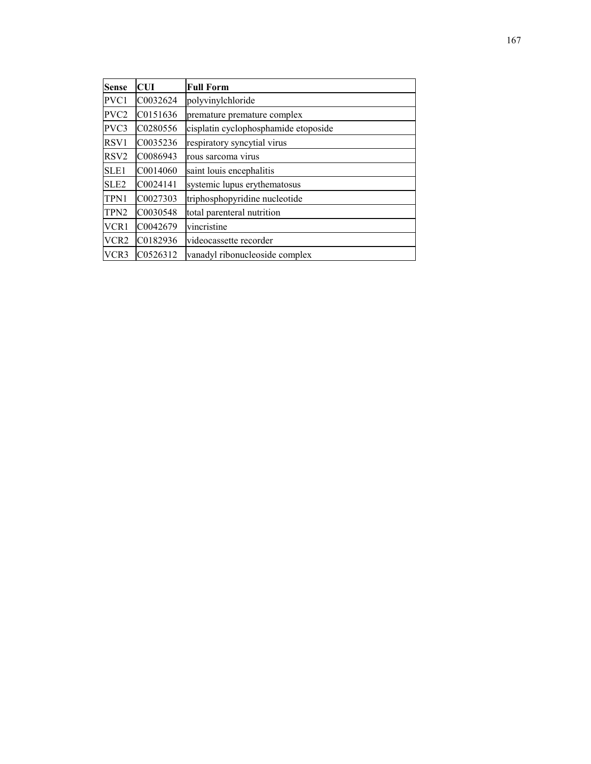| <b>Sense</b>     | CUI      | <b>Full Form</b>                     |
|------------------|----------|--------------------------------------|
| PVC1             | C0032624 | polyvinylchloride                    |
| PVC <sub>2</sub> | C0151636 | premature premature complex          |
| PVC3             | C0280556 | cisplatin cyclophosphamide etoposide |
| RSV1             | C0035236 | respiratory syncytial virus          |
| RSV <sub>2</sub> | C0086943 | rous sarcoma virus                   |
| SLE1             | C0014060 | saint louis encephalitis             |
| SLE <sub>2</sub> | C0024141 | systemic lupus erythematosus         |
| TPN1             | C0027303 | triphosphopyridine nucleotide        |
| TPN <sub>2</sub> | C0030548 | total parenteral nutrition           |
| VCR1             | C0042679 | vincristine                          |
| VCR2             | C0182936 | videocassette recorder               |
| VCR3             | C0526312 | vanadyl ribonucleoside complex       |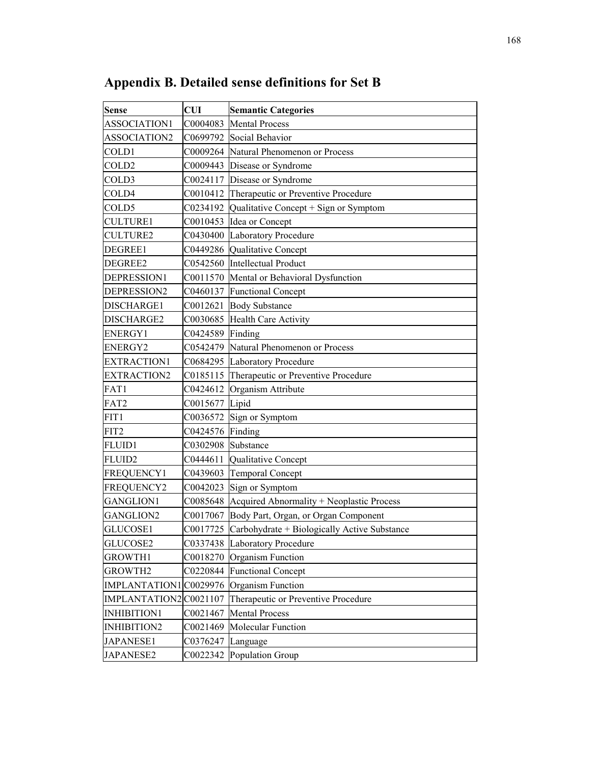| <b>Sense</b>          | <b>CUI</b> | <b>Semantic Categories</b>                                |
|-----------------------|------------|-----------------------------------------------------------|
| ASSOCIATION1          | C0004083   | <b>Mental Process</b>                                     |
| ASSOCIATION2          | C0699792   | Social Behavior                                           |
| COLD1                 | C0009264   | Natural Phenomenon or Process                             |
| COLD <sub>2</sub>     | C0009443   | Disease or Syndrome                                       |
| COLD3                 | C0024117   | Disease or Syndrome                                       |
| COLD4                 | C0010412   | Therapeutic or Preventive Procedure                       |
| COLD5                 | C0234192   | Qualitative Concept + Sign or Symptom                     |
| <b>CULTURE1</b>       | C0010453   | Idea or Concept                                           |
| <b>CULTURE2</b>       |            | C0430400 Laboratory Procedure                             |
| DEGREE1               |            | C0449286 Qualitative Concept                              |
| DEGREE2               |            | C0542560 Intellectual Product                             |
| DEPRESSION1           |            | C0011570 Mental or Behavioral Dysfunction                 |
| DEPRESSION2           |            | C0460137 Functional Concept                               |
| DISCHARGE1            |            | C0012621 Body Substance                                   |
| DISCHARGE2            | C0030685   | <b>Health Care Activity</b>                               |
| <b>ENERGY1</b>        | C0424589   | Finding                                                   |
| <b>ENERGY2</b>        | C0542479   | Natural Phenomenon or Process                             |
| <b>EXTRACTION1</b>    |            | C0684295 Laboratory Procedure                             |
| <b>EXTRACTION2</b>    |            | C0185115 Therapeutic or Preventive Procedure              |
| FAT1                  | C0424612   | Organism Attribute                                        |
| FAT2                  | C0015677   | Lipid                                                     |
| FIT1                  | C0036572   | Sign or Symptom                                           |
| FIT2                  | C0424576   | Finding                                                   |
| <b>FLUID1</b>         | C0302908   | Substance                                                 |
| <b>FLUID2</b>         | C0444611   | Qualitative Concept                                       |
| <b>FREQUENCY1</b>     | C0439603   | Temporal Concept                                          |
| <b>FREQUENCY2</b>     | C0042023   | Sign or Symptom                                           |
| <b>GANGLION1</b>      | C0085648   | Acquired Abnormality + Neoplastic Process                 |
| <b>GANGLION2</b>      | C0017067   | Body Part, Organ, or Organ Component                      |
| GLUCOSE1              |            | $CO017725$ $Carbohydrate + Biologically Active Substance$ |
| GLUCOSE2              |            | C0337438 Laboratory Procedure                             |
| <b>GROWTH1</b>        | C0018270   | Organism Function                                         |
| <b>GROWTH2</b>        | C0220844   | <b>Functional Concept</b>                                 |
| IMPLANTATION1C0029976 |            | Organism Function                                         |
| IMPLANTATION2C0021107 |            | Therapeutic or Preventive Procedure                       |
| INHIBITION1           | C0021467   | <b>Mental Process</b>                                     |
| <b>INHIBITION2</b>    | C0021469   | <b>Molecular Function</b>                                 |
| JAPANESE1             | C0376247   | Language                                                  |
| <b>JAPANESE2</b>      | C0022342   | Population Group                                          |

**Appendix B. Detailed sense definitions for Set B**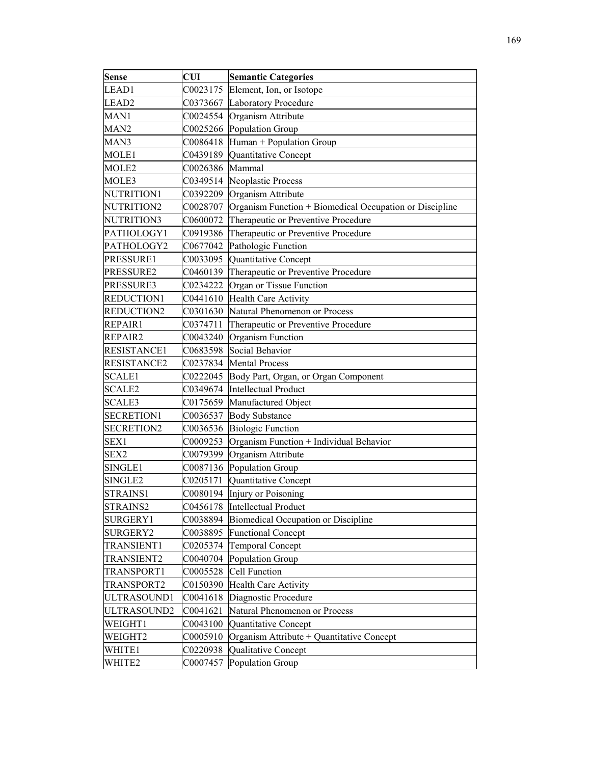| <b>Sense</b>      | <b>CUI</b> | <b>Semantic Categories</b>                              |
|-------------------|------------|---------------------------------------------------------|
| LEAD1             | C0023175   | Element, Ion, or Isotope                                |
| LEAD <sub>2</sub> |            | C0373667 Laboratory Procedure                           |
| MAN1              | C0024554   | Organism Attribute                                      |
| MAN <sub>2</sub>  |            | C0025266 Population Group                               |
| MAN3              | C0086418   | Human + Population Group                                |
| MOLE1             | C0439189   | Quantitative Concept                                    |
| MOLE2             | C0026386   | Mammal                                                  |
| MOLE3             | C0349514   | Neoplastic Process                                      |
| NUTRITION1        | C0392209   | Organism Attribute                                      |
| NUTRITION2        | C0028707   | Organism Function + Biomedical Occupation or Discipline |
| NUTRITION3        | C0600072   | Therapeutic or Preventive Procedure                     |
| PATHOLOGY1        | C0919386   | Therapeutic or Preventive Procedure                     |
| PATHOLOGY2        | C0677042   | Pathologic Function                                     |
| PRESSURE1         | C0033095   | Quantitative Concept                                    |
| PRESSURE2         | C0460139   | Therapeutic or Preventive Procedure                     |
| PRESSURE3         | C0234222   | Organ or Tissue Function                                |
| REDUCTION1        | C0441610   | <b>Health Care Activity</b>                             |
| REDUCTION2        | C0301630   | Natural Phenomenon or Process                           |
| REPAIR1           | C0374711   | Therapeutic or Preventive Procedure                     |
| REPAIR2           | C0043240   | Organism Function                                       |
| RESISTANCE1       | C0683598   | Social Behavior                                         |
| RESISTANCE2       | C0237834   | <b>Mental Process</b>                                   |
| <b>SCALE1</b>     | C0222045   | Body Part, Organ, or Organ Component                    |
| <b>SCALE2</b>     | C0349674   | <b>Intellectual Product</b>                             |
| <b>SCALE3</b>     | C0175659   | Manufactured Object                                     |
| <b>SECRETION1</b> | C0036537   | <b>Body Substance</b>                                   |
| <b>SECRETION2</b> | C0036536   | <b>Biologic Function</b>                                |
| SEX1              | C0009253   | Organism Function + Individual Behavior                 |
| SEX2              | C0079399   | Organism Attribute                                      |
| SINGLE1           | C0087136   | Population Group                                        |
| SINGLE2           | C0205171   | Quantitative Concept                                    |
| STRAINS1          | C0080194   | Injury or Poisoning                                     |
| STRAINS2          | C0456178   | <b>Intellectual Product</b>                             |
| SURGERY1          | C0038894   | Biomedical Occupation or Discipline                     |
| SURGERY2          | C0038895   | <b>Functional Concept</b>                               |
| TRANSIENT1        | C0205374   | <b>Temporal Concept</b>                                 |
| TRANSIENT2        | C0040704   | Population Group                                        |
| TRANSPORT1        | C0005528   | <b>Cell Function</b>                                    |
| TRANSPORT2        | C0150390   | <b>Health Care Activity</b>                             |
| ULTRASOUND1       | C0041618   | Diagnostic Procedure                                    |
| ULTRASOUND2       | C0041621   | Natural Phenomenon or Process                           |
| WEIGHT1           | C0043100   | Quantitative Concept                                    |
| WEIGHT2           | C0005910   | Organism Attribute + Quantitative Concept               |
| WHITE1            | C0220938   | Qualitative Concept                                     |
| WHITE2            | C0007457   | Population Group                                        |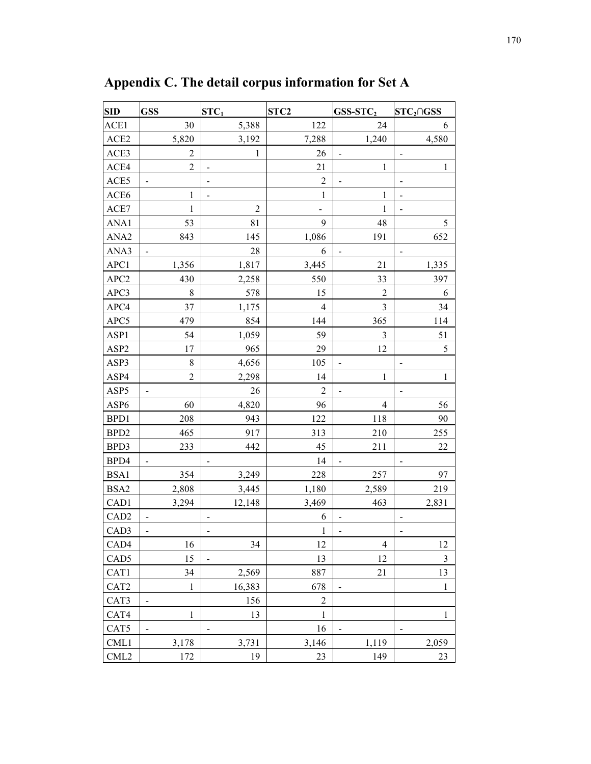| <b>SID</b>       | <b>GSS</b>     | $STC_1$                  | STC <sub>2</sub> | $GSS-STC2$                   | $STC2 \cap GSS$              |
|------------------|----------------|--------------------------|------------------|------------------------------|------------------------------|
| ACE1             | 30             | 5,388                    | 122              | 24                           | 6                            |
| ACE2             | 5,820          | 3,192                    | 7,288            | 1,240                        | 4,580                        |
| ACE3             | $\overline{2}$ | $\mathbf{1}$             | 26               | $\qquad \qquad \blacksquare$ | $\qquad \qquad \blacksquare$ |
| ACE4             | $\overline{2}$ |                          | 21               | $\,1$                        | $\mathbf{1}$                 |
| ACE5             |                | $\overline{\phantom{m}}$ | $\overline{2}$   |                              |                              |
| ACE6             | 1              | $\blacksquare$           | 1                | 1                            | $\overline{a}$               |
| ACE7             | $\mathbf{1}$   | $\overline{2}$           |                  | $\mathbf{1}$                 |                              |
| ANA1             | 53             | 81                       | 9                | 48                           | 5                            |
| ANA <sub>2</sub> | 843            | 145                      | 1,086            | 191                          | 652                          |
| ANA3             |                | 28                       | 6                |                              |                              |
| APC1             | 1,356          | 1,817                    | 3,445            | 21                           | 1,335                        |
| APC <sub>2</sub> | 430            | 2,258                    | 550              | 33                           | 397                          |
| APC3             | $\,8\,$        | 578                      | 15               | $\overline{c}$               | 6                            |
| APC4             | 37             | 1,175                    | $\overline{4}$   | $\mathfrak{Z}$               | 34                           |
| APC5             | 479            | 854                      | 144              | 365                          | 114                          |
| ASP1             | 54             | 1,059                    | 59               | $\mathfrak{Z}$               | 51                           |
| ASP <sub>2</sub> | 17             | 965                      | 29               | 12                           | 5                            |
| ASP3             | $\,$ 8 $\,$    | 4,656                    | 105              | $\blacksquare$               | $\overline{\phantom{a}}$     |
| ASP4             | $\overline{2}$ | 2,298                    | 14               | $\mathbf{1}$                 | $\mathbf{1}$                 |
| ASP <sub>5</sub> |                | 26                       | $\overline{2}$   |                              |                              |
| ASP6             | 60             | 4,820                    | 96               | $\overline{4}$               | 56                           |
| BPD1             | 208            | 943                      | 122              | 118                          | 90                           |
| BPD <sub>2</sub> | 465            | 917                      | 313              | 210                          | 255                          |
| BPD3             | 233            | 442                      | 45               | 211                          | 22                           |
| BPD4             |                |                          | 14               | $\overline{\phantom{0}}$     |                              |
| BSA1             | 354            | 3,249                    | 228              | 257                          | 97                           |
| BSA2             | 2,808          | 3,445                    | 1,180            | 2,589                        | 219                          |
| CAD1             | 3,294          | 12,148                   | 3,469            | 463                          | 2,831                        |
| CAD <sub>2</sub> |                |                          | 6                |                              |                              |
| CAD <sub>3</sub> |                |                          | $\mathbf{1}$     |                              |                              |
| CAD4             | 16             | 34                       | 12               | 4                            | 12                           |
| CAD <sub>5</sub> | 15             |                          | 13               | 12                           | 3                            |
| CAT1             | 34             | 2,569                    | 887              | 21                           | 13                           |
| CAT <sub>2</sub> | $\mathbf{1}$   | 16,383                   | 678              |                              | $\,1$                        |
| CAT3             |                | 156                      | $\overline{c}$   |                              |                              |
| CAT4             | 1              | 13                       | $\mathbf{1}$     |                              | $\mathbf{1}$                 |
| CAT5             |                |                          | 16               |                              |                              |
| CML1             | 3,178          | 3,731                    | 3,146            | 1,119                        | 2,059                        |
| CML <sub>2</sub> | 172            | 19                       | 23               | 149                          | 23                           |

**Appendix C. The detail corpus information for Set A**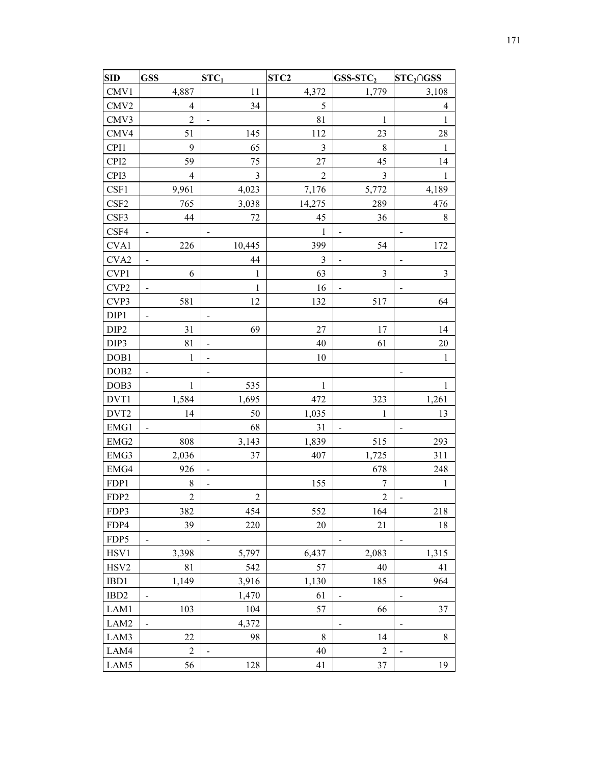| <b>SID</b>       | <b>GSS</b>               | $STC_1$                      | STC <sub>2</sub> | $GSS-STC2$               | $STC2 \cap GSS$          |
|------------------|--------------------------|------------------------------|------------------|--------------------------|--------------------------|
| CMV1             | 4,887                    | 11                           | 4,372            | 1,779                    | 3,108                    |
| CMV <sub>2</sub> | $\overline{4}$           | 34                           | 5                |                          | $\overline{4}$           |
| CMV3             | $\overline{2}$           | $\frac{1}{2}$                | 81               | 1                        | $\mathbf{1}$             |
| CMV4             | 51                       | 145                          | 112              | 23                       | 28                       |
| CPI1             | 9                        | 65                           | $\mathfrak{Z}$   | 8                        | 1                        |
| CPI <sub>2</sub> | 59                       | 75                           | 27               | 45                       | 14                       |
| CPI3             | $\overline{4}$           | $\mathfrak{Z}$               | $\overline{2}$   | 3                        | $\mathbf{1}$             |
| CSF1             | 9,961                    | 4,023                        | 7,176            | 5,772                    | 4,189                    |
| CSF <sub>2</sub> | 765                      | 3,038                        | 14,275           | 289                      | 476                      |
| CSF3             | 44                       | 72                           | 45               | 36                       | 8                        |
| CSF4             |                          |                              | $\mathbf{1}$     | $\overline{\phantom{0}}$ |                          |
| CVA1             | 226                      | 10,445                       | 399              | 54                       | 172                      |
| CVA <sub>2</sub> |                          | 44                           | 3                | $\overline{\phantom{0}}$ | $\overline{a}$           |
| CVP1             | 6                        | $\mathbf{1}$                 | 63               | $\mathfrak{Z}$           | $\overline{3}$           |
| CVP <sub>2</sub> | $\overline{\phantom{0}}$ | $\mathbf{1}$                 | 16               | $\overline{a}$           | -                        |
| CVP3             | 581                      | 12                           | 132              | 517                      | 64                       |
| DIP1             | $\overline{\phantom{0}}$ | $\qquad \qquad \blacksquare$ |                  |                          |                          |
| DIP <sub>2</sub> | 31                       | 69                           | 27               | 17                       | 14                       |
| DIP3             | 81                       | $\overline{\phantom{0}}$     | 40               | 61                       | $20\,$                   |
| DOB1             | $\mathbf{1}$             |                              | 10               |                          | $\mathbf{1}$             |
| DOB <sub>2</sub> |                          | $\overline{\phantom{0}}$     |                  |                          |                          |
| DOB3             | 1                        | 535                          | 1                |                          | 1                        |
| DVT1             | 1,584                    | 1,695                        | 472              | 323                      | 1,261                    |
| DVT <sub>2</sub> | 14                       | 50                           | 1,035            | $\mathbf{1}$             | 13                       |
| EMG1             |                          | 68                           | 31               |                          |                          |
| EMG <sub>2</sub> | 808                      | 3,143                        | 1,839            | 515                      | 293                      |
| EMG3             | 2,036                    | 37                           | 407              | 1,725                    | 311                      |
| EMG4             | 926                      | $\overline{\phantom{m}}$     |                  | 678                      | 248                      |
| FDP1             | $\,8\,$                  | $\blacksquare$               | 155              | 7                        | 1                        |
| FDP <sub>2</sub> | $\overline{2}$           | $\mathfrak{2}$               |                  | $\boldsymbol{2}$         | $\overline{\phantom{0}}$ |
| FDP3             | 382                      | 454                          | 552              | 164                      | 218                      |
| FDP4             | 39                       | 220                          | 20               | 21                       | 18                       |
| FDP5             |                          | $\overline{\phantom{0}}$     |                  | $\overline{\phantom{0}}$ | -                        |
| HSV1             | 3,398                    | 5,797                        | 6,437            | 2,083                    | 1,315                    |
| HSV <sub>2</sub> | 81                       | 542                          | 57               | 40                       | 41                       |
| IBD1             | 1,149                    | 3,916                        | 1,130            | 185                      | 964                      |
| IBD <sub>2</sub> |                          | 1,470                        | 61               | $\overline{\phantom{0}}$ |                          |
| LAM1             | 103                      | 104                          | 57               | 66                       | 37                       |
| LAM2             | $\overline{\phantom{0}}$ | 4,372                        |                  | $\overline{\phantom{0}}$ | -                        |
| LAM3             | 22                       | 98                           | 8                | 14                       | 8                        |
| LAM4             | $\overline{2}$           | $\blacksquare$               | 40               | $\overline{c}$           | $\overline{\phantom{0}}$ |
| LAM5             | 56                       | 128                          | 41               | 37                       | 19                       |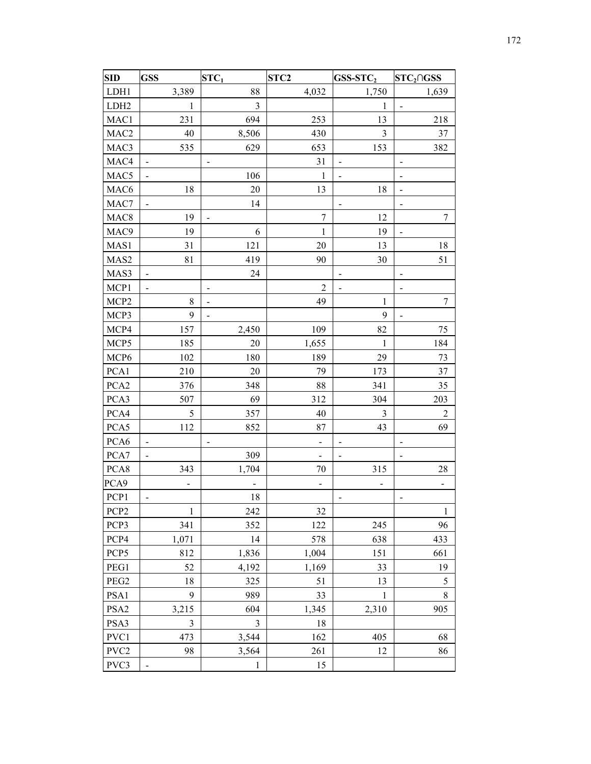| <b>SID</b>       | <b>GSS</b>               | $STC_1$                  | STC <sub>2</sub>         | GSS-STC2                     | $STC2 \cap GSS$              |
|------------------|--------------------------|--------------------------|--------------------------|------------------------------|------------------------------|
| LDH1             | 3,389                    | 88                       | 4,032                    | 1,750                        | 1,639                        |
| LDH <sub>2</sub> | $\mathbf{1}$             | $\overline{3}$           |                          | $\mathbf{1}$                 | $\qquad \qquad \blacksquare$ |
| MAC1             | 231                      | 694                      | 253                      | 13                           | 218                          |
| MAC <sub>2</sub> | 40                       | 8,506                    | 430                      | $\mathfrak{Z}$               | 37                           |
| MAC3             | 535                      | 629                      | 653                      | 153                          | 382                          |
| MAC4             |                          |                          | 31                       | $\overline{a}$               |                              |
| MAC <sub>5</sub> | ۰                        | 106                      | 1                        | $\overline{a}$               | $\overline{\phantom{0}}$     |
| MAC <sub>6</sub> | 18                       | $20\,$                   | 13                       | 18                           | $\overline{\phantom{0}}$     |
| MAC7             | ÷.                       | 14                       |                          | $\overline{\phantom{a}}$     |                              |
| MAC <sub>8</sub> | 19                       | $\blacksquare$           | $\boldsymbol{7}$         | 12                           | 7                            |
| MAC <sub>9</sub> | 19                       | 6                        | $\mathbf{1}$             | 19                           | $\qquad \qquad \blacksquare$ |
| MAS1             | 31                       | 121                      | 20                       | 13                           | 18                           |
| MAS2             | 81                       | 419                      | 90                       | 30                           | 51                           |
| MAS3             |                          | 24                       |                          | $\qquad \qquad \blacksquare$ | -                            |
| MCP1             |                          |                          | $\overline{2}$           | $\overline{a}$               |                              |
| MCP <sub>2</sub> | 8                        | $\overline{\phantom{0}}$ | 49                       | 1                            | $\boldsymbol{7}$             |
| MCP3             | 9                        | $\blacksquare$           |                          | 9                            | $\frac{1}{2}$                |
| MCP4             | 157                      | 2,450                    | 109                      | 82                           | 75                           |
| MCP <sub>5</sub> | 185                      | 20                       | 1,655                    | 1                            | 184                          |
| MCP <sub>6</sub> | 102                      | 180                      | 189                      | 29                           | 73                           |
| PCA1             | 210                      | 20                       | 79                       | 173                          | 37                           |
| PCA <sub>2</sub> | 376                      | 348                      | 88                       | 341                          | 35                           |
| PCA3             | 507                      | 69                       | 312                      | 304                          | 203                          |
| PCA4             | 5                        | 357                      | 40                       | 3                            | 2                            |
| PCA5             | 112                      | 852                      | 87                       | 43                           | 69                           |
| PCA6             | $\overline{\phantom{0}}$ | -                        | -                        | $\overline{a}$               | $\qquad \qquad \blacksquare$ |
| PCA7             |                          | 309                      | $\overline{\phantom{0}}$ |                              |                              |
| PCA8             | 343                      | 1,704                    | 70                       | 315                          | 28                           |
| PCA9             |                          |                          | -                        |                              |                              |
| PCP1             |                          | 18                       |                          | $\qquad \qquad \blacksquare$ |                              |
| PCP <sub>2</sub> | 1                        | 242                      | 32                       |                              | 1                            |
| PCP3             | 341                      | 352                      | 122                      | 245                          | 96                           |
| PCP4             | 1,071                    | 14                       | 578                      | 638                          | 433                          |
| PCP <sub>5</sub> | 812                      | 1,836                    | 1,004                    | 151                          | 661                          |
| PEG1             | 52                       | 4,192                    | 1,169                    | 33                           | 19                           |
| PEG2             | 18                       | 325                      | 51                       | 13                           | 5                            |
| PSA1             | 9                        | 989                      | 33                       | 1                            | 8                            |
| PSA <sub>2</sub> | 3,215                    | 604                      | 1,345                    | 2,310                        | 905                          |
| PSA3             | $\mathfrak{Z}$           | 3                        | 18                       |                              |                              |
| PVC1             | 473                      | 3,544                    | 162                      | 405                          | 68                           |
| PVC <sub>2</sub> | 98                       | 3,564                    | 261                      | 12                           | 86                           |
| PVC3             |                          | $\mathbf{1}$             | 15                       |                              |                              |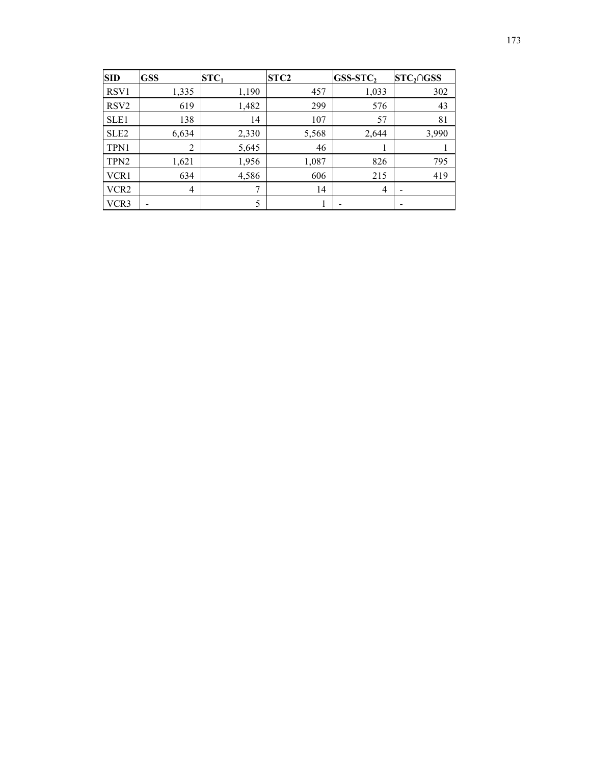| SID              | <b>GSS</b>     | $STC_1$ | STC <sub>2</sub> | $GSS-STC2$ | $STC2 \cap GSS$ |
|------------------|----------------|---------|------------------|------------|-----------------|
| RSV <sub>1</sub> | 1,335          | 1,190   | 457              | 1,033      | 302             |
| RSV <sub>2</sub> | 619            | 1,482   | 299              | 576        | 43              |
| SLE <sub>1</sub> | 138            | 14      | 107              | 57         | 81              |
| SLE <sub>2</sub> | 6,634          | 2,330   | 5,568            | 2,644      | 3,990           |
| TPN1             | $\overline{2}$ | 5,645   | 46               |            |                 |
| TPN <sub>2</sub> | 1,621          | 1,956   | 1,087            | 826        | 795             |
| VCR1             | 634            | 4,586   | 606              | 215        | 419             |
| VCR <sub>2</sub> | $\overline{4}$ | 7       | 14               | 4          |                 |
| VCR3             |                | 5       |                  |            |                 |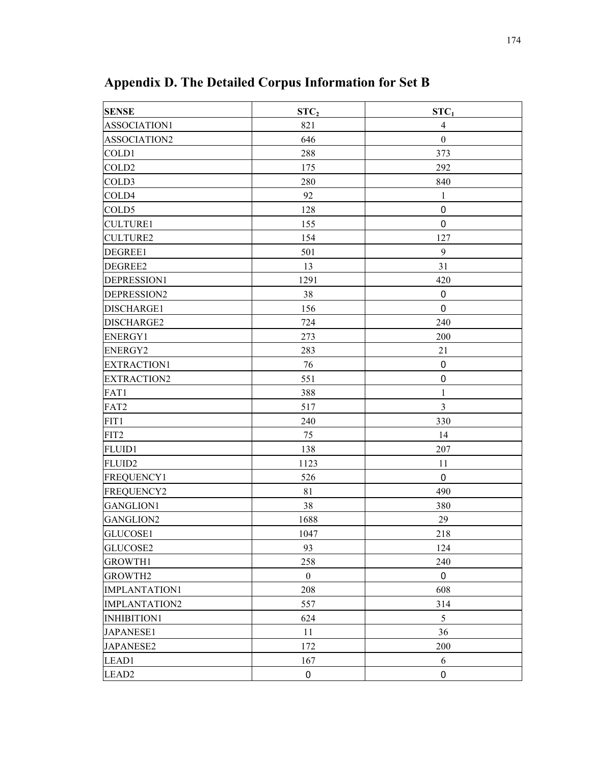| <b>SENSE</b>         | STC <sub>2</sub> | STC <sub>1</sub> |
|----------------------|------------------|------------------|
| ASSOCIATION1         | 821              | $\overline{4}$   |
| ASSOCIATION2         | 646              | $\boldsymbol{0}$ |
| COLD1                | 288              | 373              |
| COLD <sub>2</sub>    | 175              | 292              |
| COLD3                | 280              | 840              |
| COLD4                | 92               | $\mathbf{1}$     |
| COLD5                | 128              | $\mathbf 0$      |
| <b>CULTURE1</b>      | 155              | $\mathbf 0$      |
| <b>CULTURE2</b>      | 154              | 127              |
| DEGREE1              | 501              | 9                |
| DEGREE2              | 13               | 31               |
| DEPRESSION1          | 1291             | 420              |
| DEPRESSION2          | 38               | $\mathbf 0$      |
| DISCHARGE1           | 156              | $\mathbf 0$      |
| DISCHARGE2           | 724              | 240              |
| <b>ENERGY1</b>       | 273              | 200              |
| <b>ENERGY2</b>       | 283              | 21               |
| EXTRACTION1          | 76               | $\boldsymbol{0}$ |
| <b>EXTRACTION2</b>   | 551              | $\pmb{0}$        |
| FAT1                 | 388              | $\mathbf{1}$     |
| FAT2                 | 517              | $\mathfrak{Z}$   |
| FIT1                 | 240              | 330              |
| FIT2                 | 75               | 14               |
| <b>FLUID1</b>        | 138              | 207              |
| FLUID <sub>2</sub>   | 1123             | 11               |
| FREQUENCY1           | 526              | $\mathbf 0$      |
| FREQUENCY2           | 81               | 490              |
| <b>GANGLION1</b>     | 38               | 380              |
| GANGLION2            | 1688             | 29               |
| GLUCOSE1             | 1047             | 218              |
| GLUCOSE2             | 93               | 124              |
| <b>GROWTH1</b>       | 258              | 240              |
| <b>GROWTH2</b>       | $\mathbf{0}$     | 0                |
| <b>IMPLANTATION1</b> | 208              | 608              |
| <b>IMPLANTATION2</b> | 557              | 314              |
| INHIBITION1          | 624              | $5\,$            |
| JAPANESE1            | 11               | 36               |
| <b>JAPANESE2</b>     | 172              | 200              |
| LEAD1                | 167              | 6                |
| LEAD <sub>2</sub>    | 0                | $\pmb{0}$        |

**Appendix D. The Detailed Corpus Information for Set B**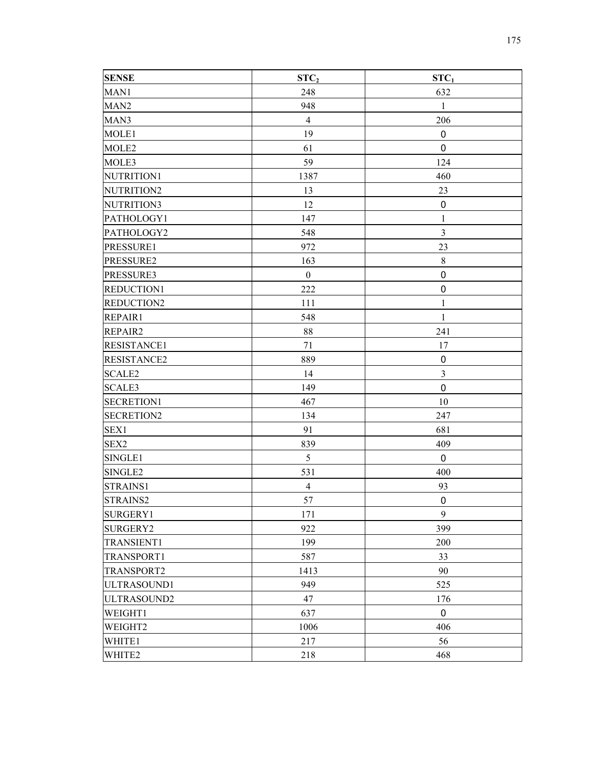| <b>SENSE</b>       | STC <sub>2</sub> | STC <sub>1</sub> |
|--------------------|------------------|------------------|
| MAN1               | 248              | 632              |
| MAN <sub>2</sub>   | 948              | $\mathbf{1}$     |
| MAN3               | $\overline{4}$   | 206              |
| MOLE1              | 19               | 0                |
| MOLE <sub>2</sub>  | 61               | $\pmb{0}$        |
| MOLE3              | 59               | 124              |
| NUTRITION1         | 1387             | 460              |
| NUTRITION2         | 13               | 23               |
| NUTRITION3         | 12               | $\pmb{0}$        |
| PATHOLOGY1         | 147              | 1                |
| PATHOLOGY2         | 548              | $\overline{3}$   |
| PRESSURE1          | 972              | 23               |
| PRESSURE2          | 163              | $\,8\,$          |
| PRESSURE3          | $\boldsymbol{0}$ | $\boldsymbol{0}$ |
| REDUCTION1         | 222              | $\pmb{0}$        |
| REDUCTION2         | 111              | $\mathbf{1}$     |
| REPAIR1            | 548              | $\mathbf{1}$     |
| REPAIR2            | 88               | 241              |
| <b>RESISTANCE1</b> | 71               | 17               |
| <b>RESISTANCE2</b> | 889              | $\pmb{0}$        |
| <b>SCALE2</b>      | 14               | $\mathfrak{Z}$   |
| <b>SCALE3</b>      | 149              | $\mathbf 0$      |
| <b>SECRETION1</b>  | 467              | 10               |
| <b>SECRETION2</b>  | 134              | 247              |
| SEX1               | 91               | 681              |
| SEX2               | 839              | 409              |
| SINGLE1            | 5                | $\mathbf 0$      |
| SINGLE2            | 531              | 400              |
| STRAINS1           | $\overline{4}$   | 93               |
| STRAINS2           | 57               | $\mathbf 0$      |
| SURGERY1           | 171              | 9                |
| <b>SURGERY2</b>    | 922              | 399              |
| <b>TRANSIENT1</b>  | 199              | 200              |
| TRANSPORT1         | 587              | 33               |
| <b>TRANSPORT2</b>  | 1413             | 90               |
| ULTRASOUND1        | 949              | 525              |
| ULTRASOUND2        | 47               | 176              |
| WEIGHT1            | 637              | $\pmb{0}$        |
| WEIGHT2            | 1006             | 406              |
| WHITE1             | 217              | 56               |
| WHITE2             | 218              | 468              |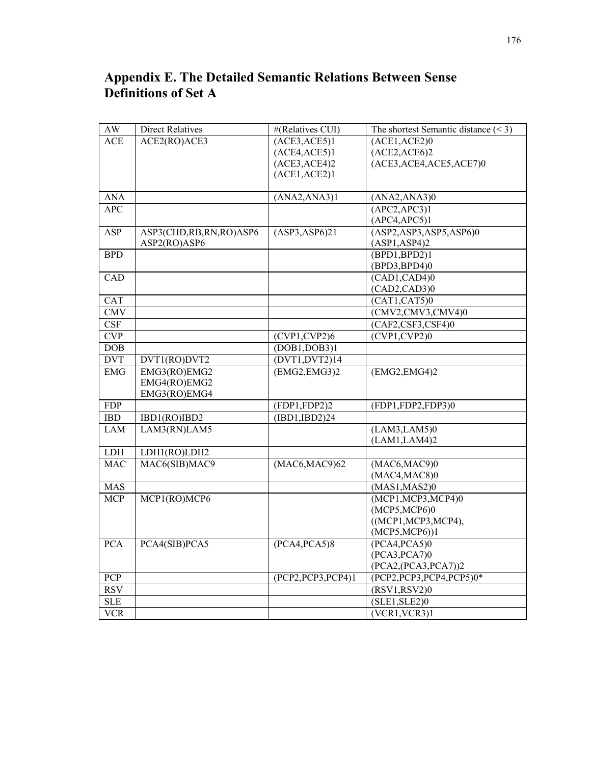| $\mathbf{A}\mathbf{W}$  | <b>Direct Relatives</b> | #(Relatives CUI)                       | The shortest Semantic distance $(< 3)$ |
|-------------------------|-------------------------|----------------------------------------|----------------------------------------|
| <b>ACE</b>              | ACE2(RO)ACE3            | $(\overline{ACE3}, \overline{ACE5})$ 1 | (ACE1, ACE2)0                          |
|                         |                         | (ACE4,ACE5)1                           | (ACE2,ACE6)2                           |
|                         |                         | (ACE3,ACE4)2                           | (ACE3, ACE4, ACE5, ACE7)0              |
|                         |                         | (ACE1, ACE2)1                          |                                        |
|                         |                         |                                        |                                        |
| <b>ANA</b>              |                         | (ANA2, ANA3)1                          | (ANA2, ANA3)0                          |
| $\overline{APC}$        |                         |                                        | (APC2,APC3)1                           |
|                         |                         |                                        | (APC4,APC5)1                           |
| <b>ASP</b>              | ASP3(CHD,RB,RN,RO)ASP6  | (ASP3, ASP6)21                         | (ASP2, ASP3, ASP5,ASP6)0               |
|                         | ASP2(RO)ASP6            |                                        | (ASP1, ASP4)2                          |
| <b>BPD</b>              |                         |                                        | (BPD1,BPD2)1                           |
|                         |                         |                                        | (BPD3,BPD4)0                           |
| CAD                     |                         |                                        | (CAD1, CAD4)0                          |
|                         |                         |                                        | (CAD2, CAD3)0                          |
| CAT                     |                         |                                        | (CAT1, CAT5)0                          |
| <b>CMV</b>              |                         |                                        | (CMV2,CMV3,CMV4)0                      |
| $\overline{\text{CSF}}$ |                         |                                        | (CAF2,CSF3,CSF4)0                      |
| <b>CVP</b>              |                         | (CVP1, CVP2)6                          | (CVP1, CVP2)0                          |
| DOB                     |                         | (DOB1, DOB3)1                          |                                        |
| <b>DVT</b>              | DVT1(RO)DVT2            | (DVT1, DVT2)14                         |                                        |
| <b>EMG</b>              | EMG3(RO)EMG2            | (EMG2, EMG3)2                          | (EMG2, EMG4)2                          |
|                         | EMG4(RO)EMG2            |                                        |                                        |
|                         | EMG3(RO)EMG4            |                                        |                                        |
| <b>FDP</b>              |                         | (FDP1, FDP2)2                          | (FDP1,FDP2,FDP3)0                      |
| <b>IBD</b>              | IBD1(RO)IBD2            | (IBD1,IBD2)24                          |                                        |
| <b>LAM</b>              | LAM3(RN)LAM5            |                                        | (LAM3, LAM5)0                          |
|                         |                         |                                        | (LAM1, LAM4)2                          |
| <b>LDH</b>              | LDH1(RO)LDH2            |                                        |                                        |
| <b>MAC</b>              | MAC6(SIB)MAC9           | (MAC6, MAC9)62                         | (MAC6, MAC9)0                          |
|                         |                         |                                        | (MAC4, MAC8)0                          |
| <b>MAS</b>              |                         |                                        | (MAS1, MAS2)0                          |
| <b>MCP</b>              | MCP1(RO)MCP6            |                                        | (MCP1, MCP3, MCP4)0                    |
|                         |                         |                                        | (MCP5, MCP6)0                          |
|                         |                         |                                        | ((MCP1, MCP3, MCP4),                   |
|                         |                         |                                        | $(MCP5, MCP6)$ ]                       |
| <b>PCA</b>              | PCA4(SIB)PCA5           | (PCA4, PCA5)8                          | (PCA4, PCA5)0                          |
|                         |                         |                                        | (PCA3, PCA7)0                          |
|                         |                         |                                        | (PCA2,(PCA3,PCA7))2                    |
| <b>PCP</b>              |                         | (PCP2, PCP3, PCP4)1                    | (PCP2, PCP3, PCP4, PCP5)0*             |
| <b>RSV</b>              |                         |                                        | (RSV1, RSV2)0                          |
| <b>SLE</b>              |                         |                                        | (SLE1, SLE2)0                          |
| $\overline{VCR}$        |                         |                                        | (VCR1, VCR3)1                          |

## **Appendix E. The Detailed Semantic Relations Between Sense Definitions of Set A**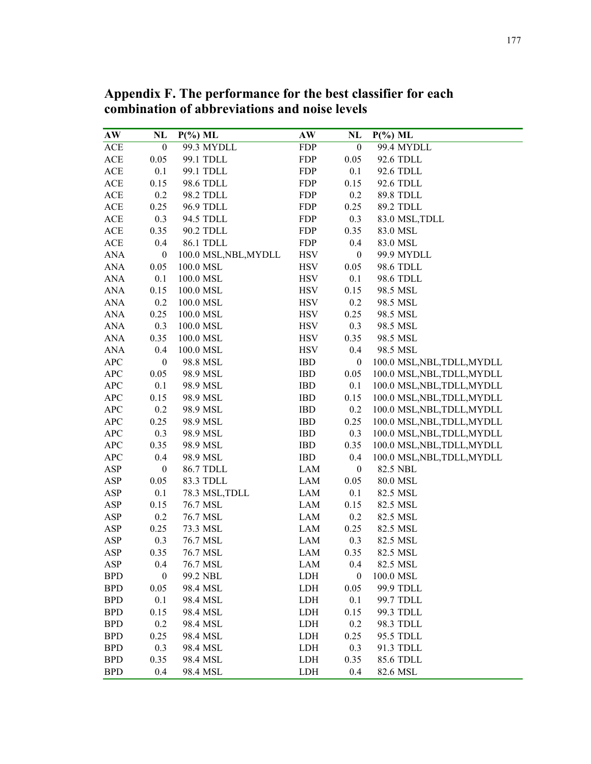| combination of abbreviations and noise levels |                  |                       |            |                  |                             |  |
|-----------------------------------------------|------------------|-----------------------|------------|------------------|-----------------------------|--|
| AW                                            | NL               | $P(\%)$ ML            | AW         | NL               | $P(\%)$ ML                  |  |
| ACE                                           | $\boldsymbol{0}$ | 99.3 MYDLL            | <b>FDP</b> | $\boldsymbol{0}$ | 99.4 MYDLL                  |  |
| <b>ACE</b>                                    | 0.05             | 99.1 TDLL             | <b>FDP</b> | 0.05             | 92.6 TDLL                   |  |
| ACE                                           | 0.1              | 99.1 TDLL             | <b>FDP</b> | 0.1              | 92.6 TDLL                   |  |
| ACE                                           | 0.15             | 98.6 TDLL             | <b>FDP</b> | 0.15             | 92.6 TDLL                   |  |
| ACE                                           | 0.2              | 98.2 TDLL             | <b>FDP</b> | 0.2              | 89.8 TDLL                   |  |
| ACE                                           | 0.25             | 96.9 TDLL             | <b>FDP</b> | 0.25             | 89.2 TDLL                   |  |
| ACE                                           | 0.3              | 94.5 TDLL             | <b>FDP</b> | 0.3              | 83.0 MSL, TDLL              |  |
| ACE                                           | 0.35             | 90.2 TDLL             | <b>FDP</b> | 0.35             | 83.0 MSL                    |  |
| $\mathsf{ACE}$                                | 0.4              | 86.1 TDLL             | <b>FDP</b> | 0.4              | 83.0 MSL                    |  |
| <b>ANA</b>                                    | $\boldsymbol{0}$ | 100.0 MSL, NBL, MYDLL | <b>HSV</b> | $\boldsymbol{0}$ | 99.9 MYDLL                  |  |
| <b>ANA</b>                                    | 0.05             | 100.0 MSL             | <b>HSV</b> | 0.05             | 98.6 TDLL                   |  |
| <b>ANA</b>                                    | 0.1              | 100.0 MSL             | <b>HSV</b> | 0.1              | 98.6 TDLL                   |  |
| <b>ANA</b>                                    | 0.15             | 100.0 MSL             | <b>HSV</b> | 0.15             | 98.5 MSL                    |  |
| <b>ANA</b>                                    | 0.2              | 100.0 MSL             | <b>HSV</b> | 0.2              | 98.5 MSL                    |  |
| <b>ANA</b>                                    | 0.25             | 100.0 MSL             | <b>HSV</b> | 0.25             | 98.5 MSL                    |  |
| <b>ANA</b>                                    | 0.3              | 100.0 MSL             | <b>HSV</b> | 0.3              | 98.5 MSL                    |  |
| <b>ANA</b>                                    | 0.35             | 100.0 MSL             | <b>HSV</b> | 0.35             | 98.5 MSL                    |  |
| <b>ANA</b>                                    | 0.4              | 100.0 MSL             | <b>HSV</b> | 0.4              | 98.5 MSL                    |  |
| <b>APC</b>                                    | $\mathbf{0}$     | 98.8 MSL              | <b>IBD</b> | $\boldsymbol{0}$ | 100.0 MSL, NBL, TDLL, MYDLL |  |
| <b>APC</b>                                    | 0.05             | 98.9 MSL              | <b>IBD</b> | 0.05             | 100.0 MSL, NBL, TDLL, MYDLL |  |
| <b>APC</b>                                    | 0.1              | 98.9 MSL              | <b>IBD</b> | 0.1              | 100.0 MSL, NBL, TDLL, MYDLL |  |
| <b>APC</b>                                    | 0.15             | 98.9 MSL              | <b>IBD</b> | 0.15             | 100.0 MSL, NBL, TDLL, MYDLL |  |
| <b>APC</b>                                    | 0.2              | 98.9 MSL              | <b>IBD</b> | 0.2              | 100.0 MSL, NBL, TDLL, MYDLL |  |
| <b>APC</b>                                    | 0.25             | 98.9 MSL              | <b>IBD</b> | 0.25             | 100.0 MSL, NBL, TDLL, MYDLL |  |
| <b>APC</b>                                    | 0.3              | 98.9 MSL              | <b>IBD</b> | 0.3              | 100.0 MSL, NBL, TDLL, MYDLL |  |
| APC                                           | 0.35             | 98.9 MSL              | <b>IBD</b> | 0.35             | 100.0 MSL, NBL, TDLL, MYDLL |  |
| <b>APC</b>                                    | 0.4              | 98.9 MSL              | <b>IBD</b> | 0.4              | 100.0 MSL, NBL, TDLL, MYDLL |  |
| ASP                                           | $\boldsymbol{0}$ | 86.7 TDLL             | LAM        | $\mathbf{0}$     | 82.5 NBL                    |  |
| ASP                                           | 0.05             | 83.3 TDLL             | LAM        | 0.05             | 80.0 MSL                    |  |
| ASP                                           | 0.1              | 78.3 MSL, TDLL        | LAM        | 0.1              | 82.5 MSL                    |  |

**Appendix F. The performance for the best classifier for each**  combination of abb

ASP 0.15 76.7 MSL LAM 0.15 82.5 MSL ASP 0.2 76.7 MSL LAM 0.2 82.5 MSL ASP 0.25 73.3 MSL LAM 0.25 82.5 MSL ASP 0.3 76.7 MSL LAM 0.3 82.5 MSL ASP 0.35 76.7 MSL LAM 0.35 82.5 MSL ASP 0.4 76.7 MSL LAM 0.4 82.5 MSL BPD 0 99.2 NBL LDH 0 100.0 MSL BPD 0.05 98.4 MSL LDH 0.05 99.9 TDLL BPD 0.1 98.4 MSL LDH 0.1 99.7 TDLL BPD 0.15 98.4 MSL LDH 0.15 99.3 TDLL BPD 0.2 98.4 MSL LDH 0.2 98.3 TDLL BPD 0.25 98.4 MSL LDH 0.25 95.5 TDLL BPD 0.3 98.4 MSL LDH 0.3 91.3 TDLL BPD 0.35 98.4 MSL LDH 0.35 85.6 TDLL BPD 0.4 98.4 MSL LDH 0.4 82.6 MSL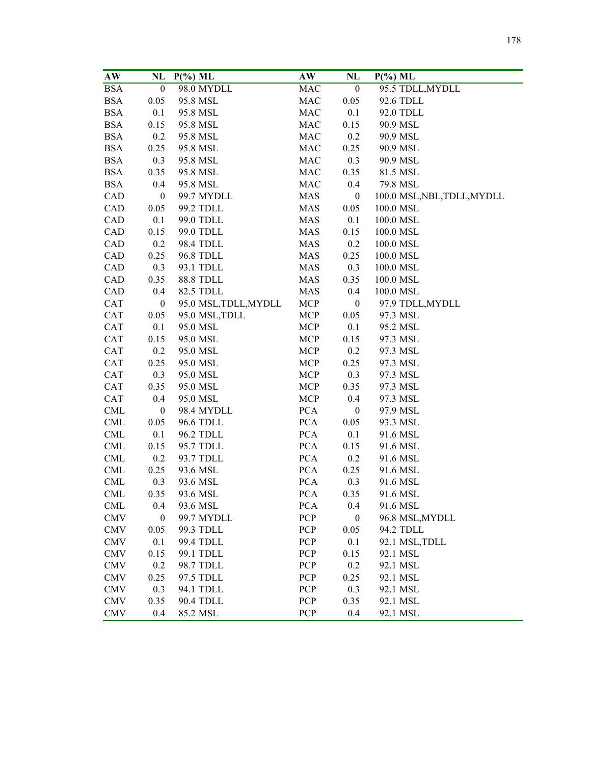| AW         | NL               | $P(\%)$ ML            | AW         | NL               | $P(\%)$ ML                  |
|------------|------------------|-----------------------|------------|------------------|-----------------------------|
| <b>BSA</b> | $\boldsymbol{0}$ | 98.0 MYDLL            | MAC        | $\boldsymbol{0}$ | 95.5 TDLL, MYDLL            |
| <b>BSA</b> | 0.05             | 95.8 MSL              | MAC        | 0.05             | 92.6 TDLL                   |
| <b>BSA</b> | 0.1              | 95.8 MSL              | MAC        | 0.1              | 92.0 TDLL                   |
| <b>BSA</b> | 0.15             | 95.8 MSL              | MAC        | 0.15             | 90.9 MSL                    |
| <b>BSA</b> | 0.2              | 95.8 MSL              | MAC        | 0.2              | 90.9 MSL                    |
| <b>BSA</b> | 0.25             | 95.8 MSL              | <b>MAC</b> | 0.25             | 90.9 MSL                    |
| <b>BSA</b> | 0.3              | 95.8 MSL              | MAC        | 0.3              | 90.9 MSL                    |
| <b>BSA</b> | 0.35             | 95.8 MSL              | <b>MAC</b> | 0.35             | 81.5 MSL                    |
| <b>BSA</b> | 0.4              | 95.8 MSL              | MAC        | 0.4              | 79.8 MSL                    |
| CAD        | $\boldsymbol{0}$ | 99.7 MYDLL            | <b>MAS</b> | $\boldsymbol{0}$ | 100.0 MSL, NBL, TDLL, MYDLL |
| CAD        | 0.05             | 99.2 TDLL             | MAS        | 0.05             | 100.0 MSL                   |
| CAD        | 0.1              | 99.0 TDLL             | <b>MAS</b> | 0.1              | 100.0 MSL                   |
| CAD        | 0.15             | 99.0 TDLL             | <b>MAS</b> | 0.15             | 100.0 MSL                   |
| CAD        | 0.2              | 98.4 TDLL             | <b>MAS</b> | 0.2              | 100.0 MSL                   |
| CAD        | 0.25             | 96.8 TDLL             | MAS        | 0.25             | 100.0 MSL                   |
| CAD        | 0.3              | 93.1 TDLL             | MAS        | 0.3              | 100.0 MSL                   |
| CAD        | 0.35             | <b>88.8 TDLL</b>      | MAS        | 0.35             | 100.0 MSL                   |
| CAD        | 0.4              | 82.5 TDLL             | <b>MAS</b> | 0.4              | 100.0 MSL                   |
| CAT        | $\boldsymbol{0}$ | 95.0 MSL, TDLL, MYDLL | MCP        | $\boldsymbol{0}$ | 97.9 TDLL, MYDLL            |
| CAT        | 0.05             | 95.0 MSL, TDLL        | <b>MCP</b> | 0.05             | 97.3 MSL                    |
| <b>CAT</b> | 0.1              | 95.0 MSL              | MCP        | 0.1              | 95.2 MSL                    |
| <b>CAT</b> | 0.15             | 95.0 MSL              | MCP        | 0.15             | 97.3 MSL                    |
| <b>CAT</b> | 0.2              | 95.0 MSL              | MCP        | 0.2              | 97.3 MSL                    |
| <b>CAT</b> | 0.25             | 95.0 MSL              | <b>MCP</b> | 0.25             | 97.3 MSL                    |
| <b>CAT</b> | 0.3              | 95.0 MSL              | MCP        | 0.3              | 97.3 MSL                    |
| CAT        | 0.35             | 95.0 MSL              | MCP        | 0.35             | 97.3 MSL                    |
| <b>CAT</b> | 0.4              | 95.0 MSL              | MCP        | 0.4              | 97.3 MSL                    |
| <b>CML</b> | $\boldsymbol{0}$ | 98.4 MYDLL            | <b>PCA</b> | $\boldsymbol{0}$ | 97.9 MSL                    |
| <b>CML</b> | 0.05             | 96.6 TDLL             | <b>PCA</b> | 0.05             | 93.3 MSL                    |
| <b>CML</b> | 0.1              | 96.2 TDLL             | <b>PCA</b> | 0.1              | 91.6 MSL                    |
| <b>CML</b> | 0.15             | 95.7 TDLL             | <b>PCA</b> | 0.15             | 91.6 MSL                    |
| <b>CML</b> | 0.2              | 93.7 TDLL             | <b>PCA</b> | 0.2              | 91.6 MSL                    |
| CML        | 0.25             | 93.6 MSL              | <b>PCA</b> | 0.25             | 91.6 MSL                    |
| <b>CML</b> | 0.3              | 93.6 MSL              | <b>PCA</b> | 0.3              | 91.6 MSL                    |
| CML        | 0.35             | 93.6 MSL              | <b>PCA</b> | 0.35             | 91.6 MSL                    |
| <b>CML</b> | 0.4              | 93.6 MSL              | <b>PCA</b> | 0.4              | 91.6 MSL                    |
| <b>CMV</b> | $\boldsymbol{0}$ | 99.7 MYDLL            | PCP        | $\boldsymbol{0}$ | 96.8 MSL, MYDLL             |
| CMV        | 0.05             | 99.3 TDLL             | <b>PCP</b> | 0.05             | 94.2 TDLL                   |
| CMV        | 0.1              | 99.4 TDLL             | PCP        | 0.1              | 92.1 MSL, TDLL              |
| CMV        | 0.15             | 99.1 TDLL             | PCP        | 0.15             | 92.1 MSL                    |
| <b>CMV</b> | 0.2              | 98.7 TDLL             | <b>PCP</b> | 0.2              | 92.1 MSL                    |
| <b>CMV</b> | 0.25             | 97.5 TDLL             | <b>PCP</b> | 0.25             | 92.1 MSL                    |
| <b>CMV</b> | 0.3              | 94.1 TDLL             | <b>PCP</b> | 0.3              | 92.1 MSL                    |
| <b>CMV</b> | 0.35             | 90.4 TDLL             | PCP        | 0.35             | 92.1 MSL                    |
| <b>CMV</b> | 0.4              | 85.2 MSL              | PCP        | 0.4              | 92.1 MSL                    |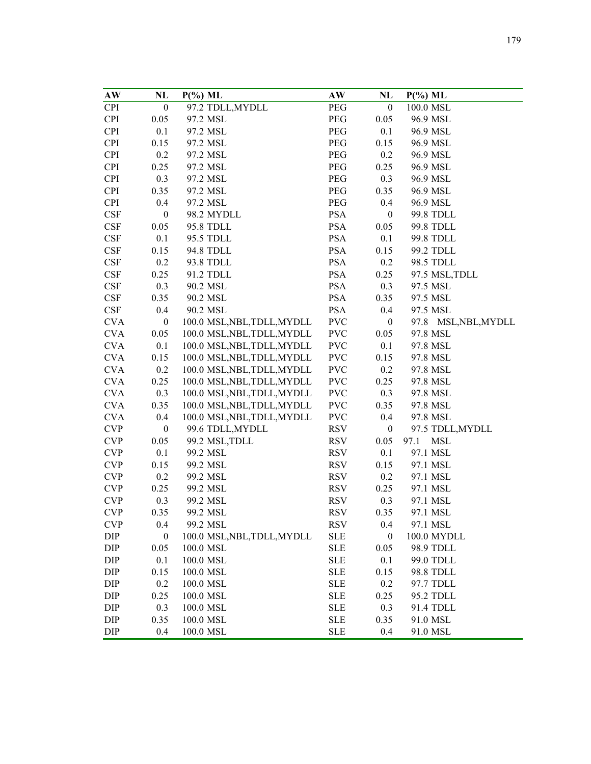| AW         | NL               | $P(\%)$ ML                  | AW         | NL               | $P(\%)$ ML           |
|------------|------------------|-----------------------------|------------|------------------|----------------------|
| <b>CPI</b> | $\boldsymbol{0}$ | 97.2 TDLL, MYDLL            | PEG        | $\boldsymbol{0}$ | 100.0 MSL            |
| <b>CPI</b> | 0.05             | 97.2 MSL                    | PEG        | 0.05             | 96.9 MSL             |
| <b>CPI</b> | 0.1              | 97.2 MSL                    | PEG        | 0.1              | 96.9 MSL             |
| <b>CPI</b> | 0.15             | 97.2 MSL                    | PEG        | 0.15             | 96.9 MSL             |
| <b>CPI</b> | 0.2              | 97.2 MSL                    | PEG        | 0.2              | 96.9 MSL             |
| <b>CPI</b> | 0.25             | 97.2 MSL                    | PEG        | 0.25             | 96.9 MSL             |
| <b>CPI</b> | 0.3              | 97.2 MSL                    | PEG        | 0.3              | 96.9 MSL             |
| <b>CPI</b> | 0.35             | 97.2 MSL                    | PEG        | 0.35             | 96.9 MSL             |
| <b>CPI</b> | 0.4              | 97.2 MSL                    | PEG        | 0.4              | 96.9 MSL             |
| <b>CSF</b> | $\boldsymbol{0}$ | 98.2 MYDLL                  | <b>PSA</b> | $\boldsymbol{0}$ | 99.8 TDLL            |
| CSF        | 0.05             | 95.8 TDLL                   | PSA        | 0.05             | 99.8 TDLL            |
| CSF        | 0.1              | 95.5 TDLL                   | <b>PSA</b> | 0.1              | 99.8 TDLL            |
| <b>CSF</b> | 0.15             | 94.8 TDLL                   | PSA        | 0.15             | 99.2 TDLL            |
| <b>CSF</b> | 0.2              | 93.8 TDLL                   | PSA        | 0.2              | 98.5 TDLL            |
| CSF        | 0.25             | 91.2 TDLL                   | <b>PSA</b> | 0.25             |                      |
|            | 0.3              |                             | <b>PSA</b> | 0.3              | 97.5 MSL, TDLL       |
| <b>CSF</b> |                  | 90.2 MSL                    |            |                  | 97.5 MSL             |
| <b>CSF</b> | 0.35             | 90.2 MSL                    | <b>PSA</b> | 0.35             | 97.5 MSL             |
| <b>CSF</b> | 0.4              | 90.2 MSL                    | <b>PSA</b> | 0.4              | 97.5 MSL             |
| <b>CVA</b> | $\boldsymbol{0}$ | 100.0 MSL, NBL, TDLL, MYDLL | <b>PVC</b> | $\boldsymbol{0}$ | 97.8 MSL, NBL, MYDLL |
| <b>CVA</b> | 0.05             | 100.0 MSL, NBL, TDLL, MYDLL | <b>PVC</b> | 0.05             | 97.8 MSL             |
| <b>CVA</b> | 0.1              | 100.0 MSL, NBL, TDLL, MYDLL | <b>PVC</b> | 0.1              | 97.8 MSL             |
| <b>CVA</b> | 0.15             | 100.0 MSL, NBL, TDLL, MYDLL | <b>PVC</b> | 0.15             | 97.8 MSL             |
| <b>CVA</b> | 0.2              | 100.0 MSL, NBL, TDLL, MYDLL | <b>PVC</b> | 0.2              | 97.8 MSL             |
| <b>CVA</b> | 0.25             | 100.0 MSL, NBL, TDLL, MYDLL | <b>PVC</b> | 0.25             | 97.8 MSL             |
| <b>CVA</b> | 0.3              | 100.0 MSL, NBL, TDLL, MYDLL | <b>PVC</b> | 0.3              | 97.8 MSL             |
| <b>CVA</b> | 0.35             | 100.0 MSL, NBL, TDLL, MYDLL | <b>PVC</b> | 0.35             | 97.8 MSL             |
| <b>CVA</b> | 0.4              | 100.0 MSL, NBL, TDLL, MYDLL | <b>PVC</b> | 0.4              | 97.8 MSL             |
| <b>CVP</b> | $\boldsymbol{0}$ | 99.6 TDLL, MYDLL            | <b>RSV</b> | $\boldsymbol{0}$ | 97.5 TDLL, MYDLL     |
| <b>CVP</b> | 0.05             | 99.2 MSL, TDLL              | <b>RSV</b> | 0.05             | 97.1<br><b>MSL</b>   |
| <b>CVP</b> | 0.1              | 99.2 MSL                    | <b>RSV</b> | 0.1              | 97.1 MSL             |
| <b>CVP</b> | 0.15             | 99.2 MSL                    | <b>RSV</b> | 0.15             | 97.1 MSL             |
| <b>CVP</b> | 0.2              | 99.2 MSL                    | <b>RSV</b> | 0.2              | 97.1 MSL             |
| <b>CVP</b> | 0.25             | 99.2 MSL                    | <b>RSV</b> | 0.25             | 97.1 MSL             |
| <b>CVP</b> | 0.3              | 99.2 MSL                    | <b>RSV</b> | 0.3              | 97.1 MSL             |
| <b>CVP</b> | 0.35             | 99.2 MSL                    | <b>RSV</b> | 0.35             | 97.1 MSL             |
| <b>CVP</b> | 0.4              | 99.2 MSL                    | <b>RSV</b> | 0.4              | 97.1 MSL             |
| DIP        | $\boldsymbol{0}$ | 100.0 MSL, NBL, TDLL, MYDLL | <b>SLE</b> | $\mathbf{0}$     | 100.0 MYDLL          |
| DIP        | 0.05             | 100.0 MSL                   | <b>SLE</b> | 0.05             | 98.9 TDLL            |
| DIP        | 0.1              | 100.0 MSL                   | <b>SLE</b> | 0.1              | 99.0 TDLL            |
| DIP        | 0.15             | 100.0 MSL                   | <b>SLE</b> | 0.15             | 98.8 TDLL            |
| DIP        | 0.2              | 100.0 MSL                   | <b>SLE</b> | 0.2              | 97.7 TDLL            |
| DIP        | 0.25             | 100.0 MSL                   | <b>SLE</b> | 0.25             | 95.2 TDLL            |
| DIP        | 0.3              | 100.0 MSL                   | <b>SLE</b> | 0.3              | 91.4 TDLL            |
| DIP        | 0.35             | 100.0 MSL                   | <b>SLE</b> | 0.35             | 91.0 MSL             |
| DIP        | 0.4              | 100.0 MSL                   | <b>SLE</b> | 0.4              | 91.0 MSL             |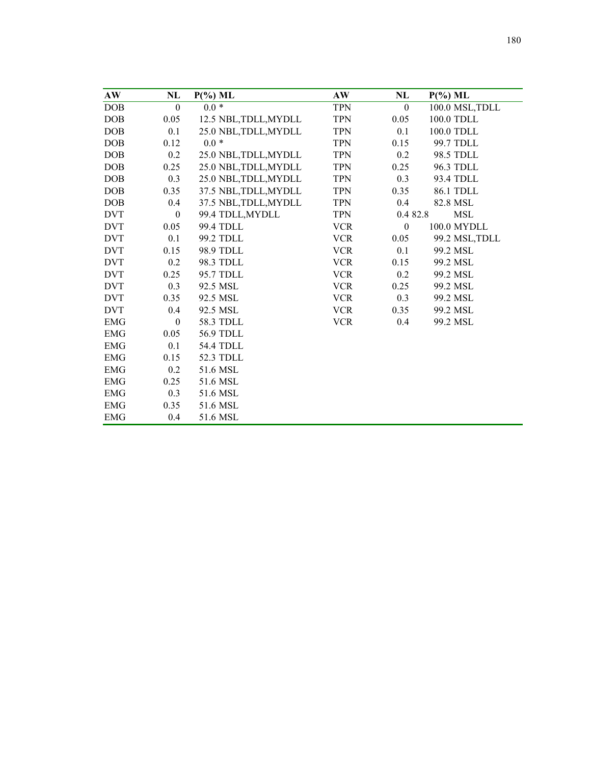| AW          | NL               | $P(\%)$ ML            | AW         | NL               | $P(\%)$ ML            |
|-------------|------------------|-----------------------|------------|------------------|-----------------------|
| <b>DOB</b>  | $\boldsymbol{0}$ | $0.0 *$               | <b>TPN</b> | $\boldsymbol{0}$ | 100.0 MSL, TDLL       |
| DOB         | 0.05             | 12.5 NBL, TDLL, MYDLL | <b>TPN</b> | 0.05             | $100.0$ $\mbox{TDLL}$ |
| DOB         | 0.1              | 25.0 NBL, TDLL, MYDLL | <b>TPN</b> | 0.1              | 100.0 TDLL            |
| <b>DOB</b>  | 0.12             | $0.0*$                | <b>TPN</b> | 0.15             | 99.7 TDLL             |
| <b>DOB</b>  | 0.2              | 25.0 NBL, TDLL, MYDLL | <b>TPN</b> | 0.2              | 98.5 TDLL             |
| DOB         | 0.25             | 25.0 NBL, TDLL, MYDLL | <b>TPN</b> | 0.25             | 96.3 TDLL             |
| DOB         | 0.3              | 25.0 NBL, TDLL, MYDLL | <b>TPN</b> | 0.3              | 93.4 TDLL             |
| <b>DOB</b>  | 0.35             | 37.5 NBL, TDLL, MYDLL | <b>TPN</b> | 0.35             | 86.1 TDLL             |
| <b>DOB</b>  | 0.4              | 37.5 NBL, TDLL, MYDLL | <b>TPN</b> | 0.4              | 82.8 MSL              |
| <b>DVT</b>  | $\boldsymbol{0}$ | 99.4 TDLL, MYDLL      | <b>TPN</b> | 0.4 82.8         | <b>MSL</b>            |
| <b>DVT</b>  | 0.05             | 99.4 TDLL             | <b>VCR</b> | $\boldsymbol{0}$ | 100.0 MYDLL           |
| <b>DVT</b>  | 0.1              | 99.2 TDLL             | <b>VCR</b> | 0.05             | 99.2 MSL, TDLL        |
| <b>DVT</b>  | 0.15             | 98.9 TDLL             | <b>VCR</b> | 0.1              | 99.2 MSL              |
| <b>DVT</b>  | 0.2              | 98.3 TDLL             | <b>VCR</b> | 0.15             | 99.2 MSL              |
| <b>DVT</b>  | 0.25             | 95.7 TDLL             | <b>VCR</b> | 0.2              | 99.2 MSL              |
| <b>DVT</b>  | 0.3              | 92.5 MSL              | <b>VCR</b> | 0.25             | 99.2 MSL              |
| <b>DVT</b>  | 0.35             | 92.5 MSL              | <b>VCR</b> | 0.3              | 99.2 MSL              |
| <b>DVT</b>  | 0.4              | 92.5 MSL              | <b>VCR</b> | 0.35             | 99.2 MSL              |
| <b>EMG</b>  | $\boldsymbol{0}$ | 58.3 TDLL             | <b>VCR</b> | 0.4              | 99.2 MSL              |
| <b>EMG</b>  | 0.05             | 56.9 TDLL             |            |                  |                       |
| ${\rm EMG}$ | 0.1              | <b>54.4 TDLL</b>      |            |                  |                       |
| <b>EMG</b>  | 0.15             | 52.3 TDLL             |            |                  |                       |
| <b>EMG</b>  | 0.2              | 51.6 MSL              |            |                  |                       |
| ${\rm EMG}$ | 0.25             | 51.6 MSL              |            |                  |                       |
| <b>EMG</b>  | 0.3              | 51.6 MSL              |            |                  |                       |
| <b>EMG</b>  | 0.35             | 51.6 MSL              |            |                  |                       |
| <b>EMG</b>  | 0.4              | 51.6 MSL              |            |                  |                       |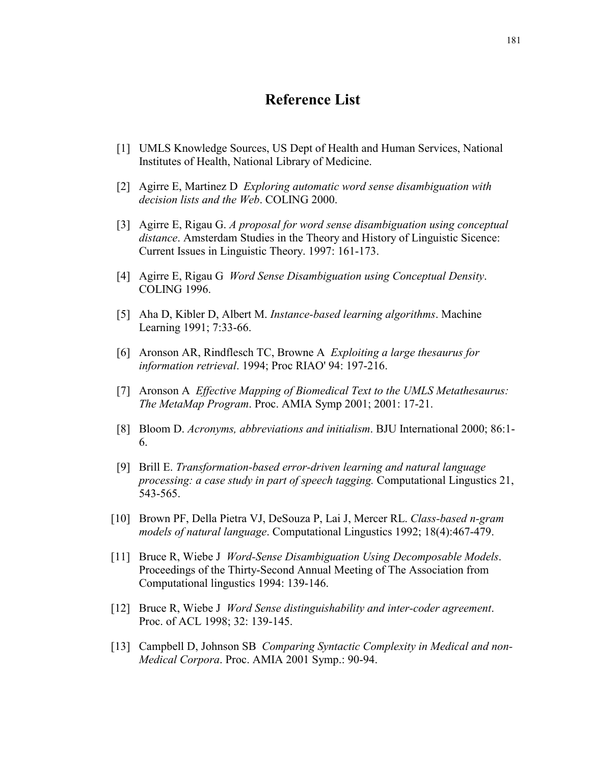## **Reference List**

- [1] UMLS Knowledge Sources, US Dept of Health and Human Services, National Institutes of Health, National Library of Medicine.
- [2] Agirre E, Martinez D *Exploring automatic word sense disambiguation with decision lists and the Web*. COLING 2000.
- [3] Agirre E, Rigau G. *A proposal for word sense disambiguation using conceptual distance*. Amsterdam Studies in the Theory and History of Linguistic Sicence: Current Issues in Linguistic Theory. 1997: 161-173.
- [4] Agirre E, Rigau G *Word Sense Disambiguation using Conceptual Density*. COLING 1996.
- [5] Aha D, Kibler D, Albert M. *Instance-based learning algorithms*. Machine Learning 1991; 7:33-66.
- [6] Aronson AR, Rindflesch TC, Browne A *Exploiting a large thesaurus for information retrieval*. 1994; Proc RIAO' 94: 197-216.
- [7] Aronson A *Effective Mapping of Biomedical Text to the UMLS Metathesaurus: The MetaMap Program*. Proc. AMIA Symp 2001; 2001: 17-21.
- [8] Bloom D. *Acronyms, abbreviations and initialism*. BJU International 2000; 86:1- 6.
- [9] Brill E. *Transformation-based error-driven learning and natural language processing: a case study in part of speech tagging.* Computational Lingustics 21, 543-565.
- [10] Brown PF, Della Pietra VJ, DeSouza P, Lai J, Mercer RL. *Class-based n-gram models of natural language*. Computational Lingustics 1992; 18(4):467-479.
- [11] Bruce R, Wiebe J *Word-Sense Disambiguation Using Decomposable Models*. Proceedings of the Thirty-Second Annual Meeting of The Association from Computational lingustics 1994: 139-146.
- [12] Bruce R, Wiebe J *Word Sense distinguishability and inter-coder agreement*. Proc. of ACL 1998; 32: 139-145.
- [13] Campbell D, Johnson SB *Comparing Syntactic Complexity in Medical and non-Medical Corpora*. Proc. AMIA 2001 Symp.: 90-94.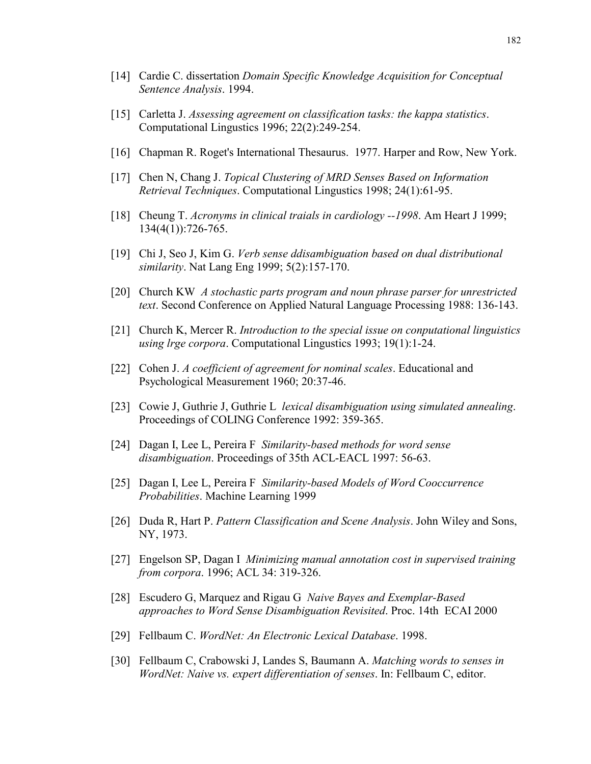- [14] Cardie C. dissertation *Domain Specific Knowledge Acquisition for Conceptual Sentence Analysis*. 1994.
- [15] Carletta J. *Assessing agreement on classification tasks: the kappa statistics*. Computational Lingustics 1996; 22(2):249-254.
- [16] Chapman R. Roget's International Thesaurus. 1977. Harper and Row, New York.
- [17] Chen N, Chang J. *Topical Clustering of MRD Senses Based on Information Retrieval Techniques*. Computational Lingustics 1998; 24(1):61-95.
- [18] Cheung T. *Acronyms in clinical traials in cardiology --1998*. Am Heart J 1999; 134(4(1)):726-765.
- [19] Chi J, Seo J, Kim G. *Verb sense ddisambiguation based on dual distributional similarity*. Nat Lang Eng 1999; 5(2):157-170.
- [20] Church KW *A stochastic parts program and noun phrase parser for unrestricted text*. Second Conference on Applied Natural Language Processing 1988: 136-143.
- [21] Church K, Mercer R. *Introduction to the special issue on conputational linguistics using lrge corpora*. Computational Lingustics 1993; 19(1):1-24.
- [22] Cohen J. *A coefficient of agreement for nominal scales*. Educational and Psychological Measurement 1960; 20:37-46.
- [23] Cowie J, Guthrie J, Guthrie L *lexical disambiguation using simulated annealing*. Proceedings of COLING Conference 1992: 359-365.
- [24] Dagan I, Lee L, Pereira F *Similarity-based methods for word sense disambiguation*. Proceedings of 35th ACL-EACL 1997: 56-63.
- [25] Dagan I, Lee L, Pereira F *Similarity-based Models of Word Cooccurrence Probabilities*. Machine Learning 1999
- [26] Duda R, Hart P. *Pattern Classification and Scene Analysis*. John Wiley and Sons, NY, 1973.
- [27] Engelson SP, Dagan I *Minimizing manual annotation cost in supervised training from corpora*. 1996; ACL 34: 319-326.
- [28] Escudero G, Marquez and Rigau G *Naive Bayes and Exemplar-Based approaches to Word Sense Disambiguation Revisited*. Proc. 14th ECAI 2000
- [29] Fellbaum C. *WordNet: An Electronic Lexical Database*. 1998.
- [30] Fellbaum C, Crabowski J, Landes S, Baumann A. *Matching words to senses in WordNet: Naive vs. expert differentiation of senses*. In: Fellbaum C, editor.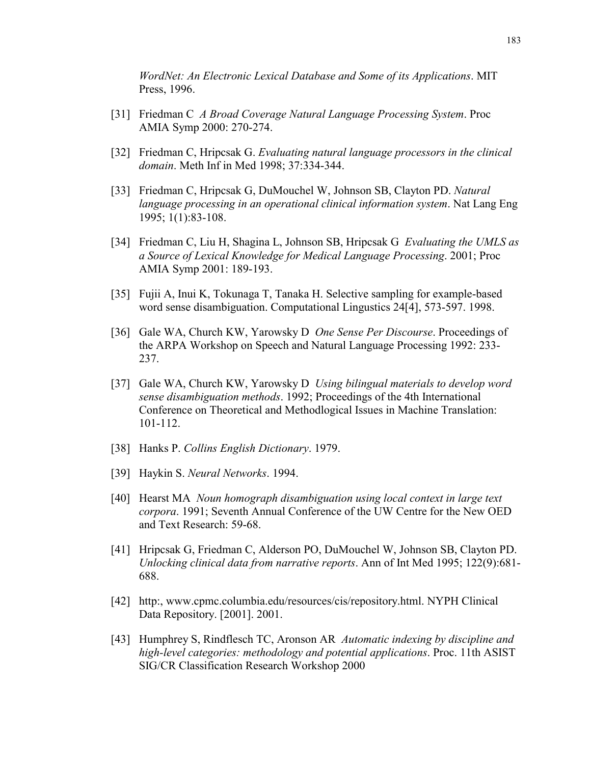*WordNet: An Electronic Lexical Database and Some of its Applications*. MIT Press, 1996.

- [31] Friedman C *A Broad Coverage Natural Language Processing System*. Proc AMIA Symp 2000: 270-274.
- [32] Friedman C, Hripcsak G. *Evaluating natural language processors in the clinical domain*. Meth Inf in Med 1998; 37:334-344.
- [33] Friedman C, Hripcsak G, DuMouchel W, Johnson SB, Clayton PD. *Natural language processing in an operational clinical information system*. Nat Lang Eng 1995; 1(1):83-108.
- [34] Friedman C, Liu H, Shagina L, Johnson SB, Hripcsak G *Evaluating the UMLS as a Source of Lexical Knowledge for Medical Language Processing*. 2001; Proc AMIA Symp 2001: 189-193.
- [35] Fujii A, Inui K, Tokunaga T, Tanaka H. Selective sampling for example-based word sense disambiguation. Computational Lingustics 24[4], 573-597. 1998.
- [36] Gale WA, Church KW, Yarowsky D *One Sense Per Discourse*. Proceedings of the ARPA Workshop on Speech and Natural Language Processing 1992: 233- 237.
- [37] Gale WA, Church KW, Yarowsky D *Using bilingual materials to develop word sense disambiguation methods*. 1992; Proceedings of the 4th International Conference on Theoretical and Methodlogical Issues in Machine Translation: 101-112.
- [38] Hanks P. *Collins English Dictionary*. 1979.
- [39] Haykin S. *Neural Networks*. 1994.
- [40] Hearst MA *Noun homograph disambiguation using local context in large text corpora*. 1991; Seventh Annual Conference of the UW Centre for the New OED and Text Research: 59-68.
- [41] Hripcsak G, Friedman C, Alderson PO, DuMouchel W, Johnson SB, Clayton PD. *Unlocking clinical data from narrative reports*. Ann of Int Med 1995; 122(9):681- 688.
- [42] http:, www.cpmc.columbia.edu/resources/cis/repository.html. NYPH Clinical Data Repository. [2001]. 2001.
- [43] Humphrey S, Rindflesch TC, Aronson AR *Automatic indexing by discipline and high-level categories: methodology and potential applications*. Proc. 11th ASIST SIG/CR Classification Research Workshop 2000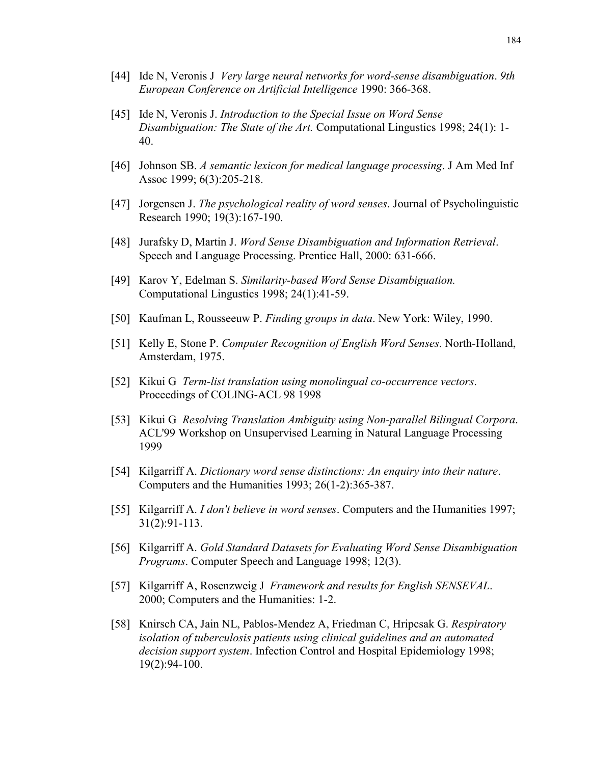- [44] Ide N, Veronis J *Very large neural networks for word-sense disambiguation*. *9th European Conference on Artificial Intelligence* 1990: 366-368.
- [45] Ide N, Veronis J. *Introduction to the Special Issue on Word Sense Disambiguation: The State of the Art.* Computational Lingustics 1998; 24(1): 1- 40.
- [46] Johnson SB. *A semantic lexicon for medical language processing*. J Am Med Inf Assoc 1999; 6(3):205-218.
- [47] Jorgensen J. *The psychological reality of word senses*. Journal of Psycholinguistic Research 1990; 19(3):167-190.
- [48] Jurafsky D, Martin J. *Word Sense Disambiguation and Information Retrieval*. Speech and Language Processing. Prentice Hall, 2000: 631-666.
- [49] Karov Y, Edelman S. *Similarity-based Word Sense Disambiguation.* Computational Lingustics 1998; 24(1):41-59.
- [50] Kaufman L, Rousseeuw P. *Finding groups in data*. New York: Wiley, 1990.
- [51] Kelly E, Stone P. *Computer Recognition of English Word Senses*. North-Holland, Amsterdam, 1975.
- [52] Kikui G *Term-list translation using monolingual co-occurrence vectors*. Proceedings of COLING-ACL 98 1998
- [53] Kikui G *Resolving Translation Ambiguity using Non-parallel Bilingual Corpora*. ACL'99 Workshop on Unsupervised Learning in Natural Language Processing 1999
- [54] Kilgarriff A. *Dictionary word sense distinctions: An enquiry into their nature*. Computers and the Humanities 1993; 26(1-2):365-387.
- [55] Kilgarriff A. *I don't believe in word senses*. Computers and the Humanities 1997; 31(2):91-113.
- [56] Kilgarriff A. *Gold Standard Datasets for Evaluating Word Sense Disambiguation Programs*. Computer Speech and Language 1998; 12(3).
- [57] Kilgarriff A, Rosenzweig J *Framework and results for English SENSEVAL*. 2000; Computers and the Humanities: 1-2.
- [58] Knirsch CA, Jain NL, Pablos-Mendez A, Friedman C, Hripcsak G. *Respiratory isolation of tuberculosis patients using clinical guidelines and an automated decision support system*. Infection Control and Hospital Epidemiology 1998; 19(2):94-100.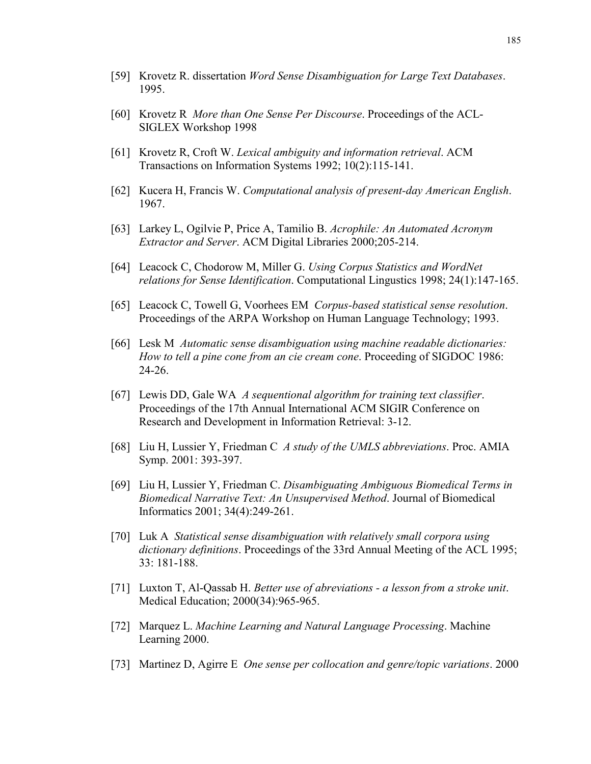- [59] Krovetz R. dissertation *Word Sense Disambiguation for Large Text Databases*. 1995.
- [60] Krovetz R *More than One Sense Per Discourse*. Proceedings of the ACL-SIGLEX Workshop 1998
- [61] Krovetz R, Croft W. *Lexical ambiguity and information retrieval*. ACM Transactions on Information Systems 1992; 10(2):115-141.
- [62] Kucera H, Francis W. *Computational analysis of present-day American English*. 1967.
- [63] Larkey L, Ogilvie P, Price A, Tamilio B. *Acrophile: An Automated Acronym Extractor and Server*. ACM Digital Libraries 2000;205-214.
- [64] Leacock C, Chodorow M, Miller G. *Using Corpus Statistics and WordNet relations for Sense Identification*. Computational Lingustics 1998; 24(1):147-165.
- [65] Leacock C, Towell G, Voorhees EM *Corpus-based statistical sense resolution*. Proceedings of the ARPA Workshop on Human Language Technology; 1993.
- [66] Lesk M *Automatic sense disambiguation using machine readable dictionaries: How to tell a pine cone from an cie cream cone*. Proceeding of SIGDOC 1986: 24-26.
- [67] Lewis DD, Gale WA *A sequentional algorithm for training text classifier*. Proceedings of the 17th Annual International ACM SIGIR Conference on Research and Development in Information Retrieval: 3-12.
- [68] Liu H, Lussier Y, Friedman C *A study of the UMLS abbreviations*. Proc. AMIA Symp. 2001: 393-397.
- [69] Liu H, Lussier Y, Friedman C. *Disambiguating Ambiguous Biomedical Terms in Biomedical Narrative Text: An Unsupervised Method*. Journal of Biomedical Informatics 2001; 34(4):249-261.
- [70] Luk A *Statistical sense disambiguation with relatively small corpora using dictionary definitions*. Proceedings of the 33rd Annual Meeting of the ACL 1995; 33: 181-188.
- [71] Luxton T, Al-Qassab H. *Better use of abreviations a lesson from a stroke unit*. Medical Education; 2000(34):965-965.
- [72] Marquez L. *Machine Learning and Natural Language Processing*. Machine Learning 2000.
- [73] Martinez D, Agirre E *One sense per collocation and genre/topic variations*. 2000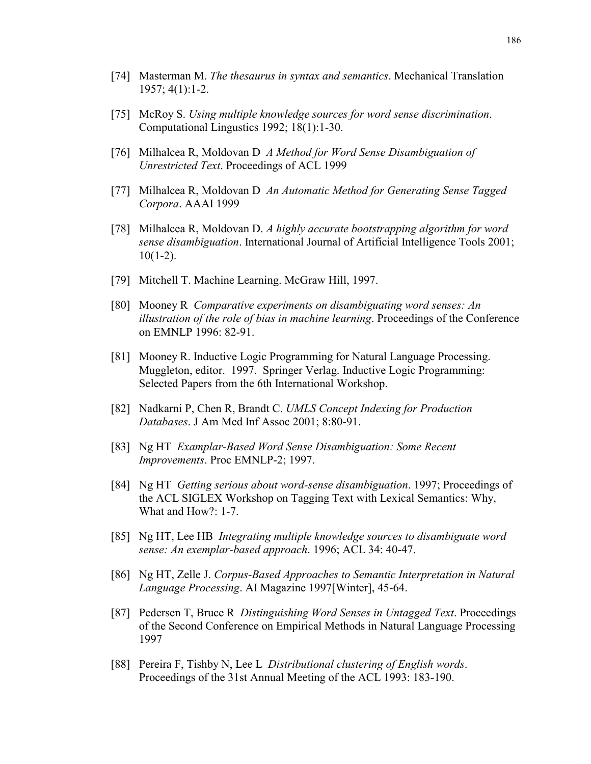- [74] Masterman M. *The thesaurus in syntax and semantics*. Mechanical Translation 1957; 4(1):1-2.
- [75] McRoy S. *Using multiple knowledge sources for word sense discrimination*. Computational Lingustics 1992; 18(1):1-30.
- [76] Milhalcea R, Moldovan D *A Method for Word Sense Disambiguation of Unrestricted Text*. Proceedings of ACL 1999
- [77] Milhalcea R, Moldovan D *An Automatic Method for Generating Sense Tagged Corpora*. AAAI 1999
- [78] Milhalcea R, Moldovan D. *A highly accurate bootstrapping algorithm for word sense disambiguation*. International Journal of Artificial Intelligence Tools 2001;  $10(1-2)$ .
- [79] Mitchell T. Machine Learning. McGraw Hill, 1997.
- [80] Mooney R *Comparative experiments on disambiguating word senses: An illustration of the role of bias in machine learning*. Proceedings of the Conference on EMNLP 1996: 82-91.
- [81] Mooney R. Inductive Logic Programming for Natural Language Processing. Muggleton, editor. 1997. Springer Verlag. Inductive Logic Programming: Selected Papers from the 6th International Workshop.
- [82] Nadkarni P, Chen R, Brandt C. *UMLS Concept Indexing for Production Databases*. J Am Med Inf Assoc 2001; 8:80-91.
- [83] Ng HT *Examplar-Based Word Sense Disambiguation: Some Recent Improvements*. Proc EMNLP-2; 1997.
- [84] Ng HT *Getting serious about word-sense disambiguation*. 1997; Proceedings of the ACL SIGLEX Workshop on Tagging Text with Lexical Semantics: Why, What and How?: 1-7.
- [85] Ng HT, Lee HB *Integrating multiple knowledge sources to disambiguate word sense: An exemplar-based approach*. 1996; ACL 34: 40-47.
- [86] Ng HT, Zelle J. *Corpus-Based Approaches to Semantic Interpretation in Natural Language Processing*. AI Magazine 1997[Winter], 45-64.
- [87] Pedersen T, Bruce R *Distinguishing Word Senses in Untagged Text*. Proceedings of the Second Conference on Empirical Methods in Natural Language Processing 1997
- [88] Pereira F, Tishby N, Lee L *Distributional clustering of English words*. Proceedings of the 31st Annual Meeting of the ACL 1993: 183-190.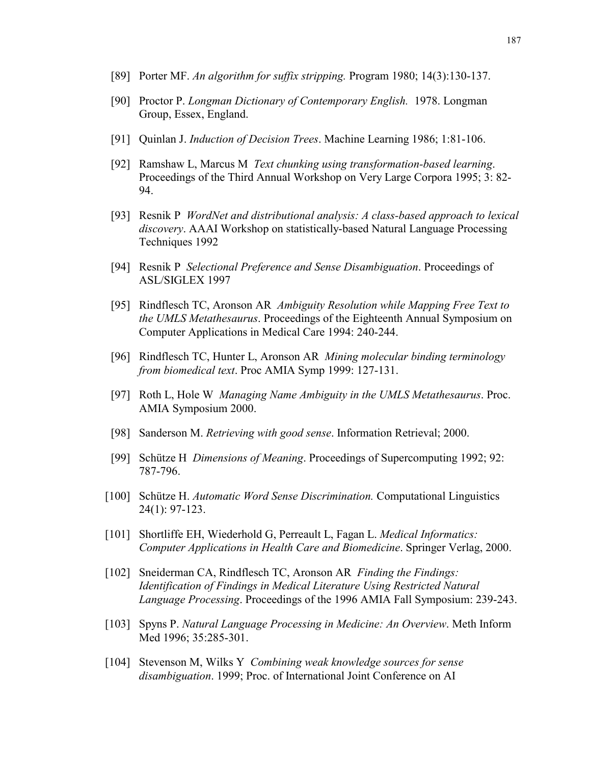- [89] Porter MF. *An algorithm for suffix stripping.* Program 1980; 14(3):130-137.
- [90] Proctor P. *Longman Dictionary of Contemporary English.* 1978. Longman Group, Essex, England.
- [91] Quinlan J. *Induction of Decision Trees*. Machine Learning 1986; 1:81-106.
- [92] Ramshaw L, Marcus M *Text chunking using transformation-based learning*. Proceedings of the Third Annual Workshop on Very Large Corpora 1995; 3: 82- 94.
- [93] Resnik P *WordNet and distributional analysis: A class-based approach to lexical discovery*. AAAI Workshop on statistically-based Natural Language Processing Techniques 1992
- [94] Resnik P *Selectional Preference and Sense Disambiguation*. Proceedings of ASL/SIGLEX 1997
- [95] Rindflesch TC, Aronson AR *Ambiguity Resolution while Mapping Free Text to the UMLS Metathesaurus*. Proceedings of the Eighteenth Annual Symposium on Computer Applications in Medical Care 1994: 240-244.
- [96] Rindflesch TC, Hunter L, Aronson AR *Mining molecular binding terminology from biomedical text*. Proc AMIA Symp 1999: 127-131.
- [97] Roth L, Hole W *Managing Name Ambiguity in the UMLS Metathesaurus*. Proc. AMIA Symposium 2000.
- [98] Sanderson M. *Retrieving with good sense*. Information Retrieval; 2000.
- [99] Schütze H *Dimensions of Meaning*. Proceedings of Supercomputing 1992; 92: 787-796.
- [100] Schütze H. *Automatic Word Sense Discrimination.* Computational Linguistics 24(1): 97-123.
- [101] Shortliffe EH, Wiederhold G, Perreault L, Fagan L. *Medical Informatics: Computer Applications in Health Care and Biomedicine*. Springer Verlag, 2000.
- [102] Sneiderman CA, Rindflesch TC, Aronson AR *Finding the Findings: Identification of Findings in Medical Literature Using Restricted Natural Language Processing*. Proceedings of the 1996 AMIA Fall Symposium: 239-243.
- [103] Spyns P. *Natural Language Processing in Medicine: An Overview*. Meth Inform Med 1996; 35:285-301.
- [104] Stevenson M, Wilks Y *Combining weak knowledge sources for sense disambiguation*. 1999; Proc. of International Joint Conference on AI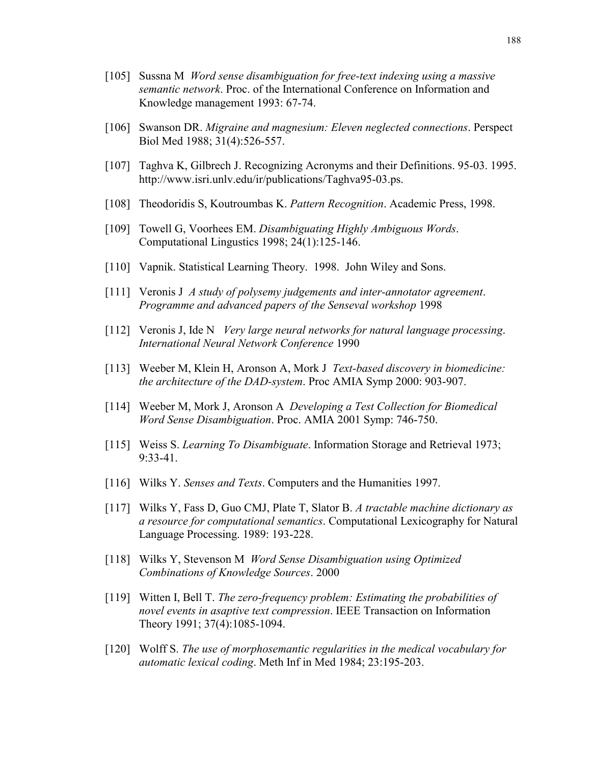- [105] Sussna M *Word sense disambiguation for free-text indexing using a massive semantic network*. Proc. of the International Conference on Information and Knowledge management 1993: 67-74.
- [106] Swanson DR. *Migraine and magnesium: Eleven neglected connections*. Perspect Biol Med 1988; 31(4):526-557.
- [107] Taghva K, Gilbrech J. Recognizing Acronyms and their Definitions. 95-03. 1995. http://www.isri.unlv.edu/ir/publications/Taghva95-03.ps.
- [108] Theodoridis S, Koutroumbas K. *Pattern Recognition*. Academic Press, 1998.
- [109] Towell G, Voorhees EM. *Disambiguating Highly Ambiguous Words*. Computational Lingustics 1998; 24(1):125-146.
- [110] Vapnik. Statistical Learning Theory. 1998. John Wiley and Sons.
- [111] Veronis J *A study of polysemy judgements and inter-annotator agreement*. *Programme and advanced papers of the Senseval workshop* 1998
- [112] Veronis J, Ide N *Very large neural networks for natural language processing*. *International Neural Network Conference* 1990
- [113] Weeber M, Klein H, Aronson A, Mork J *Text-based discovery in biomedicine: the architecture of the DAD-system*. Proc AMIA Symp 2000: 903-907.
- [114] Weeber M, Mork J, Aronson A *Developing a Test Collection for Biomedical Word Sense Disambiguation*. Proc. AMIA 2001 Symp: 746-750.
- [115] Weiss S. *Learning To Disambiguate*. Information Storage and Retrieval 1973; 9:33-41.
- [116] Wilks Y. *Senses and Texts*. Computers and the Humanities 1997.
- [117] Wilks Y, Fass D, Guo CMJ, Plate T, Slator B. *A tractable machine dictionary as a resource for computational semantics*. Computational Lexicography for Natural Language Processing. 1989: 193-228.
- [118] Wilks Y, Stevenson M *Word Sense Disambiguation using Optimized Combinations of Knowledge Sources*. 2000
- [119] Witten I, Bell T. *The zero-frequency problem: Estimating the probabilities of novel events in asaptive text compression*. IEEE Transaction on Information Theory 1991; 37(4):1085-1094.
- [120] Wolff S. *The use of morphosemantic regularities in the medical vocabulary for automatic lexical coding*. Meth Inf in Med 1984; 23:195-203.